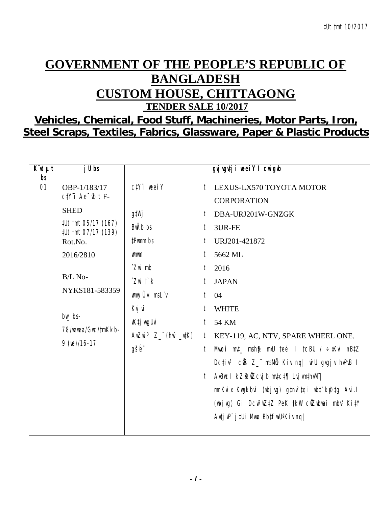## **GOVERNMENT OF THE PEOPLE'S REPUBLIC OF BANGLADESH CUSTOM HOUSE, CHITTAGONG**

**TENDER SALE 10/2017** 

## Vehicles, Chemical, Food Stuff, Machineries, Motor Parts, Iron, Steel Scraps, Textiles, Fabrics, Glassware, Paper & Plastic Products

| $K\mathscr{U}$ $\mu t$<br>bs | $j$ U bs                                   |                                 |                | gyj vgutji weeiY I cwigub                                                 |
|------------------------------|--------------------------------------------|---------------------------------|----------------|---------------------------------------------------------------------------|
| $\overline{01}$              | OBP-1/183/17                               | $C/Y$ i weel Y                  |                | t LEXUS-LX570 TOYOTA MOTOR                                                |
|                              | $c$ t $Y$ 'i Ae $\bar{b}$ t F-             |                                 |                | <b>CORPORATION</b>                                                        |
|                              | <b>SHED</b>                                | g‡Wj                            |                | t DBA-URJ201W-GNZGK                                                       |
|                              | #Ut tmt 05/17 (167)<br>#Ut tmt 07/17 (139) | <b>BwAb</b> bs                  | t              | 3UR-FE                                                                    |
|                              | Rot.No.                                    | #Pwmm bs                        | $\mathfrak{f}$ | URJ201-421872                                                             |
|                              | 2016/2810                                  | umum                            | $\mathfrak{f}$ | 5662 ML                                                                   |
|                              |                                            | $\hat{Z}$ wi mb                 | t.             | 2016                                                                      |
|                              | $B/L$ No-                                  | $Z$ wi t` $k$                   | t              | <b>JAPAN</b>                                                              |
|                              | NYKS181-583359                             | wnwj Ûvi msL"v                  | t              | 04                                                                        |
|                              |                                            | Kvj vi                          | t              | <b>WHITE</b>                                                              |
|                              | $bw$ bs-                                   | wK‡j wygUvi                     | t              | 54 KM                                                                     |
|                              | 78/wewea/Gwc/tmKkb-                        | AwZwi <sup>3</sup> Z_"(hw`_u‡K) |                | t KEY-119, AC, NTV, SPARE WHEEL ONE.                                      |
|                              | $9$ (We)/16-17                             | gšb"                            | t              | Mwoi mut_ msh\$ mxU teë I tcBU / ÷xKvi nBtZ                               |
|                              |                                            |                                 |                | Dctiv <sup>3</sup> cứB Z_" msMm Kiv ng  wiU gygjv hvPvB I                 |
|                              |                                            |                                 |                | t AvBucl kZ°cůZcvj b mvtct¶ Lvj vmthvM"                                   |
|                              |                                            |                                 |                | mnKvix Kwgkbvi (wbjvg) g‡nv`‡qi wb‡`kfu‡g Avi.l                           |
|                              |                                            |                                 |                | (wbjvg) Gi Dcw~wZ‡Z PeK †kW cŴZwbwai mbv <sup>3</sup> Ki‡Y                |
|                              |                                            |                                 |                | $A$ uți v $P^{\prime}$ j ‡Ui Mwo Bb $\downarrow$ fw $U^*$ Kiv nq $\prime$ |
|                              |                                            |                                 |                |                                                                           |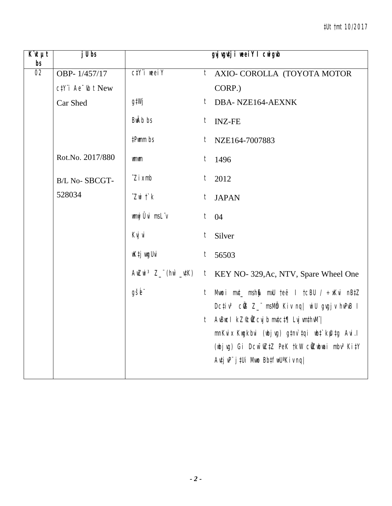| $\overline{K}$ 'it $\mu t$<br>bs | j U bs                   |                             | gyj vgutji weeiY I cwigwb                                                                                                 |
|----------------------------------|--------------------------|-----------------------------|---------------------------------------------------------------------------------------------------------------------------|
| $\overline{02}$                  | OBP-1/457/17             | $C/Y$ i weei $Y$            | $t_{-}$<br>AXIO- COROLLA (TOYOTA MOTOR                                                                                    |
|                                  | $c$ #Y"i Ae " $tb$ t New |                             | CORP.)                                                                                                                    |
|                                  | Car Shed                 | g‡Wj                        | DBA-NZE164-AEXNK<br>t                                                                                                     |
|                                  |                          | <b>BwAb</b> bs              | <b>INZ-FE</b><br>$t_{\parallel}$                                                                                          |
|                                  |                          | #Pwmm bs                    | $t$ NZE164-7007883                                                                                                        |
|                                  | Rot.No. 2017/880         | <b>umum</b>                 | $t$ 1496                                                                                                                  |
|                                  | <b>B/L No-SBCGT-</b>     | $\hat{Z}$ <i>i</i> $x$ mb   | $t_{\parallel}$<br>2012                                                                                                   |
|                                  | 528034                   | $Z$ wi $\ddot{\mathcal{L}}$ | t<br><b>JAPAN</b>                                                                                                         |
|                                  |                          | wnwj Ûvi msLïv              | $t \quad 04$                                                                                                              |
|                                  |                          | Kvj vi                      | t<br>Silver                                                                                                               |
|                                  |                          | wK‡j wygUvi                 | $t$ 56503                                                                                                                 |
|                                  |                          |                             | AwZwi $3 Z$ <sup>"</sup> (hw' $\mu$ K) t KEY NO- 329, Ac, NTV, Spare Wheel One                                            |
|                                  |                          | gšb"                        | Mwoi mut_ msh@ mxU teë I tcBU / ÷xKvi nBtZ<br>t                                                                           |
|                                  |                          |                             | Dcțiv <sup>3</sup> cÜB Z_" msMb Kiv nq  wiU gvgjv hvPvB I                                                                 |
|                                  |                          |                             | t AvBucl kZ©ÜZcvj b mvtct¶ Lvj vmthvM"                                                                                    |
|                                  |                          |                             | mnKvix Kwgkbvi (wbjvg) gtnv`tqi wbt`k@tg Avi.l<br>(wbjvg) Gi Dcw <sup>-</sup> wZ‡Z PeK tkW cŴZwbwai mbv <sup>3</sup> KitY |
|                                  |                          |                             | $A$ utj uP" j ‡Ui Muno Bb $\sharp$ fin $U^a$ Kiv nq                                                                       |
|                                  |                          |                             |                                                                                                                           |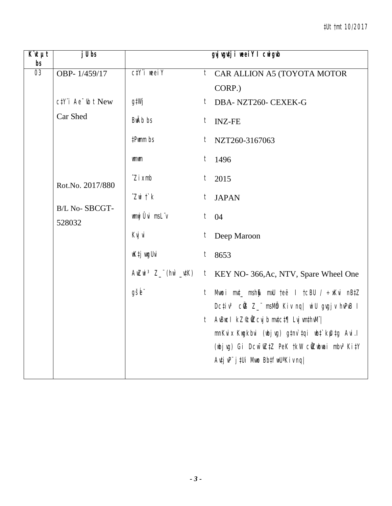| $\overline{K}$ it $\mu t$<br>bs | $j \, U \, bs$                                    |                             | gyj ygutji weei Y I cwigwb                                                                                                |
|---------------------------------|---------------------------------------------------|-----------------------------|---------------------------------------------------------------------------------------------------------------------------|
| $\overline{03}$                 | OBP-1/459/17                                      | $C/Y$ i weei $Y$            | <sup>t</sup> CAR ALLION A5 (TOYOTA MOTOR<br>CORP.)                                                                        |
|                                 | $c$ t $Y$ 'i Ae $\overline{\phantom{a}}$ th t New | gtWj                        | t DBA-NZT260-CEXEK-G                                                                                                      |
|                                 | Car Shed                                          | <b>BwAb</b> bs              | <b>INZ-FE</b><br>t                                                                                                        |
|                                 |                                                   | #Pwmm bs                    | $t_{-}$<br>NZT260-3167063                                                                                                 |
|                                 |                                                   | <b>umum</b>                 | 1496<br>t                                                                                                                 |
|                                 | Rot.No. 2017/880                                  | $\hat{Z}$ <i>i</i> $x$ mb   | t<br>2015                                                                                                                 |
|                                 | B/L No-SBCGT-                                     | $Z$ wi $\ddot{\mathcal{L}}$ | t JAPAN                                                                                                                   |
|                                 | 528032                                            | wnwj Ûvi msLïv              | $t \quad 04$                                                                                                              |
|                                 |                                                   | Kvj vi                      | Deep Maroon<br>$t_{\parallel}$                                                                                            |
|                                 |                                                   | wK‡j wydUvi                 | $t$ 8653                                                                                                                  |
|                                 |                                                   |                             | AwZwi $3 Z$ <sup>"</sup> (hw' $\mu$ K) t KEY NO- 366, Ac, NTV, Spare Wheel One                                            |
|                                 |                                                   | gšb"                        | Mwoi mut_ msh\$ mxU teë I tcBU / ÷xKvi nBtZ<br>t<br>Dctiv <sup>3</sup> cOB Z_" msMb Kiv ng   wiU gvgjv hvPvB I            |
|                                 |                                                   |                             | t AvBucl kZ°c0Zcvjb mvtct¶ Lvj vmthvM"                                                                                    |
|                                 |                                                   |                             | mnKvix Kwgkbvi (wbjvg) gtnv`tqi wbt`k@tg Avi.l                                                                            |
|                                 |                                                   |                             | (wbjvg) Gi Dcw <sup>-</sup> wZ‡Z PeK †kW cŴZwbwai mbv <sup>3</sup> Ki‡Y<br>Autj uP" j tUi Muno BbtfwU <sup>a</sup> Kiv nq |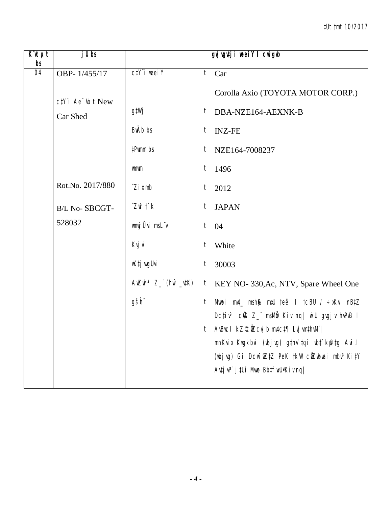| $\overline{K}$ <b><i>ut</i></b><br>bs | $j$ Ubs                            |                                 | gyj vgutji weeiY I cwigub                                                                 |
|---------------------------------------|------------------------------------|---------------------------------|-------------------------------------------------------------------------------------------|
| 04                                    | OBP-1/455/17                       | $C\ddagger Y$ i weel $Y$        | $\overline{t}$ Car                                                                        |
|                                       | $c$ t $Y$ 'i Ae $\neg$ t $b$ t New |                                 | Corolla Axio (TOYOTA MOTOR CORP.)                                                         |
|                                       | Car Shed                           | g‡Wj                            | $t$ DBA-NZE164-AEXNK-B                                                                    |
|                                       |                                    | <b>BwAb</b> bs                  | <b>INZ-FE</b><br>t                                                                        |
|                                       |                                    | #Pwmm bs                        | $t$ NZE164-7008237                                                                        |
|                                       |                                    | <b>umum</b>                     | t<br>1496                                                                                 |
|                                       | Rot.No. 2017/880                   | $\hat{Z}$ <i>i</i> $x$ mb       | $t_{-}$<br>2012                                                                           |
|                                       | <b>B/L No-SBCGT-</b>               | $Z$ wi $\ddot{\mathcal{L}}$ $k$ | t<br><b>JAPAN</b>                                                                         |
|                                       | 528032                             | wmwj Ûvi msLïv                  | $t \quad 04$                                                                              |
|                                       |                                    | Kvj vi                          | t<br>White                                                                                |
|                                       |                                    | wK‡j wyUvi                      | 30003<br>$t_{-}$                                                                          |
|                                       |                                    |                                 | AwZwi $3 Z_{-}$ (hw $\mu$ K) t KEY NO- 330, Ac, NTV, Spare Wheel One                      |
|                                       |                                    | gšb"                            | Mwoi mut_ msh\$ mxU teë I tcBU / ÷xKvi nBtZ<br>$t_{-}$                                    |
|                                       |                                    |                                 | Dc‡iv <sup>3</sup> cŴ3 Z_" msMm Kiv nq  wiU gvgjv hvPvB I                                 |
|                                       |                                    |                                 | t AvBucl kZ©ÑZcvjb mv‡c‡¶ Lvj vm‡hvM" <br>mnKvix Kwgkbvi (wbjvg) g‡nv`tqi wb‡`kfutg Avi.l |
|                                       |                                    |                                 | (wbjvg) Gi Dcw <sup>-</sup> wZ‡Z PeK †kW cŴZwbwai mbv <sup>3</sup> Ki‡Y                   |
|                                       |                                    |                                 | $A$ utj v $P^{\prime}$ j tUi Mwo Bbtfw $U^a$ Kiv nq                                       |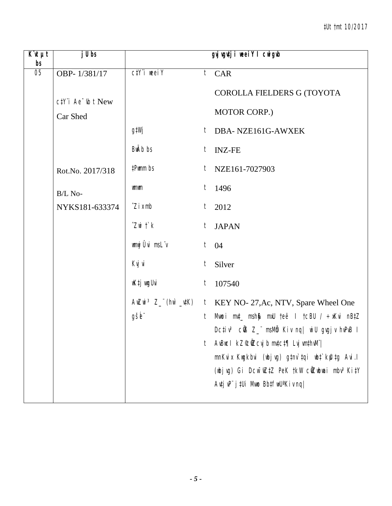| $\overline{K}$ <b><i>ut</i></b><br>bs | $j$ Ubs                                        |                                 | gyj vgutji weeiY I cwigwb                                                                                                                                                                                                                                                                                                                                                     |
|---------------------------------------|------------------------------------------------|---------------------------------|-------------------------------------------------------------------------------------------------------------------------------------------------------------------------------------------------------------------------------------------------------------------------------------------------------------------------------------------------------------------------------|
| 05                                    | OBP-1/381/17                                   | $C/Y$ i weei $Y$                | $t$ CAR                                                                                                                                                                                                                                                                                                                                                                       |
|                                       | $c$ t $Y$ 'i Ae $\neg$ t $b$ t New<br>Car Shed |                                 | COROLLA FIELDERS G (TOYOTA<br>MOTOR CORP.)                                                                                                                                                                                                                                                                                                                                    |
|                                       |                                                | g‡Wj                            | DBA-NZE161G-AWXEK<br>t                                                                                                                                                                                                                                                                                                                                                        |
|                                       |                                                | BwAb bs                         | $t$ INZ-FE                                                                                                                                                                                                                                                                                                                                                                    |
|                                       | Rot.No. 2017/318                               | #Pwmm bs                        | NZE161-7027903<br>t                                                                                                                                                                                                                                                                                                                                                           |
|                                       | B/L No-                                        | <b>umum</b>                     | $t$ 1496                                                                                                                                                                                                                                                                                                                                                                      |
|                                       | NYKS181-633374                                 | $\hat{Z}$ <i>i</i> $x$ mb       | t<br>2012                                                                                                                                                                                                                                                                                                                                                                     |
|                                       |                                                | $Z$ wi $\ddot{\mathcal{L}}$ $k$ | $t_{-}$<br><b>JAPAN</b>                                                                                                                                                                                                                                                                                                                                                       |
|                                       |                                                | wmwj Ûvi msLïv                  | $t$ 04                                                                                                                                                                                                                                                                                                                                                                        |
|                                       |                                                | Kvj vi                          | Silver<br>t                                                                                                                                                                                                                                                                                                                                                                   |
|                                       |                                                | wK‡j wugUvi                     | 107540<br>t                                                                                                                                                                                                                                                                                                                                                                   |
|                                       |                                                | gšb"                            | $A \parallel Z \parallel \parallel$ 3 $Z$ (h) $\parallel$ $\parallel$ $\parallel$ $K$ EY NO- 27, Ac, NTV, Spare Wheel One<br>Mwoi m¢_ msh\$ mxU teë I tcBU / ÷xKvi nB‡Z<br>t<br>Dcțiv <sup>3</sup> cÜB Z_" msMb Kiv nq  wiU gvgjv hvPvB I<br>$A$ vBuc $I$ kZ $\mathcal{C}$ ůZcvj b mv $t$ c $t$ ¶ Lvj vm $t$ hv $M$ "<br>t<br>mnKvix Kwgkbvi (wbjvg) g‡nv`tqi wbt`kfutg Avi.l |
|                                       |                                                |                                 | (wbjvg) Gi Dcw <sup>-</sup> wZ‡Z PeK †kW cŴZwbwai mbv <sup>3</sup> Ki‡Y<br>Avtj vP" j tUi Mwo BbtfwU <sup>a</sup> Kiv nq                                                                                                                                                                                                                                                      |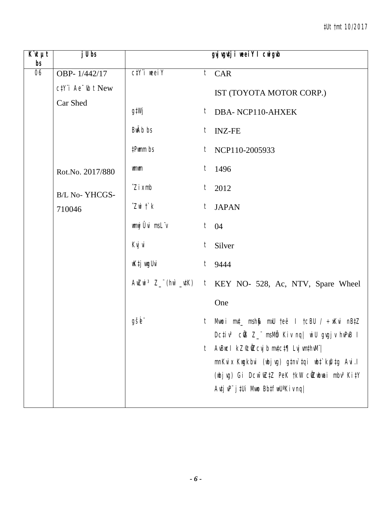| $\overline{K}$ it $\mu t$<br>bs | $j$ Ubs                                              |                             | gyj vgutji weeiY I cwigwb                                                                                                                     |
|---------------------------------|------------------------------------------------------|-----------------------------|-----------------------------------------------------------------------------------------------------------------------------------------------|
| $\overline{06}$                 | OBP-1/442/17                                         | $C/Y$ i weei $Y$            | $t$ CAR                                                                                                                                       |
|                                 | $c$ #Y" <i>i</i> $Ae^-$ <sub><i>ib</i></sub> $t$ New |                             | IST (TOYOTA MOTOR CORP.)                                                                                                                      |
|                                 | Car Shed                                             | g‡Wj                        | $t$ DBA-NCP110-AHXEK                                                                                                                          |
|                                 |                                                      | BwAb bs                     | <b>INZ-FE</b><br>t                                                                                                                            |
|                                 |                                                      | #Pwmm bs                    | $t$ NCP110-2005933                                                                                                                            |
|                                 | Rot.No. 2017/880                                     | <b>umum</b>                 | $t$ 1496                                                                                                                                      |
|                                 | <b>B/L No-YHCGS-</b>                                 | $\hat{Z}$ i x mb            | $t$ 2012                                                                                                                                      |
|                                 | 710046                                               | $Z$ wi $\ddot{\mathcal{L}}$ | <b>JAPAN</b><br>$t_{\parallel}$                                                                                                               |
|                                 |                                                      | wnwj Ûvi msLïv              | $t \quad 04$                                                                                                                                  |
|                                 |                                                      | Kvj vi                      | t<br>Silver                                                                                                                                   |
|                                 |                                                      | wK‡j wyUvi                  | $t$ 9444                                                                                                                                      |
|                                 |                                                      |                             | $A \parallel Z \parallel \parallel$ 3 $Z$ (h) $\parallel$ $\parallel$ $\parallel$ $K$ EY NO- 528, Ac, NTV, Spare Wheel                        |
|                                 |                                                      |                             | One                                                                                                                                           |
|                                 |                                                      | gšb"                        | Mwoi m¢_ msh\$ mxU teë I tcBU / ÷xKvi nB‡Z<br>t<br>Dcțiv <sup>3</sup> cÜB Z_" msMb Kiv nq  wiU gvgjv hvPvB I                                  |
|                                 |                                                      |                             | AvBuc I kZ°c0Zcvj b mvtct¶ Lvj vmthvM" <br>t                                                                                                  |
|                                 |                                                      |                             | mnKvix Kwgkbvi (wbjvg) gtnv`tqi wbt`kfutg Avi.l                                                                                               |
|                                 |                                                      |                             | (wbjvg) Gi Dcw <sup>-</sup> wZ‡Z PeK †kW cŴZwbwai mbv <sup>3</sup> Ki‡Y<br>$A$ utj v $P^{\prime\prime}$ j tUi Mwo Bbtfw $U^a$ Kiv nq $\prime$ |
|                                 |                                                      |                             |                                                                                                                                               |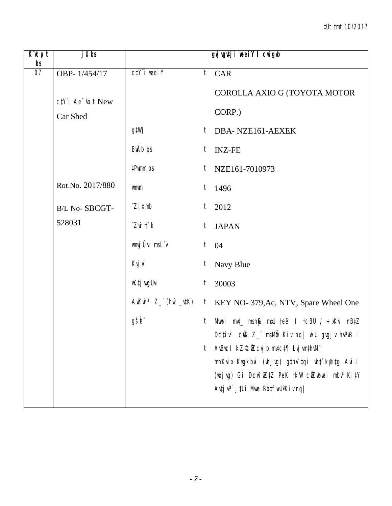| $\overline{K}$ 'it $\mu t$<br>bs | $j$ Ubs                                           |                                 | gyj vgutji weeiY I cwigub                                                                                                            |
|----------------------------------|---------------------------------------------------|---------------------------------|--------------------------------------------------------------------------------------------------------------------------------------|
| 07                               | OBP-1/454/17                                      | $C/Y$ i weel $Y$                | $t$ CAR                                                                                                                              |
|                                  | $c$ t <sup>Y</sup> 'i Ae <sup>-</sup> $i$ b t New |                                 | COROLLA AXIO G (TOYOTA MOTOR                                                                                                         |
|                                  | Car Shed                                          |                                 | CORP.)                                                                                                                               |
|                                  |                                                   | g‡Wj                            | t<br>DBA-NZE161-AEXEK                                                                                                                |
|                                  |                                                   | <b>BwAb</b> bs                  | t<br><b>INZ-FE</b>                                                                                                                   |
|                                  |                                                   | #Pwmm bs                        | NZE161-7010973<br>t                                                                                                                  |
|                                  | Rot.No. 2017/880                                  | <b>umum</b>                     | $t$ 1496                                                                                                                             |
|                                  | B/L No-SBCGT-                                     | $\hat{Z}$ <i>i</i> $x$ mb       | t<br>2012                                                                                                                            |
|                                  | 528031                                            | $Z$ wi $\ddot{\mathcal{L}}$ $k$ | $t_{\parallel}$<br><b>JAPAN</b>                                                                                                      |
|                                  |                                                   | wnwj Ûvi msL"v                  | $t \quad 04$                                                                                                                         |
|                                  |                                                   | Kvj vi                          | Navy Blue<br>t                                                                                                                       |
|                                  |                                                   | wK‡j wygUvi                     | 30003<br>t                                                                                                                           |
|                                  |                                                   |                                 | AwZwi <sup>3</sup> Z_ "(hw' _utK) t KEY NO- 379, Ac, NTV, Spare Wheel One                                                            |
|                                  |                                                   | gšb"                            | Mwoi m¢_ msh\$ mxU teë I tcBU / ÷xKvi nB‡Z<br>t                                                                                      |
|                                  |                                                   |                                 | Dcțiv <sup>3</sup> cÜB Z_" msMb Kiv nq  wiU gvgjv hvPvB I<br>AvBuc I kZ°c0Zcvj b mvtct¶ Lvj vmthvM" <br>t                            |
|                                  |                                                   |                                 | mnKvix Kwgkbvi (wbjvg) gtnv`tqi wbt`kfutg Avi.l                                                                                      |
|                                  |                                                   |                                 | (wbjvg) Gi Dcw <sup>-</sup> wZ‡Z PeK †kW cŴZwbwai mbv <sup>3</sup> Ki‡Y<br>$A$ utj v $P^{\prime\prime}$ j tUi Mwo Bbtfw $U^a$ Kiv ng |
|                                  |                                                   |                                 |                                                                                                                                      |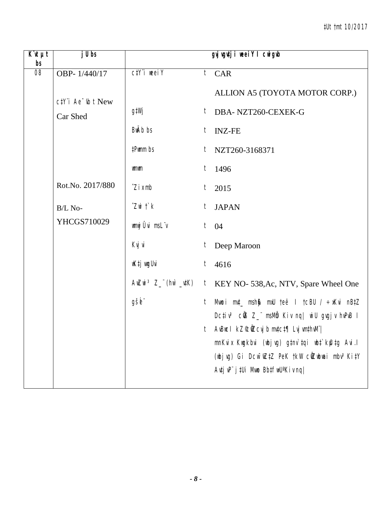| $\overline{K}$ <b><i>ut</i></b><br>bs | $j$ Ubs                            |                           | gyj vgutji weeiY I cwigwb                                                                          |
|---------------------------------------|------------------------------------|---------------------------|----------------------------------------------------------------------------------------------------|
| 08                                    | OBP-1/440/17                       | $C/Y$ i weei $Y$          | $t$ CAR                                                                                            |
|                                       | $c$ t $Y$ 'i Ae $\neg$ t $b$ t New |                           | ALLION A5 (TOYOTA MOTOR CORP.)                                                                     |
|                                       | Car Shed                           | g‡Wj                      | $t$ DBA-NZT260-CEXEK-G                                                                             |
|                                       |                                    | <b>BwAb</b> bs            | <b>INZ-FE</b><br>t                                                                                 |
|                                       |                                    | #Pwmm bs                  | $t$ NZT260-3168371                                                                                 |
|                                       |                                    | wmwm                      | t<br>1496                                                                                          |
|                                       | Rot.No. 2017/880                   | $\hat{Z}$ <i>i</i> $x$ mb | $t$ 2015                                                                                           |
|                                       | B/L No-                            | $Z$ wi $\ddot{\,}$ $k$    | t<br><b>JAPAN</b>                                                                                  |
|                                       | YHCGS710029                        | wmwj Ûvi msLïv            | $t \quad 04$                                                                                       |
|                                       |                                    | Kvj vi                    | t<br>Deep Maroon                                                                                   |
|                                       |                                    | wK‡j wyUvi                | $t$ 4616                                                                                           |
|                                       |                                    |                           | AwZwi $3 Z_{-}$ (hw $\mu$ K) t KEY NO- 538, Ac, NTV, Spare Wheel One                               |
|                                       |                                    | gšb"                      | Mwoi mut_ msh\$ mxU teë I tcBU / ÷xKvi nBtZ<br>$t_{-}$                                             |
|                                       |                                    |                           | Dc‡iv <sup>3</sup> cŴ3 Z_" msMm Kiv nq  wiU gvgjv hvPvB I<br>t AvBucl kZ©ÑZcvjb mv‡c‡¶ Lvj vm‡hvM" |
|                                       |                                    |                           | mnKvix Kwgkbvi (wbjvg) g‡nv`tqi wb‡`kfutg Avi.l                                                    |
|                                       |                                    |                           | (wbjvg) Gi Dcw <sup>-</sup> wZ‡Z PeK †kW cŴZwbwai mbv <sup>3</sup> Ki‡Y                            |
|                                       |                                    |                           | $A$ utj v $P^{\prime}$ j tUi Mwo Bbtfw $U^a$ Kiv nq                                                |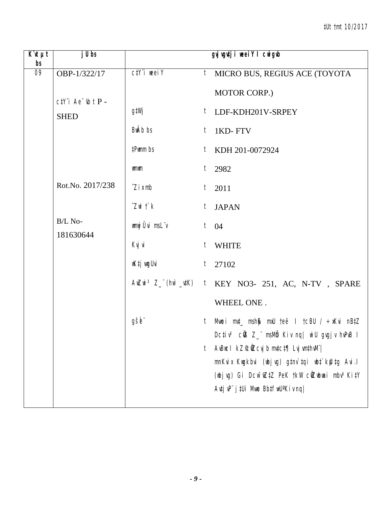| $\overline{K}$ <b><i>ut</i></b><br>bs | $j$ Ubs               |                       | gyj vgutji weeiY I cwigub                                                                                                  |
|---------------------------------------|-----------------------|-----------------------|----------------------------------------------------------------------------------------------------------------------------|
| 09                                    | OBP-1/322/17          | $C/Y$ i weel $Y$      | $t$ MICRO BUS, REGIUS ACE (TOYOTA                                                                                          |
|                                       | $ctY$ i Ae $ub$ t P - |                       | MOTOR CORP.)                                                                                                               |
|                                       | <b>SHED</b>           | g‡Wj                  | $t$ LDF-KDH201V-SRPEY                                                                                                      |
|                                       |                       | BwAb bs               | $t$ 1KD-FTV                                                                                                                |
|                                       |                       | #Pwmm bs              | $t$ KDH 201-0072924                                                                                                        |
|                                       |                       | wmwm                  | $t$ 2982                                                                                                                   |
|                                       | Rot.No. 2017/238      | $\hat{Z}$ i x mb      | $t$ 2011                                                                                                                   |
|                                       |                       | $Z$ wi $\uparrow$ $k$ | t JAPAN                                                                                                                    |
|                                       | B/L No-<br>181630644  | wmwj Ûvi msLïv        | $t \quad 04$                                                                                                               |
|                                       |                       | Kvj vi                | t WHITE                                                                                                                    |
|                                       |                       | wK‡j vugUvi           | $t$ 27102                                                                                                                  |
|                                       |                       |                       | AwZwi <sup>3</sup> Z_"(hw`_utK) t KEY NO3- 251, AC, N-TV, SPARE                                                            |
|                                       |                       |                       | WHEEL ONE.                                                                                                                 |
|                                       |                       | gšb"                  | t Mwoi m⊄_ msh∯ mxU teë I tcBU / ÷xKvi nB‡Z<br>Dcțiv <sup>3</sup> củB Z_" msMb Kiv ng   wiU gvgjv hvPvB I                  |
|                                       |                       |                       | AvBuc I kZ°cůZcvj b mvtct¶ Lvj vmthvM" <br>t                                                                               |
|                                       |                       |                       | mnKvix Kwgkbvi (wbjvg) g‡nv`tqi wb‡`kfutg Avi.l<br>(wbjvg) Gi Dcw <sup>-</sup> wZ‡Z PeK †kW cŴZwbwai mbv <sup>3</sup> Ki‡Y |
|                                       |                       |                       | $A$ utj v $P^{\prime\prime}$ j tUi Mwo Bbtfw $U^a$ Kiv nq                                                                  |
|                                       |                       |                       |                                                                                                                            |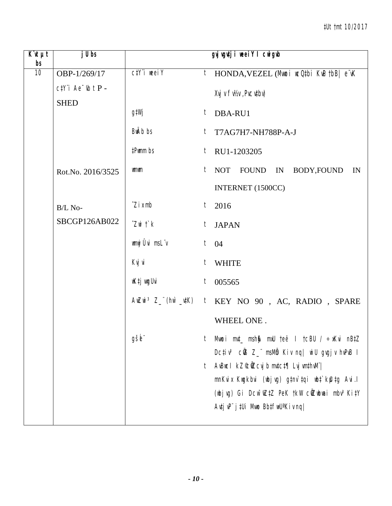| $\overline{K}$ it $\mu t$<br>bs | $j$ Ubs                         |                             |         | gyj vgutji weeiY I cwigwb                                                                                          |
|---------------------------------|---------------------------------|-----------------------------|---------|--------------------------------------------------------------------------------------------------------------------|
| 10                              | OBP-1/269/17                    | $C/Y$ i weel $Y$            |         | <sup>t</sup> HONDA, VEZEL (Mmoi wcQtbi KwQtbB  e wK                                                                |
|                                 | $c$ t $Y$ 'i Ae $\neg$ ib t P - |                             |         | Xvj v Fv1/2v, Pvcvtbv)                                                                                             |
|                                 | <b>SHED</b>                     | g‡Wj                        |         | $t$ DBA-RU1                                                                                                        |
|                                 |                                 | BwAb bs                     | $t_{-}$ | T7AG7H7-NH788P-A-J                                                                                                 |
|                                 |                                 | #Pwmm bs                    |         | $t$ RU1-1203205                                                                                                    |
|                                 | Rot.No. 2016/3525               | wmwm                        | $t_{-}$ | NOT FOUND IN BODY, FOUND<br>IN                                                                                     |
|                                 |                                 |                             |         | INTERNET (1500CC)                                                                                                  |
|                                 | B/L No-                         | $\hat{Z}$ <i>i</i> $x$ mb   |         | $t$ 2016                                                                                                           |
|                                 | SBCGP126AB022                   | $Z$ wi $\ddot{\mathcal{L}}$ |         | t JAPAN                                                                                                            |
|                                 |                                 | wmwj Ûvi msL"v              |         | $t \quad 04$                                                                                                       |
|                                 |                                 | Kvj vi                      | t       | <b>WHITE</b>                                                                                                       |
|                                 |                                 | wK‡j wyUvi                  |         | $t$ 005565                                                                                                         |
|                                 |                                 |                             |         | $A$ wZwi <sup>3</sup> Z_"(hw`_vtK) t KEY NO 90, AC, RADIO, SPARE                                                   |
|                                 |                                 |                             |         | WHEEL ONE.                                                                                                         |
|                                 |                                 | gše                         |         | Mwoi mut_ msh0 mxU teë I tcBU / ÷xKvi nBtZ<br>Dcțiv <sup>3</sup> củ <sub>3</sub> Z_ msMb Kiv nq  wiU gvgjv hvPvB I |
|                                 |                                 |                             | t       | $A$ vBuc I kZ $\mathcal{C}$ ůZcvj b mvtct $\P$ Lvj vmthvM"                                                         |
|                                 |                                 |                             |         | mnKvix Kwgkbvi (wbjvg) g‡nv`‡qi wb‡`kfl‡g Avi.l                                                                    |
|                                 |                                 |                             |         | (wbjvg) Gi Dcw <sup>-</sup> wZ‡Z PeK †kW cŴZwbwai mbv <sup>3</sup> Ki‡Y                                            |
|                                 |                                 |                             |         | Autj uP" j tUi Muno BbtfwU <sup>a</sup> Kiv nq                                                                     |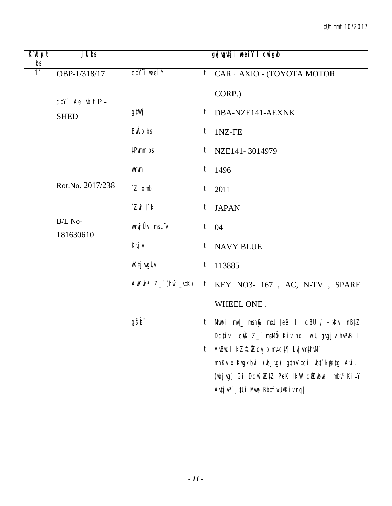| $K$ it $\mu t$<br>b <sub>s</sub> | $j$ Ubs               |                                 |              | gyj vgutji weeiY I cwigwb                                                                           |
|----------------------------------|-----------------------|---------------------------------|--------------|-----------------------------------------------------------------------------------------------------|
| $\overline{11}$                  | OBP-1/318/17          | $C/Y$ i weei $Y$                |              | <sup>t</sup> CAR - AXIO - (TOYOTA MOTOR                                                             |
|                                  | $ctY$ i Ae $ub$ t P - |                                 |              | CORP.)                                                                                              |
|                                  | <b>SHED</b>           | g‡Wj                            |              | $t$ DBA-NZE141-AEXNK                                                                                |
|                                  |                       | BwAb bs                         |              | $t$ 1NZ-FE                                                                                          |
|                                  |                       | #Pwmm bs                        |              | $t$ NZE141-3014979                                                                                  |
|                                  |                       | <b>umum</b>                     |              | $t$ 1496                                                                                            |
|                                  | Rot.No. 2017/238      | $\hat{Z}$ <i>i</i> $x$ mb       |              | $t$ 2011                                                                                            |
|                                  |                       | $Z$ wi $\ddot{\mathcal{L}}$ $k$ |              | t JAPAN                                                                                             |
|                                  | B/L No-<br>181630610  | wmwj Ûvi msLïv                  | $t \quad 04$ |                                                                                                     |
|                                  |                       | Kvj vi                          |              | t NAVY BLUE                                                                                         |
|                                  |                       | wK‡j vugUvi                     |              | $t$ 113885                                                                                          |
|                                  |                       |                                 |              | AwZwi <sup>3</sup> Z_"(hw`_utK) t KEY NO3- 167, AC, N-TV, SPARE                                     |
|                                  |                       |                                 |              | WHEEL ONE.                                                                                          |
|                                  |                       | gšb"                            |              | t Mwoi muț msh\$ mxU teë I tcBU / ÷xKvi nB‡Z                                                        |
|                                  |                       |                                 | t            | Dcțiv <sup>3</sup> cÜB Z_" msMb Kiv nq  wiU gvgjv hvPvB I<br>AvBuc I kZ°c0Zcvj b mvtct¶ Lvj vmthvM" |
|                                  |                       |                                 |              | mnKvix Kwgkbvi (wbjvg) gtnv`tqi wbt`k@tg Avi.l                                                      |
|                                  |                       |                                 |              | (wbjvg) Gi Dcw <sup>-</sup> wZ‡Z PeK †kW cŴZwbwai mbv <sup>3</sup> Ki‡Y                             |
|                                  |                       |                                 |              | $A$ utj v $P^{\prime}$ j tUi Mwo Bbtfw $U^a$ Kiv ng                                                 |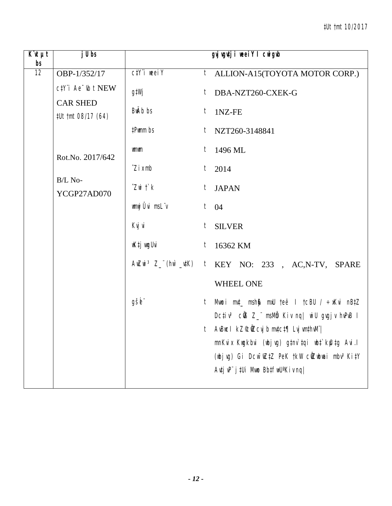| $\overline{K}$ it $\mu t$<br>bs | $j$ U bs                              |                                 | gvjvgutji neeiY I cnigub                                                                  |
|---------------------------------|---------------------------------------|---------------------------------|-------------------------------------------------------------------------------------------|
| $\overline{12}$                 | OBP-1/352/17                          | $C/Y$ i weei $Y$                | $t$ ALLION-A15(TOYOTA MOTOR CORP.)                                                        |
|                                 | ctY"i Ae "th t NEW                    | g‡Wj                            | DBA-NZT260-CXEK-G<br>$t_{-}$                                                              |
|                                 | <b>CAR SHED</b><br>#Ut tmt 08/17 (64) | BwAb bs                         | $t$ 1NZ-FE                                                                                |
|                                 |                                       | #Pwmm bs                        | $t$ NZT260-3148841                                                                        |
|                                 | Rot.No. 2017/642                      | <b>umum</b>                     | $t$ 1496 ML                                                                               |
|                                 |                                       | $\hat{Z}$ <i>i</i> $x$ mb       | $t$ 2014                                                                                  |
|                                 | B/L No-<br>YCGP27AD070                | $Z$ wi $\ddot{\mathcal{L}}$ $k$ | t JAPAN                                                                                   |
|                                 |                                       | wnwj Ûvi msL"v                  | $t \quad 04$                                                                              |
|                                 |                                       | Kvj vi                          | $t_{-}$<br><b>SILVER</b>                                                                  |
|                                 |                                       | wK‡j wugUvi                     | 16362 KM<br>$t_{\parallel}$                                                               |
|                                 |                                       |                                 | AwZwi <sup>3</sup> Z_"(hw`_utK) t KEY NO: 233, AC,N-TV, SPARE                             |
|                                 |                                       |                                 | <b>WHEEL ONE</b>                                                                          |
|                                 |                                       | gšb"                            | Mwoi mut_ msh\$ mxU teë I tcBU / ÷xKvi nBtZ<br>$t_{-}$                                    |
|                                 |                                       |                                 | Dcțiv <sup>3</sup> cÜB Z_" msMb Kiv nq  wiU gvgjv hvPvB I                                 |
|                                 |                                       |                                 | t AvBucl kZ©ÑZcvjb mv‡c‡¶ Lvj vm‡hvM¨ <br>mnKvix Kwgkbvi (wbjvg) g‡nv`tqi wb‡`kfutg Avi.l |
|                                 |                                       |                                 | (wbjvg) Gi Dcw <sup>-</sup> wZtZ PeK tkW cWZwbwai mbv <sup>3</sup> KitY                   |
|                                 |                                       |                                 | $A$ utj v $P^{\prime\prime}$ j tUi Mwo Bbtfw $U^a$ Kiv nq                                 |
|                                 |                                       |                                 |                                                                                           |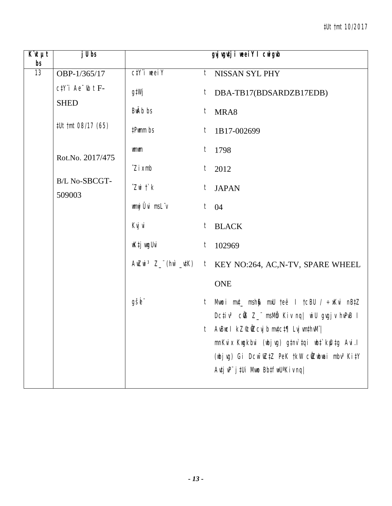| $\overline{K}$ it $\mu$ t<br>bs | $j$ Ubs                                       |                                 | gyj wgutji weei Y I cwigub                                                                |
|---------------------------------|-----------------------------------------------|---------------------------------|-------------------------------------------------------------------------------------------|
| 13                              | OBP-1/365/17                                  | $C/Y$ i weei $Y$                | t NISSAN SYL PHY                                                                          |
|                                 | $c$ t $Y$ 'i Ae $\bar{b}$ t F-<br><b>SHED</b> | g‡Wj                            | DBA-TB17(BDSARDZB17EDB)<br>$\ddot{l}$                                                     |
|                                 |                                               | BwAb bs                         | $t$ MRA8                                                                                  |
|                                 | #Ut tmt 08/17 (65)                            | #Pwmm bs                        | 1B17-002699<br>$t_{-}$                                                                    |
|                                 | Rot.No. 2017/475                              | <b>umum</b>                     | $t$ 1798                                                                                  |
|                                 |                                               | $\hat{Z}$ <i>i</i> $x$ mb       | $t_{-}$<br>2012                                                                           |
|                                 | B/L No-SBCGT-<br>509003                       | $Z$ wi $\ddot{\mathcal{L}}$ $k$ | t JAPAN                                                                                   |
|                                 |                                               | wmwj Ûvi msLïv                  | $t \quad 04$                                                                              |
|                                 |                                               | Kvj vi                          | <b>BLACK</b><br>t                                                                         |
|                                 |                                               | wK‡j vugUvi                     | $t_{\parallel}$<br>102969                                                                 |
|                                 |                                               |                                 | AwZwi <sup>3</sup> Z_"(hw`_utK) t KEY NO:264, AC, N-TV, SPARE WHEEL                       |
|                                 |                                               |                                 | <b>ONE</b>                                                                                |
|                                 |                                               | gšb"                            | Mwoi mut_ msh\$ mxU teë I tcBU / ÷xKvi nBtZ<br>t                                          |
|                                 |                                               |                                 | Dcțiv <sup>3</sup> cũ 8Z msMb Kiv nq   wiU gvgjv hvPvB I                                  |
|                                 |                                               |                                 | t AvBucl kZ©ÑZcvjb mv‡c‡¶ Lvj vm‡hvM" <br>mnKvix Kwgkbvi (wbjvg) g‡nv`tqi wb‡`kfutg Avi.l |
|                                 |                                               |                                 | (wbjvg) Gi Dcw <sup>-</sup> wZ‡Z PeK †kW cŴZwbwai mbv <sup>3</sup> Ki‡Y                   |
|                                 |                                               |                                 | $A$ utj v $P^{\prime\prime}$ j t $U$ i Mno Bbtfin $U^*$ Kiv nq $ $                        |
|                                 |                                               |                                 |                                                                                           |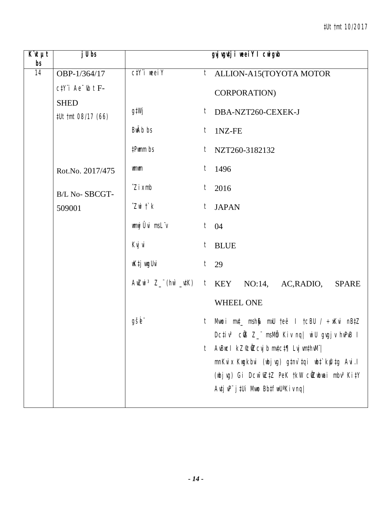| $\overline{K}$ it $\mu t$<br>bs | $j$ Ubs                           |                                 | gyj vgutji weeiY I cwigub                                                                                                                                                                                                                                                                                                                                                       |
|---------------------------------|-----------------------------------|---------------------------------|---------------------------------------------------------------------------------------------------------------------------------------------------------------------------------------------------------------------------------------------------------------------------------------------------------------------------------------------------------------------------------|
| $\overline{14}$                 | OBP-1/364/17                      | $C/Y$ i weei $Y$                | <i>t</i> ALLION-A15(TOYOTA MOTOR                                                                                                                                                                                                                                                                                                                                                |
|                                 | $c$ t $Y$ 'i Ae $\psi$ t F-       |                                 | CORPORATION)                                                                                                                                                                                                                                                                                                                                                                    |
|                                 | <b>SHED</b><br>#Ut tmt 08/17 (66) | g‡Wj                            | $t$ DBA-NZT260-CEXEK-J                                                                                                                                                                                                                                                                                                                                                          |
|                                 |                                   | BwAb bs                         | $t$ 1NZ-FE                                                                                                                                                                                                                                                                                                                                                                      |
|                                 |                                   | #Pwmm bs                        | $t$ NZT260-3182132                                                                                                                                                                                                                                                                                                                                                              |
|                                 | Rot.No. 2017/475                  | wmwm                            | $t$ 1496                                                                                                                                                                                                                                                                                                                                                                        |
|                                 | B/L No-SBCGT-                     | $\hat{Z}$ <i>i</i> $x$ mb       | $t$ 2016                                                                                                                                                                                                                                                                                                                                                                        |
|                                 | 509001                            | $Z$ wi $\ddot{\mathcal{L}}$ $k$ | t JAPAN                                                                                                                                                                                                                                                                                                                                                                         |
|                                 |                                   | wmwj Ûvi msLïv                  | $t \quad 04$                                                                                                                                                                                                                                                                                                                                                                    |
|                                 |                                   | Kvj vi                          | $t$ BLUE                                                                                                                                                                                                                                                                                                                                                                        |
|                                 |                                   | wK‡j wygUvi                     | $t$ 29                                                                                                                                                                                                                                                                                                                                                                          |
|                                 |                                   |                                 | $A \in \mathbb{Z}$ and $B \subset \mathbb{Z}$ in $(A \cap B \cup B)$ and $(B \cap B \cap C)$ and $(B \cap B \cap C)$ and $(B \cap B \cap C)$ and $B \cap B \cap C$ are $A \cap B \cap C$ and $B \cap B \cap C$ and $B \cap B \cap C$ and $B \cap B \cap C$ and $B \cap B \cap C$ and $B \cap B \cap C$ and $B \cap B \cap C$ and $B \cap B \cap C$ and $B \cap$<br><b>SPARE</b> |
|                                 |                                   |                                 | WHEEL ONE                                                                                                                                                                                                                                                                                                                                                                       |
|                                 |                                   | gšb"                            | t Mwoi m⊄_ msh∯ mxU teë I tcBU / ÷xKvi nB‡Z<br>Dcțiv <sup>3</sup> củB Z_" msMb Kiv nq  wiU gvgjv hvPvB I                                                                                                                                                                                                                                                                        |
|                                 |                                   |                                 | AvBuc I kZ°c0Zcvj b mvtct¶ Lvj vmthvM" <br>t                                                                                                                                                                                                                                                                                                                                    |
|                                 |                                   |                                 | mnKvix Kwgkbvi (wbjvg) gtnv`tqi wbt`k@tg Avi.l                                                                                                                                                                                                                                                                                                                                  |
|                                 |                                   |                                 | (wbjvg) Gi Dcw~wZ‡Z PeK †kW cŴZwbwai mbv <sup>3</sup> Ki‡Y                                                                                                                                                                                                                                                                                                                      |
|                                 |                                   |                                 | $A$ utj v $P^{\prime}$ j tUi Mwo Bbtfw $U^a$ Kiv ng                                                                                                                                                                                                                                                                                                                             |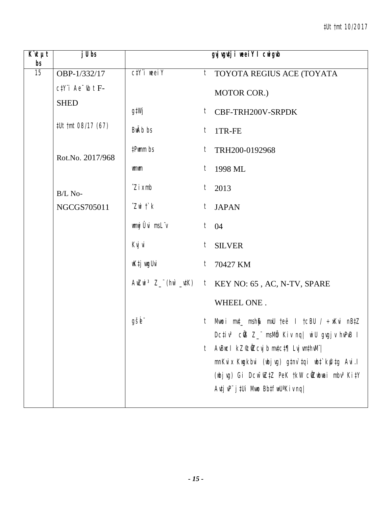| $\overline{K}$ it $\mu t$<br>bs | $j$ Ubs                     |                                 | gyj vgutji neei Y I cnigub                                                                                        |
|---------------------------------|-----------------------------|---------------------------------|-------------------------------------------------------------------------------------------------------------------|
| 15                              | OBP-1/332/17                | $C/Y$ i weei $Y$                | <sup>t</sup> TOYOTA REGIUS ACE (TOYATA                                                                            |
|                                 | $c$ t $Y$ 'i Ae $\psi$ t F- |                                 | MOTOR COR.)                                                                                                       |
|                                 | <b>SHED</b>                 | g‡Wj                            | $t$ CBF-TRH200V-SRPDK                                                                                             |
|                                 | #Ut tmt 08/17 (67)          | BwAb bs                         | $t$ 1TR-FE                                                                                                        |
|                                 | Rot.No. 2017/968            | #Pwmm bs                        | $t$ TRH200-0192968                                                                                                |
|                                 |                             | <b>umum</b>                     | 1998 ML<br>t                                                                                                      |
|                                 | B/L No-                     | $\hat{Z}$ <i>i</i> $x$ mb       | $t$ 2013                                                                                                          |
|                                 | NGCGS705011                 | $Z$ wi $\ddot{\mathcal{L}}$ $k$ | <b>JAPAN</b><br>$t_{-}$                                                                                           |
|                                 |                             | wmwj Ûvi msLïv                  | $t \quad 04$                                                                                                      |
|                                 |                             | Kvj vi                          | $t_{-}$<br><b>SILVER</b>                                                                                          |
|                                 |                             | wK‡j wugUvi                     | $t$ 70427 KM                                                                                                      |
|                                 |                             |                                 | AwZwi <sup>3</sup> Z_"(hw`_utK) t KEY NO: 65, AC, N-TV, SPARE                                                     |
|                                 |                             |                                 | WHEEL ONE.                                                                                                        |
|                                 |                             | gšb"                            | Mwoi m¢_ mshβ mxU teë I tcBU / ÷xKvi nB‡Z<br>$t_{-}$<br>Dcțiv <sup>3</sup> củB Z_" msMb Kiv nq  wiU gvgjv hvPvB I |
|                                 |                             |                                 | AvBuc I $kZ^c$ CÛZ cvj b mv‡c $\sharp \eta$ Lvj vm $\sharp$ hvM"  <br>t                                           |
|                                 |                             |                                 | mnKvix Kwgkbvi (wbjvg) gtnv`tqi wbt`k@tg Avi.l<br>(wbjvg) Gi Dcw~wZ‡Z PeK †kW cŴZwbwai mbv <sup>3</sup> Ki‡Y      |
|                                 |                             |                                 | $A$ utj v $P^{\prime\prime}$ j tUi Mwo Bbtfw $U^a$ Kiv nq                                                         |
|                                 |                             |                                 |                                                                                                                   |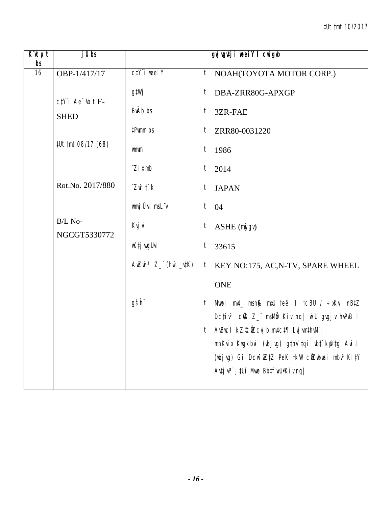| $K^{\prime}$ ut $\mu$ t<br>bs | j U bs                                               |                                 | gvj vgvtj i weeiY I cwigwb                                                                                                                                                                                                    |
|-------------------------------|------------------------------------------------------|---------------------------------|-------------------------------------------------------------------------------------------------------------------------------------------------------------------------------------------------------------------------------|
| $\overline{16}$               | OBP-1/417/17                                         | $C/Y$ i weei $Y$                | $t$ NOAH(TOYOTA MOTOR CORP.)                                                                                                                                                                                                  |
|                               | $c$ t <sup>y</sup> 'i Ae <sup>-</sup> $\iota$ b t F- | g‡Wj<br>BwAb bs                 | DBA-ZRR80G-APXGP<br>$t_{\parallel}$<br>t<br>3ZR-FAE                                                                                                                                                                           |
|                               | <b>SHED</b>                                          | #Pwmm bs                        | ZRR80-0031220<br>$t_{-}$                                                                                                                                                                                                      |
|                               | #Ut tmt 08/17 (68)                                   | wmwm                            | $t$ 1986                                                                                                                                                                                                                      |
|                               |                                                      | $\hat{Z}$ <i>i</i> $x$ mb       | 2014<br>$t_{-}$                                                                                                                                                                                                               |
|                               | Rot.No. 2017/880                                     | $Z$ wi $\ddot{\mathcal{L}}$ $k$ | $t$ JAPAN                                                                                                                                                                                                                     |
|                               |                                                      | wnwj Ûvi msLïv                  | $t \quad 04$                                                                                                                                                                                                                  |
|                               | B/L No-<br>NGCGT5330772                              | Kvj vi                          | $t_{\parallel}$<br>ASHE (mygv)                                                                                                                                                                                                |
|                               |                                                      | wK‡j wyUvi                      | $t_{-}$<br>33615                                                                                                                                                                                                              |
|                               |                                                      |                                 | $A \in \mathbb{Z}$ and $Z$ $\subseteq$ $(h \cap \mathbb{Z}$ $\neq$ $k$ ) $t$ KEY NO:175, AC, N-TV, SPARE WHEEL                                                                                                                |
|                               |                                                      |                                 | <b>ONE</b>                                                                                                                                                                                                                    |
|                               |                                                      | gšb"                            | Mwoi mut_ msh\$ mxU teë I tcBU / ÷xKvi nBtZ<br>$t_{-}$<br>Dcțiv <sup>3</sup> củ 8Z msMb Kiv nq wiU gvgjv hvPvB I                                                                                                              |
|                               |                                                      |                                 | t AvBucl kZ©ÛZcvjbmv‡c‡¶ Lvjvm‡hvM¨ <br>mnKvix Kwgkbvi (wbjvg) g‡nv`tqi wbt`kfutg Avi.l<br>(wbjvg) Gi Dcw <sup>-</sup> wZtZ PeK tkW cWZwbwai mbv <sup>3</sup> KitY<br>$A$ utj v $P^{\prime}$ j tUi Mwo Bbtfw $U^*$ Kiv nq $ $ |
|                               |                                                      |                                 |                                                                                                                                                                                                                               |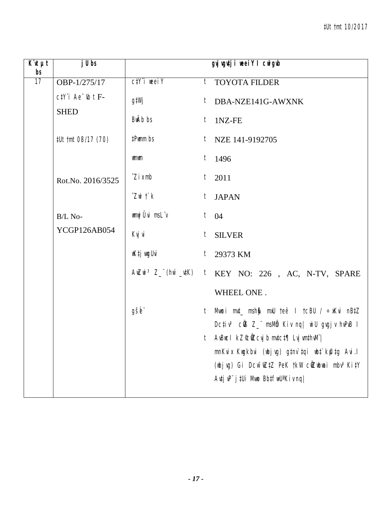| $\overline{K}$ ut<br>bs | $j$ Ubs                                    |                                 | gyj vgutji weeiY I cwigub                                                                        |
|-------------------------|--------------------------------------------|---------------------------------|--------------------------------------------------------------------------------------------------|
| 17                      | OBP-1/275/17                               | $C/Y$ i weei $Y$                | t TOYOTA FILDER                                                                                  |
|                         | $c$ t $Y$ 'i Ae $\psi$ t F-<br><b>SHED</b> | g‡Wj                            | t DBA-NZE141G-AWXNK                                                                              |
|                         |                                            | BwAb bs                         | $t$ 1NZ-FE                                                                                       |
|                         | #Ut tmt 08/17 (70)                         | #Pwmm bs                        | $t$ NZE 141-9192705                                                                              |
|                         |                                            | wmwm                            | $t$ 1496                                                                                         |
|                         | Rot.No. 2016/3525                          | $\hat{Z}$ <i>i</i> $x$ mb       | $t$ 2011                                                                                         |
|                         |                                            | $Z$ wi $\ddot{\mathcal{L}}$ $k$ | t JAPAN                                                                                          |
|                         | B/L No-                                    | wnwj Ûvi msLïv                  | $t \quad 04$                                                                                     |
|                         | YCGP126AB054                               | Kvj vi                          | t SILVER                                                                                         |
|                         |                                            | wK‡j wygUvi                     | $t$ 29373 KM                                                                                     |
|                         |                                            |                                 | AwZwi <sup>3</sup> Z_"(hw`_utK) t KEY NO: 226, AC, N-TV, SPARE                                   |
|                         |                                            |                                 | WHEEL ONE.                                                                                       |
|                         |                                            | gšb"                            | Mwoi mut_ msh $\mathcal{G}$ muU teë I tcBU / $\div$ xKvi nBtZ<br>t                               |
|                         |                                            |                                 | Dcțiv <sup>3</sup> cÜB Z_" msMb Kiv nq  wiU gvgjv hvPvB I<br>t AvBucl kZ©ÑZcvjbmvtct¶ LvjvmthvM" |
|                         |                                            |                                 | mnKvix Kwgkbvi (wbjvg) g‡nv`‡qi wb‡`kfu‡g Avi.l                                                  |
|                         |                                            |                                 | (wbjvg) Gi Dcw <sup>-</sup> wZtZ PeK tkW cWZwbwai mbv <sup>3</sup> KitY                          |
|                         |                                            |                                 | $A$ utj v $P^{\prime\prime}$ j tUi Mwo Bbtfw $U^a$ Kiv nq $\prime$                               |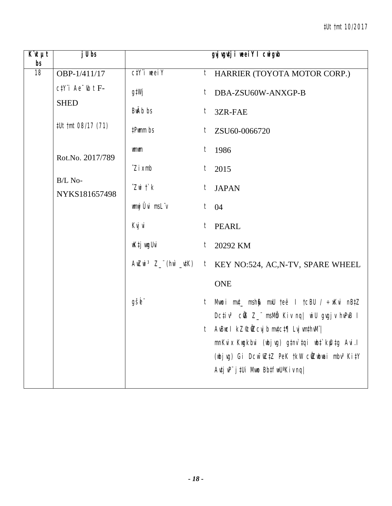| $\overline{K}$ it $\mu t$<br>bs | $j$ Ubs                                    |                                 | gyj vgutji neei Y I cnigub                                                                |
|---------------------------------|--------------------------------------------|---------------------------------|-------------------------------------------------------------------------------------------|
| 18                              | OBP-1/411/17                               | $C/Y$ i weei $Y$                | $t$ HARRIER (TOYOTA MOTOR CORP.)                                                          |
|                                 | $c$ t $Y$ 'i Ae $\psi$ t F-<br><b>SHED</b> | g‡Wj                            | DBA-ZSU60W-ANXGP-B<br>t                                                                   |
|                                 |                                            | BwAb bs                         | $t_{-}$<br>3ZR-FAE                                                                        |
|                                 | #Ut tmt 08/17 (71)                         | #Pwmm bs                        | ZSU60-0066720<br>$t_{\parallel}$                                                          |
|                                 | Rot.No. 2017/789                           | <b>umum</b>                     | $t$ 1986                                                                                  |
|                                 |                                            | $\hat{Z}$ <i>i</i> $x$ mb       | 2015<br>t                                                                                 |
|                                 | B/L No-<br>NYKS181657498                   | $Z$ wi $\ddot{\mathcal{L}}$ $k$ | t JAPAN                                                                                   |
|                                 |                                            | wnwj Ûvi msLïv                  | $t \quad 04$                                                                              |
|                                 |                                            | Kvj vi                          | $t$ PEARL                                                                                 |
|                                 |                                            | wK‡j vugUvi                     | $t_{-}$<br>20292 KM                                                                       |
|                                 |                                            |                                 | AwZwi <sup>3</sup> Z_"(hw`_utK) t KEY NO:524, AC, N-TV, SPARE WHEEL                       |
|                                 |                                            |                                 | <b>ONE</b>                                                                                |
|                                 |                                            | gšb"                            | Mwoi mut_ msh\$ mxU teë I tcBU / ÷xKvi nBtZ<br>$t_{-}$                                    |
|                                 |                                            |                                 | Dctiv <sup>3</sup> cứB Z_" msMm Kiv nq  wiU gvgjv hvPvB I                                 |
|                                 |                                            |                                 | t AvBucl kZ©ÑZcvjb mv‡c‡¶ Lvj vm‡hvM" <br>mnKvix Kwgkbvi (wbjvg) g‡nv`tqi wb‡`kfutg Avi.l |
|                                 |                                            |                                 | (wbjvg) Gi Dcw <sup>-</sup> wZ‡Z PeK †kW cŴZwbwai mbv <sup>3</sup> Ki‡Y                   |
|                                 |                                            |                                 | Avtj vP" j tUi Mwo BbtfwU'Kiv nq                                                          |
|                                 |                                            |                                 |                                                                                           |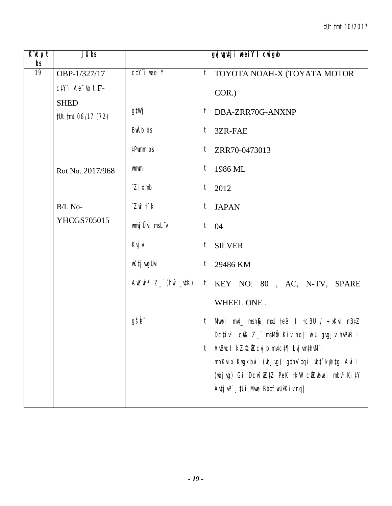| $K$ it $\mu t$<br>bs | $j$ Ubs                           |                                 | gyj vgutji weeiY I cwigub                                                                                     |  |
|----------------------|-----------------------------------|---------------------------------|---------------------------------------------------------------------------------------------------------------|--|
| 19                   | OBP-1/327/17                      | $C\ddagger Y$ i weel $Y$        | <sup>t</sup> TOYOTA NOAH-X (TOYATA MOTOR                                                                      |  |
|                      | $c$ t $Y$ 'i Ae $\psi$ t F-       |                                 | COR.)                                                                                                         |  |
|                      | <b>SHED</b><br>#Ut tmt 08/17 (72) | g‡Wj                            | t DBA-ZRR70G-ANXNP                                                                                            |  |
|                      |                                   | BwAb bs                         | 3ZR-FAE<br>$t_{-}$                                                                                            |  |
|                      |                                   | #Pwmm bs                        | $t$ ZRR70-0473013                                                                                             |  |
|                      | Rot.No. 2017/968                  | <b>umum</b>                     | 1986 ML<br>t                                                                                                  |  |
|                      |                                   | $\hat{Z}$ <i>i</i> $x$ mb       | $t$ 2012                                                                                                      |  |
|                      | B/L No-                           | $Z$ wi $\ddot{\mathcal{L}}$ $k$ | <b>JAPAN</b><br>$t_{-}$                                                                                       |  |
|                      | YHCGS705015                       | wmwj Ûvi msLïv                  | $t \quad 04$                                                                                                  |  |
|                      |                                   | Kvj vi                          | $t_{-}$<br><b>SILVER</b>                                                                                      |  |
|                      |                                   | wK‡j vugUvi                     | $t$ 29486 KM                                                                                                  |  |
|                      |                                   |                                 | $A \in \mathbb{Z}$ and $3 Z$ (hm $\#K$ ) t $\mathbb{K}$ EY NO: 80 , AC, N-TV, SPARE                           |  |
|                      |                                   |                                 | WHEEL ONE.                                                                                                    |  |
|                      |                                   | gšb"                            | t Mwoi m⊄_ msh∯ mxU teë I tcBU / ÷xKvi nB‡Z<br>Dcțiv <sup>3</sup> củ 8Z msMb Kiv nq   wiU gvgjv hvPvB I       |  |
|                      |                                   |                                 | AvBuc I kZ°c0Zcvj b mvtct¶ Lvj vmthvM" <br>t                                                                  |  |
|                      |                                   |                                 | mnKvix Kwgkbvi (wbjvg) g‡nv`tqi wbt`kfutg Avi.l<br>(wbjvg) Gi Dcw~wZ‡Z PeK †kW cŴZwbwai mbv <sup>3</sup> Ki‡Y |  |
|                      |                                   |                                 | $A$ utj v $P^{\prime}$ j tUi Mwo Bbtfw $U^a$ Kiv nq                                                           |  |
|                      |                                   |                                 |                                                                                                               |  |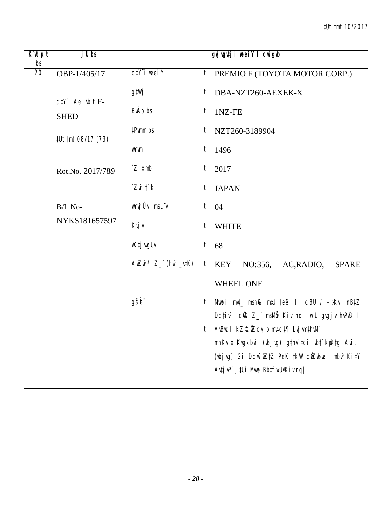| $\overline{K}$ it $\mu t$<br>bs | $j$ Ubs                                         |                                 | gyj vgutji weeiY I cwigub                                                                                                                                                                                                                                                                                                                       |
|---------------------------------|-------------------------------------------------|---------------------------------|-------------------------------------------------------------------------------------------------------------------------------------------------------------------------------------------------------------------------------------------------------------------------------------------------------------------------------------------------|
| 20                              | OBP-1/405/17                                    | $C/Y$ i weei $Y$                | $t$ PREMIO F (TOYOTA MOTOR CORP.)                                                                                                                                                                                                                                                                                                               |
|                                 | $c$ t <sup>y</sup> 'i Ae <sup>-</sup> $ub$ t F- | g‡Wj<br>BwAb bs                 | t DBA-NZT260-AEXEK-X<br>$t$ 1NZ-FE                                                                                                                                                                                                                                                                                                              |
|                                 | <b>SHED</b><br>#Ut tmt 08/17 (73)               | #Pwmm bs                        | $t$ NZT260-3189904                                                                                                                                                                                                                                                                                                                              |
|                                 |                                                 | <b>umum</b>                     | $t$ 1496                                                                                                                                                                                                                                                                                                                                        |
|                                 | Rot.No. 2017/789                                | $\hat{Z}$ <i>i</i> $x$ mb       | $t_{-}$<br>2017                                                                                                                                                                                                                                                                                                                                 |
|                                 |                                                 | $Z$ wi $\ddot{\mathcal{L}}$ $k$ | t JAPAN                                                                                                                                                                                                                                                                                                                                         |
|                                 | B/L No-                                         | wmwj Ûvi msLïv                  | $t \quad 04$                                                                                                                                                                                                                                                                                                                                    |
|                                 | NYKS181657597                                   | Kvj vi                          | $t$ WHITE                                                                                                                                                                                                                                                                                                                                       |
|                                 |                                                 | wK‡j vugUvi                     | $t$ 68                                                                                                                                                                                                                                                                                                                                          |
|                                 |                                                 |                                 | $A \in \mathbb{Z}$ and $B \in \mathbb{Z}$ and $A \in \mathbb{Z}$ and $A \in \mathbb{Z}$ and $A \in \mathbb{Z}$ and $B \in \mathbb{Z}$ and $A \in \mathbb{Z}$ and $A \in \mathbb{Z}$ and $A \in \mathbb{Z}$ and $A \in \mathbb{Z}$ and $A \in \mathbb{Z}$ and $A \in \mathbb{Z}$ and $A \in \mathbb{Z}$ and $A \in \mathbb{Z}$ a<br><b>SPARE</b> |
|                                 |                                                 |                                 | WHEEL ONE                                                                                                                                                                                                                                                                                                                                       |
|                                 |                                                 | gšb"                            | Mwoi mut_msh\$ mxU teë I tcBU / ÷xKvi nBtZ<br>t<br>Dc‡iv <sup>3</sup> cŴ3 Z_" msMm Kiv nq  wiU gvgjv hvPvB I                                                                                                                                                                                                                                    |
|                                 |                                                 |                                 | t AvBucl kZ©ÜZcvj b mv‡c‡¶ Lvj vm‡hvM" <br>mnKvix Kwgkbvi (wbjvg) g‡nv`tqi wb‡`kfutg Avi.l                                                                                                                                                                                                                                                      |
|                                 |                                                 |                                 | (wbjvg) Gi Dcw <sup>-</sup> wZtZ PeK tkW cilZwbwai mbv <sup>3</sup> KitY<br>$A$ utj v $P^{\cdot}$ j tUi Mwo Bbtfw $U^a$ Kiv nq $\mid$                                                                                                                                                                                                           |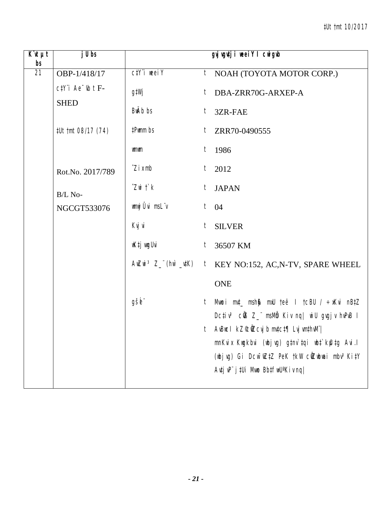| $\overline{K}$ it $\mu t$<br>bs | $j$ Ubs                                    |                                 | gyj vgutji neei Y I cnigub                                                                |
|---------------------------------|--------------------------------------------|---------------------------------|-------------------------------------------------------------------------------------------|
| 21                              | OBP-1/418/17                               | $C/Y$ i weei $Y$                | $t$ NOAH (TOYOTA MOTOR CORP.)                                                             |
|                                 | $c$ t $Y$ 'i Ae $\psi$ t F-<br><b>SHED</b> | g‡Wj                            | DBA-ZRR70G-ARXEP-A<br>t                                                                   |
|                                 |                                            | BwAb bs                         | $t_{-}$<br>3ZR-FAE                                                                        |
|                                 | #Ut tmt 08/17 (74)                         | #Pwmm bs                        | ZRR70-0490555<br>$t_{-}$                                                                  |
|                                 |                                            | <b>umum</b>                     | $t$ 1986                                                                                  |
|                                 | Rot.No. 2017/789                           | $\hat{Z}$ <i>i</i> $x$ mb       | 2012<br>t                                                                                 |
|                                 | B/L No-                                    | $Z$ wi $\ddot{\mathcal{L}}$ $k$ | t JAPAN                                                                                   |
|                                 | NGCGT533076                                | wmwj Ûvi msLïv                  | $t \quad 04$                                                                              |
|                                 |                                            | Kvj vi                          | <b>SILVER</b><br>$t_{-}$                                                                  |
|                                 |                                            | wK‡j vugUvi                     | 36507 KM<br>$t_{\parallel}$                                                               |
|                                 |                                            |                                 | AwZwi <sup>3</sup> Z_"(hw`_utK) t KEY NO:152, AC, N-TV, SPARE WHEEL                       |
|                                 |                                            |                                 | <b>ONE</b>                                                                                |
|                                 |                                            | gšb"                            | Mwoi mut_ msh\$ mxU teë I tcBU / ÷xKvi nBtZ<br>$t_{-}$                                    |
|                                 |                                            |                                 | Dctiv <sup>3</sup> cứB Z_" msMm Kiv nq  wiU gvgjv hvPvB I                                 |
|                                 |                                            |                                 | t AvBucl kZ©ÑZcvjb mv‡c‡¶ Lvj vm‡hvM" <br>mnKvix Kwgkbvi (wbjvg) g‡nv`tqi wb‡`kfutg Avi.l |
|                                 |                                            |                                 | (wbjvg) Gi Dcw <sup>-</sup> wZ‡Z PeK †kW cŴZwbwai mbv <sup>3</sup> Ki‡Y                   |
|                                 |                                            |                                 | Avtj vP" j tUi Mwo BbtfwU'Kiv nq                                                          |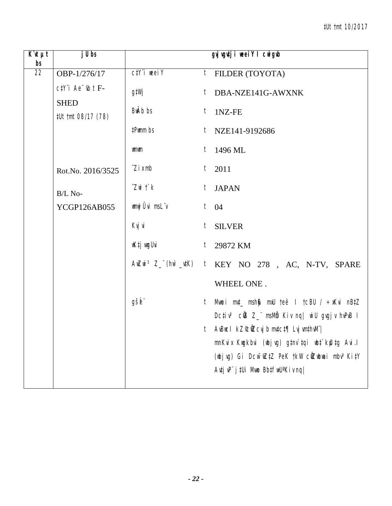| K¨ıt µt<br>bs   | $j$ U bs                                           |                           | gvj vgutji neeiY I cnigub                                                                                    |
|-----------------|----------------------------------------------------|---------------------------|--------------------------------------------------------------------------------------------------------------|
| $\overline{22}$ | OBP-1/276/17                                       | $C/Y$ i weei $Y$          | $t$ FILDER (TOYOTA)                                                                                          |
|                 | $c$ t $Y$ 'i Ae $\overline{b}$ t F-<br><b>SHED</b> | g‡Wj                      | $t$ DBA-NZE141G-AWXNK                                                                                        |
|                 | #Ut tmt 08/17 (78)                                 | BwAb bs                   | $t$ 1NZ-FE                                                                                                   |
|                 |                                                    | #Pwmm bs                  | t NZE141-9192686                                                                                             |
|                 |                                                    | wmwm                      | $t$ 1496 ML                                                                                                  |
|                 | Rot.No. 2016/3525                                  | $\hat{Z}$ <i>i</i> $x$ mb | $t$ 2011                                                                                                     |
|                 | B/L No-                                            | $Z$ wi $\uparrow$ $k$     | t JAPAN                                                                                                      |
|                 | YCGP126AB055                                       | wmwj Ûvi msLïv            | $t \quad 04$                                                                                                 |
|                 |                                                    | Kvj vi                    | $t$ SILVER                                                                                                   |
|                 |                                                    | wKtj wrgUvi               | $t$ 29872 KM                                                                                                 |
|                 |                                                    |                           | AwZwi <sup>3</sup> Z_"(hw`_utK) t KEY NO 278, AC, N-TV, SPARE                                                |
|                 |                                                    |                           | WHEEL ONE.                                                                                                   |
|                 |                                                    | gšb"                      | Mwoi mut_ msh\$ mxU teë I tcBU / ÷xKvi nB‡Z<br>t                                                             |
|                 |                                                    |                           | Dc‡iv <sup>3</sup> cฟ้3 Z_" msMmٌ Kiv nq  wiU gvgjv hvPvB I<br>t AvBucl kZ©ÑZcvjb mv‡c‡¶ Lvj vm‡hvM¨         |
|                 |                                                    |                           | mnKvix Kwgkbvi (wbjvg) g‡nv`tqi wb‡`kfutg Avi.l                                                              |
|                 |                                                    |                           | (wbjvg) Gi Dcw <sup>-</sup> wZ‡Z PeK †kW cŴZwbwai mbv <sup>3</sup> Ki‡Y<br>Autj uP" j tUi Muno BbtfwU'Kiv nq |
|                 |                                                    |                           |                                                                                                              |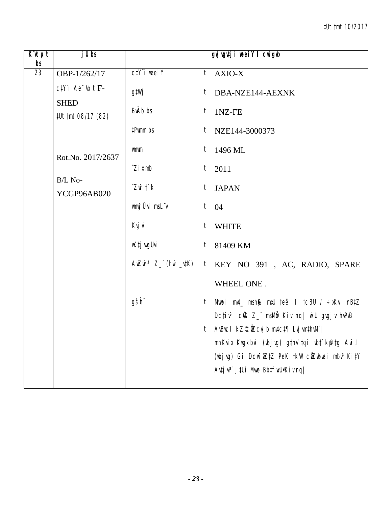| $K$ 'It $\mu t$<br>bs | j U bs                                             |                                 | gyjugutji weeiY I cwigub                                                                         |
|-----------------------|----------------------------------------------------|---------------------------------|--------------------------------------------------------------------------------------------------|
| 23                    | OBP-1/262/17                                       | $C\ddagger Y$ i weel $Y$        | $t$ AXIO-X                                                                                       |
|                       | $c$ t $Y$ 'i Ae $\overline{b}$ t F-<br><b>SHED</b> | g‡Wj                            | $t$ DBA-NZE144-AEXNK                                                                             |
|                       | #Ut tmt 08/17 (82)                                 | BwAb bs                         | $t$ 1NZ-FE                                                                                       |
|                       |                                                    | #Pwmm bs                        | $t$ NZE144-3000373                                                                               |
|                       | Rot.No. 2017/2637                                  | wmwm                            | $t$ 1496 ML                                                                                      |
|                       |                                                    | $\hat{Z}$ <i>i</i> $x$ mb       | t<br>2011                                                                                        |
|                       | B/L No-<br>YCGP96AB020                             | $Z$ wi $\ddot{\mathcal{L}}$ $k$ | t JAPAN                                                                                          |
|                       |                                                    | wmwj Ûvi msLïv                  | $t \quad 04$                                                                                     |
|                       |                                                    | Kvj vi                          | t WHITE                                                                                          |
|                       |                                                    | wK‡j wıgUvi                     | $t$ 81409 KM                                                                                     |
|                       |                                                    |                                 | $A \in \mathbb{Z}$ and $3 Z$ (hm $\#K$ ) t $\mathbb{K}$ EY NO 391, AC, RADIO, SPARE              |
|                       |                                                    |                                 | WHEEL ONE.                                                                                       |
|                       |                                                    | gšb"                            | Mwoi mut_ msh@ mxU teë I tcBU / ÷xKvi nB‡Z<br>t                                                  |
|                       |                                                    |                                 | Dctiv <sup>3</sup> cứB Z_" msMm Kiv nq  wiU gygjv hvPvB I<br>t AvBucl kZ©ŴZcvjbmvtct¶ LvjvmthvM" |
|                       |                                                    |                                 | mnKvix Kwgkbvi (wbjvg) g‡nv`tqi wb‡`kfutg Avi.l                                                  |
|                       |                                                    |                                 | (wbjvg) Gi Dcw <sup>-</sup> wZ‡Z PeK †kW cŴZwbwai mbv <sup>3</sup> Ki‡Y                          |
|                       |                                                    |                                 | Autj uP" j tUi Muno BbtfwU'Kiv nq                                                                |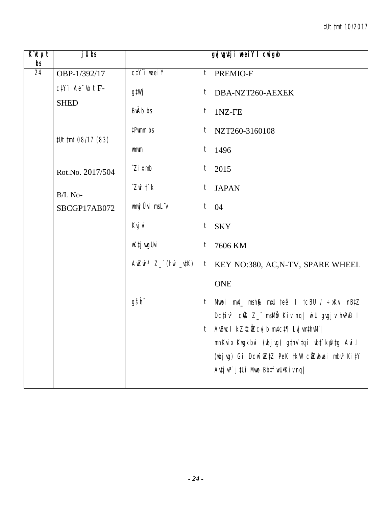| $\overline{K}$ it $\mu t$<br>bs | $j$ Ubs                                            |                                 | gyjugutji weeiY I cwigub                                                                            |
|---------------------------------|----------------------------------------------------|---------------------------------|-----------------------------------------------------------------------------------------------------|
| 24                              | OBP-1/392/17                                       | $C/Y$ i weel $Y$                | $t$ PREMIO-F                                                                                        |
|                                 | $c$ t $Y$ 'i Ae $\overline{b}$ t F-<br><b>SHED</b> | g‡Wj                            | DBA-NZT260-AEXEK<br>t                                                                               |
|                                 |                                                    | BwAb bs                         | $t$ 1NZ-FE                                                                                          |
|                                 | #Ut tmt 08/17 (83)                                 | #Pwmm bs                        | $t$ NZT260-3160108                                                                                  |
|                                 |                                                    | wmwm                            | $t$ 1496                                                                                            |
|                                 | Rot.No. 2017/504                                   | $\hat{Z}$ <i>i</i> $x$ mb       | $t_{-}$<br>2015                                                                                     |
|                                 | B/L No-                                            | $Z$ wi $\ddot{\mathcal{L}}$ $k$ | t JAPAN                                                                                             |
|                                 | SBCGP17AB072                                       | wmwj Ûvi msL"v                  | $t \quad 04$                                                                                        |
|                                 |                                                    | Kvj vi                          | $t$ SKY                                                                                             |
|                                 |                                                    | wK‡j wugUvi                     | $\boldsymbol{t}$<br>7606 KM                                                                         |
|                                 |                                                    |                                 | AwZwi <sup>3</sup> Z_"(hw`_utK) t KEY NO:380, AC, N-TV, SPARE WHEEL                                 |
|                                 |                                                    |                                 | <b>ONE</b>                                                                                          |
|                                 |                                                    | gšb"                            | Mwoi mut_ msh\$ mxU teë I tcBU / ÷xKvi nBtZ<br>$t_{-}$                                              |
|                                 |                                                    |                                 | Dctiv <sup>3</sup> củ8 Z_" msMb Kiv nq  wiU gvgjv hvPvB I<br>t AvBucl kZ©ÜZcvj b mvtct¶ Lvj vmthvM" |
|                                 |                                                    |                                 | mnKvix Kwgkbvi (wbjvg) g‡nv`tqi wbt`kfutg Avi.l                                                     |
|                                 |                                                    |                                 | (wbjvg) Gi Dcw <sup>-</sup> wZ‡Z PeK †kW cŴZwbwai mbv <sup>3</sup> Ki‡Y                             |
|                                 |                                                    |                                 | Autj uP" j tUi Muno BbtfwU <sup>a</sup> Kiv nq                                                      |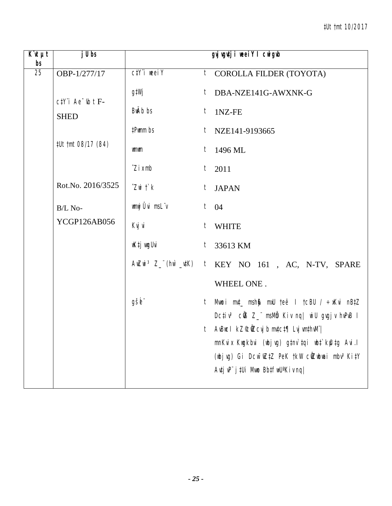| $\overline{K}$ it $\mu t$<br>bs | $j$ Ubs               |                                 | gyj vgutji neei Y I cnigub                                                                         |
|---------------------------------|-----------------------|---------------------------------|----------------------------------------------------------------------------------------------------|
| 25                              | OBP-1/277/17          | $C/Y$ i weei $Y$                | $t$ COROLLA FILDER (TOYOTA)                                                                        |
|                                 | $ctY$ 'i Ae $ub$ t F- | g‡Wj                            | t DBA-NZE141G-AWXNK-G                                                                              |
|                                 | <b>SHED</b>           | BwAb bs                         | $t$ 1NZ-FE                                                                                         |
|                                 |                       | #Pwmm bs                        | $t$ NZE141-9193665                                                                                 |
|                                 | #Ut tmt 08/17 (84)    | wmwm                            | $t$ 1496 ML                                                                                        |
|                                 |                       | $\hat{Z}$ <i>i</i> $x$ mb       | $t$ 2011                                                                                           |
|                                 | Rot.No. 2016/3525     | $Z$ wi $\ddot{\mathcal{L}}$ $k$ | t JAPAN                                                                                            |
|                                 | B/L No-               | wnwj Ûvi msLïv                  | $t \quad 04$                                                                                       |
|                                 | YCGP126AB056          | Kvj vi                          | $t$ WHITE                                                                                          |
|                                 |                       | wKtj wrgUvi                     | $t$ 33613 KM                                                                                       |
|                                 |                       |                                 | $A \in \mathbb{Z}$ and $3 Z$ (hm $\#K$ ) t $\mathbb{K}$ EY NO 161, AC, N-TV, SPARE                 |
|                                 |                       |                                 | WHEEL ONE.                                                                                         |
|                                 |                       | gšb"                            | Mwoi mut_msh\$ mxU teë I tcBU / ÷xKvi nBtZ<br>t                                                    |
|                                 |                       |                                 | Dctiv <sup>3</sup> cứB Z_" msMm Kiv nq  wiU gvgjv hvPvB I<br>t AvBucl kZ©ÑZcvjb mv‡c‡¶ Lvj vm‡hvM¨ |
|                                 |                       |                                 | mnKvix Kwgkbvi (wbjvg) g‡nv`tqi wb‡`kfutg Avi.l                                                    |
|                                 |                       |                                 | (wbjvg) Gi Dcw <sup>-</sup> wZ‡Z PeK †kW cŴZwbwai mbv <sup>3</sup> Ki‡Y                            |
|                                 |                       |                                 | Avtj vP" j tUi Mwo BbtfwU'Kiv nq                                                                   |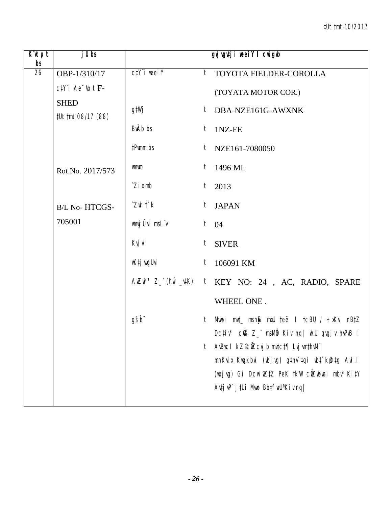| $\overline{K}$ it $\mu$ t<br>bs | $j$ U bs                          |                             | gyj vgutji neei Y I cnigub                                                                                                            |  |
|---------------------------------|-----------------------------------|-----------------------------|---------------------------------------------------------------------------------------------------------------------------------------|--|
| 26                              | OBP-1/310/17                      | $C/Y$ i weel $Y$            | <sup>t</sup> TOYOTA FIELDER-COROLLA                                                                                                   |  |
|                                 | $c$ t $Y$ 'i Ae $\psi$ t F-       |                             | (TOYATA MOTOR COR.)                                                                                                                   |  |
|                                 | <b>SHED</b><br>#Ut tmt 08/17 (88) | g‡Wj                        | t DBA-NZE161G-AWXNK                                                                                                                   |  |
|                                 |                                   | BwAb bs                     | 1NZ-FE<br>$t_{\parallel}$                                                                                                             |  |
|                                 |                                   | #Pwmm bs                    | $t$ NZE161-7080050                                                                                                                    |  |
|                                 | Rot.No. 2017/573                  | wmwm                        | 1496 ML<br>$t_{\parallel}$                                                                                                            |  |
|                                 |                                   | $\hat{Z}$ <i>i</i> $x$ mb   | $t$ 2013                                                                                                                              |  |
|                                 | <b>B/L No- HTCGS-</b>             | $Z$ wi $\ddot{\mathcal{L}}$ | <b>JAPAN</b><br>$t_{-}$                                                                                                               |  |
|                                 | 705001                            | wmwj Ûvi msLïv              | $t \quad 04$                                                                                                                          |  |
|                                 |                                   | Kvj vi                      | <b>SIVER</b><br>$t_{-}$                                                                                                               |  |
|                                 |                                   | wK‡j wyUvi                  | t<br>106091 KM                                                                                                                        |  |
|                                 |                                   |                             | AwZwi <sup>3</sup> Z_"(hw`_utK) t KEY NO: 24, AC, RADIO, SPARE                                                                        |  |
|                                 |                                   |                             | WHEEL ONE.                                                                                                                            |  |
|                                 |                                   | gšė"                        | Mwoi m¢_ msh\$ mxU teë I tcBU / ÷xKvi nB‡Z<br>$\mathfrak{r}$<br>Dcțiv <sup>3</sup> cÜB Z_" msMb Kiv nq  wiU gvgjv hvPvB I             |  |
|                                 |                                   |                             | AvBuc I kZ°c0Zcvj b mvtct¶ Lvj vmthvM" <br>t                                                                                          |  |
|                                 |                                   |                             | mnKvix Kwgkbvi (wbjvg) g‡nv`tqi wbt`kfutg Avi.l                                                                                       |  |
|                                 |                                   |                             | (wbjvg) Gi Dcw <sup>-</sup> wZtZ PeK tkW cilZwbwai mbv <sup>3</sup> KitY<br>$A$ utj v $P^{\prime\prime}$ j tUi Mwo Bbtfw $U^a$ Kiv ng |  |
|                                 |                                   |                             |                                                                                                                                       |  |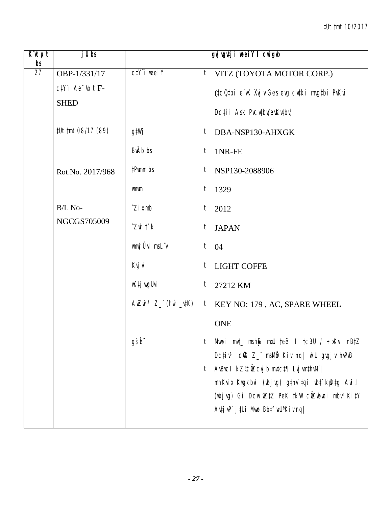## #Ut tmt 10/2017

| $\overline{K}$ it $\mu t$<br>bs | j U bs                      |                                 | gyj vgutji weeiY I cwigub                                                                                                                                                                                                                                              |
|---------------------------------|-----------------------------|---------------------------------|------------------------------------------------------------------------------------------------------------------------------------------------------------------------------------------------------------------------------------------------------------------------|
| 27                              | OBP-1/331/17                | $C/Y$ i weei $Y$                | VITZ (TOYOTA MOTOR CORP.)<br>$\mathfrak{t}$                                                                                                                                                                                                                            |
|                                 | $c$ t $Y$ 'i Ae $\psi$ t F- |                                 | (tcQtbi e vK Xvj v Ges evg cvtki mvgtbi PvKvi                                                                                                                                                                                                                          |
|                                 | <b>SHED</b>                 |                                 | Dcți i Ask Pvcvtbv/evKwtbv)                                                                                                                                                                                                                                            |
|                                 | #Ut tmt 08/17 (89)          | g‡Wj                            | t DBA-NSP130-AHXGK                                                                                                                                                                                                                                                     |
|                                 |                             | <b>BwAb</b> bs                  | t<br>1NR-FE                                                                                                                                                                                                                                                            |
|                                 | Rot.No. 2017/968            | #Pwmm bs                        | NSP130-2088906<br>t                                                                                                                                                                                                                                                    |
|                                 |                             | <b>umum</b>                     | $t$ 1329                                                                                                                                                                                                                                                               |
|                                 | B/L No-                     | $\hat{Z}$ <i>i</i> $x$ mb       | 2012<br>t                                                                                                                                                                                                                                                              |
|                                 | NGCGS705009                 | $Z$ wi $\ddot{\mathcal{L}}$ $k$ | <b>JAPAN</b><br>t                                                                                                                                                                                                                                                      |
|                                 |                             | wnwj Ûvi msL"v                  | $t \quad 04$                                                                                                                                                                                                                                                           |
|                                 |                             | Kvj vi                          | <b>LIGHT COFFE</b><br>t                                                                                                                                                                                                                                                |
|                                 |                             | wK‡j wyUvi                      | t<br>27212 KM                                                                                                                                                                                                                                                          |
|                                 |                             |                                 | $A$ wZwi <sup>3</sup> Z_"(hw`_vtK) t KEY NO: 179, AC, SPARE WHEEL                                                                                                                                                                                                      |
|                                 |                             |                                 | <b>ONE</b>                                                                                                                                                                                                                                                             |
|                                 |                             | gšb"                            | Mwoi mut_msh\$ mxU teë I tcBU / ÷xKvi nBtZ<br>t<br>Dcțiv <sup>3</sup> cÜß Z_" msMb Kiv nq  wiU gvgjv hvPvB I                                                                                                                                                           |
|                                 |                             |                                 | $A$ vBuc I kZ $\mathcal C$ ÑZcvj b mvtct $\P$ Lvj vmthv $M^{\cdot}$<br>t<br>mnKvix Kwgkbvi (wbjvg) g‡nv`tqi wb‡`kfutg Avi.l<br>(wbjvg) Gi Dcw <sup>-</sup> wZtZ PeK tkW cwZwbwai mbv <sup>3</sup> KitY<br>$A$ vtj v $P^{\prime}$ j tUi Mwo Bbtfw $U^a$ Kiv nq $\prime$ |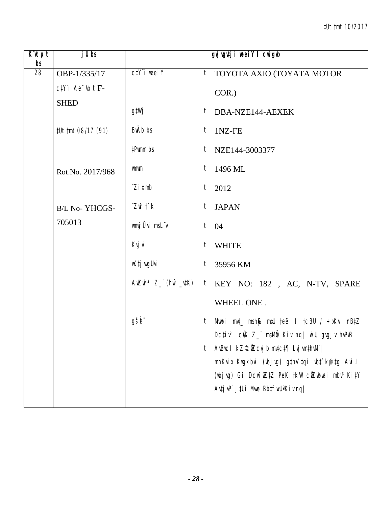| $K$ it $\mu t$<br>bs | $j$ Ubs                     |                           |                                 | gyj vgutji weeiY I cwigwb                                                                                                                                                                                                                      |
|----------------------|-----------------------------|---------------------------|---------------------------------|------------------------------------------------------------------------------------------------------------------------------------------------------------------------------------------------------------------------------------------------|
| 28                   | OBP-1/335/17                | $C/Y$ i weei $Y$          |                                 | <sup>t</sup> TOYOTA AXIO (TOYATA MOTOR                                                                                                                                                                                                         |
|                      | $c$ t $Y$ 'i Ae $\psi$ t F- |                           | COR.)                           |                                                                                                                                                                                                                                                |
|                      | <b>SHED</b>                 | g‡Wj                      |                                 | $t$ DBA-NZE144-AEXEK                                                                                                                                                                                                                           |
|                      | #Ut tmt 08/17 (91)          | BwAb bs                   | 1NZ-FE<br>$t_{-}$               |                                                                                                                                                                                                                                                |
|                      |                             | #Pwmm bs                  |                                 | $t$ NZE144-3003377                                                                                                                                                                                                                             |
|                      | Rot.No. 2017/968            | wmwm                      | 1496 ML<br>$t_{-}$              |                                                                                                                                                                                                                                                |
|                      |                             | $\hat{Z}$ <i>i</i> $x$ mb | $t$ 2012                        |                                                                                                                                                                                                                                                |
|                      | <b>B/L No-YHCGS-</b>        | $Z$ wi $\uparrow$ $k$     | $t_{-}$<br><b>JAPAN</b>         |                                                                                                                                                                                                                                                |
|                      | 705013                      | wnwj Ûvi msL"v            | $t \quad 04$                    |                                                                                                                                                                                                                                                |
|                      |                             | Kvj vi                    | $t_{\parallel}$<br><b>WHITE</b> |                                                                                                                                                                                                                                                |
|                      |                             | wK‡j wugUvi               | $t$ 35956 KM                    |                                                                                                                                                                                                                                                |
|                      |                             |                           |                                 | AwZwi <sup>3</sup> Z_"(hw`_utK) t KEY NO: 182, AC, N-TV, SPARE                                                                                                                                                                                 |
|                      |                             |                           |                                 | WHEEL ONE.                                                                                                                                                                                                                                     |
|                      |                             | gšb"                      | t                               | Mwoi myt_msh\$ mxU teë I tcBU / ÷xKvi nB‡Z<br>Dcțiv <sup>3</sup> cũB Z_" msMb Kiv nq  wiU gvgjv hvPvB I                                                                                                                                        |
|                      |                             |                           | t                               | AvBuc I $kZ$ <sup>c</sup> ú $Z$ cvj b mvtct¶ Lvj vmthvM" <br>mnKvix Kwgkbvi (wbjvg) g‡nv`tqi wb‡`kfutg Avi.l<br>(wbjvg) Gi Dcw <sup>-</sup> wZ‡Z PeK †kW cŴZwbwai mbv <sup>3</sup> Ki‡Y<br>$A$ utj v $P^{\prime}$ j tUi Mwo Bbtfw $U^a$ Kiv nq |
|                      |                             |                           |                                 |                                                                                                                                                                                                                                                |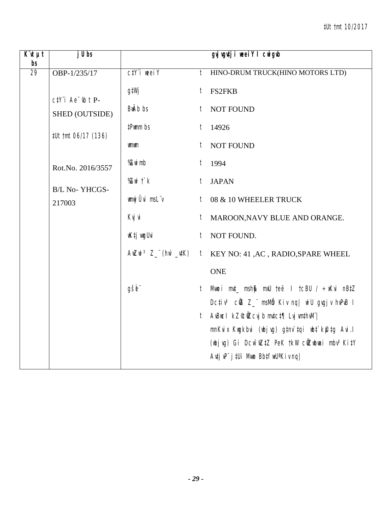| $\overline{K}$ <b><i>ut</i></b><br>bs | $j$ Ubs                                          |                                        |                 | gyj vgutji weei Y I cwigub                                                                                                               |
|---------------------------------------|--------------------------------------------------|----------------------------------------|-----------------|------------------------------------------------------------------------------------------------------------------------------------------|
| 29                                    | OBP-1/235/17                                     | $C/Y$ i weei $Y$                       | t               | HINO-DRUM TRUCK(HINO MOTORS LTD)                                                                                                         |
|                                       | $c$ t <sup>y</sup> 'i Ae <sup>-</sup> $i$ b t P- | g‡Wj                                   |                 | $t$ FS2FKB                                                                                                                               |
|                                       | SHED (OUTSIDE)                                   | BwAb bs                                | t               | <b>NOT FOUND</b>                                                                                                                         |
|                                       | #Ut tmt 06/17 (136)                              | #Pwmm bs                               |                 | $t$ 14926                                                                                                                                |
|                                       |                                                  | www                                    |                 | t NOT FOUND                                                                                                                              |
|                                       | Rot.No. 2016/3557                                | %Zwimb                                 |                 | $t$ 1994                                                                                                                                 |
|                                       | <b>B/L No-YHCGS-</b>                             | % $Z$ wi $\ddot{\ }$ $k$               | $t_{-}$         | <b>JAPAN</b>                                                                                                                             |
|                                       | 217003                                           | wnwj Ûvi msLïv                         | t               | 08 & 10 WHEELER TRUCK                                                                                                                    |
|                                       |                                                  | Kvj vi                                 |                 | t MAROON, NAVY BLUE AND ORANGE.                                                                                                          |
|                                       |                                                  | wK‡j wygUvi                            |                 | t NOT FOUND.                                                                                                                             |
|                                       |                                                  | $A\nu Z\nu i \nvert^3 Z$ (hv $\mu K$ ) |                 | t KEY NO: 41, AC, RADIO, SPARE WHEEL                                                                                                     |
|                                       |                                                  |                                        |                 | <b>ONE</b>                                                                                                                               |
|                                       |                                                  | gšė"                                   | $t_{\parallel}$ | Mwoi mvt_ msh\$ mxU teë I tcBU / ÷xKvi nBtZ<br>Dcțiv <sup>3</sup> cÜB Z_" msMb Kiv nq  wiU gvgjv hvPvB I                                 |
|                                       |                                                  |                                        | $t_{-}$         | AvBuc I kZ°c0Zcvj b mvtct¶ Lvj vmthvM" <br>mnKvix Kwgkbvi (wbjvg) g‡nv`tqi wbt`k@tg Avi.l                                                |
|                                       |                                                  |                                        |                 | (wbjvg) Gi Dcw <sup>-</sup> wZtZ PeK tkW ciZwbwai mbv <sup>3</sup> KitY<br>$A$ uți v $P^{\prime\prime}$ j ‡Ui Mwo Bb‡ $f$ w $U^a$ Kiv ng |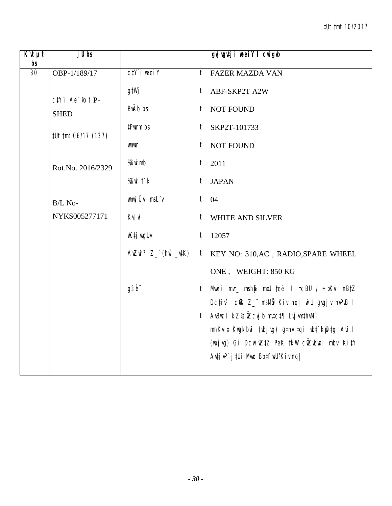| $\overline{K}$ <b><i>ut</i></b><br>bs | $j$ Ubs                                                       |                          |   | gyj vgutji weei Y I cwigub                                                                                                                        |
|---------------------------------------|---------------------------------------------------------------|--------------------------|---|---------------------------------------------------------------------------------------------------------------------------------------------------|
| 30                                    | OBP-1/189/17                                                  | $C/Y$ i weei $Y$         | t | <b>FAZER MAZDA VAN</b>                                                                                                                            |
|                                       | $ctY$ <sup>"</sup> $i$ Ae <sup>-<math>y</math></sup> b $t$ P- | g‡Wj                     |   | t ABF-SKP2T A2W                                                                                                                                   |
|                                       | <b>SHED</b>                                                   | <b>BwAb</b> bs           |   | t NOT FOUND                                                                                                                                       |
|                                       | #Ut tmt 06/17 (137)                                           | #Pwmm bs                 | t | SKP2T-101733                                                                                                                                      |
|                                       |                                                               | www                      | t | NOT FOUND                                                                                                                                         |
|                                       | Rot.No. 2016/2329                                             | %Zwimb                   | t | 2011                                                                                                                                              |
|                                       |                                                               | % $Z$ wi $\ddot{\ }$ $k$ |   | t JAPAN                                                                                                                                           |
|                                       | B/L No-                                                       | wnwj Ûvi msLïv           |   | $t$ 04                                                                                                                                            |
|                                       | NYKS005277171                                                 | Kvj vi                   |   | t WHITE AND SILVER                                                                                                                                |
|                                       |                                                               | wK‡j wygUvi              |   | $t$ 12057                                                                                                                                         |
|                                       |                                                               | AwZwi $^3$ Z_" (hw`_v‡K) |   | t KEY NO: 310, AC, RADIO, SPARE WHEEL                                                                                                             |
|                                       |                                                               |                          |   | ONE, WEIGHT: 850 KG                                                                                                                               |
|                                       |                                                               | gšb"                     | t | Mwoi mut_ msh\$ mxU teë I tcBU / ÷xKvi nBtZ<br>Dcțiv <sup>3</sup> cÜB Z_" msMb Kiv nq  wiU gvgjv hvPvB I                                          |
|                                       |                                                               |                          |   | t AvBucl kZ©ÜZcvj b mv‡c‡¶ Lvj vm‡hvM"                                                                                                            |
|                                       |                                                               |                          |   | mnKvix Kugkbvi (ubjvg) gtnv`tqi ubt`k£utg Avi.l                                                                                                   |
|                                       |                                                               |                          |   | (wbjvg) Gi Dcw <sup>-</sup> wZtZ PeK tkW cWZwbwai mbv <sup>3</sup> KitY<br>$A$ uțj v $P^{\prime}$ j ‡Ui Mwo Bb $\downarrow$ f $W^{\prime}$ Kiv ng |
|                                       |                                                               |                          |   |                                                                                                                                                   |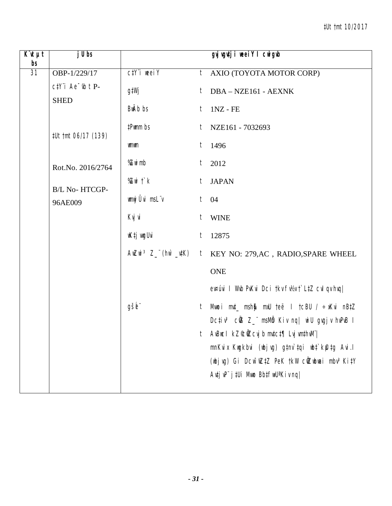| $\overline{K}$ <b><i>u</i></b> $\mu$ t<br>bs | j U bs                                     |                  |         | gyj vgutji weeiY I cwigub                                                                                                  |
|----------------------------------------------|--------------------------------------------|------------------|---------|----------------------------------------------------------------------------------------------------------------------------|
| $\overline{31}$                              | OBP-1/229/17                               | $C/Y$ i weei $Y$ | $t_{-}$ | AXIO (TOYOTA MOTOR CORP)                                                                                                   |
|                                              | $c$ t $Y$ 'i Ae $\psi$ t P-<br><b>SHED</b> | g‡Wj             | t       | DBA - NZE161 - AEXNK                                                                                                       |
|                                              |                                            | BwAb bs          | t       | $1NZ$ - FE                                                                                                                 |
|                                              | #Ut tmt 06/17 (139)                        | #Pwmm bs         |         | $t$ NZE161 - 7032693                                                                                                       |
|                                              |                                            | wmwm             | t       | 1496                                                                                                                       |
|                                              | Rot.No. 2016/2764                          | %Zwi mb          | $t_{-}$ | 2012                                                                                                                       |
|                                              | B/L No-HTCGP-                              | %Zwitk           |         | t JAPAN                                                                                                                    |
|                                              | 96AE009                                    | wnwj Ûvi msLïv   |         | $t$ 04                                                                                                                     |
|                                              |                                            | Kvj vi           | $t_{-}$ | <b>WINE</b>                                                                                                                |
|                                              |                                            | wK‡j wygUvi      | t       | 12875                                                                                                                      |
|                                              |                                            |                  |         | AWZWi <sup>3</sup> Z_"(hw`_utK) t KEY NO: 279, AC, RADIO, SPARE WHEEL                                                      |
|                                              |                                            |                  |         | <b>ONE</b>                                                                                                                 |
|                                              |                                            |                  |         | ev¤úvi I Wvb PvKvi Dci tkv fv½v t`L‡Z cvl qv hvq                                                                           |
|                                              |                                            | gšb"             | t       | Mwoi mut_ msh\$ mxU teë I tcBU / ÷xKvi nBtZ                                                                                |
|                                              |                                            |                  |         | Dcțiv <sup>3</sup> cÜB Z_" msMb Kiv nq  wiU gvgjv hvPvB I                                                                  |
|                                              |                                            |                  |         | AvBuc I kZ��iZcvj b mv‡c‡¶ Lvj vm‡hvM¨                                                                                     |
|                                              |                                            |                  |         | mnKvix Kwgkbvi (wbjvg) g‡nv`tqi wb‡`kfutg Avi.l<br>(wbjvg) Gi Dcw <sup>-</sup> wZ‡Z PeK †kW cŴZwbwai mbv <sup>3</sup> Ki‡Y |
|                                              |                                            |                  |         | $A$ utj v $P^{\prime}$ j tUi Mwo Bbtfw $U^a$ Kiv nq                                                                        |
|                                              |                                            |                  |         |                                                                                                                            |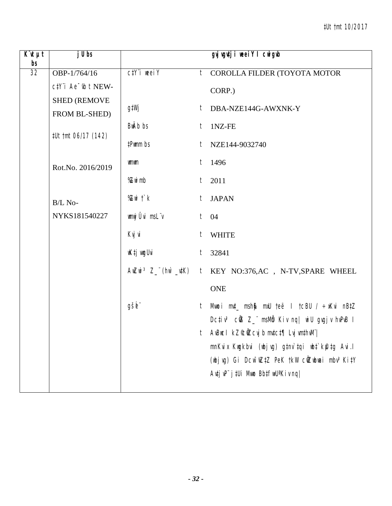| $\overline{K}$ 'it $\mu t$<br>bs | j U bs                               |                         |         | gyj vgutji weeiY I cwigub                                                                          |
|----------------------------------|--------------------------------------|-------------------------|---------|----------------------------------------------------------------------------------------------------|
| 32                               | OBP-1/764/16                         | $C/Y$ <i>i</i> weel $Y$ | $t_{-}$ | COROLLA FILDER (TOYOTA MOTOR                                                                       |
|                                  | ctY"i Ae "w t NEW-                   |                         |         | CORP.)                                                                                             |
|                                  | <b>SHED (REMOVE</b><br>FROM BL-SHED) | g‡Wj                    |         | t DBA-NZE144G-AWXNK-Y                                                                              |
|                                  |                                      | BwAb bs                 | $t_{-}$ | 1NZ-FE                                                                                             |
|                                  | #Ut tmt 06/17 (142)                  | #Pwmm bs                |         | $t$ NZE144-9032740                                                                                 |
|                                  | Rot.No. 2016/2019                    | wmwm                    |         | $t$ 1496                                                                                           |
|                                  |                                      | %Zwimb                  |         | $t$ 2011                                                                                           |
|                                  | B/L No-                              | %Zwit`k                 |         | t JAPAN                                                                                            |
|                                  | NYKS181540227                        | wmwj Ûvi msLïv          |         | $t$ 04                                                                                             |
|                                  |                                      | Kvj vi                  |         | t WHITE                                                                                            |
|                                  |                                      | wK‡j wyUvi              | $t_{-}$ | 32841                                                                                              |
|                                  |                                      |                         |         | AWZWi <sup>3</sup> Z_"(hw'_utK) t KEY NO:376,AC, N-TV,SPARE WHEEL                                  |
|                                  |                                      |                         |         | <b>ONE</b>                                                                                         |
|                                  |                                      | gšb"                    | t       | Mwoi mut_ msh\$ mxU teë I tcBU / ÷xKvi nBtZ                                                        |
|                                  |                                      |                         |         | Dcțiv <sup>3</sup> cũ 8Z msMb Kiv nq   wiU gvgjv hvPvB I<br>t AvBucl kZ©ÜZcvj b mvtct¶ Lvj vmthvM" |
|                                  |                                      |                         |         | mnKvix Kwgkbvi (wbjvg) g‡nv`tqi wb‡`kfutg Avi.l                                                    |
|                                  |                                      |                         |         | (wbjvg) Gi Dcw <sup>-</sup> wZ‡Z PeK †kW cŴZwbwai mbv <sup>3</sup> Ki‡Y                            |
|                                  |                                      |                         |         | Avtj vP" j tUi Mwo BbtfwU <sup>a</sup> Kiv ng                                                      |
|                                  |                                      |                         |         |                                                                                                    |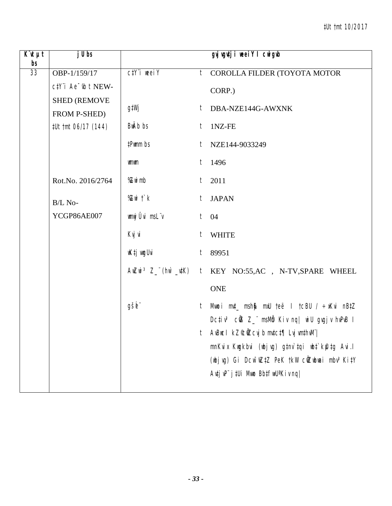| $\overline{K}$ 'It $\mu$ t<br>bs | j U bs                              |                  |   | gyj vgutji weeiY I cwigub                                                                                                  |
|----------------------------------|-------------------------------------|------------------|---|----------------------------------------------------------------------------------------------------------------------------|
| 33                               | OBP-1/159/17                        | $C/Y$ i weei $Y$ | t | COROLLA FILDER (TOYOTA MOTOR                                                                                               |
|                                  | $c$ t $Y$ 'i Ae $\sim$ t $b$ t NEW- |                  |   | CORP.)                                                                                                                     |
|                                  | <b>SHED (REMOVE</b><br>FROM P-SHED) | g‡Wj             |   | t DBA-NZE144G-AWXNK                                                                                                        |
|                                  | #Ut tmt 06/17 (144)                 | BwAb bs          |   | $t$ 1NZ-FE                                                                                                                 |
|                                  |                                     | #Pwmm bs         |   | $t$ NZE144-9033249                                                                                                         |
|                                  |                                     | wmwm             |   | $t$ 1496                                                                                                                   |
|                                  | Rot.No. 2016/2764                   | %Zwimb           |   | $t$ 2011                                                                                                                   |
|                                  | B/L No-                             | %Zwi t`k         |   | t JAPAN                                                                                                                    |
|                                  | YCGP86AE007                         | wnwj Ûvi msL"v   |   | $t$ 04                                                                                                                     |
|                                  |                                     | Kvj vi           |   | t WHITE                                                                                                                    |
|                                  |                                     | wK‡j wyUvi       |   | $t$ 89951                                                                                                                  |
|                                  |                                     |                  |   | AWZWi <sup>3</sup> Z_"(hw`_utK) t KEY NO:55,AC, N-TV,SPARE WHEEL                                                           |
|                                  |                                     |                  |   | <b>ONE</b>                                                                                                                 |
|                                  |                                     | gšb"             | t | Mwoi mut_msh\$ mxU teë I tcBU / $\div$ xKvi nBtZ                                                                           |
|                                  |                                     |                  |   | Dcțiv <sup>3</sup> cũ 8Z msMb Kiv nq   wiU gvgjv hvPvB I                                                                   |
|                                  |                                     |                  |   | t AvBucl kZ©ÜZcvj b mvtct¶ Lvj vmthvM"                                                                                     |
|                                  |                                     |                  |   | mnKvix Kwgkbvi (wbjvg) g‡nv`tqi wb‡`kfutg Avi.l<br>(wbjvg) Gi Dcw <sup>-</sup> wZ‡Z PeK †kW cŴZwbwai mbv <sup>3</sup> Ki‡Y |
|                                  |                                     |                  |   | $A$ utj v $P^{\prime}$ j tUi Mno Bbtfw $U^a$ Kiv nq                                                                        |
|                                  |                                     |                  |   |                                                                                                                            |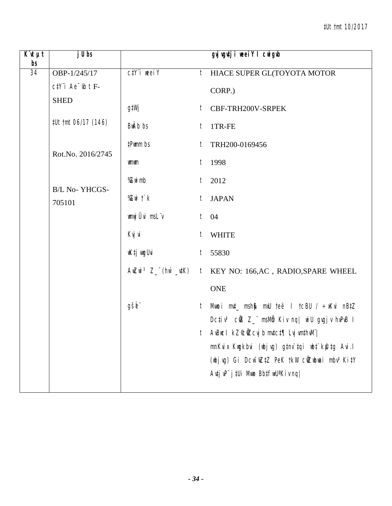| $\overline{K}$ <b>ut</b> $\mu$ t<br>bs | j U bs                      |                  |         | gyj vgutji weeiY I cwigub                                                                                                  |
|----------------------------------------|-----------------------------|------------------|---------|----------------------------------------------------------------------------------------------------------------------------|
| 34                                     | OBP-1/245/17                | $C/Y$ i weei $Y$ | $t_{-}$ | HIACE SUPER GL(TOYOTA MOTOR                                                                                                |
|                                        | $c$ t $Y$ 'i Ae $\psi$ t F- |                  |         | CORP.)                                                                                                                     |
|                                        | <b>SHED</b>                 | g‡Wj             |         | t CBF-TRH200V-SRPEK                                                                                                        |
|                                        | #Ut tmt 06/17 (146)         | <b>BwAb</b> bs   |         | $t$ 1TR-FE                                                                                                                 |
|                                        | Rot.No. 2016/2745           | #Pwmm bs         | t       | TRH200-0169456                                                                                                             |
|                                        |                             | wmwm             |         | $t$ 1998                                                                                                                   |
|                                        |                             | %Zwimb           |         | $t$ 2012                                                                                                                   |
|                                        | B/L No-YHCGS-<br>705101     | %Zwit`k          | $t_{-}$ | <b>JAPAN</b>                                                                                                               |
|                                        |                             | wnwj Ûvi msLïv   |         | $t$ 04                                                                                                                     |
|                                        |                             | Kvj vi           |         | t WHITE                                                                                                                    |
|                                        |                             | wK‡j wyUvi       | $t_{-}$ | 55830                                                                                                                      |
|                                        |                             |                  |         | AWZWi <sup>3</sup> Z_"(hw`_utK) t KEY NO: 166,AC, RADIO,SPARE WHEEL                                                        |
|                                        |                             |                  |         | <b>ONE</b>                                                                                                                 |
|                                        |                             | gšb"             | t       | Mwoi mut_ msh\$ mxU teë I tcBU / ÷xKvi nBtZ                                                                                |
|                                        |                             |                  |         | Dcțiv <sup>3</sup> cÜB Z_" msMb Kiv nq  wiU gvgjv hvPvB I                                                                  |
|                                        |                             |                  |         | t AvBucl kZ©ÜZcvj b mvtct¶ Lvj vmthvM"                                                                                     |
|                                        |                             |                  |         | mnKvix Kwgkbvi (wbjvg) g‡nv`tqi wb‡`kfutg Avi.l<br>(wbjvg) Gi Dcw <sup>-</sup> wZ‡Z PeK †kW cŴZwbwai mbv <sup>3</sup> Ki‡Y |
|                                        |                             |                  |         | $A$ utj v $P^{\prime}$ j tUi Mwo Bbtfw $U^a$ Kiv nq                                                                        |
|                                        |                             |                  |         |                                                                                                                            |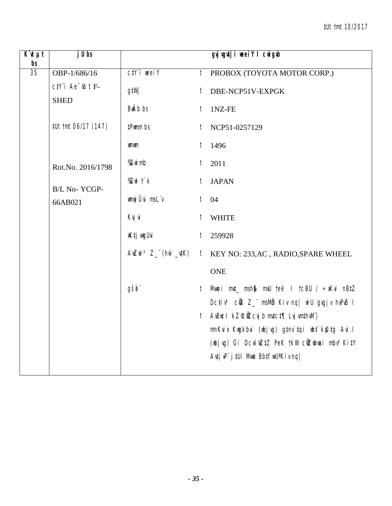| $\overline{K}$ it $\mu t$<br>b <sub>s</sub> | j U bs                                        |                                                                         |   | gyj vgutji weeiY I cwigub                                                                                 |
|---------------------------------------------|-----------------------------------------------|-------------------------------------------------------------------------|---|-----------------------------------------------------------------------------------------------------------|
| 35                                          | OBP-1/686/16                                  | $C/Y$ i weel $Y$                                                        | t | PROBOX (TOYOTA MOTOR CORP.)                                                                               |
|                                             | $c$ t $Y$ 'i Ae $\bar{b}$ t F-<br><b>SHED</b> | g‡Wj                                                                    |   | t DBE-NCP51V-EXPGK                                                                                        |
|                                             |                                               | <b>BwAb</b> bs                                                          |   | $t$ 1NZ-FE                                                                                                |
|                                             | #Ut tmt 06/17 (147)                           | #Pwmm bs                                                                | t | NCP51-0257129                                                                                             |
|                                             |                                               | wmwm                                                                    |   | $t$ 1496                                                                                                  |
|                                             | Rot.No. 2016/1798                             | %Zwimb                                                                  | t | 2011                                                                                                      |
|                                             | B/L No-YCGP-                                  | % $Z$ wi $\ddot{\ }$ $k$                                                |   | t JAPAN                                                                                                   |
|                                             | 66AB021                                       | wnwj Ûvi msLïv                                                          |   | $t$ 04                                                                                                    |
|                                             |                                               | Kvj vi                                                                  |   | t WHITE                                                                                                   |
|                                             |                                               | wK‡j wygUvi                                                             |   | $t$ 259928                                                                                                |
|                                             |                                               | $AwZwi \;$ <sup>3</sup> $Z^{\;\;\cdot\;\;}(hw^{\;\cdot}\_\textit{v1}K)$ |   | t KEY NO: 233, AC, RADIO, SPARE WHEEL                                                                     |
|                                             |                                               |                                                                         |   | <b>ONE</b>                                                                                                |
|                                             |                                               | gšb"                                                                    | t | Mwoi mut_ msh\$ mxU teë I tcBU / ÷xKvi nBtZ<br>Dctiv <sup>3</sup> cOB Z_" msMb Kiv ng   wiU gvgjv hvPvB I |
|                                             |                                               |                                                                         |   | t AvBucl kZ©ÜZcvj b mv‡c‡¶ Lvj vm‡hvM"                                                                    |
|                                             |                                               |                                                                         |   | mnKvix Kwgkbvi (wbjvg) g‡nv`‡qi wb‡`k@tg Avi.l                                                            |
|                                             |                                               |                                                                         |   | (wbjvg) Gi Dcw <sup>-</sup> wZtZ PeK tkW cwZwbwai mbv <sup>3</sup> KitY                                   |
|                                             |                                               |                                                                         |   | $A$ u‡j v $P^{\prime}$ j ‡Ui Mwo Bb‡fwU <sup>a</sup> Kiv nq                                               |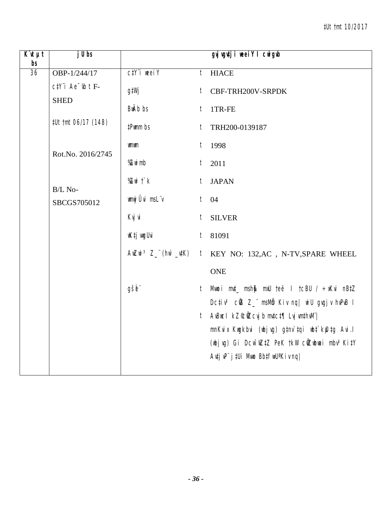| $\overline{K}$ <b><i>ut</i></b><br>bs | j U bs                                             |                         |         | gyj vgutji weei Y I cwigwb                                              |
|---------------------------------------|----------------------------------------------------|-------------------------|---------|-------------------------------------------------------------------------|
| 36                                    | OBP-1/244/17                                       | $C/Y$ i weel Y          |         | $t$ HIACE                                                               |
|                                       | $c$ t $Y$ 'i Ae $\overline{b}$ t F-<br><b>SHED</b> | g‡Wj                    |         | t CBF-TRH200V-SRPDK                                                     |
|                                       |                                                    | <b>BwAb</b> bs          |         | $t$ 1TR-FE                                                              |
|                                       | #Ut tmt 06/17 (148)                                | #Pwmm bs                | t       | TRH200-0139187                                                          |
|                                       | Rot.No. 2016/2745                                  | <b>umum</b>             |         | $t$ 1998                                                                |
|                                       |                                                    | %Zwimb                  | $t_{-}$ | 2011                                                                    |
|                                       | B/L No-                                            | % $Z$ wi $\uparrow$ $k$ |         | t JAPAN                                                                 |
|                                       | SBCGS705012                                        | wnwj Ûvi msLïv          |         | $t$ 04                                                                  |
|                                       |                                                    | Kvj vi                  |         | t SILVER                                                                |
|                                       |                                                    | wK‡j wygUvi             |         | $t$ 81091                                                               |
|                                       |                                                    |                         |         | AwZwi <sup>3</sup> Z_"(hw`_utK) t KEY NO: 132, AC, N-TV, SPARE WHEEL    |
|                                       |                                                    |                         |         | <b>ONE</b>                                                              |
|                                       |                                                    | gšb"                    | $t_{-}$ | Mwoi mut_ msh\$ mxU teë I tcBU / ÷xKvi nBtZ                             |
|                                       |                                                    |                         |         | Dctiv <sup>3</sup> cũB Z_" msMb Kiv ng   wiU gvgjv hvPvB I              |
|                                       |                                                    |                         |         | t AvBucl kZ°c0Zcvjb mvtct¶ Lvj vmthvM"                                  |
|                                       |                                                    |                         |         | mnKvix Kwgkbvi (wbjvg) g‡nv`tqi wbt`kfutg Avi.l                         |
|                                       |                                                    |                         |         | (wbjvg) Gi Dcw <sup>-</sup> wZ‡Z PeK †kW cŴZwbwai mbv <sup>3</sup> Ki‡Y |
|                                       |                                                    |                         |         | Avtj vP" j tUi Mwo BbtfwU <sup>a</sup> Kiv nq                           |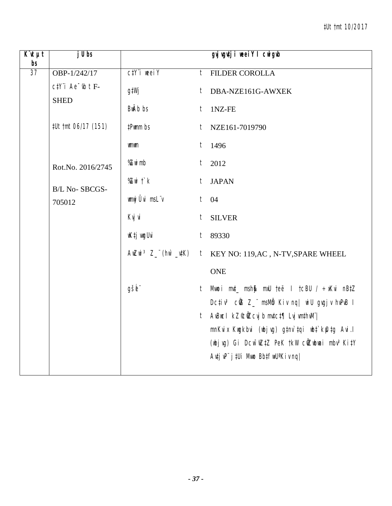| $\overline{K}$ ut $\mu t$<br>b <sub>s</sub> | j U bs                                             |                  |         | gyjugutji weeiY I cwigub                                                                                  |
|---------------------------------------------|----------------------------------------------------|------------------|---------|-----------------------------------------------------------------------------------------------------------|
| $\overline{37}$                             | OBP-1/242/17                                       | $C/Y$ i weei $Y$ | $t_{-}$ | <b>FILDER COROLLA</b>                                                                                     |
|                                             | $c$ t $Y$ 'i Ae $\overline{b}$ t F-<br><b>SHED</b> | g‡Wj             |         | t DBA-NZE161G-AWXEK                                                                                       |
|                                             |                                                    | <b>BwAb</b> bs   |         | $t$ 1NZ-FE                                                                                                |
|                                             | #Ut tmt 06/17 (151)                                | #Pwmm bs         | t       | NZE161-7019790                                                                                            |
|                                             |                                                    | <b>umum</b>      |         | $t$ 1496                                                                                                  |
|                                             | Rot.No. 2016/2745                                  | %Zwimb           | $t_{-}$ | 2012                                                                                                      |
|                                             | B/L No-SBCGS-                                      | $X$ with $f$     |         | t JAPAN                                                                                                   |
|                                             | 705012                                             | wnwj Ûvi msLïv   |         | $t$ 04                                                                                                    |
|                                             |                                                    | Kvj vi           | $t_{-}$ | <b>SILVER</b>                                                                                             |
|                                             |                                                    | wK‡j wygUvi      |         | $t$ 89330                                                                                                 |
|                                             |                                                    |                  |         | t KEY NO: 119, AC, N-TV, SPARE WHEEL                                                                      |
|                                             |                                                    |                  |         | <b>ONE</b>                                                                                                |
|                                             |                                                    | gšb"             | t       | Mwoi mut_ msh\$ mxU teë I tcBU / ÷xKvi nBtZ<br>Dctiv <sup>3</sup> cOB Z_" msMb Kiv ng   wiU gvgjv hvPvB I |
|                                             |                                                    |                  | t       | AvBucl kZ&NZcvjb mvtct¶ Lvj vmthvM"                                                                       |
|                                             |                                                    |                  |         | mnKvix Kwgkbvi (wbjvg) g‡nv`tqi wbt`k@tg Avi.l                                                            |
|                                             |                                                    |                  |         | (wbjvg) Gi Dcw <sup>-</sup> wZ‡Z PeK †kW cŴZwbwai mbv <sup>3</sup> Ki‡Y                                   |
|                                             |                                                    |                  |         | Autj vP" j tUi Mno BbtfwU <sup>a</sup> Kiv nq                                                             |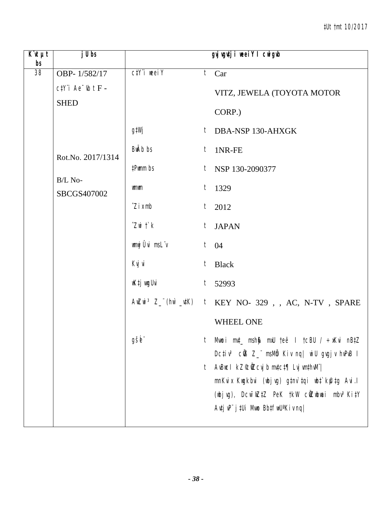| $\overline{K}$ 'it $\mu t$<br>bs | $j$ Ubs                |                                  | gyj vgutji weeiY I cwigub                                                                                                                                                               |  |
|----------------------------------|------------------------|----------------------------------|-----------------------------------------------------------------------------------------------------------------------------------------------------------------------------------------|--|
| 38                               | OBP-1/582/17           | $C\ddagger Y$ i weel $Y$         | $\overline{t}$ Car                                                                                                                                                                      |  |
|                                  | $ctY$ i Ae $b$ t F -   |                                  | VITZ, JEWELA (TOYOTA MOTOR                                                                                                                                                              |  |
|                                  | <b>SHED</b>            |                                  | CORP.)                                                                                                                                                                                  |  |
|                                  |                        | g‡Wj                             | $t$ DBA-NSP 130-AHXGK                                                                                                                                                                   |  |
|                                  | Rot.No. 2017/1314      | BwAb bs                          | $t$ 1NR-FE                                                                                                                                                                              |  |
|                                  |                        | #Pwmm bs                         | $t$ NSP 130-2090377                                                                                                                                                                     |  |
|                                  | B/L No-<br>SBCGS407002 | wmwm                             | $t$ 1329                                                                                                                                                                                |  |
|                                  |                        | $\hat{Z}$ <i>i</i> $x$ mb        | $t$ 2012                                                                                                                                                                                |  |
|                                  |                        | $\hat{Z}$ wi $\hat{T}$ $\hat{K}$ | t JAPAN                                                                                                                                                                                 |  |
|                                  |                        | wnwj Ûvi msL"v                   | $t \quad 04$                                                                                                                                                                            |  |
|                                  |                        | Kvj vi                           | $t$ Black                                                                                                                                                                               |  |
|                                  |                        | wK‡j vugUvi                      | $t$ 52993                                                                                                                                                                               |  |
|                                  |                        |                                  | $\textit{All} \textit{ZMI} \textit{3} \textit{Z} \textit{__} \textit{('hII)} \textit{ _IJKY} \textit{1} \textit{KEY NO- 329 }, \textit{ }, \textit{AC}, \textit{N-TV }, \textit{SPARE}$ |  |
|                                  |                        |                                  | WHEEL ONE                                                                                                                                                                               |  |
|                                  |                        | gšb"                             | Mwoi mut_msh\$ mxU teë I tcBU / ÷xKvi nBtZ<br>t                                                                                                                                         |  |
|                                  |                        |                                  | Dcțiv <sup>3</sup> củ 8Z msMb Kiv nq wiU gvgjv hvPvB I                                                                                                                                  |  |
|                                  |                        |                                  | AvBuc I kZ°c0Zcvj b mvtct¶ Lvj vmthvM" <br>t<br>mnKvix Kwgkbvi (wbjvg) g‡nv`tqi wbt`kfutg Avi.l                                                                                         |  |
|                                  |                        |                                  | (wbjvg), Dcw <sup>-</sup> wZ‡Z PeK †kW cŴZwbwai mbv <sup>3</sup> Ki‡Y                                                                                                                   |  |
|                                  |                        |                                  | Avtj vP" j tUi Mwo BbtfwU <sup>a</sup> Kiv nq                                                                                                                                           |  |
|                                  |                        |                                  |                                                                                                                                                                                         |  |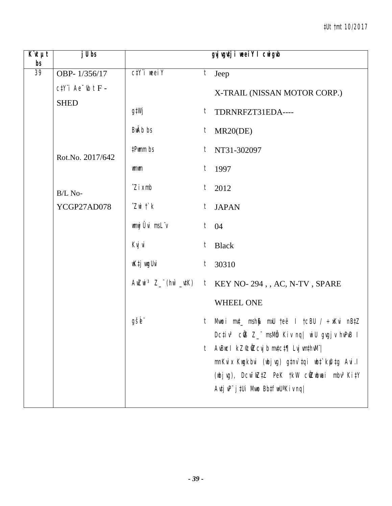| $\overline{K}$ 'it $\mu t$<br>bs | $j$ Ubs                              |                           | gyj vgutji weeiY I cwigwb                                                                                                    |
|----------------------------------|--------------------------------------|---------------------------|------------------------------------------------------------------------------------------------------------------------------|
| 39                               | OBP-1/356/17                         | $C/Y$ i weei $Y$          | $t$ Jeep                                                                                                                     |
|                                  | $c$ t $Y$ 'i Ae $\overline{b}$ t F - |                           | X-TRAIL (NISSAN MOTOR CORP.)                                                                                                 |
|                                  | <b>SHED</b>                          | g‡Wj                      | t TDRNRFZT31EDA----                                                                                                          |
|                                  |                                      | BwAb bs                   | MR20(DE)<br>t                                                                                                                |
|                                  | Rot.No. 2017/642                     | #Pwmm bs                  | $t$ NT31-302097                                                                                                              |
|                                  |                                      | <b>umum</b>               | $t$ 1997                                                                                                                     |
|                                  | B/L No-                              | $\hat{Z}$ <i>i</i> $x$ mb | $t$ 2012                                                                                                                     |
|                                  | YCGP27AD078                          | $Z$ wi $\ddot{\,}$ $k$    | $t_{\parallel}$<br><b>JAPAN</b>                                                                                              |
|                                  |                                      | wmwj Ûvi msLïv            | $t \quad 04$                                                                                                                 |
|                                  |                                      | Kvj vi                    | t<br><b>Black</b>                                                                                                            |
|                                  |                                      | wK‡j wugUvi               | $t$ 30310                                                                                                                    |
|                                  |                                      |                           | AwZwi <sup>3</sup> Z_"(hw`_utK) t KEY NO-294,, AC, N-TV, SPARE                                                               |
|                                  |                                      |                           | <b>WHEEL ONE</b>                                                                                                             |
|                                  |                                      | gšb"                      | t Mwoi m⊄_ msh∯ mxU teë I tcBU / ÷xKvi nB‡Z<br>Dcțiv <sup>3</sup> cÜB Z_" msMb Kiv nq  wiU gvgjv hvPvB I                     |
|                                  |                                      |                           | AvBuc I $kZ$ <sup>c</sup> ú $Z$ cvj b mvtct¶ Lvj vmthvM" <br>t<br>mnKvix Kwgkbvi (wbjvg) gtnv`tqi wbt`kfutg Avi.l            |
|                                  |                                      |                           | (wbjvg), Dcw <sup>-</sup> wZtZ PeK tkW cwZwbwai mbv <sup>3</sup> KitY<br>$A$ utj v $P^{\prime}$ j tUi Mwo Bbtfw $U^a$ Kiv ng |
|                                  |                                      |                           |                                                                                                                              |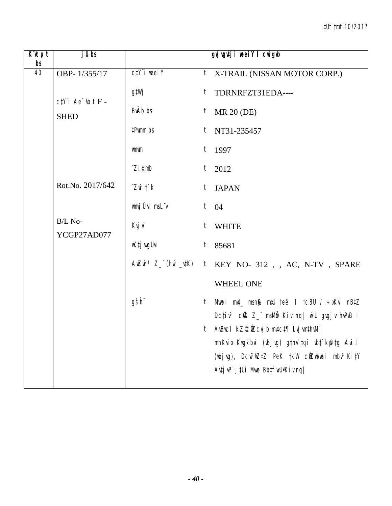| $K$ 'it $\mu t$<br>bs | $j$ Ubs                             |                                 | gyj vgutji weeiY I cwigub                                                                        |
|-----------------------|-------------------------------------|---------------------------------|--------------------------------------------------------------------------------------------------|
| 40                    | OBP-1/355/17                        | $C/Y$ i weei $Y$                | $t$ X-TRAIL (NISSAN MOTOR CORP.)                                                                 |
|                       | $c$ #Y"i Ae " $\mathit{lb}$ t $F$ - | g‡Wj                            | $t$ TDRNRFZT31EDA----                                                                            |
|                       | <b>SHED</b>                         | BwÄb bs                         | $t$ MR 20 (DE)                                                                                   |
|                       |                                     | #Pwmm bs                        | $t$ NT31-235457                                                                                  |
|                       |                                     | wmwm                            | $t$ 1997                                                                                         |
|                       |                                     | $\hat{Z}$ <i>i</i> $x$ mb       | $t$ 2012                                                                                         |
|                       | Rot.No. 2017/642                    | $Z$ wi $\ddot{\mathcal{L}}$ $k$ | t JAPAN                                                                                          |
|                       |                                     | wmwj Ûvi msLïv                  | $t \quad 04$                                                                                     |
|                       | B/L No-<br>YCGP27AD077              | Kvj vi                          | $t$ WHITE                                                                                        |
|                       |                                     | wK‡j wugUvi                     | $t$ 85681                                                                                        |
|                       |                                     |                                 | $A$ wZwi <sup>3</sup> Z_"(hw`_vtK) t KEY NO-312, , AC, N-TV, SPARE                               |
|                       |                                     |                                 | WHEEL ONE                                                                                        |
|                       |                                     | gšb"                            | t Mwoi m⊄_ msh\$ mxU teë I tcBU / ÷xKvi nB‡Z                                                     |
|                       |                                     |                                 | Dctiv <sup>3</sup> cử Z_ msMm Kiv nq  wiU gvgjv hvPvB I<br>t AvBucl kZ©ÑZcvjb mv‡c‡¶ Lvj vm‡hvM¨ |
|                       |                                     |                                 | mnKvix Kwgkbvi (wbjvg) g‡nv`tqi wb‡`kfutg Avi.l                                                  |
|                       |                                     |                                 | (wbjvg), Dcw <sup>-</sup> wZtZ PeK tkW cwZwbwai mbv <sup>3</sup> KitY                            |
|                       |                                     |                                 | $A$ utj v $P^{\prime}$ j tUi Mwo Bbtfw $U^a$ Kiv nq                                              |
|                       |                                     |                                 |                                                                                                  |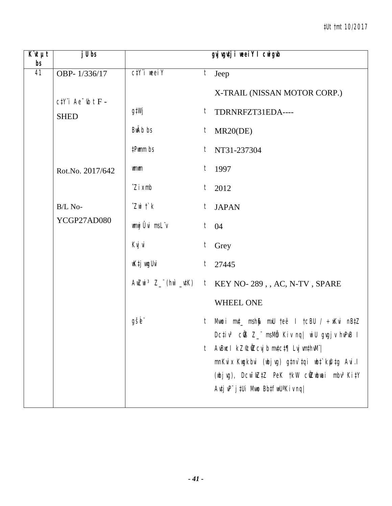| $\overline{K}$ 'it $\mu t$<br>bs | $j$ Ubs                             |                                 |                  | gyjugutji weeiY I cwigub                                                                                                                                                                                                   |
|----------------------------------|-------------------------------------|---------------------------------|------------------|----------------------------------------------------------------------------------------------------------------------------------------------------------------------------------------------------------------------------|
| 41                               | OBP-1/336/17                        | $C/Y$ i weei $Y$                | t                | Jeep                                                                                                                                                                                                                       |
|                                  | $c$ #Y"i Ae " $\mathit{lb}$ t $F$ - |                                 |                  | X-TRAIL (NISSAN MOTOR CORP.)                                                                                                                                                                                               |
|                                  | <b>SHED</b>                         | g‡Wj                            |                  | $t$ TDRNRFZT31EDA----                                                                                                                                                                                                      |
|                                  |                                     | <b>BwAb</b> bs                  | $\boldsymbol{t}$ | MR20(DE)                                                                                                                                                                                                                   |
|                                  |                                     | #Pwmm bs                        | $t_{\parallel}$  | NT31-237304                                                                                                                                                                                                                |
|                                  | Rot.No. 2017/642                    | <b>umum</b>                     |                  | $t$ 1997                                                                                                                                                                                                                   |
|                                  |                                     | $\hat{Z}$ <i>i</i> $x$ mb       |                  | $t$ 2012                                                                                                                                                                                                                   |
|                                  | B/L No-                             | $Z$ wi $\ddot{\mathcal{L}}$ $k$ | $t_{\parallel}$  | <b>JAPAN</b>                                                                                                                                                                                                               |
|                                  | YCGP27AD080                         | wnwj Ûvi msLïv                  |                  | $t \quad 04$                                                                                                                                                                                                               |
|                                  |                                     | Kvj vi                          | t                | Grey                                                                                                                                                                                                                       |
|                                  |                                     | wK‡j wygUvi                     |                  | $t$ 27445                                                                                                                                                                                                                  |
|                                  |                                     |                                 |                  | $A$ WZWi <sup>3</sup> Z_"(hw`_vtK) t KEY NO-289,, AC, N-TV, SPARE                                                                                                                                                          |
|                                  |                                     |                                 |                  | <b>WHEEL ONE</b>                                                                                                                                                                                                           |
|                                  |                                     | gšb"                            | t                | Mwoi mut_msh\$ mxU teë I tcBU / ÷xKvi nBtZ<br>Dcțiv <sup>3</sup> cÜB Z_" msMb Kiv nq  wiU gvgjv hvPvB I                                                                                                                    |
|                                  |                                     |                                 | t                | AvBuc I kZ°c0Zcvj b mvtct¶ Lvj vmthvM" <br>mnKvix Kwgkbvi (wbjvg) gtnv`tqi wbt`kfutg Avi.l<br>(wbjvg), Dcw <sup>-</sup> wZtZ PeK tkW cwZwbwai mbv <sup>3</sup> KitY<br>$A$ utj v $P^{\prime}$ j tUi Mwo Bbtfw $U^a$ Kiv ng |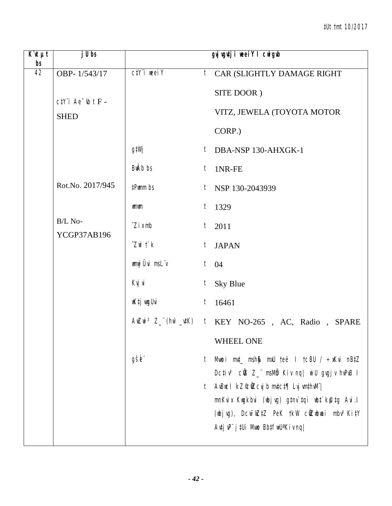| $\overline{K}$ <b><i>ut</i></b><br>bs | $j$ Ubs                                 |                                 | gyj vgutji weeiY I cwigwb                                                                                                          |  |
|---------------------------------------|-----------------------------------------|---------------------------------|------------------------------------------------------------------------------------------------------------------------------------|--|
| 42                                    | OBP-1/543/17                            | $C/Y$ i weei $Y$                | $t$ CAR (SLIGHTLY DAMAGE RIGHT                                                                                                     |  |
|                                       |                                         |                                 | SITE DOOR)                                                                                                                         |  |
|                                       | $ctY$ 'i Ae $ub$ t $F -$<br><b>SHED</b> |                                 | VITZ, JEWELA (TOYOTA MOTOR                                                                                                         |  |
|                                       |                                         |                                 | CORP.)                                                                                                                             |  |
|                                       |                                         | g‡Wj                            | $t$ DBA-NSP 130-AHXGK-1                                                                                                            |  |
|                                       |                                         | <b>BWAb</b> bs                  | 1NR-FE<br>t                                                                                                                        |  |
|                                       | Rot.No. 2017/945                        | #Pwmm bs                        | $t$ NSP 130-2043939                                                                                                                |  |
|                                       |                                         | <b>umum</b>                     | 1329<br>$t_{\parallel}$                                                                                                            |  |
|                                       | B/L No-                                 | $\hat{Z}$ <i>i</i> $x$ mb       | $t_{-}$<br>2011                                                                                                                    |  |
|                                       | YCGP37AB196                             | $Z$ wi $\ddot{\mathcal{L}}$ $k$ | <b>JAPAN</b><br>t                                                                                                                  |  |
|                                       |                                         | wmwj Ûvi msLïv                  | $t \quad 04$                                                                                                                       |  |
|                                       |                                         | Kvj vi                          | t<br>Sky Blue                                                                                                                      |  |
|                                       |                                         | wKtj wyUvi                      | $t_{-}$<br>16461                                                                                                                   |  |
|                                       |                                         |                                 | AwZwi <sup>3</sup> Z_"(hw'_utK) t KEY NO-265, AC, Radio, SPARE                                                                     |  |
|                                       |                                         |                                 | <b>WHEEL ONE</b>                                                                                                                   |  |
|                                       |                                         | gšb"                            | Mwoi mut_ msh\$ mxU teë I tcBU / ÷xKvi nBtZ<br>t                                                                                   |  |
|                                       |                                         |                                 | Dctiv <sup>3</sup> cũ Z_ msMb Kiv nq  wiU gvgjv hvPvB I                                                                            |  |
|                                       |                                         |                                 | AvBuc I $kZ^{\mathcal{C}}$ d $Z$ cvj b mv $t$ c $t$ ¶ Lvj vm $t$ hv $W$ ' <br>t<br>mnKvix Kwgkbvi (wbjvg) g‡nv`‡qi wb‡`kfl‡g Avi.l |  |
|                                       |                                         |                                 | (wbjvg), Dcw <sup>-</sup> wZ‡Z PeK †kW cŴZwbwai mbv <sup>3</sup> Ki‡Y                                                              |  |
|                                       |                                         |                                 | $A$ utj v $P^{\prime}$ j tUi Mwo Bbtfw $U^a$ Kiv ng                                                                                |  |
|                                       |                                         |                                 |                                                                                                                                    |  |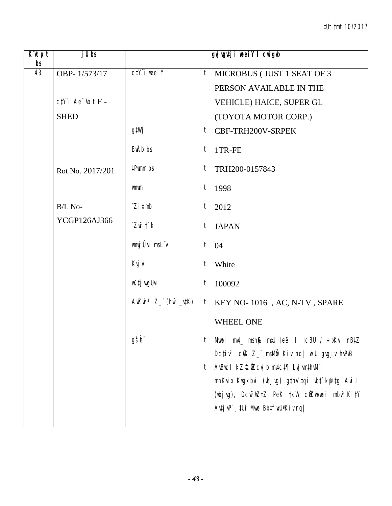| $\overline{K}$ ut $\mu t$<br>bs | $j$ Ubs                 |                             | gyj vgutji weeiY I cwigwb                                                                                                                                                                                                                              |
|---------------------------------|-------------------------|-----------------------------|--------------------------------------------------------------------------------------------------------------------------------------------------------------------------------------------------------------------------------------------------------|
| 43                              | OBP-1/573/17            | $C/Y$ <i>i</i> weel $Y$     | t<br>MICROBUS (JUST 1 SEAT OF 3                                                                                                                                                                                                                        |
|                                 |                         |                             | PERSON AVAILABLE IN THE                                                                                                                                                                                                                                |
|                                 | $ctY$ i Ae $ub$ t $F -$ |                             | VEHICLE) HAICE, SUPER GL                                                                                                                                                                                                                               |
|                                 | <b>SHED</b>             |                             | (TOYOTA MOTOR CORP.)                                                                                                                                                                                                                                   |
|                                 |                         | g‡Wj                        | t CBF-TRH200V-SRPEK                                                                                                                                                                                                                                    |
|                                 |                         | <b>BwAb</b> bs              | $t$ 1TR-FE                                                                                                                                                                                                                                             |
|                                 | Rot.No. 2017/201        | #Pwmm bs                    | TRH200-0157843<br>t                                                                                                                                                                                                                                    |
|                                 |                         | <b>umum</b>                 | $t$ 1998                                                                                                                                                                                                                                               |
|                                 | B/L No-                 | $\hat{Z}$ <i>i</i> $x$ mb   | $t_{-}$<br>2012                                                                                                                                                                                                                                        |
|                                 | YCGP126AJ366            | $Z$ wi $\ddot{\mathcal{L}}$ | $t_{\parallel}$<br><b>JAPAN</b>                                                                                                                                                                                                                        |
|                                 |                         | wmwj Ûvi msLïv              | $t \quad 04$                                                                                                                                                                                                                                           |
|                                 |                         | Kvj vi                      | t<br>White                                                                                                                                                                                                                                             |
|                                 |                         | wK‡j wyUvi                  | 100092<br>t                                                                                                                                                                                                                                            |
|                                 |                         |                             | $\pmb{\text{A}\texttt{WZW}}\text{ }^3 \text{ }Z\text{ }^{\!\!\!\text{''}}\text{ }(\textit{h}\text{W}\text{ }^{\!\!\!\text{''}}\text{ }\textit{w}\text{ }^{\!\!\!\text{''}}\text{ }K\text{)} \quad t \quad \text{KEY NO-1016 }, AC, N\text{-}TV, SPARE$ |
|                                 |                         |                             | <b>WHEEL ONE</b>                                                                                                                                                                                                                                       |
|                                 |                         | gšė"                        | Mwoi mut_ msh\$ mxU teë I tcBU / ÷xKvi nBtZ<br>t                                                                                                                                                                                                       |
|                                 |                         |                             | Dcțiv <sup>3</sup> cÜB Z_" msMb Kiv nq  wiU gvgjv hvPvB I<br>AvBuc I kZ°c0Zcvj b mvtct¶ Lvj vmthvM" <br>t                                                                                                                                              |
|                                 |                         |                             | mnKvix Kwgkbvi (wbjvg) g‡nv`‡qi wb‡`kfl‡g Avi.l                                                                                                                                                                                                        |
|                                 |                         |                             | (wbjvg), Dcw <sup>-</sup> wZ‡Z PeK †kW cŴZwbwai mbv <sup>3</sup> Ki‡Y                                                                                                                                                                                  |
|                                 |                         |                             | Autj uP" j tUi Muno BbtfwU <sup>a</sup> Kiv nq                                                                                                                                                                                                         |
|                                 |                         |                             |                                                                                                                                                                                                                                                        |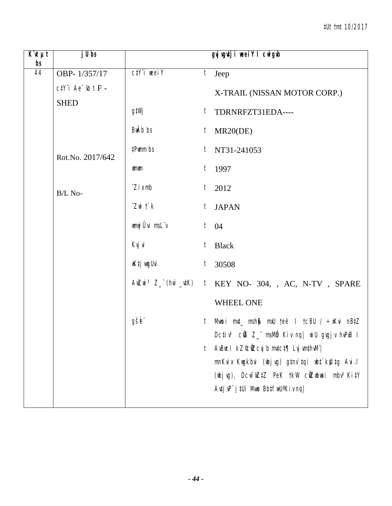| $\overline{K}$ <b><i>ut</i></b><br>bs | $j$ Ubs              |                                 | gyj vgutji weei Y I cwigub                                                                                                                                                                                                      |
|---------------------------------------|----------------------|---------------------------------|---------------------------------------------------------------------------------------------------------------------------------------------------------------------------------------------------------------------------------|
| 44                                    | OBP-1/357/17         | $C/Y$ i weei $Y$                | $t$ Jeep                                                                                                                                                                                                                        |
|                                       | $ctY$ i Ae $b$ t F - |                                 | X-TRAIL (NISSAN MOTOR CORP.)                                                                                                                                                                                                    |
|                                       | <b>SHED</b>          | g‡Wj                            | t TDRNRFZT31EDA----                                                                                                                                                                                                             |
|                                       |                      | BwAb bs                         | MR20(DE)<br>$t_{\parallel}$                                                                                                                                                                                                     |
|                                       | Rot.No. 2017/642     | #Pwmm bs                        | $t$ NT31-241053                                                                                                                                                                                                                 |
|                                       |                      | <b>umum</b>                     | $t$ 1997                                                                                                                                                                                                                        |
|                                       | B/L No-              | $\hat{Z}$ i x mb                | $t$ 2012                                                                                                                                                                                                                        |
|                                       |                      | $Z$ wi $\ddot{\mathcal{L}}$ $k$ | $t_{-}$<br><b>JAPAN</b>                                                                                                                                                                                                         |
|                                       |                      | wmwj Ûvi msLïv                  | $t \quad 04$                                                                                                                                                                                                                    |
|                                       |                      | Kvj vi                          | t<br><b>Black</b>                                                                                                                                                                                                               |
|                                       |                      | wK‡j vugUvi                     | $t$ 30508                                                                                                                                                                                                                       |
|                                       |                      |                                 | AwZwi <sup>3</sup> Z_"(hw`_utK) t KEY NO- 304, , AC, N-TV, SPARE                                                                                                                                                                |
|                                       |                      |                                 | <b>WHEEL ONE</b>                                                                                                                                                                                                                |
|                                       |                      | gšb"                            | t Mwoi m⊄_ msh\$ mxU teë I tcBU / ÷xKvi nB‡Z<br>Dcțiv <sup>3</sup> cÜB Z_" msMb Kiv nq  wiU gvgjv hvPvB I                                                                                                                       |
|                                       |                      |                                 | AvBuc I kZ°cůZcvj b mvtct¶ Lvj vmthvM" <br>t<br>mnKvix Kwgkbvi (wbjvg) g‡nv`tqi wbt`kfutg Avi.l<br>(wbjvg), Dcw <sup>-</sup> wZ‡Z PeK †kW cŴZwbwai mbv <sup>3</sup> Ki‡Y<br>$A$ utj v $P^{\prime}$ j tUi Mwo Bbtfw $U^a$ Kiv ng |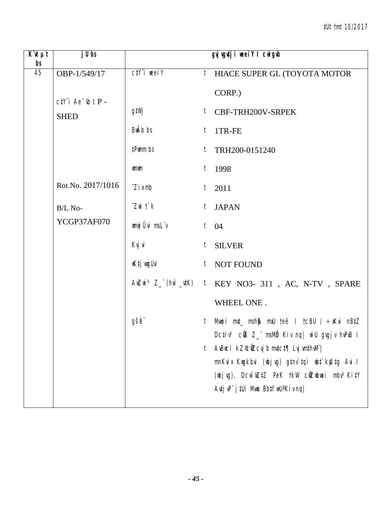| $K$ 'It $\mu t$<br>bs | $j$ Ubs                |                                 | gyj vgutji weei Y I cwigub                                                                                                                                                                                                              |
|-----------------------|------------------------|---------------------------------|-----------------------------------------------------------------------------------------------------------------------------------------------------------------------------------------------------------------------------------------|
| 45                    | OBP-1/549/17           | $C\ddagger Y$ 'i weei $Y$       | $t$ HIACE SUPER GL (TOYOTA MOTOR                                                                                                                                                                                                        |
|                       | $ctY$ 'i Ae $ub$ t P - |                                 | CORP.)                                                                                                                                                                                                                                  |
|                       | <b>SHED</b>            | g‡Wj                            | t CBF-TRH200V-SRPEK                                                                                                                                                                                                                     |
|                       |                        | BwAb bs                         | $t$ 1TR-FE                                                                                                                                                                                                                              |
|                       |                        | #Pwmm bs                        | $t$ TRH200-0151240                                                                                                                                                                                                                      |
|                       |                        | <b>umum</b>                     | $t$ 1998                                                                                                                                                                                                                                |
|                       | Rot.No. 2017/1016      | $\hat{Z}$ <i>i</i> $x$ mb       | $t$ 2011                                                                                                                                                                                                                                |
|                       | B/L No-                | $Z$ wi $\ddot{\mathcal{L}}$ $k$ | $t_{-}$<br><b>JAPAN</b>                                                                                                                                                                                                                 |
|                       | YCGP37AF070            | wmwj Ûvi msL"v                  | $t \quad 04$                                                                                                                                                                                                                            |
|                       |                        | Kvj vi                          | $t_{-}$<br><b>SILVER</b>                                                                                                                                                                                                                |
|                       |                        | wKtj wyUvi                      | t NOT FOUND                                                                                                                                                                                                                             |
|                       |                        |                                 | AwZwi <sup>3</sup> Z_"(hw`_utK) t KEY NO3- 311, AC, N-TV, SPARE                                                                                                                                                                         |
|                       |                        |                                 | WHEEL ONE.                                                                                                                                                                                                                              |
|                       |                        | gšb"                            | t Mwoi m⊄_ msh\$ mxU teë I tcBU / ÷xKvi nB‡Z<br>Dcțiv <sup>3</sup> cÜB Z_" msMb Kiv nq  wiU gvgjv hvPvB I                                                                                                                               |
|                       |                        |                                 | AvBuc I kZ°c0Zcvj b mvtct¶ Lvj vmthvM" <br>t<br>mnKvix Kwgkbvi (wbjvg) g‡nv`tqi wbt`kfutg Avi.l<br>(wbjvg), Dcw <sup>-</sup> wZtZ PeK tkW c <b>wZwbwai</b> mbv <sup>3</sup> KitY<br>$A$ utj v $P^{\prime}$ j tUi Mwo Bbtfw $U^a$ Kiv ng |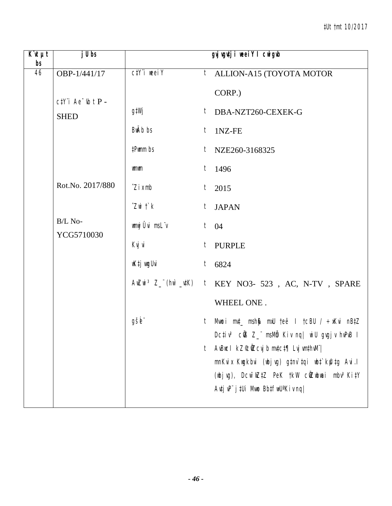| $K$ 'It $\mu t$<br>bs | $j$ Ubs               |                                   |   | gyj vgutji weeiY I cwigub                                                                                                                                                                                                                |
|-----------------------|-----------------------|-----------------------------------|---|------------------------------------------------------------------------------------------------------------------------------------------------------------------------------------------------------------------------------------------|
| 46                    | OBP-1/441/17          | $C\ddagger Y$ $\ddagger$ weel $Y$ |   | <i>t</i> ALLION-A15 (TOYOTA MOTOR                                                                                                                                                                                                        |
|                       | $ctY$ i Ae $ub$ t P - |                                   |   | CORP.)                                                                                                                                                                                                                                   |
|                       | <b>SHED</b>           | g‡Wj                              |   | $t$ DBA-NZT260-CEXEK-G                                                                                                                                                                                                                   |
|                       |                       | <b>BwAb</b> bs                    | t | 1NZ-FE                                                                                                                                                                                                                                   |
|                       |                       | #Pwmm bs                          |   | $t$ NZE260-3168325                                                                                                                                                                                                                       |
|                       |                       | wmwm                              |   | $t$ 1496                                                                                                                                                                                                                                 |
|                       | Rot.No. 2017/880      | $\hat{Z}$ <i>i</i> $x$ mb         |   | $t$ 2015                                                                                                                                                                                                                                 |
|                       |                       | $Z$ wi $\uparrow$ $k$             | t | <b>JAPAN</b>                                                                                                                                                                                                                             |
|                       | B/L No-<br>YCG5710030 | wmwj Ûvi msLïv                    |   | $t \neq 04$                                                                                                                                                                                                                              |
|                       |                       | Kvj vi                            |   | t PURPLE                                                                                                                                                                                                                                 |
|                       |                       | wK‡j wugUvi                       |   | $t$ 6824                                                                                                                                                                                                                                 |
|                       |                       |                                   |   | AwZwi <sup>3</sup> Z_"(hw`_utK) t KEY NO3- 523, AC, N-TV, SPARE                                                                                                                                                                          |
|                       |                       |                                   |   | WHEEL ONE.                                                                                                                                                                                                                               |
|                       |                       | gšb"                              |   | t Mwoi muț msh\$ mxU teë I tcBU / ÷xKvi nB‡Z<br>Dcțiv <sup>3</sup> củ 8Z msMb Kiv nq wiU gugjv huPuB I                                                                                                                                   |
|                       |                       |                                   | t | AvBuc I kZ°cůZcvj b mvtct¶ Lvj vmthvM" <br>mnKvix Kwgkbvi (wbjvg) gtnv`tqi wbt`kfutg Avi.l<br>(wbjvg), Dcw <sup>-</sup> wZtZ PeK tkW c <b>wZwbwai</b> mbv <sup>3</sup> KitY<br>$A$ utj v $P^{\prime\prime}$ j tUi Mwo Bbtfw $U^a$ Kiv nq |
|                       |                       |                                   |   |                                                                                                                                                                                                                                          |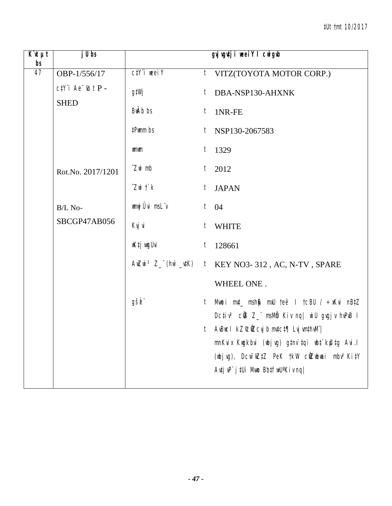| $\overline{K}$ it $\mu t$<br>bs | $j$ Ubs                                      |                                 | gyj vgutji weeiY I cwigub                                                               |
|---------------------------------|----------------------------------------------|---------------------------------|-----------------------------------------------------------------------------------------|
| 47                              | OBP-1/556/17                                 | $C/Y$ i weei $Y$                | <i>t</i> VITZ(TOYOTA MOTOR CORP.)                                                       |
|                                 | $c\ddagger Y$ 'i Ae 'ıb t P -<br><b>SHED</b> | g‡Wj                            | $t$ DBA-NSP130-AHXNK                                                                    |
|                                 |                                              | BwAb bs                         | $t$ 1NR-FE                                                                              |
|                                 |                                              | #Pwmm bs                        | $t$ NSP130-2067583                                                                      |
|                                 |                                              | wmwm                            | $t$ 1329                                                                                |
|                                 | Rot.No. 2017/1201                            | $\hat{Z}$ wi mb                 | $t_{\parallel}$<br>2012                                                                 |
|                                 |                                              | $Z$ wi $\ddot{\mathcal{L}}$ $k$ | t JAPAN                                                                                 |
|                                 | B/L No-                                      | wnwj Ûvi msLïv                  | $t \quad 04$                                                                            |
|                                 | SBCGP47AB056                                 | Kvj vi                          | t WHITE                                                                                 |
|                                 |                                              | wK‡j vugUvi                     | $t_{\parallel}$<br>128661                                                               |
|                                 |                                              |                                 | AwZwi <sup>3</sup> Z_"(hw`_utK) t KEY NO3-312, AC, N-TV, SPARE                          |
|                                 |                                              |                                 | WHEEL ONE.                                                                              |
|                                 |                                              | gšb"                            | Mwoi mut_ msh\$ mxU teë I tcBU / ÷xKvi nBtZ<br>$t_{-}$                                  |
|                                 |                                              |                                 | Dcțiv <sup>3</sup> cÜB Z_" msMb Kiv nq  wiU gvgjv hvPvB I                               |
|                                 |                                              |                                 | t AvBucl kZ©ůZcvjbmvtct¶ LvjvmthvM¨ <br>mnKvix Kwgkbvi (wbjvg) g‡nv`tqi wb‡`kfutg Avi.l |
|                                 |                                              |                                 | (wbjvg), Dcw <sup>-</sup> wZtZ PeK tkW cwZwbwai mbv <sup>3</sup> KitY                   |
|                                 |                                              |                                 | Autj uP" j tUi Muno BbtfwU <sup>a</sup> Kiv nq                                          |
|                                 |                                              |                                 |                                                                                         |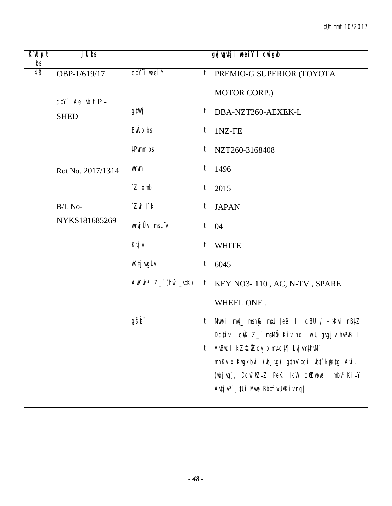| $\overline{K}$ <b><i>ut</i></b><br>bs | $j$ Ubs               |                                 | gyj vgutji weeiY I cwigub                                                                                                                                                                                                               |
|---------------------------------------|-----------------------|---------------------------------|-----------------------------------------------------------------------------------------------------------------------------------------------------------------------------------------------------------------------------------------|
| 48                                    | OBP-1/619/17          | $C/Y$ i weei $Y$                | $t$ PREMIO-G SUPERIOR (TOYOTA                                                                                                                                                                                                           |
|                                       | $c$ #Y"i Ae "Ib t P - |                                 | MOTOR CORP.)                                                                                                                                                                                                                            |
|                                       | <b>SHED</b>           | g‡Wj                            | $t$ DBA-NZT260-AEXEK-L                                                                                                                                                                                                                  |
|                                       |                       | BwAb bs                         | 1NZ-FE<br>$t_{-}$                                                                                                                                                                                                                       |
|                                       |                       | #Pwmm bs                        | $t$ NZT260-3168408                                                                                                                                                                                                                      |
|                                       | Rot.No. 2017/1314     | <b>umum</b>                     | $t$ 1496                                                                                                                                                                                                                                |
|                                       |                       | $\hat{Z}$ <i>i</i> $x$ mb       | $t$ 2015                                                                                                                                                                                                                                |
|                                       | B/L No-               | $Z$ wi $\ddot{\mathcal{L}}$ $k$ | $t_{-}$<br><b>JAPAN</b>                                                                                                                                                                                                                 |
|                                       | NYKS181685269         | wmwj Ûvi msLïv                  | $t \quad 04$                                                                                                                                                                                                                            |
|                                       |                       | Kvj vi                          | $t_{-}$<br><b>WHITE</b>                                                                                                                                                                                                                 |
|                                       |                       | wK‡j wugUvi                     | $t$ 6045                                                                                                                                                                                                                                |
|                                       |                       |                                 | AwZwi <sup>3</sup> Z_"(hw`_utK) t KEY NO3-110, AC, N-TV, SPARE                                                                                                                                                                          |
|                                       |                       |                                 | WHEEL ONE.                                                                                                                                                                                                                              |
|                                       |                       | gšb"                            | t Mwoi m⊄_ msh∯ mxU teë I tcBU / ÷xKvi nB‡Z<br>Dcțiv <sup>3</sup> cÜB Z_" msMb Kiv nq  wiU gvgjv hvPvB I                                                                                                                                |
|                                       |                       |                                 | AvBuc I kZ°c0Zcvj b mvtct¶ Lvj vmthvM" <br>t<br>mnKvix Kwgkbvi (wbjvg) g‡nv`tqi wbt`kfutg Avi.l<br>(wbjvg), Dcw <sup>-</sup> wZtZ PeK tkW c <b>wZwbwai</b> mbv <sup>3</sup> KitY<br>$A$ utj v $P^{\prime}$ j tUi Mwo Bbtfw $U^a$ Kiv ng |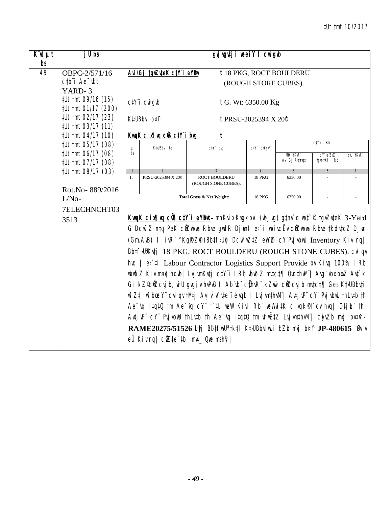| $\overline{K}$ ut $\mu t$<br>bs | j U bs                                             |       |                                                                 | gyj vgutji weei Y I cwigub                                                                                                                                                                                                                                                                                                                                                                                                                                                                                                                                                                                                                                                                                                                                                                                                                                                                                                                                                                                                                                                     |                                  |                         |                |                       |  |  |  |
|---------------------------------|----------------------------------------------------|-------|-----------------------------------------------------------------|--------------------------------------------------------------------------------------------------------------------------------------------------------------------------------------------------------------------------------------------------------------------------------------------------------------------------------------------------------------------------------------------------------------------------------------------------------------------------------------------------------------------------------------------------------------------------------------------------------------------------------------------------------------------------------------------------------------------------------------------------------------------------------------------------------------------------------------------------------------------------------------------------------------------------------------------------------------------------------------------------------------------------------------------------------------------------------|----------------------------------|-------------------------|----------------|-----------------------|--|--|--|
| 49                              | OBPC-2/571/16                                      |       | Avi/Gj tgvZuteK ctY i eYBv                                      |                                                                                                                                                                                                                                                                                                                                                                                                                                                                                                                                                                                                                                                                                                                                                                                                                                                                                                                                                                                                                                                                                |                                  | t 18 PKG, ROCT BOULDERU |                |                       |  |  |  |
|                                 | $ctb$ <sup><math>i</math></sup> Ae $-$ tht         |       |                                                                 |                                                                                                                                                                                                                                                                                                                                                                                                                                                                                                                                                                                                                                                                                                                                                                                                                                                                                                                                                                                                                                                                                | (ROUGH STORE CUBES).             |                         |                |                       |  |  |  |
|                                 | YARD-3                                             |       |                                                                 |                                                                                                                                                                                                                                                                                                                                                                                                                                                                                                                                                                                                                                                                                                                                                                                                                                                                                                                                                                                                                                                                                |                                  |                         |                |                       |  |  |  |
|                                 | #Ut tmt 09/16 (15)<br>#Ut tmt 01/17 (200)          |       | ctY'i cwigvb                                                    |                                                                                                                                                                                                                                                                                                                                                                                                                                                                                                                                                                                                                                                                                                                                                                                                                                                                                                                                                                                                                                                                                | t G. Wt: 6350.00 Kg              |                         |                |                       |  |  |  |
|                                 | #Ut tmt 02/17 (23)<br>#Ut tmt 03/17 (11)           |       | Kt>UBbvi b¤î                                                    |                                                                                                                                                                                                                                                                                                                                                                                                                                                                                                                                                                                                                                                                                                                                                                                                                                                                                                                                                                                                                                                                                | t PRSU-2025394 X 20 <sup>°</sup> |                         |                |                       |  |  |  |
|                                 | #Ut tmt 04/17 (10)                                 |       | KwaK cix¶ya ciB ctY i byg                                       | t                                                                                                                                                                                                                                                                                                                                                                                                                                                                                                                                                                                                                                                                                                                                                                                                                                                                                                                                                                                                                                                                              |                                  |                         |                |                       |  |  |  |
|                                 | #Ut tmt 05/17 (08)                                 | $\mu$ | $C\ddagger Y$ i IRb<br>Kt>UBbvi bs<br>ctY'i brg<br>ctY'i cwigvY |                                                                                                                                                                                                                                                                                                                                                                                                                                                                                                                                                                                                                                                                                                                                                                                                                                                                                                                                                                                                                                                                                |                                  |                         |                |                       |  |  |  |
|                                 | #Ut tmt 06/17 (08)                                 | bs    |                                                                 |                                                                                                                                                                                                                                                                                                                                                                                                                                                                                                                                                                                                                                                                                                                                                                                                                                                                                                                                                                                                                                                                                |                                  | Mån (†KwR)              | CY e Z X Z     | $b$ xU († $K$ u $R$ ) |  |  |  |
|                                 | #Ut tmt 07/17 (08)                                 |       |                                                                 |                                                                                                                                                                                                                                                                                                                                                                                                                                                                                                                                                                                                                                                                                                                                                                                                                                                                                                                                                                                                                                                                                |                                  | Avi.Gj Abhyqx           | tgro‡Ki IRb    |                       |  |  |  |
|                                 | #Ut tmt 08/17 (03)                                 |       |                                                                 | $\overline{3}$                                                                                                                                                                                                                                                                                                                                                                                                                                                                                                                                                                                                                                                                                                                                                                                                                                                                                                                                                                                                                                                                 | $\overline{4}$                   | $\overline{5}$          | $\overline{6}$ | $\overline{7}$        |  |  |  |
|                                 |                                                    | 1.    | PRSU-2025394 X 20 <sup>°</sup>                                  | <b>ROCT BOULDERU</b><br>(ROUGH StONE CUBES).                                                                                                                                                                                                                                                                                                                                                                                                                                                                                                                                                                                                                                                                                                                                                                                                                                                                                                                                                                                                                                   | 18 PKG                           | 6350.00                 |                |                       |  |  |  |
|                                 |                                                    |       |                                                                 | Total Gross & Net Weight:                                                                                                                                                                                                                                                                                                                                                                                                                                                                                                                                                                                                                                                                                                                                                                                                                                                                                                                                                                                                                                                      | 18 PKG                           | 6350.00                 | $\sim$         |                       |  |  |  |
|                                 | Rot.No-889/2016<br>$L/No-$<br>7ELECHNCHT03<br>3513 |       | $eU$ Kiv ng $ C\ddot{Q}Ze^t$ tbi mvt_ Que msh $\frac{g}{2}$     | KwqK cixflwq cüB ctY'i eYBut- mnKvix Kwgkbvi (wbj vg) gtnv`q wbt`R tgvZvteK 3-Yard<br>G Dcw <sup>-</sup> Z n‡q PeK cilZubwa Rbve gwdR Dj m1 e>`i wbivcËv cilZubwa Rbve ‡kdv‡qZ Dj m<br>(Gm.AvB) I ivR <sup>-^</sup> KgRZP(Bbtf)Ut) Dcw <sup>-</sup> wZtZ ewYZ cY'PvjvbwU Inventory Kiv nq <br>Bb‡fJUfKvtj 18 PKG, ROCT BOULDERU (ROUGH STONE CUBES). Cvl qv<br>hvg   e>`ti Labour Contractor Logistics Support Provide by Kivg 100% IRb<br>nbnðZ Kiv m¤ê ngnb  Lvj vmKv‡j c‡Y¨i IRb nbnðZ mv‡c‡¶ Qvo‡hvM¨  Avg`vbx bxnZ Av‡`k<br>Gi kZ°cůZcvj b, wi U gvgj v hvPvB I Ab vb cůhvR kZm cůZcvj b mvtct¶ Ges Kt>UBbvti<br>wfZ‡i wfbœY" cvl qv tM‡j Avj v`vfvte ïévqb I Lvj vmthvM"  Av‡j vP" cY" Pvj vbwU thLvtb th<br>Ae $\overline{\iota}$ it qt 0 $\overline{\iota}$ m Ae $\overline{\iota}$ iq c Y" $\overline{\iota}$ it lew Kivi Rb" we Whit K civgk $\mathbb{C}$ av hvg   Dtj L" th,<br>AutjuP" cY" PujubuU thLutb th Ae <sup>-</sup> uq itqtQ tm wfwEtZ LujumthuM"  ciwZb muj bu¤ni-<br>RAME20275/51526 Ltj BbtfwU <sup>a</sup> tktl KtuBbviwUi bZb mxj b¤f JP-480615 Øviv |                                  |                         |                |                       |  |  |  |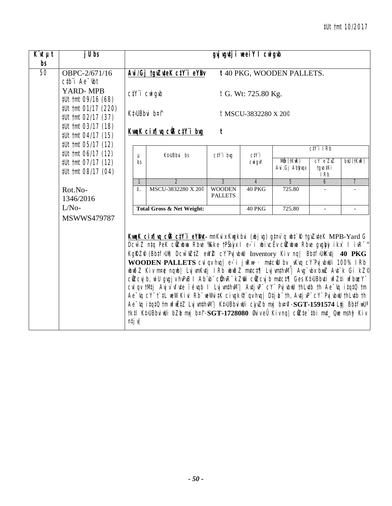| $\overline{K}$ ut $\mu t$<br>bs | j U bs                                                                                                              |               |                                                                                                                                                                                                                                                                                                                                                                                                                                                                                                                                                                                                                                                                                                                                                                                                                                                                                                                    |                                | gvj vgutj i weeiY I cwigub       |                             |                                 |                |  |  |
|---------------------------------|---------------------------------------------------------------------------------------------------------------------|---------------|--------------------------------------------------------------------------------------------------------------------------------------------------------------------------------------------------------------------------------------------------------------------------------------------------------------------------------------------------------------------------------------------------------------------------------------------------------------------------------------------------------------------------------------------------------------------------------------------------------------------------------------------------------------------------------------------------------------------------------------------------------------------------------------------------------------------------------------------------------------------------------------------------------------------|--------------------------------|----------------------------------|-----------------------------|---------------------------------|----------------|--|--|
| 50                              | OBPC-2/671/16<br>$ctb$ <sup>"</sup> $i$ Ae $-$ tht                                                                  |               | Avi/Gj tgvZuteK ctY i eYBv                                                                                                                                                                                                                                                                                                                                                                                                                                                                                                                                                                                                                                                                                                                                                                                                                                                                                         |                                |                                  | t 40 PKG, WOODEN PALLETS.   |                                 |                |  |  |
|                                 | YARD-MPB<br>#Ut tmt 09/16 (68)                                                                                      |               | $C/Y$ <sup>"</sup> $i$ $CW$ <sup><math>q</math></sup> $d$                                                                                                                                                                                                                                                                                                                                                                                                                                                                                                                                                                                                                                                                                                                                                                                                                                                          |                                | t G. Wt: 725.80 Kg.              |                             |                                 |                |  |  |
|                                 | #Ut tmt 01/17 (220)<br>#Ut tmt 02/17 (37)                                                                           |               | Kt>UBbvi b¤î                                                                                                                                                                                                                                                                                                                                                                                                                                                                                                                                                                                                                                                                                                                                                                                                                                                                                                       |                                | t MSCU-3832280 X 20 <sup>°</sup> |                             |                                 |                |  |  |
|                                 | #Ut tmt 03/17 (18)<br>#Ut tmt 04/17 (15)                                                                            |               | KwgK cix¶wg c@ ctY i bwg                                                                                                                                                                                                                                                                                                                                                                                                                                                                                                                                                                                                                                                                                                                                                                                                                                                                                           | t                              |                                  |                             |                                 |                |  |  |
|                                 | <i>‡Ut †mt 05/17 (12)</i><br>#Ut tmt 06/17 (12)<br>#Ut tmt 07/17 (12)<br>#Ut tmt 08/17 (04)<br>Rot.No-<br>1346/2016 |               |                                                                                                                                                                                                                                                                                                                                                                                                                                                                                                                                                                                                                                                                                                                                                                                                                                                                                                                    |                                | ctY'i bvg                        | $C/Y$ i                     |                                 | $C/Y$ i IRb    |  |  |
|                                 |                                                                                                                     | $\mu$<br>bs   | Kt>UBbvi bs                                                                                                                                                                                                                                                                                                                                                                                                                                                                                                                                                                                                                                                                                                                                                                                                                                                                                                        |                                | $C$ <i>Mi</i> $g_V$              | Mån (†KwR)<br>Avi.Gj Abbygx | $cY$ e $ZnZ$<br>tgvo‡Ki<br>I Rb | bxU (tKwR)     |  |  |
|                                 |                                                                                                                     | $\mathcal{I}$ | $\overline{2}$                                                                                                                                                                                                                                                                                                                                                                                                                                                                                                                                                                                                                                                                                                                                                                                                                                                                                                     | $\overline{3}$                 | $\overline{4}$                   | $\overline{5}$              | 6                               | $\overline{7}$ |  |  |
|                                 |                                                                                                                     |               | 1.                                                                                                                                                                                                                                                                                                                                                                                                                                                                                                                                                                                                                                                                                                                                                                                                                                                                                                                 | MSCU-3832280 X 20 <sup>®</sup> | <b>WOODEN</b><br><b>PALLETS</b>  | <b>40 PKG</b>               | 725.80                          |                |  |  |
|                                 | $L/No-$                                                                                                             |               | <b>Total Gross &amp; Net Weight:</b>                                                                                                                                                                                                                                                                                                                                                                                                                                                                                                                                                                                                                                                                                                                                                                                                                                                                               |                                | <b>40 PKG</b>                    | 725.80                      |                                 |                |  |  |
|                                 | MSWWS479787                                                                                                         | n t j v       | KwaK cin Juq cüs cty i eybnt- mnKvix Kwgkbvi (wbjvg) gtnv`q wbt`R tgvZvteK MPB-Yard G<br>Dcw~Z ntq PeK cüZwbwa Rbve %Kke †Pšajx I e>`i wbivcËv cüZwbwa Rbve gvglojy ikx` I ivR~^<br>KgRZP (BbtfJUI) DCWTWZtZ eWYZ CYPVjvbW Inventory Kiv ng BbtfJUIKvtj 40 PKG<br>WOODEN PALLETS cvl qv hvq  e>`i jwRw÷· mutciU bv _vKvq cY'PvjvbwUi 100% IRb<br>wbwðZ Kiv m¤ė ngwb  LvjwnKv‡j 1Rb wbwðZ mv‡c‡¶ Lvjwn‡hvM¨  Avg`vbx bxwZ Av‡`k Gi kZ©<br>cüZcvj b, wi U gvgj v hvPvB I Ab vb cühvR kZm cüZcvj b mutct¶ Ges Kt>UBbuti wfZti wfbacY"<br>cvl qv tMtj Avj v`vfvte i évqb I Lvj wnthwli'   Avtj vPi cYi Pvj vbuU thLvtb th Ae Vq itqtQ tm<br>Ae "vq cY" t`tL weW Kivi Rb" weWvitK civgk®`qv hvq  DtjL" th, AvtjvP" cY" PvjvbwU thLvtb th<br>Ae vq itqt0 tm wfiiEtZ Luj wnthuM"  KtuBbviwUi cjuZb mxj bv¤ni SGT-1591574 Ltj BbtfwU'<br>tk‡l K‡UBbviwUi bZb mxj b¤î-SGT-1728080 ØviveÜ Kivnq  cŴZte`tbi mut_ Qwe mshỹ Kiv |                                |                                  |                             |                                 |                |  |  |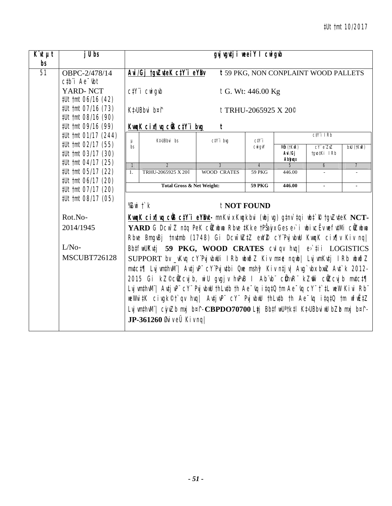| $\overline{K}$ 'it $\mu t$<br>bs | j U bs                                                                                 |                                                                                                                                                                                                                                                                                                                                                                                                                                                                                                                                                                                                                                                                                                                                        |                                                                                                      | gvj vgutj i weeiY I cwigub |                                |                             |                                      |                |  |  |
|----------------------------------|----------------------------------------------------------------------------------------|----------------------------------------------------------------------------------------------------------------------------------------------------------------------------------------------------------------------------------------------------------------------------------------------------------------------------------------------------------------------------------------------------------------------------------------------------------------------------------------------------------------------------------------------------------------------------------------------------------------------------------------------------------------------------------------------------------------------------------------|------------------------------------------------------------------------------------------------------|----------------------------|--------------------------------|-----------------------------|--------------------------------------|----------------|--|--|
| $\overline{51}$                  | OBPC-2/478/14<br>$ctb$ <sup>"</sup> $i$ Ae $^-$ tht                                    |                                                                                                                                                                                                                                                                                                                                                                                                                                                                                                                                                                                                                                                                                                                                        | Avi/Gj tgvZuteK ctY i eYBv                                                                           |                            |                                |                             | t 59 PKG, NON CONPLAINT WOOD PALLETS |                |  |  |
|                                  | YARD-NCT<br>#Ut tmt 06/16 (42)                                                         |                                                                                                                                                                                                                                                                                                                                                                                                                                                                                                                                                                                                                                                                                                                                        | $C/Y$ <sup>"</sup> $i$ $C$ <sup><math>N</math></sup> $i$ $q$ <sup><math>y</math><math>b</math></sup> |                            | $t$ G. Wt: 446.00 Kg           |                             |                                      |                |  |  |
|                                  | #Ut tmt 07/16 (73)<br>#Ut tmt 08/16 (90)                                               |                                                                                                                                                                                                                                                                                                                                                                                                                                                                                                                                                                                                                                                                                                                                        | Kt>UBbvi b¤î<br>t TRHU-2065925 X 20 <sup>°</sup>                                                     |                            |                                |                             |                                      |                |  |  |
|                                  | #Ut tmt 09/16 (99)                                                                     |                                                                                                                                                                                                                                                                                                                                                                                                                                                                                                                                                                                                                                                                                                                                        | <u>KwqK cix¶vq ci3 ctY i bvg</u>                                                                     | t                          |                                |                             |                                      |                |  |  |
|                                  | #Ut tmt 01/17 (244)                                                                    | μ                                                                                                                                                                                                                                                                                                                                                                                                                                                                                                                                                                                                                                                                                                                                      | Kt>UBbvi bs                                                                                          | $C/Y$ i bvq                | ctY i                          |                             | $C\ddagger Y$ i I $Rb$               |                |  |  |
|                                  | #Ut tmt 02/17 (55)<br>bs<br>#Ut tmt 03/17 (30)<br>#Ut tmt 04/17 (25)<br>$\overline{1}$ |                                                                                                                                                                                                                                                                                                                                                                                                                                                                                                                                                                                                                                                                                                                                        |                                                                                                      | cwi gvY                    | Mån (†KwR)<br>Avi/Gj<br>Abhygx | $cY$ e $ZnZ$<br>tgvo‡Ki IRb | $b$ xU ( $t$ Ku $R$ )                |                |  |  |
|                                  |                                                                                        |                                                                                                                                                                                                                                                                                                                                                                                                                                                                                                                                                                                                                                                                                                                                        | $\overline{2}$                                                                                       | $\mathcal{E}$              | $\overline{4}$                 | $\sqrt{2}$                  | 6                                    | $\overline{7}$ |  |  |
|                                  | #Ut tmt 05/17 (22)                                                                     | 1.                                                                                                                                                                                                                                                                                                                                                                                                                                                                                                                                                                                                                                                                                                                                     | TRHU-2065925 X 20 <sup>°</sup>                                                                       | <b>WOOD CRATES</b>         | <b>59 PKG</b>                  | 446.00                      |                                      |                |  |  |
|                                  | #Ut tmt 06/17 (20)<br>#Ut tmt 07/17 (20)                                               |                                                                                                                                                                                                                                                                                                                                                                                                                                                                                                                                                                                                                                                                                                                                        | <b>Total Gross &amp; Net Weight:</b>                                                                 |                            | <b>59 PKG</b>                  | 446.00                      |                                      |                |  |  |
|                                  | #Ut tmt 08/17 (05)<br>Rot.No-<br>2014/1945<br>$L/No-$<br><b>MSCUBT726128</b>           | % $Z$ wi $\ddot{\ }$ $k$<br>t NOT FOUND<br>Kung K cinfluq cüs ctY i eYBut- mnKvix Kugkbvi (ubjvg) gtnv`tqi ubt`R tgvZvteK NCT-<br>YARD G Dcw <sup>-</sup> Z ntq PeK cûZubwa Rbve tKke tPŠaju Ges e>`i ubivcËv wefvtMi cûZubwa<br>Rbve BmgvBj tnvtmb (1748) Gi Dcw <sup>-</sup> wZtZ ewYZ cY'PvjvbwU KwqK cix¶v Kiv nq <br>BbtfwUKutj 59 PKG, WOOD CRATES culqu huq e>tii LOGISTICS<br>SUPPORT bv _vKvq cY'PvjvbuUi IRb ubuðZ Kiv m¤e nqub  LvjvmKvtj IRb ubuðZ<br>mutct¶ LvjwmthwM"  AutjwP" cY'Pvjutbi Que mshỹ Kiv ntjv  Aug`ubx bxwZ Aut`k 2012-<br>2015 Gi kZ <sup>©</sup> cůZcvjb, wiU gvgjv hvPvB I Ab vb cůhvR kZm cůZcvjb mvtct¶<br>Lvj wnthuM"   Autj vP" cY" Puj vbuU thLutb th Ae "uq itqtQ tm Ae "uq cY" t`tL weW Kivi Rb" |                                                                                                      |                            |                                |                             |                                      |                |  |  |
|                                  |                                                                                        | weWvitK civgk©†`qv hvq  AvtjvP¨ cY¨ PvjvbwU thLvtb th Ae <sup>-</sup> vq itqtQ tm wfwËtZ<br>Lvj vmthvM"   cjyZb mxj b¤î-CBPDO70700 Ljj BbtfwU'tktl KtJUBbviwU bZb mxj b¤î-<br>JP-361260 ØviveÜ Kivnq                                                                                                                                                                                                                                                                                                                                                                                                                                                                                                                                   |                                                                                                      |                            |                                |                             |                                      |                |  |  |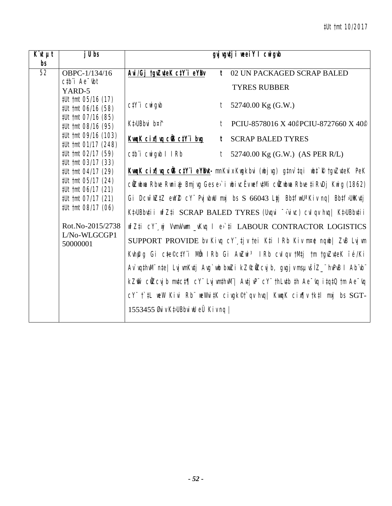| $K\mathcal{U}$ $\mu t$ | $j$ U bs                                                                                                                 |                                                               | gvjugutji weeiY I cwigub                                                                              |
|------------------------|--------------------------------------------------------------------------------------------------------------------------|---------------------------------------------------------------|-------------------------------------------------------------------------------------------------------|
| bs                     |                                                                                                                          |                                                               |                                                                                                       |
| 52                     | OBPC-1/134/16                                                                                                            | Avi/Gj tgvZuteK ctY'i eYBv                                    | t 02 UN PACKAGED SCRAP BALED                                                                          |
|                        | $ctb$ <sup><math>\dot{\phantom{a}}</math></sup> Ae $\dot{\phantom{a}}$ $\dot{\phantom{a}}$ $\dot{\phantom{a}}$<br>YARD-5 |                                                               | <b>TYRES RUBBER</b>                                                                                   |
|                        | <i>‡Ut †mt 05/16 (17)</i><br>#Ut tmt 06/16 (58)                                                                          | $C/Y$ <sup>"</sup> $i$ $CW$ $g$ <sub><math>W</math></sub> $g$ | $t$ 52740.00 Kg (G.W.)                                                                                |
|                        | #Ut tmt 07/16 (85)<br>#Ut tmt 08/16 (95)                                                                                 | Kt>UBbvi b¤f                                                  | t PCIU-8578016 X 40. PCIU-8727660 X 40.                                                               |
|                        | #Ut tmt 09/16 (103)<br>#Ut tmt 01/17 (248)                                                                               | <u>KwqK cix¶vq ciB ctY i bug</u>                              | <b>t</b> SCRAP BALED TYRES                                                                            |
|                        | #Ut tmt 02/17 (59)<br><i>‡Ut †mt 03/17 (33)</i>                                                                          | ctbi cwigwb I IRb                                             | $t$ 52740.00 Kg (G.W.) (AS PER R/L)                                                                   |
|                        | #Ut tmt 04/17 (29)                                                                                                       |                                                               | KwqK cix¶wq cÜB ctY'i eYBwt-mnKvix Kwgkbvi (wbjvg) gtnv`tqi wbt`R tgvZvteK PeK                        |
|                        | <i>‡Ut †mt 05/17 (24)</i><br>#Ut tmt 06/17 (21)                                                                          |                                                               | cüzubua Rbve Runiaj Bmjvg Gesev`i ubivcËv uefv‡Mi cüzubua Rbve ți RvDj Kwig (1862)                    |
|                        | #Ut tmt 07/17 (21)                                                                                                       |                                                               | Gi Dcw <sup>-</sup> wZtZ ewYZ cY" Pvj vbwU mxj bs S 66043 Ltj BbtfwU <sup>a</sup> Kiv nq  BbtfJUiKvtj |
|                        | #Ut tmt 08/17 (06)                                                                                                       |                                                               | Kt>UBbuti i wfZti SCRAP BALED TYRES (Uvqvi ~ vivc) cvl qv hvq   Kt>UBbuti i                           |
|                        | Rot.No-2015/2738<br>L/No-WLGCGP1                                                                                         |                                                               | wfZ‡i cY wj Vwm/Vwm _vKvq l e>`‡i LABOUR CONTRACTOR LOGISTICS                                         |
|                        | 50000001                                                                                                                 |                                                               | SUPPORT PROVIDE by Kivq cY tjv tei Kti IRb Kiv m¤e nqub  ZvB Lvjvm                                    |
|                        |                                                                                                                          |                                                               | Kưhệig Gi c‡e©c‡Yï Mẫn IRb Gi AwZwi <sup>3</sup> IRb culqu tM‡j tm tguZuteK ïé/Ki                     |
|                        |                                                                                                                          |                                                               | Ar`vqthvM" nte  Lvj vmKvtj Avg`wb bwzi kZ©wZcvjb, gvgj v msµvšíZ_" hvPvB I Ab"vb"                     |
|                        |                                                                                                                          |                                                               | kZm̃`cüZcvjb mutct¶ cY¨ LvjumthuM¨  AvtjuP¨ cY¨ thLutb th Ae~vq itqtQ tm Ae~vq                        |
|                        |                                                                                                                          |                                                               | cY" t'#L weW Kivi Rb" weWvi#K civgk©t'qv hvq  KwqK cix¶v tk#l mxj bs SGT-                             |
|                        |                                                                                                                          | 1553455 Øviv KtyUBbvinU eÜ Kivng                              |                                                                                                       |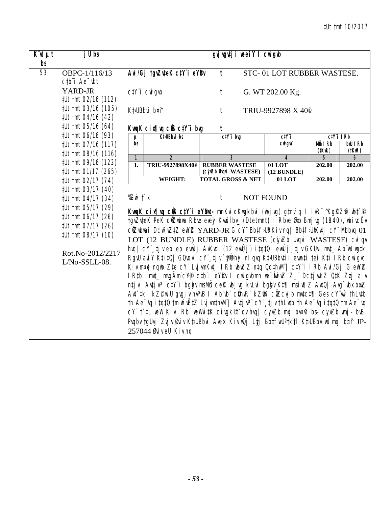| $\overline{K}$ 'it $\mu t$<br>bs | j U bs                                                                                                                                                                   |                                                                                                                                                                                                                                                                                                                                                                                                                                                                                                                                                                                                                                                                                                                                                                                                                                                                                                                                                                                                                                                                                                                                                                                                                            | gyj vgvtji weelY I cwigub                      |                                |                                        |                                |
|----------------------------------|--------------------------------------------------------------------------------------------------------------------------------------------------------------------------|----------------------------------------------------------------------------------------------------------------------------------------------------------------------------------------------------------------------------------------------------------------------------------------------------------------------------------------------------------------------------------------------------------------------------------------------------------------------------------------------------------------------------------------------------------------------------------------------------------------------------------------------------------------------------------------------------------------------------------------------------------------------------------------------------------------------------------------------------------------------------------------------------------------------------------------------------------------------------------------------------------------------------------------------------------------------------------------------------------------------------------------------------------------------------------------------------------------------------|------------------------------------------------|--------------------------------|----------------------------------------|--------------------------------|
| 53                               | OBPC-1/116/13<br>$ctb$ <sup><math>i</math></sup> Ae $-$ tbt                                                                                                              | Avi/Gj tgvZuteK ctY i eYBv                                                                                                                                                                                                                                                                                                                                                                                                                                                                                                                                                                                                                                                                                                                                                                                                                                                                                                                                                                                                                                                                                                                                                                                                 | $\mathbf{t}$                                   | STC-01 LOT RUBBER WASTESE.     |                                        |                                |
|                                  | YARD-JR<br>#Ut tmt 02/16 (112)                                                                                                                                           | $C/Y$ <sup>"</sup> $i$ $CW$ <sup><math>q</math></sup> $d$                                                                                                                                                                                                                                                                                                                                                                                                                                                                                                                                                                                                                                                                                                                                                                                                                                                                                                                                                                                                                                                                                                                                                                  | t                                              | G. WT 202.00 Kg.               |                                        |                                |
|                                  | #Ut tmt 03/16 (105)<br>#Ut tmt 04/16 (42)                                                                                                                                | Kt>UBbvi b¤î                                                                                                                                                                                                                                                                                                                                                                                                                                                                                                                                                                                                                                                                                                                                                                                                                                                                                                                                                                                                                                                                                                                                                                                                               | t                                              | TRIU-9927898 X 40 <sup>°</sup> |                                        |                                |
|                                  | #Ut tmt 05/16 (64)                                                                                                                                                       | Kung K cinflug ciB ctY i bug                                                                                                                                                                                                                                                                                                                                                                                                                                                                                                                                                                                                                                                                                                                                                                                                                                                                                                                                                                                                                                                                                                                                                                                               | t                                              |                                |                                        |                                |
|                                  | #Ut tmt 06/16 (93)<br>#Ut tmt 07/16 (117)                                                                                                                                | <b>Kt</b> <sub>U</sub> Bbvi bs<br>$\mu$<br>bs                                                                                                                                                                                                                                                                                                                                                                                                                                                                                                                                                                                                                                                                                                                                                                                                                                                                                                                                                                                                                                                                                                                                                                              | $ctY$ i bug                                    | ctYi<br><b>CWigvY</b>          | $ctY$ i IRb<br>Môi IRb<br>$($ tKuR $)$ | <b>bxU</b> IRb<br>$(t$ Kw $R)$ |
|                                  | #Ut tmt 08/16 (116)                                                                                                                                                      | $\overline{2}$<br>$\mathbf{1}$                                                                                                                                                                                                                                                                                                                                                                                                                                                                                                                                                                                                                                                                                                                                                                                                                                                                                                                                                                                                                                                                                                                                                                                             | $\overline{\mathbf{3}}$                        | 4                              | $\overline{5}$                         | 6                              |
|                                  | #Ut tmt 09/16 (122)<br>#Ut tmt 01/17 (265)                                                                                                                               | 1.<br>TRIU-9927898X40 <sup>©</sup>                                                                                                                                                                                                                                                                                                                                                                                                                                                                                                                                                                                                                                                                                                                                                                                                                                                                                                                                                                                                                                                                                                                                                                                         | <b>RUBBER WASTESE</b><br>(cjuZb Uvqvi WASTESE) | 01 LOT<br>(12 BUNDLE)          | 202.00                                 | 202.00                         |
|                                  | #Ut tmt 02/17 (74)                                                                                                                                                       | WEIGHT:                                                                                                                                                                                                                                                                                                                                                                                                                                                                                                                                                                                                                                                                                                                                                                                                                                                                                                                                                                                                                                                                                                                                                                                                                    | <b>TOTAL GROSS &amp; NET</b>                   | $01$ LOT                       | 202.00                                 | 202.00                         |
|                                  | #Ut tmt 03/17 (40)<br>#Ut tmt 04/17 (34)<br>#Ut tmt 05/17 (29)<br>#Ut tmt 06/17 (26)<br>#Ut tmt 07/17 (26)<br>#Ut tmt 08/17 (10)<br>Rot.No-2012/2217<br>$L/No-SSLL-08$ . | % $Z$ witk<br>KwqK cix¶wq cÜS ctYïi eYBwt- mnKvix Kwgkbvi (wbjvg) gtnv`q l ivR <sup>-</sup> ^KgRZfi wbt`R<br>tgvZvteK PeK cůZubwa Rbve evejy Kwušíbv_ (Dtetmnt) I Rbve Øxb Bmj vg (1840), wbivcËv<br>cůZubnai Dcw-nZtZ enYZ YARD-JR G cY Bbtf>Uî Kiv nq  Bbtf>UîKvtj cY Mbbvq 01<br>LOT (12 BUNDLE) RUBBER WASTESE (cinZb Urqui WASTESE) cul qu<br>hvq  cY" tjveo eo emÛj AvKvti (12 emÛj) itqtQ  emÛj tjv GKUvi mvt_Ab wU wgtk<br>RgvU avi Y K‡i‡Q  GQvovI cY¨, ‡j v `Mi biy nl qvq K‡JUBbv‡i i ewn‡i †ei K‡i I Rb cwigvc<br>Kiv m¤e ngub Zte cY" Lvj wnKvtj IRb ubuðZ ntg QothvM"   ctY"i IRb Avi/Gj G ewYZ<br>I Rtbi mut_ mugÄm c¥® ctb i eY® I cwigubmn we wiwZ Z_ Dctj wLZ QtK Ztj aiv<br>ntjv  AvtjvP" ctY"i bgbyv mslvið cef( wbjvg kvLvi bgbyv Kt¶ msiw¶Z AvtQ  Avg`vbx bxwZ<br>Ant`tki kZ©miU grgjr hrPrB I Ab`rb`c#hrR`kZm^c#Zcrjb mrtct¶ Ges cY`wr`thLrtb<br>th Ae <sup>-</sup> vq itqt0 tm wfwEtZ Lvj wnthwM"  Avtj vP" $CV^*$ tj v thLvtb th Ae <sup>-</sup> vq itqt0 tm Ae <sup>-</sup> vq<br>cY" t`‡L weW Kivi Rb" weWvi‡K civgk <sup>®</sup> t`qv hvq  cjvZb mxj bv¤fi bs- cjvZb wnj - bvB,<br>Pvqbv tgUvj Zvj v Øvi v KtJUBbvi Avex Kiv wQj Ltj BbtfwU'tktl KtJUBbviwU mxj b¤î JP-<br>257044 ØviveÜ Kivng | t                                              | <b>NOT FOUND</b>               |                                        |                                |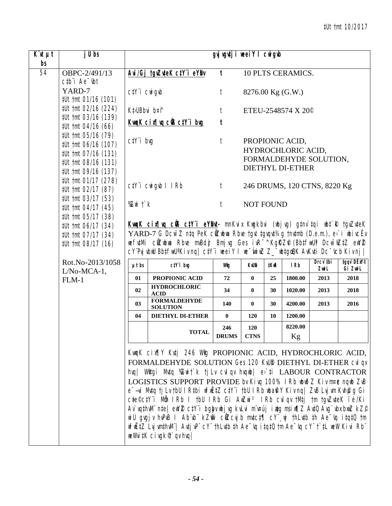| $K^{\cdot}$ ut $\mu$ t | $j$ Ubs                                      |                                                                                                                                            | gyj vgutj i weei Y I cwigub                                                                                                                                                                       |                  |                  |             |                                |            |            |  |  |  |
|------------------------|----------------------------------------------|--------------------------------------------------------------------------------------------------------------------------------------------|---------------------------------------------------------------------------------------------------------------------------------------------------------------------------------------------------|------------------|------------------|-------------|--------------------------------|------------|------------|--|--|--|
| bs<br>54               | OBPC-2/491/13                                |                                                                                                                                            |                                                                                                                                                                                                   | $\mathbf{t}$     |                  |             | <b>10 PLTS CERAMICS.</b>       |            |            |  |  |  |
|                        | $ctb$ <sup>"</sup> $i$ Ae $-$ <sub>ibt</sub> |                                                                                                                                            | Avi/Gj tgvZuteK ctY i eYBv                                                                                                                                                                        |                  |                  |             |                                |            |            |  |  |  |
|                        | YARD-7                                       | $C/Y$ <i>i</i> $CW$ <i>i</i> $q$ <i>ib</i>                                                                                                 |                                                                                                                                                                                                   | $\boldsymbol{t}$ |                  |             | 8276.00 Kg (G.W.)              |            |            |  |  |  |
|                        | #Ut tmt 01/16 (101)                          |                                                                                                                                            |                                                                                                                                                                                                   |                  |                  |             |                                |            |            |  |  |  |
|                        | #Ut tmt 02/16 (224)                          | Kt>UBbvi b¤î                                                                                                                               |                                                                                                                                                                                                   | $\ddot{\tau}$    |                  |             | ETEU-2548574 X 20 <sup>°</sup> |            |            |  |  |  |
|                        | #Ut tmt 03/16 (139)                          |                                                                                                                                            | KwaK cix¶va ciB ctY i bug                                                                                                                                                                         | t                |                  |             |                                |            |            |  |  |  |
|                        | #Ut tmt 04/16 (66)                           |                                                                                                                                            |                                                                                                                                                                                                   |                  |                  |             |                                |            |            |  |  |  |
|                        | #Ut tmt 05/16 (79)                           | $C/Y$ i bvg                                                                                                                                |                                                                                                                                                                                                   | t                |                  |             | PROPIONIC ACID,                |            |            |  |  |  |
|                        | #Ut tmt 06/16 (107)<br>#Ut tmt 07/16 (131)   |                                                                                                                                            |                                                                                                                                                                                                   |                  |                  |             | HYDROCHLORIC ACID,             |            |            |  |  |  |
|                        | #Ut tmt 08/16 (131)                          |                                                                                                                                            |                                                                                                                                                                                                   |                  |                  |             | FORMALDEHYDE SOLUTION,         |            |            |  |  |  |
|                        | #Ut tmt 09/16 (137)                          |                                                                                                                                            |                                                                                                                                                                                                   |                  |                  |             | <b>DIETHYL DI-ETHER</b>        |            |            |  |  |  |
|                        | #Ut tmt 01/17 (278)                          |                                                                                                                                            |                                                                                                                                                                                                   |                  |                  |             |                                |            |            |  |  |  |
|                        | #Ut tmt 02/17 (87)                           |                                                                                                                                            | ctY'i cwigwb I IRb                                                                                                                                                                                | t                |                  |             | 246 DRUMS, 120 CTNS, 8220 Kg   |            |            |  |  |  |
|                        | #Ut tmt 03/17 (53)                           |                                                                                                                                            |                                                                                                                                                                                                   |                  |                  |             |                                |            |            |  |  |  |
|                        | #Ut tmt 04/17 (45)                           | %Zwi †`k                                                                                                                                   |                                                                                                                                                                                                   | $\boldsymbol{t}$ | <b>NOT FOUND</b> |             |                                |            |            |  |  |  |
|                        | #Ut tmt 05/17 (38)                           |                                                                                                                                            |                                                                                                                                                                                                   |                  |                  |             |                                |            |            |  |  |  |
|                        | #Ut tmt 06/17 (34)                           |                                                                                                                                            | KunK cin w cüs ciyi eyBut- mnKvix Kugkbvi (ubjvg) gtnv`tqi ubt`R tgvZvteK                                                                                                                         |                  |                  |             |                                |            |            |  |  |  |
|                        | #Ut tmt 07/17 (34)                           |                                                                                                                                            | YARD-7 G Dcw <sup>-</sup> Z ntq PeK cûZwbwa Rbve tgvt tgvqvt34g tnvtmb (D.e.m.), e>`i wbivcEv<br>wefutMi ciZwbwa Rbve mvBdż Bmjvg Ges ivR <sup>-^</sup> KgRZP (BbtfwU) Dcw <sup>-</sup> wZtZ ewYZ |                  |                  |             |                                |            |            |  |  |  |
|                        | #Ut tmt 08/17 (16)                           |                                                                                                                                            | cY'PyjvbwU Bb‡fwU'Kivnq  c‡Y'i weeiY I we <sup>-</sup> wiwZ Z_'wb‡goQK AvKv‡i Dc <sup>-</sup> vcb Kivnj                                                                                           |                  |                  |             |                                |            |            |  |  |  |
|                        | Rot.No-2013/1058                             |                                                                                                                                            |                                                                                                                                                                                                   |                  |                  |             |                                | Drcv tbi   | tgqv`DËxY© |  |  |  |
|                        | $L/No-MCA-1$ ,                               | $\mu t$ bs                                                                                                                                 | $c$ t $Y$ i bıg                                                                                                                                                                                   | Wilg             | <b>KWB</b>       | <b>IKIR</b> | <b>IRb</b>                     | $Z$ wi $L$ | Gi ZwiL    |  |  |  |
|                        | $FLM-1$                                      | 01                                                                                                                                         | PROPIONIC ACID                                                                                                                                                                                    | 72               | $\bf{0}$         | 25          | 1800.00                        | 2013       | 2018       |  |  |  |
|                        |                                              | 02                                                                                                                                         | <b>HYDROCHLORIC</b><br><b>ACID</b>                                                                                                                                                                | 34               | $\bf{0}$         | 30          | 1020.00                        | 2013       | 2018       |  |  |  |
|                        |                                              | 03                                                                                                                                         | <b>FORMALDEHYDE</b><br><b>SOLUTION</b>                                                                                                                                                            | 140              | $\bf{0}$         | 30          | 4200.00                        | 2013       | 2016       |  |  |  |
|                        |                                              | 04                                                                                                                                         | <b>DIETHYL DI-ETHER</b>                                                                                                                                                                           | $\bf{0}$         | 120              | 10          | 1200.00                        |            |            |  |  |  |
|                        |                                              |                                                                                                                                            | <b>TOTAL</b>                                                                                                                                                                                      | 246              | 120              |             | 8220.00                        |            |            |  |  |  |
|                        |                                              |                                                                                                                                            |                                                                                                                                                                                                   | <b>DRUMS</b>     | <b>CTNS</b>      |             | Кg                             |            |            |  |  |  |
|                        |                                              |                                                                                                                                            | KwqK cix¶Y Kutj 246 Wig PROPIONIC ACID, HYDROCHLORIC ACID,                                                                                                                                        |                  |                  |             |                                |            |            |  |  |  |
|                        |                                              |                                                                                                                                            | FORMALDEHYDE SOLUTION Ges 120 Kill DIETHYL DI-ETHER CVI qv                                                                                                                                        |                  |                  |             |                                |            |            |  |  |  |
|                        |                                              |                                                                                                                                            |                                                                                                                                                                                                   |                  |                  |             |                                |            |            |  |  |  |
|                        |                                              | hvq   Witgi Mutq %Zwit`k tj Lv cvl qv hvqub   e>`ti LABOUR CONTRACTOR<br>LOGISTICS SUPPORT PROVIDE by Kivg 100% IRb ubuðZ Kiv m¤e ngub ZvB |                                                                                                                                                                                                   |                  |                  |             |                                |            |            |  |  |  |
|                        |                                              | e-ui Mutq tj Lu tbU I Rtbi wfwËtZ ctY i tbU I Rb wbafl Y Kiv nq  ZvB Luj wm Kvhpug Gi                                                      |                                                                                                                                                                                                   |                  |                  |             |                                |            |            |  |  |  |
|                        |                                              | cte <sup>©</sup> ctY'i Mb IRb I tbU IRb Gi AwZwi <sup>3</sup> IRb cvl qv tMtj tm tgvZvteK ïé/Ki                                            |                                                                                                                                                                                                   |                  |                  |             |                                |            |            |  |  |  |
|                        |                                              |                                                                                                                                            | Av`vqthwN" nte   ewYZ ctY"i bgby wbj vg kvLvi m"v¤új iatg msiw¶Z AvtQ Avg`vbx bxwZ kZ°                                                                                                            |                  |                  |             |                                |            |            |  |  |  |
|                        |                                              |                                                                                                                                            | wiU gvgjv hvPvB I Ab vb kZm cůZcvjb mutct¶ cY wi thLutb th Ae vq itqtQ tm                                                                                                                         |                  |                  |             |                                |            |            |  |  |  |
|                        |                                              |                                                                                                                                            | wfwËtZ LvjwmthwN"  AvtjwP" cY" thLvtb th Ae~vq itqtQ tm Ae~vq cY" t`tL weW Kivi Rb"                                                                                                               |                  |                  |             |                                |            |            |  |  |  |
|                        |                                              |                                                                                                                                            | weWvitK civgk <sup>®</sup> qv hvq                                                                                                                                                                 |                  |                  |             |                                |            |            |  |  |  |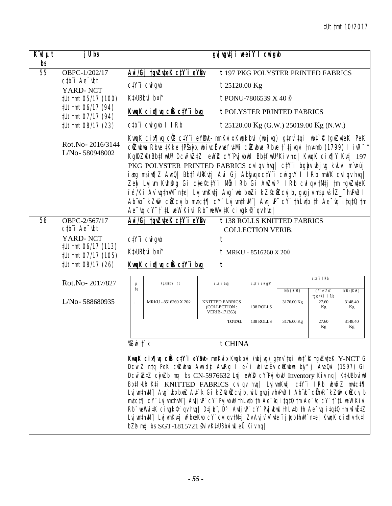| $\overline{K}$ ut | j U bs                                                                      |                                                                                                                                                                                                                                                                                                                                                                                                                                                                                                                                                                                                                                                                                                                                                                                                                                                             | gvjugutji neeiYl cnigub                                          |                                                       |                                                |                             |               |  |  |  |  |
|-------------------|-----------------------------------------------------------------------------|-------------------------------------------------------------------------------------------------------------------------------------------------------------------------------------------------------------------------------------------------------------------------------------------------------------------------------------------------------------------------------------------------------------------------------------------------------------------------------------------------------------------------------------------------------------------------------------------------------------------------------------------------------------------------------------------------------------------------------------------------------------------------------------------------------------------------------------------------------------|------------------------------------------------------------------|-------------------------------------------------------|------------------------------------------------|-----------------------------|---------------|--|--|--|--|
| bs<br>55          | OBPC-1/202/17                                                               | Avi/Gj tgvZuteK ctY i eYBv                                                                                                                                                                                                                                                                                                                                                                                                                                                                                                                                                                                                                                                                                                                                                                                                                                  |                                                                  |                                                       | <b>t</b> 197 PKG POLYSTER PRINTED FABRICS      |                             |               |  |  |  |  |
|                   | $ctb$ <sup><math>\dot{}</math></sup> Ae $\dot{}$ $\dot{}$ $\dot{}$ $\dot{}$ | $C/Y$ <i>i</i> $CW$ <i>i</i> $q$ <i>ib</i>                                                                                                                                                                                                                                                                                                                                                                                                                                                                                                                                                                                                                                                                                                                                                                                                                  | $t25120.00$ Kg                                                   |                                                       |                                                |                             |               |  |  |  |  |
|                   | YARD-NCT<br><i>‡Ut †mt 05/17 (100)</i>                                      | Kt>UBbvi b¤î                                                                                                                                                                                                                                                                                                                                                                                                                                                                                                                                                                                                                                                                                                                                                                                                                                                |                                                                  | t PONU-7806539 X 40 $\degree$                         |                                                |                             |               |  |  |  |  |
|                   | #Ut tmt 06/17 (94)                                                          | KwaK cix¶va ciB ctY i bug                                                                                                                                                                                                                                                                                                                                                                                                                                                                                                                                                                                                                                                                                                                                                                                                                                   |                                                                  |                                                       | <b>t POLYSTER PRINTED FABRICS</b>              |                             |               |  |  |  |  |
|                   | #Ut tmt 07/17 (94)<br>#Ut tmt 08/17 (23)                                    | ctb i cwigwb I IRb                                                                                                                                                                                                                                                                                                                                                                                                                                                                                                                                                                                                                                                                                                                                                                                                                                          |                                                                  |                                                       | <i>t</i> 25120.00 Kg (G.W.) 25019.00 Kg (N.W.) |                             |               |  |  |  |  |
|                   | Rot.No-2016/3144<br>L/No-580948002                                          | KwqK cir¶vq cW3 ctY'i eYBvt-mnKvix Kwqkbvi (wbjvg) gtnv`tqi wbt`R tgvZvteK PeK<br>cůZubna Rbre ‡Kke †PŠaju, ubi rcËr nefr‡Mi cůZubna Rbre †`‡j rqri †nr‡mb (1799) I i vR <sup>-^</sup><br>KgRZP(BbtfwU) Dcw <sup>-</sup> wZtZ ewYZ cY'PujvbwU BbtfwU'Kivnq  KwqK cix¶Y Kvtj 197<br>PKG POLYSTER PRINTED FABRICS cvl qv hvq   ctY"i bgby ubj vg kvLvi m"v¤új<br>iatg msiw¶Z AutQ  Bbtf>UiKutj Avi Gj Abbygx ctYï cwigvY I IRb mwVK cvIqv hvq <br>Zey Lujwm Kwhęg Gi cte®ctY"i Mb IRb Gi AwZwi <sup>3</sup> IRb cul qu tMtj tm tguZuteK<br>ïé/Ki Av`vqthvM" nte  LvjvmKvtj Avg`wb bwzi kZ©ÖZcvjb, gvgjv msµvšíZ_" hvPvB l<br>Ab wb kZm cuzcy b mwtct¶ cY Ly wmthwl   Awtj wp cY thLutb th Ae wq itqt0 tm<br>Ae "vq cY" t * tL weW Kivi Rb" weWvitK civgk of `qv hvq                                                                                           |                                                                  |                                                       |                                                |                             |               |  |  |  |  |
| 56                | OBPC-2/567/17                                                               |                                                                                                                                                                                                                                                                                                                                                                                                                                                                                                                                                                                                                                                                                                                                                                                                                                                             | Avi/Gj tgvZuteK ctY'i eYBv<br><b>t</b> 138 ROLLS KNITTED FABRICS |                                                       |                                                |                             |               |  |  |  |  |
|                   | $ctb$ <sup>"</sup> $i$ Ae $-$ <sub>ibt</sub>                                |                                                                                                                                                                                                                                                                                                                                                                                                                                                                                                                                                                                                                                                                                                                                                                                                                                                             |                                                                  | <b>COLLECTION VERIB.</b>                              |                                                |                             |               |  |  |  |  |
|                   | YARD-NCT<br><i>‡Ut †mt 06/17 (113)</i>                                      | $C/Y$ <i>i</i> $CW$ <i>i</i> $q$ <i>ib</i>                                                                                                                                                                                                                                                                                                                                                                                                                                                                                                                                                                                                                                                                                                                                                                                                                  |                                                                  |                                                       |                                                |                             |               |  |  |  |  |
|                   | #Ut tmt 07/17 (105)                                                         | Kt>UBbvi b¤î                                                                                                                                                                                                                                                                                                                                                                                                                                                                                                                                                                                                                                                                                                                                                                                                                                                |                                                                  | $t$ MRKU - 8516260 X 20 <sup><math>\circ</math></sup> |                                                |                             |               |  |  |  |  |
|                   | #Ut tmt 08/17 (26)                                                          | KwqK cix¶vq ciB ctY i buq                                                                                                                                                                                                                                                                                                                                                                                                                                                                                                                                                                                                                                                                                                                                                                                                                                   | t                                                                |                                                       |                                                |                             |               |  |  |  |  |
|                   | Rot.No-2017/827                                                             | Kt>UBbvi bs<br>$\mu$                                                                                                                                                                                                                                                                                                                                                                                                                                                                                                                                                                                                                                                                                                                                                                                                                                        | ctY'i brg                                                        | ctY'i cwigvY                                          |                                                | $C/Y$ i IRb                 |               |  |  |  |  |
|                   |                                                                             | bs                                                                                                                                                                                                                                                                                                                                                                                                                                                                                                                                                                                                                                                                                                                                                                                                                                                          |                                                                  |                                                       | Můn (†KwR)                                     | $cY$ e $ZxZ$<br>tgvo‡Ki IRb | bxU (tKwR)    |  |  |  |  |
|                   | L/No-588680935                                                              | MRKU - 8516260 X 20 <sup>°</sup>                                                                                                                                                                                                                                                                                                                                                                                                                                                                                                                                                                                                                                                                                                                                                                                                                            | <b>KNITTED FABRICS</b><br>(COLLECTION:<br>VERIB-171363)          | 138 ROLLS                                             | 3176.00 Kg                                     | 27.60<br>Kg                 | 3148.40<br>Kg |  |  |  |  |
|                   |                                                                             |                                                                                                                                                                                                                                                                                                                                                                                                                                                                                                                                                                                                                                                                                                                                                                                                                                                             | <b>TOTAL</b>                                                     | 138 ROLLS                                             | 3176.00 Kg                                     | 27.60<br>Kg                 | 3148.40<br>Kg |  |  |  |  |
|                   |                                                                             | %Zwitk                                                                                                                                                                                                                                                                                                                                                                                                                                                                                                                                                                                                                                                                                                                                                                                                                                                      | t CHINA                                                          |                                                       |                                                |                             |               |  |  |  |  |
|                   |                                                                             | KwaK cin¶wa cÜS c‡Yï eYBut- mnKvix Kwgkbvi (wbjwg) g‡nv`‡qi wb‡`R †gvZv‡eK Y-NCT G<br>Dcw <sup>-</sup> Z ntq PeK cûZwbwa Awnidż AwnRg I e>'i wbivcEv cûZwbwa biy"j AveQvi (1597) Gi<br>Dcw <sup>-</sup> wZtZ cjuZb muj bs CN-5976632 Ljj ewYZ cY'Puj ubuU Inventory Kiv nq   KtuBbuiwU<br>Bb‡fJUR K‡i KNITTED FABRICS cvlqv hvq  LvjvmKv‡j c‡Y"i IRb wbwðZ mv‡c‡¶<br>Lvj wnthwll"  Avg`vbx bxwZ Avt`k Gi kZ&WZcvj b, wiU gvgj v hvPvB I Ab`vb" c@hvR" kZmr` c@Zcvj b<br>mutct¶cY" Luj wnthwM"  Autj wP" cY" Puj wbwU thLutb th Ae "uq itqtQ tm Ae "uq cY" t`tL weW Kivi<br>Rb" weWvitK civgkণ' qv hvq   Dtj L", D <sup>3</sup> Avtj vP" cY" Pvj vbwU thLvtb th Ae <sup>-</sup> vq itqtQ tm wfwEtZ<br>Lvj wnthwNi  Lvj wnKvtj wfbœtKvb cY" cvl qv tMtj Zv Avj v`vfite i j yqbthwN" nte  KwqK cix¶v tktl<br>bZba mxj bs SGT-1815721 Øviv Kt/UBbvinU eÜ Kiv ng |                                                                  |                                                       |                                                |                             |               |  |  |  |  |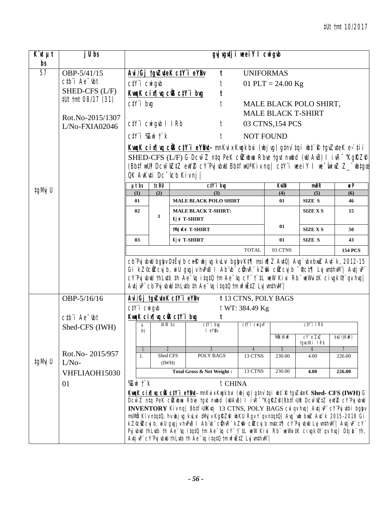| $K^{\cdot}$ ut $\mu t$ | j U bs                                     |                                                                                                                                                                                                                                                                                                                                                                                                                                                                                                   |                         |                                                             |                            |                                                                                                                                                                                                                                                                                                                                                                                                                                                      | gyj vgutji weeiY I cwigub                    |                      |                           |                          |  |
|------------------------|--------------------------------------------|---------------------------------------------------------------------------------------------------------------------------------------------------------------------------------------------------------------------------------------------------------------------------------------------------------------------------------------------------------------------------------------------------------------------------------------------------------------------------------------------------|-------------------------|-------------------------------------------------------------|----------------------------|------------------------------------------------------------------------------------------------------------------------------------------------------------------------------------------------------------------------------------------------------------------------------------------------------------------------------------------------------------------------------------------------------------------------------------------------------|----------------------------------------------|----------------------|---------------------------|--------------------------|--|
| bs<br>57               | OBP-5/41/15                                |                                                                                                                                                                                                                                                                                                                                                                                                                                                                                                   |                         |                                                             |                            | t                                                                                                                                                                                                                                                                                                                                                                                                                                                    |                                              | <b>UNIFORMAS</b>     |                           |                          |  |
|                        | $ctb$ <sup><math>i</math></sup> Ae $-$ tbt |                                                                                                                                                                                                                                                                                                                                                                                                                                                                                                   |                         |                                                             |                            | Avi/Gj tgvZuteK ctY i eYBv                                                                                                                                                                                                                                                                                                                                                                                                                           |                                              |                      |                           |                          |  |
|                        | SHED-CFS (L/F)                             |                                                                                                                                                                                                                                                                                                                                                                                                                                                                                                   |                         | $C/Y$ <sup>"</sup> $i$ $CW$ <sup><math>g</math></sup> $\n $ |                            | t<br>KwaK cix[ vq ciB ctY i bug<br>t                                                                                                                                                                                                                                                                                                                                                                                                                 |                                              | 01 PLT = $24.00$ Kg  |                           |                          |  |
|                        | #Ut tmt 08/17 (31)                         |                                                                                                                                                                                                                                                                                                                                                                                                                                                                                                   | $C/Y$ i bvq             |                                                             |                            | t                                                                                                                                                                                                                                                                                                                                                                                                                                                    |                                              |                      | MALE BLACK POLO SHIRT,    |                          |  |
|                        |                                            |                                                                                                                                                                                                                                                                                                                                                                                                                                                                                                   |                         |                                                             |                            |                                                                                                                                                                                                                                                                                                                                                                                                                                                      |                                              |                      | <b>MALE BLACK T-SHIRT</b> |                          |  |
|                        | Rot.No-2015/1307                           |                                                                                                                                                                                                                                                                                                                                                                                                                                                                                                   |                         | $C/Y$ i Cwigyb I IRb                                        |                            | t                                                                                                                                                                                                                                                                                                                                                                                                                                                    |                                              | 03 CTNS, 154 PCS     |                           |                          |  |
|                        | L/No-FXIA02046                             |                                                                                                                                                                                                                                                                                                                                                                                                                                                                                                   |                         |                                                             |                            |                                                                                                                                                                                                                                                                                                                                                                                                                                                      |                                              |                      |                           |                          |  |
|                        |                                            |                                                                                                                                                                                                                                                                                                                                                                                                                                                                                                   |                         | $ctY$ i $\mathbb{Z}$ wi $\Gamma$ k                          |                            | t                                                                                                                                                                                                                                                                                                                                                                                                                                                    |                                              | <b>NOT FOUND</b>     |                           |                          |  |
|                        |                                            | KungK cir¶uq cÜB ctYï eYBut- mnKvix Kugkbvi (ubjvg) g‡nv`‡qi ub‡`R †gvZv‡eK e>`‡ii<br>SHED-CFS (L/F) G Dcw <sup>-</sup> Z ntq PeK cüZubwa Rbve tgvt nwubd (wU AvB) I ivR <sup>-</sup> 'KgRZP <br>(BbtfwU) Dcw <sup>-</sup> wZtZ ewYZ cY'PyjvbwU BbtfwU <sup>a</sup> Kiv nq  ctY'i weeiY I we <sup>-</sup> wiwZ Z_'wbtga<br>OK AvKuți Dc <sup>-</sup> vcb Kiv nj                                                                                                                                   |                         |                                                             |                            |                                                                                                                                                                                                                                                                                                                                                                                                                                                      |                                              |                      |                           |                          |  |
| ‡gMvj U                |                                            |                                                                                                                                                                                                                                                                                                                                                                                                                                                                                                   | $\mu t$ bs              | <b>tcBU</b>                                                 |                            | $C/Y$ i big<br>(3)                                                                                                                                                                                                                                                                                                                                                                                                                                   |                                              | <b>KWID</b>          | $m$ <sub>BR</sub>         | <b>ICP</b>               |  |
|                        |                                            | (1)<br>01                                                                                                                                                                                                                                                                                                                                                                                                                                                                                         |                         | (2)                                                         |                            | <b>MALE BLACK POLO SHIRT</b>                                                                                                                                                                                                                                                                                                                                                                                                                         |                                              | (4)<br>01            | (5)<br>SIZE S             | (6)<br>46                |  |
|                        |                                            | 02                                                                                                                                                                                                                                                                                                                                                                                                                                                                                                |                         |                                                             |                            | <b>MALE BLACK T-SHIRT:</b>                                                                                                                                                                                                                                                                                                                                                                                                                           |                                              | <b>SIZE X S</b>      | 15                        |                          |  |
|                        |                                            |                                                                                                                                                                                                                                                                                                                                                                                                                                                                                                   |                         | 1                                                           | Kj vi T-SHIRT              |                                                                                                                                                                                                                                                                                                                                                                                                                                                      |                                              |                      |                           |                          |  |
|                        |                                            |                                                                                                                                                                                                                                                                                                                                                                                                                                                                                                   |                         |                                                             |                            | tMyj vKvi T-SHIRT                                                                                                                                                                                                                                                                                                                                                                                                                                    |                                              | 01                   | <b>SIZE X S</b>           | 50                       |  |
|                        |                                            | 03                                                                                                                                                                                                                                                                                                                                                                                                                                                                                                |                         |                                                             |                            | Kj vi T-SHIRT                                                                                                                                                                                                                                                                                                                                                                                                                                        |                                              | 01                   | <b>SIZE S</b>             | 43                       |  |
|                        |                                            |                                                                                                                                                                                                                                                                                                                                                                                                                                                                                                   |                         |                                                             |                            |                                                                                                                                                                                                                                                                                                                                                                                                                                                      | <b>TOTAL</b>                                 | 03 CTNS              |                           | <b>154 PCS</b>           |  |
|                        |                                            |                                                                                                                                                                                                                                                                                                                                                                                                                                                                                                   |                         |                                                             |                            | cb Pvj vbuU bgby D‡Ëvj b cek ubj vg kvLvi bgby K‡¶ msi w¶Z Av‡Q  Avg`vbx bwz Av‡`k, 2012-15<br>Gi kZ <sup>o</sup> cůZcvjb, wiU gvgjv hvPvB I Ab vb cůhvR kZm cůZcvjb ftct¶ LvjvmthvM   AvtjvP<br>cY'PvjvbwU thLvtb th Ae <sup>-</sup> vq itqtQ tm Ae <sup>-</sup> vq cY" t`tL weW Kivi Rb" weWvitK civgk <sup>®</sup> t`qv hvq <br>$A$ utj u $P$ cb $P$ uj ubuU thLutb th $Ae$ $\overline{\ }$ uq itqtQ tm ur $\overline{\ }$ u $E$ t $Z$ Luj umthuM |                                              |                      |                           |                          |  |
|                        | OBP-5/16/16                                |                                                                                                                                                                                                                                                                                                                                                                                                                                                                                                   |                         | Avi/Gj tgvZuteK ctY'i eYBv                                  |                            |                                                                                                                                                                                                                                                                                                                                                                                                                                                      |                                              | t 13 CTNS, POLY BAGS |                           |                          |  |
|                        |                                            |                                                                                                                                                                                                                                                                                                                                                                                                                                                                                                   |                         | $C/Y$ <sup><math>i</math></sup> $C$ wi $q$ wb               |                            |                                                                                                                                                                                                                                                                                                                                                                                                                                                      | t WT: 384.49 Kg                              |                      |                           |                          |  |
|                        | $ctb$ <sup><math>i</math></sup> Ae $-$ tbt |                                                                                                                                                                                                                                                                                                                                                                                                                                                                                                   |                         | KwaK cix   vq cüB ctY i bug                                 |                            | t                                                                                                                                                                                                                                                                                                                                                                                                                                                    |                                              |                      |                           |                          |  |
|                        | Shed-CFS (IWH)                             |                                                                                                                                                                                                                                                                                                                                                                                                                                                                                                   | μ<br>bs                 |                                                             | tkW bs                     | $C/Y$ i bvq<br>I eYBv                                                                                                                                                                                                                                                                                                                                                                                                                                | $C\ddagger Y$ $\ddagger$ $C\ddot{W}g\dot{W}$ |                      | $C/Y$ i I $Rb$            |                          |  |
|                        |                                            |                                                                                                                                                                                                                                                                                                                                                                                                                                                                                                   |                         |                                                             |                            |                                                                                                                                                                                                                                                                                                                                                                                                                                                      |                                              | Mûn ‡KwR             | CY e ZxZ<br>tgvo‡Ki IRb   | bxU (tKwR)               |  |
|                        | Rot.No-2015/957                            |                                                                                                                                                                                                                                                                                                                                                                                                                                                                                                   | $\mathcal{I}$<br>1.     |                                                             | $\overline{2}$<br>Shed CFS | 3<br><b>POLY BAGS</b>                                                                                                                                                                                                                                                                                                                                                                                                                                | $\overline{4}$<br>13 CTNS                    | 5<br>230.00          | 6<br>4.00                 | $\overline{7}$<br>226.00 |  |
| ‡gMvj U                | $L/No-$                                    |                                                                                                                                                                                                                                                                                                                                                                                                                                                                                                   |                         |                                                             | (IWH)                      |                                                                                                                                                                                                                                                                                                                                                                                                                                                      |                                              |                      |                           |                          |  |
|                        | VHFLIAOH15030                              |                                                                                                                                                                                                                                                                                                                                                                                                                                                                                                   |                         |                                                             |                            | Total Gross & Net Weight:                                                                                                                                                                                                                                                                                                                                                                                                                            | 13 CTNS                                      | 230.00               | 4.00                      | 226.00                   |  |
|                        | 01                                         |                                                                                                                                                                                                                                                                                                                                                                                                                                                                                                   | % $Z$ wi $\uparrow$ $k$ |                                                             |                            | $t$ CHINA                                                                                                                                                                                                                                                                                                                                                                                                                                            |                                              |                      |                           |                          |  |
|                        |                                            |                                                                                                                                                                                                                                                                                                                                                                                                                                                                                                   |                         |                                                             |                            | KuqK cir[ q cüB ctY'i eYBut- mnKvix Kugkbvi (ubj vg) gtnv`tqi ubt`R tgvZvteK Shed- CFS (IWH) G                                                                                                                                                                                                                                                                                                                                                       |                                              |                      |                           |                          |  |
|                        |                                            |                                                                                                                                                                                                                                                                                                                                                                                                                                                                                                   |                         |                                                             |                            | Dcw~Z ntq PeK cilZubua Rbue tgut nuubd (wUAuB) I ivR~^KgRZfP(BbtfSUlt) Dcw~wZtZ ewYZ cY'PujubwU                                                                                                                                                                                                                                                                                                                                                      |                                              |                      |                           |                          |  |
|                        |                                            | INVENTORY Kiv nq   Bbtf5UiKutj 13 CTNS, POLY BAGS cul qu huq   Autj uP" cY'Puj utbi bgbu<br>msMb Kiv ntqt0, hv ubjvg kvLvi ‡Mvjv KgRZfi ubKU Rgv †`qv ntqt0  Avg`wb bwZ Avt`k 2015-2018 Gi<br>kZ®cilZcvj b, wi U gvgj v hvPvB 1 Ab vb" cihvR" kZm" cilZcvj b mvtct¶ cY'Pvj vbwU Lvj wnthwN"  Avtj vP" cY"<br>Pvj vbuU thLutb th Ae $\bar{y}$ it qtQ tm Ae $\bar{y}$ cY t i L weW Kivi Rb weWvitK civgk®t qv hvq   Dtj L th,<br>Autj uP" cY"Puj ubuU thLutb th Ae "uq i tqtQ tm wfwEtZ Luj umthuM" |                         |                                                             |                            |                                                                                                                                                                                                                                                                                                                                                                                                                                                      |                                              |                      |                           |                          |  |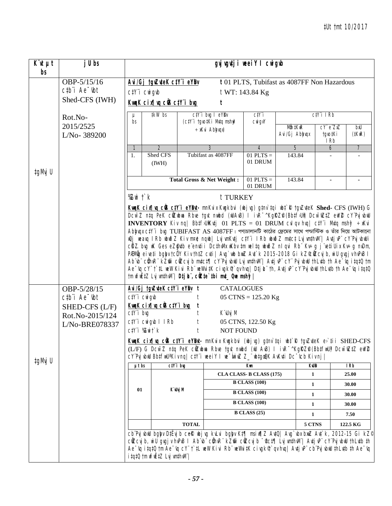| $\overline{K}$ ut<br>bs                                                                                                                                                                                                                                                                                                                                                                                                                                                                                                                                                                                                                                                                                                                                                                                                                                                                                                                                                                                                                   | j U bs                                                                                |                                               |                                    |              |                                                           | gvjugutji weeiY I cwigub                         |                                                                                                                                                                                                                                               |                                                     |                                                                                                   |
|-------------------------------------------------------------------------------------------------------------------------------------------------------------------------------------------------------------------------------------------------------------------------------------------------------------------------------------------------------------------------------------------------------------------------------------------------------------------------------------------------------------------------------------------------------------------------------------------------------------------------------------------------------------------------------------------------------------------------------------------------------------------------------------------------------------------------------------------------------------------------------------------------------------------------------------------------------------------------------------------------------------------------------------------|---------------------------------------------------------------------------------------|-----------------------------------------------|------------------------------------|--------------|-----------------------------------------------------------|--------------------------------------------------|-----------------------------------------------------------------------------------------------------------------------------------------------------------------------------------------------------------------------------------------------|-----------------------------------------------------|---------------------------------------------------------------------------------------------------|
|                                                                                                                                                                                                                                                                                                                                                                                                                                                                                                                                                                                                                                                                                                                                                                                                                                                                                                                                                                                                                                           | OBP-5/15/16<br>$ctb$ <sup><math>i</math></sup> Ae $-$ tbt                             | ctY'i cwigvb                                  | Avi/Gj tgvZuteK ctY i eYBv         |              |                                                           | t WT: 143.84 Kg                                  | t 01 PLTS, Tubifast as 4087FF Non Hazardous                                                                                                                                                                                                   |                                                     |                                                                                                   |
|                                                                                                                                                                                                                                                                                                                                                                                                                                                                                                                                                                                                                                                                                                                                                                                                                                                                                                                                                                                                                                           | Shed-CFS (IWH)                                                                        |                                               | KwaK cix¶ya ciB ctY i byg          |              | t                                                         |                                                  |                                                                                                                                                                                                                                               |                                                     |                                                                                                   |
|                                                                                                                                                                                                                                                                                                                                                                                                                                                                                                                                                                                                                                                                                                                                                                                                                                                                                                                                                                                                                                           | Rot.No-                                                                               | μ<br>bs                                       | ‡kW bs                             |              | ctY'i brg I eYBr<br>(ctY'i tgrotKi Mrtq mshm <sup>3</sup> | C <sub>i</sub> Y <sub>i</sub><br>$CW$ <i>gvY</i> |                                                                                                                                                                                                                                               | $C/Y$ i I $Rb$                                      |                                                                                                   |
|                                                                                                                                                                                                                                                                                                                                                                                                                                                                                                                                                                                                                                                                                                                                                                                                                                                                                                                                                                                                                                           | 2015/2525<br>L/No-389200                                                              |                                               |                                    |              | $\div x$ Kvi Abhyqx)                                      |                                                  | Mẫn ‡KwR<br>Avi/Gj Abbwqx                                                                                                                                                                                                                     | $CY^{\prime}e^{\prime\prime}ZxZ$<br>tgvo‡Ki<br>I Rb | bxU<br>$(1$ KwR $)$                                                                               |
|                                                                                                                                                                                                                                                                                                                                                                                                                                                                                                                                                                                                                                                                                                                                                                                                                                                                                                                                                                                                                                           |                                                                                       |                                               | 2                                  |              | 3                                                         | $\overline{4}$                                   | 5                                                                                                                                                                                                                                             | $\overline{6}$                                      | $\overline{7}$                                                                                    |
| ‡gMvj U                                                                                                                                                                                                                                                                                                                                                                                                                                                                                                                                                                                                                                                                                                                                                                                                                                                                                                                                                                                                                                   |                                                                                       | 1.                                            | Shed CFS<br>(IWH)                  |              | Tubifast as 4087FF                                        | $01$ PLTS =<br>01 DRUM                           | 143.84                                                                                                                                                                                                                                        |                                                     |                                                                                                   |
|                                                                                                                                                                                                                                                                                                                                                                                                                                                                                                                                                                                                                                                                                                                                                                                                                                                                                                                                                                                                                                           |                                                                                       |                                               |                                    |              | Total Gross & Net Weight:                                 | $01$ PLTS $=$<br>01 DRUM                         | 143.84                                                                                                                                                                                                                                        |                                                     |                                                                                                   |
|                                                                                                                                                                                                                                                                                                                                                                                                                                                                                                                                                                                                                                                                                                                                                                                                                                                                                                                                                                                                                                           |                                                                                       | % $Z$ wi $\ddot{\,}$ k                        |                                    |              | t TURKEY                                                  |                                                  |                                                                                                                                                                                                                                               |                                                     |                                                                                                   |
| Kunk cinfluq cüs cty i eybut- mn Kvix Kuq kbvi (ubjug) gtnv'tqi ubt' R tgv ZvteK Shed- CFS (IWH) G<br>Dcw~Z n‡q PeK cilZubua Rbve tgvt nuibd (wJAvB) I ivR~^KgRZP(Bb‡f}Uit) Dcw~ilZ‡Z ewYZ cY'PvjvbwU<br><b>INVENTORY</b> Kiv nq  BbtfsUtKutj 01 PLTS = 01 DRUM cvl qv huq  ctY'i Mutq msh $\mathfrak{F} \rightarrow$ Kvi<br>Abhyqu ctY'i bug TUBIFAST AS 4087FF । পণ্যচালানটি কাঠের ফ্রেমের সাথে পণ্যস্টিক ও তাঁর দিয়ে আটকানো<br>wQi weavq IRb wbwðZ Kiv m¤@ ngwb  LvjvmKvtj ctY¨i IRb wbwðZ mvtct LvjvmthvM¨  AvtjvP¨ cY¨PvjvbwUi<br>$c$ KZ.brg wK Ges eZgrtb e enrtii DcthrMx wKbr tm weltq wbwðZ nlqvi Rb" Kr÷g j retiUix Kr÷g nrDm,<br>PÆMÖg eiveti bglyv tcÖY Kiv th‡Z cvti   Avg`wb bwz Avt`k 2015-2018 Gi kZ©ÖZcvj b, wiU gvgjv hvPvB l<br>Ab vb" cühvR" kZm" cüZcvj b mvtct¶ cY"Pvj vbuU Lvj vmthvM"  Avtj vP" cY" Pvj vbuU thLvtb th Ae "vq i tqtQ tm<br>Ae "rg cY" t` tL wew Kivi Rb" weWvitK civgk®`qv hvg  Dtj L" th, Avtj vP" cY'Pvj vbwU thLvtb th Ae "rg itgtQ<br>tm wfwEtZ Lvj wnthwM"  Dtj k", c@te`tbi mut_ Que msh g |                                                                                       |                                               |                                    |              |                                                           |                                                  |                                                                                                                                                                                                                                               |                                                     |                                                                                                   |
|                                                                                                                                                                                                                                                                                                                                                                                                                                                                                                                                                                                                                                                                                                                                                                                                                                                                                                                                                                                                                                           | OBP-5/28/15                                                                           |                                               | Avi/Gj tgvZuteK ctY'i eYBy t       |              | <b>CATALOGUES</b>                                         |                                                  |                                                                                                                                                                                                                                               |                                                     |                                                                                                   |
|                                                                                                                                                                                                                                                                                                                                                                                                                                                                                                                                                                                                                                                                                                                                                                                                                                                                                                                                                                                                                                           | $c$ <sub>t</sub> $b$ <sup><math>\dot{a}</math></sup> Ae $\dot{b}$ t<br>SHED-CFS (L/F) | $C/Y$ <sup><math>i</math></sup> $C$ wi $q$ wb | KwqK cix¶vq ciB ctY i bug          | t            |                                                           | $05 \text{ CTNS} = 125.20 \text{ Kg}$            |                                                                                                                                                                                                                                               |                                                     |                                                                                                   |
|                                                                                                                                                                                                                                                                                                                                                                                                                                                                                                                                                                                                                                                                                                                                                                                                                                                                                                                                                                                                                                           | Rot.No-2015/124                                                                       | $C/Y$ i bvg                                   |                                    |              | K`vUvj M                                                  |                                                  |                                                                                                                                                                                                                                               |                                                     |                                                                                                   |
|                                                                                                                                                                                                                                                                                                                                                                                                                                                                                                                                                                                                                                                                                                                                                                                                                                                                                                                                                                                                                                           | L/No-BRE078337                                                                        |                                               | ctY'i cwigwb I IRb                 |              |                                                           | 05 CTNS, 122.50 Kg                               |                                                                                                                                                                                                                                               |                                                     |                                                                                                   |
|                                                                                                                                                                                                                                                                                                                                                                                                                                                                                                                                                                                                                                                                                                                                                                                                                                                                                                                                                                                                                                           |                                                                                       | $C/Y$ i $\mathbb{Z}$ witk                     |                                    |              | <b>NOT FOUND</b>                                          |                                                  |                                                                                                                                                                                                                                               |                                                     |                                                                                                   |
| ‡gMvj U                                                                                                                                                                                                                                                                                                                                                                                                                                                                                                                                                                                                                                                                                                                                                                                                                                                                                                                                                                                                                                   |                                                                                       |                                               |                                    |              |                                                           |                                                  | (L/F) G Dcw <sup>-</sup> Z n‡q PeK cilZubua Rbve tgvt nwbd (wU AvB) I ivR <sup>-^</sup> KgRZP (Bb‡fwU) Dcw <sup>-</sup> wZłZ ewYZ<br>cY'PujubmU Bb‡fwU'Kivnq  c‡Y'i meeiY I me <sup>-</sup> fminZ Z_"mb‡gaQK AvKu‡i Dc <sup>-</sup> ucb Kivnj |                                                     | KungK cin¶uq cÜB c‡Yï eY®ut- mnKvix Kugkbvi (ubjvg) g‡nv`‡qi ub‡`R †gvZv‡eK e>`‡ii SHED-CFS       |
|                                                                                                                                                                                                                                                                                                                                                                                                                                                                                                                                                                                                                                                                                                                                                                                                                                                                                                                                                                                                                                           |                                                                                       | $\mu t$ bs                                    | $ctY$ i bug                        |              |                                                           | Kum                                              |                                                                                                                                                                                                                                               | <b>KWB</b>                                          | IRb                                                                                               |
|                                                                                                                                                                                                                                                                                                                                                                                                                                                                                                                                                                                                                                                                                                                                                                                                                                                                                                                                                                                                                                           |                                                                                       |                                               |                                    |              |                                                           | CLA CLASS-B CLASS (175)                          |                                                                                                                                                                                                                                               | $\mathbf{1}$                                        | 25.00                                                                                             |
|                                                                                                                                                                                                                                                                                                                                                                                                                                                                                                                                                                                                                                                                                                                                                                                                                                                                                                                                                                                                                                           |                                                                                       | 01                                            | K`iUvj M                           |              |                                                           | <b>B CLASS (100)</b>                             |                                                                                                                                                                                                                                               | 1                                                   | 30.00                                                                                             |
|                                                                                                                                                                                                                                                                                                                                                                                                                                                                                                                                                                                                                                                                                                                                                                                                                                                                                                                                                                                                                                           |                                                                                       |                                               |                                    |              |                                                           | <b>B CLASS (100)</b>                             |                                                                                                                                                                                                                                               | $\mathbf{1}$                                        | 30.00                                                                                             |
|                                                                                                                                                                                                                                                                                                                                                                                                                                                                                                                                                                                                                                                                                                                                                                                                                                                                                                                                                                                                                                           |                                                                                       |                                               |                                    |              |                                                           | <b>B CLASS (100)</b>                             |                                                                                                                                                                                                                                               | $\mathbf{1}$                                        | 30.00                                                                                             |
|                                                                                                                                                                                                                                                                                                                                                                                                                                                                                                                                                                                                                                                                                                                                                                                                                                                                                                                                                                                                                                           |                                                                                       |                                               |                                    |              |                                                           | <b>B CLASS (25)</b>                              |                                                                                                                                                                                                                                               | 1                                                   | 7.50                                                                                              |
|                                                                                                                                                                                                                                                                                                                                                                                                                                                                                                                                                                                                                                                                                                                                                                                                                                                                                                                                                                                                                                           |                                                                                       |                                               |                                    | <b>TOTAL</b> |                                                           |                                                  |                                                                                                                                                                                                                                               | 5 CTNS                                              | 122.5 KG                                                                                          |
|                                                                                                                                                                                                                                                                                                                                                                                                                                                                                                                                                                                                                                                                                                                                                                                                                                                                                                                                                                                                                                           |                                                                                       |                                               | <i>itqtQ tm</i> wfwEtZ Lvj wmthwM" |              |                                                           |                                                  | cîlZcujb, wiU gvgjv hvPvB I Ab vb" cîhvR" kZm` cîlZcujb "¢ct¶ LvjvmthvM"  AvtjvP" cY'PvjvbwU thLvtb th<br>Ae ~vq itqt0 tm Ae ~vq cY" t`tL weW Kivi Rb" weWvitK civgk¶`qv hvq  Avtj vP" cb"Pvj vbwU thLvtb th Ae ~vq                           |                                                     | cb Pvj vbuU bgby DtEvj b ceR wbj vg kvLvi bgby Kt¶ msiw¶Z AvtQ  Avg`vbx bwZ Avt`k, 2012-15 Gi kZ© |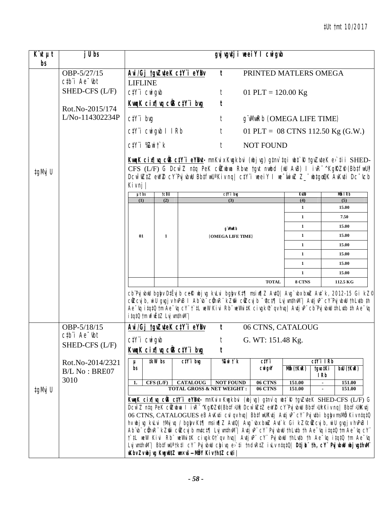| $\overline{K}$ ut $\mu t$ | j U bs                                                      |                                                |                                                                                                                                                                                                                                                                                                                                                                                                                                                                                                                                                                                                                                                                                                                                                                                                                                                                                                                                                                                                                                                             |                            | gyj vgutji weeiY I cwigub                                                                                                                                                                                                                                                                                                               |                                   |                   |                       |                |  |
|---------------------------|-------------------------------------------------------------|------------------------------------------------|-------------------------------------------------------------------------------------------------------------------------------------------------------------------------------------------------------------------------------------------------------------------------------------------------------------------------------------------------------------------------------------------------------------------------------------------------------------------------------------------------------------------------------------------------------------------------------------------------------------------------------------------------------------------------------------------------------------------------------------------------------------------------------------------------------------------------------------------------------------------------------------------------------------------------------------------------------------------------------------------------------------------------------------------------------------|----------------------------|-----------------------------------------------------------------------------------------------------------------------------------------------------------------------------------------------------------------------------------------------------------------------------------------------------------------------------------------|-----------------------------------|-------------------|-----------------------|----------------|--|
| bs                        |                                                             |                                                |                                                                                                                                                                                                                                                                                                                                                                                                                                                                                                                                                                                                                                                                                                                                                                                                                                                                                                                                                                                                                                                             |                            |                                                                                                                                                                                                                                                                                                                                         |                                   |                   |                       |                |  |
|                           | OBP-5/27/15<br>$ctb$ <sup>"</sup> $i$ Ae $-$ <sub>ibt</sub> | <b>LIFLINE</b>                                 |                                                                                                                                                                                                                                                                                                                                                                                                                                                                                                                                                                                                                                                                                                                                                                                                                                                                                                                                                                                                                                                             | Avi/Gj tgvZuteK ctY i eYBv | $\mathbf{t}$                                                                                                                                                                                                                                                                                                                            | PRINTED MATLERS OMEGA             |                   |                       |                |  |
|                           | SHED-CFS (L/F)                                              | ctY'i cwigwb                                   |                                                                                                                                                                                                                                                                                                                                                                                                                                                                                                                                                                                                                                                                                                                                                                                                                                                                                                                                                                                                                                                             |                            | t                                                                                                                                                                                                                                                                                                                                       | 01 PLT = $120.00$ Kg              |                   |                       |                |  |
|                           | Rot.No-2015/174                                             |                                                |                                                                                                                                                                                                                                                                                                                                                                                                                                                                                                                                                                                                                                                                                                                                                                                                                                                                                                                                                                                                                                                             | KwgK cix¶vg ciB ctY i bug  | t                                                                                                                                                                                                                                                                                                                                       |                                   |                   |                       |                |  |
|                           | L/No-114302234P                                             | $C/Y$ i bvg                                    |                                                                                                                                                                                                                                                                                                                                                                                                                                                                                                                                                                                                                                                                                                                                                                                                                                                                                                                                                                                                                                                             |                            | t                                                                                                                                                                                                                                                                                                                                       | g WWRb (OMEGA LIFE TIME)          |                   |                       |                |  |
|                           |                                                             | $C\ddagger Y$ 'i Cwigyb I IRb                  |                                                                                                                                                                                                                                                                                                                                                                                                                                                                                                                                                                                                                                                                                                                                                                                                                                                                                                                                                                                                                                                             |                            | t                                                                                                                                                                                                                                                                                                                                       | 01 PLT = 08 CTNS 112.50 Kg (G.W.) |                   |                       |                |  |
|                           |                                                             | $c$ ty i $\mathbb{Z}$ witk                     |                                                                                                                                                                                                                                                                                                                                                                                                                                                                                                                                                                                                                                                                                                                                                                                                                                                                                                                                                                                                                                                             |                            | t                                                                                                                                                                                                                                                                                                                                       | <b>NOT FOUND</b>                  |                   |                       |                |  |
| ‡gMvj U                   |                                                             | $Kiv$ nj                                       |                                                                                                                                                                                                                                                                                                                                                                                                                                                                                                                                                                                                                                                                                                                                                                                                                                                                                                                                                                                                                                                             |                            | Kung K cin¶uq cüs ctYï eYBnt- mnKvix Kugkbvi (ubjvg) g‡nv`tqi ubt`R tgvZvteK ev`tii SHED-<br>CFS (L/F) G Dcw <sup>-</sup> Z ntq PeK cüzubua Rbve tgvt nwbd (wU AvB) I ivR <sup>-^</sup> KgRZP (BbtfwU)<br>Dcw <sup>-</sup> wZtZ ewYZ cY'PvjvbwU BbtfwU'Kiv ng  ctY'i weeiY I we <sup>-</sup> wiwZ Z_"wbtgwQK AvKuti Dc <sup>-</sup> ucb |                                   |                   |                       |                |  |
|                           |                                                             | $\mu t$ bs<br>(1)                              | <b>tcBU</b><br>(2)                                                                                                                                                                                                                                                                                                                                                                                                                                                                                                                                                                                                                                                                                                                                                                                                                                                                                                                                                                                                                                          |                            | $ctY$ i bıg<br>(3)                                                                                                                                                                                                                                                                                                                      |                                   | <b>KWB</b><br>(4) |                       | Mỗ I Rb<br>(5) |  |
|                           |                                                             |                                                |                                                                                                                                                                                                                                                                                                                                                                                                                                                                                                                                                                                                                                                                                                                                                                                                                                                                                                                                                                                                                                                             |                            |                                                                                                                                                                                                                                                                                                                                         |                                   | $\mathbf{1}$      |                       | 15.00          |  |
|                           |                                                             |                                                |                                                                                                                                                                                                                                                                                                                                                                                                                                                                                                                                                                                                                                                                                                                                                                                                                                                                                                                                                                                                                                                             |                            |                                                                                                                                                                                                                                                                                                                                         |                                   | $\mathbf{1}$      |                       | 7.50           |  |
|                           |                                                             |                                                | g MwRb                                                                                                                                                                                                                                                                                                                                                                                                                                                                                                                                                                                                                                                                                                                                                                                                                                                                                                                                                                                                                                                      |                            |                                                                                                                                                                                                                                                                                                                                         |                                   |                   |                       | 15.00          |  |
|                           |                                                             | 01                                             | 1                                                                                                                                                                                                                                                                                                                                                                                                                                                                                                                                                                                                                                                                                                                                                                                                                                                                                                                                                                                                                                                           |                            | (OMEGA LIFE TIME)                                                                                                                                                                                                                                                                                                                       |                                   |                   |                       | 15.00          |  |
|                           |                                                             |                                                |                                                                                                                                                                                                                                                                                                                                                                                                                                                                                                                                                                                                                                                                                                                                                                                                                                                                                                                                                                                                                                                             |                            |                                                                                                                                                                                                                                                                                                                                         |                                   | $\mathbf{1}$      |                       | 15.00          |  |
|                           |                                                             |                                                |                                                                                                                                                                                                                                                                                                                                                                                                                                                                                                                                                                                                                                                                                                                                                                                                                                                                                                                                                                                                                                                             |                            |                                                                                                                                                                                                                                                                                                                                         |                                   | $\mathbf{1}$      |                       | 15.00          |  |
|                           |                                                             |                                                |                                                                                                                                                                                                                                                                                                                                                                                                                                                                                                                                                                                                                                                                                                                                                                                                                                                                                                                                                                                                                                                             |                            |                                                                                                                                                                                                                                                                                                                                         |                                   | $\mathbf{1}$      |                       | 15.00          |  |
|                           |                                                             |                                                |                                                                                                                                                                                                                                                                                                                                                                                                                                                                                                                                                                                                                                                                                                                                                                                                                                                                                                                                                                                                                                                             |                            |                                                                                                                                                                                                                                                                                                                                         |                                   | $\mathbf{1}$      |                       | 15.00          |  |
|                           |                                                             |                                                |                                                                                                                                                                                                                                                                                                                                                                                                                                                                                                                                                                                                                                                                                                                                                                                                                                                                                                                                                                                                                                                             |                            |                                                                                                                                                                                                                                                                                                                                         | <b>TOTAL</b>                      | 8 CTNS            |                       | 112.5 KG       |  |
|                           |                                                             | <i>itgt0</i> tm wfwEtZ Lvj wnthwM"/            |                                                                                                                                                                                                                                                                                                                                                                                                                                                                                                                                                                                                                                                                                                                                                                                                                                                                                                                                                                                                                                                             |                            | cb Pvj vbllJ bgby D‡Ëvj b cek libj vg kvLvi bgby K‡¶ msi v¶Z Av‡Q  Avg`vbx bxuZ Av‡`k, 2012-15 Gi kZ©<br>cûZcvjb, wiu gygjvhvPvB I Ab vb" cûhvR" kZm" cûZcvjb "ctf[  LvjvmthvM"   AvtjvP" cY'PvjvbwU thLvtb th<br>Ae vq itqt0 tm Ae vq cY" t`tL weW Kivi Rb" weWvitK civgk¶`qv hvq  Avtj vP" cb"Pvj vbwU thLvtb th Ae vq                |                                   |                   |                       |                |  |
|                           | OBP-5/18/15                                                 |                                                |                                                                                                                                                                                                                                                                                                                                                                                                                                                                                                                                                                                                                                                                                                                                                                                                                                                                                                                                                                                                                                                             | Avi/Gj tgvZuteK ctY i eYBv | t                                                                                                                                                                                                                                                                                                                                       | 06 CTNS, CATALOUG                 |                   |                       |                |  |
|                           | ctb"i Ae"tbt                                                | $C/Y$ <i>i</i> $CW$ <i>i</i> $q$ <i>ib</i>     |                                                                                                                                                                                                                                                                                                                                                                                                                                                                                                                                                                                                                                                                                                                                                                                                                                                                                                                                                                                                                                                             |                            | t                                                                                                                                                                                                                                                                                                                                       | G. WT: 151.48 Kg.                 |                   |                       |                |  |
|                           | SHED-CFS (L/F)                                              |                                                |                                                                                                                                                                                                                                                                                                                                                                                                                                                                                                                                                                                                                                                                                                                                                                                                                                                                                                                                                                                                                                                             | KwgK cix   vg cũ ctY i bug | t                                                                                                                                                                                                                                                                                                                                       |                                   |                   |                       |                |  |
|                           | Rot.No-2014/2321                                            | $\mu$                                          | <b>#kW</b> bs                                                                                                                                                                                                                                                                                                                                                                                                                                                                                                                                                                                                                                                                                                                                                                                                                                                                                                                                                                                                                                               | $ctY$ i big                | <b>Zwi</b> † k                                                                                                                                                                                                                                                                                                                          | ctYi                              |                   | $C/Y$ i IRb           |                |  |
|                           | B/L No: BRE07                                               | bs                                             |                                                                                                                                                                                                                                                                                                                                                                                                                                                                                                                                                                                                                                                                                                                                                                                                                                                                                                                                                                                                                                                             |                            |                                                                                                                                                                                                                                                                                                                                         | <b>CNI GVY</b>                    | Mỗ (†KwR)         | tgvo‡Ki<br><b>IRb</b> | bxU (tKuR)     |  |
|                           | 3010                                                        | 1.                                             | CFS (L/F)                                                                                                                                                                                                                                                                                                                                                                                                                                                                                                                                                                                                                                                                                                                                                                                                                                                                                                                                                                                                                                                   | <b>CATALOUG</b>            | <b>NOT FOUND</b>                                                                                                                                                                                                                                                                                                                        | 06 CTNS                           | 151.00            | $\blacksquare$        | 151.00         |  |
| ‡gMvj U                   |                                                             |                                                |                                                                                                                                                                                                                                                                                                                                                                                                                                                                                                                                                                                                                                                                                                                                                                                                                                                                                                                                                                                                                                                             |                            |                                                                                                                                                                                                                                                                                                                                         | 06 CTNS                           | 151.00            |                       | 151.00         |  |
|                           |                                                             | wKbv Zv ubj vg KuguU‡Z wn×vš–MåY Kiv th‡Z cuti | <b>TOTAL GROSS &amp; NET WEIGHT:</b><br>KunK cinfluq cüs ctV i eYBut- mnKvix Kugkbvi (ubjug) gtnv q ubt R tgvZuteK SHED-CFS (L/F) G<br>Dcw~Z ntq PeK cilZubua I ivR~^KgRZ@(Bbtf>Uit) Dcw~wZtZ ewYZ cY`PvjvbwU Bbtf>Uit Kiv nq  Bbtf>UitKutj<br>06 CTNS, CATALOGUES eB AvKuti cul qu huq   BbtfwUKutj Autj uP" cY" Pvj utbi bglyu msMb Kiv ntqtQ<br>hv wbjvg kvLvi tMvjvq / bgkyv Kt¶ msiw¶Z AvtQ  Avg`vbx bwz Avt`k Gi kZ©clizcvjb, wiU gvgjv hvPvB l<br>Ab $\psi$ curves $\psi$ $\bar{\psi}$ $\bar{\psi}$ $\bar{\psi}$ $\bar{\psi}$ $\bar{\psi}$ $\bar{\psi}$ $\bar{\psi}$ $\bar{\psi}$ $\bar{\psi}$ $\bar{\psi}$ $\bar{\psi}$ $\bar{\psi}$ $\bar{\psi}$ $\bar{\psi}$ $\bar{\psi}$ $\bar{\psi}$ $\bar{\psi}$ $\bar{\psi}$ $\bar{\psi}$ $\bar{\psi}$ $\bar{\psi}$ $\bar{\psi}$ $\bar{\psi}$ $\bar{\psi}$ $\bar{\psi}$<br>t`il weW Kivi Rb" weWvitK civgk®t`qv hvq  AvtjvP" cY" PvjvbwU thLutb th Ae <sup>-</sup> vq itqtQ tm Ae <sup>-</sup> vq<br>Lvj wnthwN"  BbtfwU' tktl cY" Pvj vbuU chyivq e>`ti tndvRtZ ivLv ntqt0  DtjL" th, cY" PvjubuU ubjvgthuM" |                            |                                                                                                                                                                                                                                                                                                                                         |                                   |                   |                       |                |  |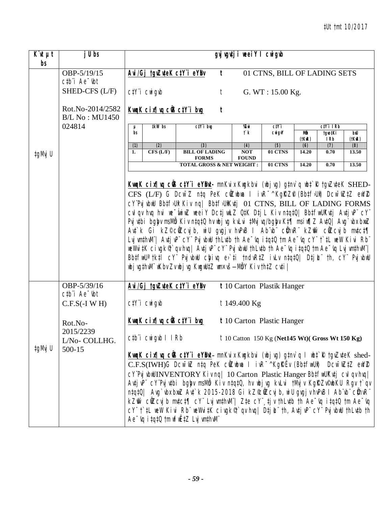| $\overline{K}$ ut $\mu t$<br>bs | j U bs                                                                                        | gvjugutji weeiY I cwigub                                                                                                                                                                                                                                                                                                                                                                                                                                                                                                                                                                                                                                                                                                                                                   |                                                                                                                                                                                                                                                                                                                                                                                                                                                                                                                                                                                                                                                               |                            |                                                          |                    |                       |                     |  |  |  |
|---------------------------------|-----------------------------------------------------------------------------------------------|----------------------------------------------------------------------------------------------------------------------------------------------------------------------------------------------------------------------------------------------------------------------------------------------------------------------------------------------------------------------------------------------------------------------------------------------------------------------------------------------------------------------------------------------------------------------------------------------------------------------------------------------------------------------------------------------------------------------------------------------------------------------------|---------------------------------------------------------------------------------------------------------------------------------------------------------------------------------------------------------------------------------------------------------------------------------------------------------------------------------------------------------------------------------------------------------------------------------------------------------------------------------------------------------------------------------------------------------------------------------------------------------------------------------------------------------------|----------------------------|----------------------------------------------------------|--------------------|-----------------------|---------------------|--|--|--|
|                                 | OBP-5/19/15<br>$ctb$ <sup><math>\dot{}</math></sup> Ae $\dot{}$ $\dot{}$ $\dot{}$ $\dot{}$    | Avi/Gj tgvZuteK ctY i eYBv                                                                                                                                                                                                                                                                                                                                                                                                                                                                                                                                                                                                                                                                                                                                                 | $\mathbf{t}$                                                                                                                                                                                                                                                                                                                                                                                                                                                                                                                                                                                                                                                  |                            | 01 CTNS, BILL OF LADING SETS                             |                    |                       |                     |  |  |  |
|                                 | SHED-CFS (L/F)                                                                                | $C/Y$ <i>i</i> $CW$ <i>i</i> $q$ <i>ib</i>                                                                                                                                                                                                                                                                                                                                                                                                                                                                                                                                                                                                                                                                                                                                 | t                                                                                                                                                                                                                                                                                                                                                                                                                                                                                                                                                                                                                                                             |                            | G. WT: $15.00$ Kg.                                       |                    |                       |                     |  |  |  |
|                                 | Rot.No-2014/2582<br><b>B/L No: MU1450</b>                                                     | KwgK cix¶yg ciß ctY i byg                                                                                                                                                                                                                                                                                                                                                                                                                                                                                                                                                                                                                                                                                                                                                  | t                                                                                                                                                                                                                                                                                                                                                                                                                                                                                                                                                                                                                                                             |                            |                                                          |                    |                       |                     |  |  |  |
|                                 | 024814                                                                                        | <b>‡kW</b> bs<br>μ                                                                                                                                                                                                                                                                                                                                                                                                                                                                                                                                                                                                                                                                                                                                                         | ctY'i bug                                                                                                                                                                                                                                                                                                                                                                                                                                                                                                                                                                                                                                                     | %Kwi                       | C <sub>i</sub> Y <sub>i</sub>                            |                    | $ciY$ i IRb           |                     |  |  |  |
|                                 |                                                                                               | bs                                                                                                                                                                                                                                                                                                                                                                                                                                                                                                                                                                                                                                                                                                                                                                         |                                                                                                                                                                                                                                                                                                                                                                                                                                                                                                                                                                                                                                                               | $f$ ` $k$                  | <b>CWigvY</b>                                            | Mô<br>$(t$ KuR $)$ | tgvo‡Ki<br><b>IRb</b> | bxU<br>$(t$ Kw $R)$ |  |  |  |
|                                 |                                                                                               | (2)<br>(1)                                                                                                                                                                                                                                                                                                                                                                                                                                                                                                                                                                                                                                                                                                                                                                 | (3)                                                                                                                                                                                                                                                                                                                                                                                                                                                                                                                                                                                                                                                           | (4)                        | (5)                                                      | (6)                | (7)                   | (8)                 |  |  |  |
| ‡gMvj U                         |                                                                                               | $CFS$ $(L/F)$<br>1.                                                                                                                                                                                                                                                                                                                                                                                                                                                                                                                                                                                                                                                                                                                                                        | <b>BILL OF LADING</b><br><b>FORMS</b>                                                                                                                                                                                                                                                                                                                                                                                                                                                                                                                                                                                                                         | <b>NOT</b><br><b>FOUND</b> | 01 CTNS                                                  | 14.20              | 0.70                  | 13.50               |  |  |  |
|                                 |                                                                                               |                                                                                                                                                                                                                                                                                                                                                                                                                                                                                                                                                                                                                                                                                                                                                                            | <b>TOTAL GROSS &amp; NET WEIGHT:</b>                                                                                                                                                                                                                                                                                                                                                                                                                                                                                                                                                                                                                          |                            | 01 CTNS                                                  | 14.20              | 0.70                  | 13.50               |  |  |  |
|                                 | OBP-5/39/16                                                                                   | CY"Pvj vbwU Bb‡f>Ui Kiv ng  Bb‡f>UiKv‡j 01 CTNS, BILL OF LADING FORMS<br>cvl qv hvq hvi we wiwZ weeiY Dctj wLZ QtK Dtj L Kiv ntqtQ  BbtfwUKvtj Avtj vP" cY"<br>Pvj vtbi bgby msMb Kiv ntqtQ hv wbjvg kvLvi tMvjvq/bgby Kt¶ msiw¶Z AvtQ  Avg`vbx bxwZ<br>Ant`k Gi kZ©c@Zcvjb, wiU gvgjv hvPvB I Ab`vb`` c@hvR`` kZmî` c@Zcvjb mvtct¶<br>LujwmthwM"  AutjuP" cY" PujubwU thLutb th Ae <sup>-</sup> uq itqt0 tm Ae <sup>-</sup> uq cY" t`tL weW Kivi Rb"<br>weWvitK civgkণ `qv hvq  AvtjvP¨cY¨PvjvbwU thLvtb th Ae~vq itqtQ tm Ae~vq LvjvmthvM¨ <br>BbtfwU <sup>a</sup> tktl cY" PvjvbwU chyivq e>`ti tndvRtZ ivLv ntqtQ  Dtjl_"th, cY" PvjvbwU<br>nbj vg‡hvM" nKbv Zv nbj vg KngnU‡Z nm×vš- MbY Ki v th‡Z cv‡i  <br>Avi/Gj tgvZuteK ctY i eYBv<br>t 10 Carton Plastik Hanger |                                                                                                                                                                                                                                                                                                                                                                                                                                                                                                                                                                                                                                                               |                            |                                                          |                    |                       |                     |  |  |  |
|                                 | $ctb$ <sup><math>\dot{}</math></sup> Ae $\dot{}$ $\dot{}$ $\dot{}$ $\dot{}$<br>$C.F.S(-I WH)$ | $C/Y$ <i>i</i> $CW$ <i>i</i> $q$ <i>ib</i>                                                                                                                                                                                                                                                                                                                                                                                                                                                                                                                                                                                                                                                                                                                                 |                                                                                                                                                                                                                                                                                                                                                                                                                                                                                                                                                                                                                                                               | $t149.400$ Kg              |                                                          |                    |                       |                     |  |  |  |
|                                 | Rot.No-<br>2015/2239                                                                          | KwaK cix¶ya ciB ctY i byg                                                                                                                                                                                                                                                                                                                                                                                                                                                                                                                                                                                                                                                                                                                                                  |                                                                                                                                                                                                                                                                                                                                                                                                                                                                                                                                                                                                                                                               |                            | t 10 Carton Plastic Hanger                               |                    |                       |                     |  |  |  |
| ‡gMvj U                         | L/No-COLLHG.<br>500-15                                                                        | ctb"i cwigwb I IRb                                                                                                                                                                                                                                                                                                                                                                                                                                                                                                                                                                                                                                                                                                                                                         |                                                                                                                                                                                                                                                                                                                                                                                                                                                                                                                                                                                                                                                               |                            | $\dot{t}$ 10 Catton 150 Kg (Net145 Wt)( Gross Wt 150 Kg) |                    |                       |                     |  |  |  |
|                                 |                                                                                               | Ae vq itqt0 tm wfwEtZ Lvj wnthwM                                                                                                                                                                                                                                                                                                                                                                                                                                                                                                                                                                                                                                                                                                                                           | KungK cinflug cüs ctY'i eYBut- mnKvix Kugkbvi (ubjvg) gtnv`q l ubt`R tgvZvteK shed-<br>C.F.S(IWH)G Dcw <sup>-</sup> wZ ntq PeK cWZwbwa I ivR <sup>-^</sup> KgREv (BbtfwUi) Dcw <sup>-</sup> wZtZ ewYZ<br>CY"Pvj vbuUINVENTORY Kiv nq   10 Carton Plastic Hanger Bb#fwUKu#j cvl qv hvq  <br>Avtj vP" cY'Pvj vtbi bgby msMð Kiv ntqtQ, hv wbj vg kvLvi tMvj v KgRZv©wbKU Rgv t`qv<br>ntqtQ  Avg`vbx bxwZ Avt`k 2015-2018 Gi kZ©wZcvj b, wiU gvgjv hvPvB I Ab"vb" c@hvR"<br>kZm̃ cùZcujb mutct¶ cY LujumthuM   Zte cY ti wthLutb th Ae uq itqt0 tm Ae uq<br>cY" t'iL weW Kivi Rb" weWvitK civgk <sup>®</sup> qv hvq   Dtj L" th, Avtj vP" cY" Pvj vbwU thLvtb th |                            |                                                          |                    |                       |                     |  |  |  |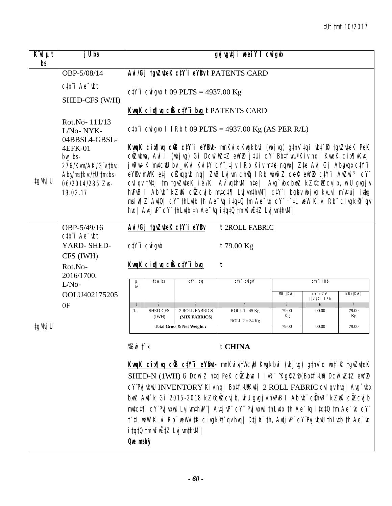| $K^{\cdot}$ ut $\mu t$<br>bs | j U bs                                                                                            |                                                                                             |                                                       | gvj vgutji nee i Y I cnigub                                                                                                                                                                                                                                                                                                                                                                                                                                                                                                                                                                                                                                                                                                    |                                |                        |                               |
|------------------------------|---------------------------------------------------------------------------------------------------|---------------------------------------------------------------------------------------------|-------------------------------------------------------|--------------------------------------------------------------------------------------------------------------------------------------------------------------------------------------------------------------------------------------------------------------------------------------------------------------------------------------------------------------------------------------------------------------------------------------------------------------------------------------------------------------------------------------------------------------------------------------------------------------------------------------------------------------------------------------------------------------------------------|--------------------------------|------------------------|-------------------------------|
|                              | OBP-5/08/14<br>ctb"i Ae <sup>-</sup> ibt                                                          |                                                                                             | $C\frac{1}{r}$ <i>c</i> wi gib t 09 PLTS = 4937.00 Kg | Avi/Gj tgvZuteK ctY'i eYBvt PATENTS CARD                                                                                                                                                                                                                                                                                                                                                                                                                                                                                                                                                                                                                                                                                       |                                |                        |                               |
|                              | SHED-CFS (W/H)                                                                                    |                                                                                             |                                                       | <b>KwqK cix[ vq ciB ctY'i bvg t PATENTS CARD</b>                                                                                                                                                                                                                                                                                                                                                                                                                                                                                                                                                                                                                                                                               |                                |                        |                               |
|                              | Rot.No-111/13<br>L/No-NYK-<br>04BBSL4-GBSL-                                                       |                                                                                             |                                                       | ctb"i cui gub I I Rb t 09 PLTS = $4937.00$ Kg (AS PER R/L)                                                                                                                                                                                                                                                                                                                                                                                                                                                                                                                                                                                                                                                                     |                                |                        |                               |
| ‡gMvj U                      | 4EFK-01<br>$bw$ bs-<br>276/Kwm/AK/G"v:tbv:<br>Abymstkv:/tU:tm:bs-<br>06/2014/285 Zvs-<br>19.02.17 |                                                                                             |                                                       | <b>KwqK cin¶wq ciB ctY'i eYBvt-</b> mnKvix Kwgkbvi (wbjvg) gtnv`tqi wbt`R tgvZvteK PeK<br>cüZwbwa, Avi.I (wbjvg) Gi Dcw <sup>-</sup> wZ‡Z ewYZ j‡Ui cY¨Bb‡fwUªKiv nq  KwqK cix¶vKvtj<br>jwRw÷K m¢cfU bv_vKvi Kvi‡Y cY¨,tjv IRb Kiv m¤e nqwb  Z‡e Avi Gj Abbyqx c‡Y¨i<br>eYBy mwVK etj c $\ell$ xqgvb nq  ZvB Lvjvm chfq IRb wbwðZ cef(ewYZ ctY i AwZwi 3 cY<br>cvl qv tMtj tm tgvZvteK ïé/Ki Av`vqthvM" nte  Avg`vbx bxwZ kZ©cWZcvjb, wiU gvgjv<br>hvPvB I Ab vb kZm cůZcvjb mvtct¶ LvjvmthvM ctY i bgby ubjvg kvLvi m v¤új iatg<br>msiw¶Z Aut0  cY" thLutb th Ae <sup>-</sup> uq itqt0 tm Ae <sup>-</sup> uq cY" t`tL weW Kivi Rb" civgk <sup>@</sup> t`qv<br>hvq   Avtj vP" cY" thLvtb th Ae "vq itqt0 tm wfwEtZ Lvj vmthvM" |                                |                        |                               |
|                              | OBP-5/49/16<br>$ctb$ <sup><math>\dot{}</math></sup> Ae $\dot{}$ $\dot{}$ $\dot{}$ $\dot{}$        | Avi/Gj tgvZuteK ctY i eYBv                                                                  |                                                       | t 2ROLL FABRIC                                                                                                                                                                                                                                                                                                                                                                                                                                                                                                                                                                                                                                                                                                                 |                                |                        |                               |
|                              | YARD-SHED-<br>CFS (IWH)                                                                           | $C/Y$ <i>i</i> $CW$ <i>i</i> $q$ <i>ib</i>                                                  |                                                       | $t$ 79.00 Kg                                                                                                                                                                                                                                                                                                                                                                                                                                                                                                                                                                                                                                                                                                                   |                                |                        |                               |
|                              | Rot.No-<br>2016/1700.                                                                             | KwgK cix¶yg ciß ctY i byg                                                                   |                                                       | t                                                                                                                                                                                                                                                                                                                                                                                                                                                                                                                                                                                                                                                                                                                              |                                |                        |                               |
|                              | $L/No-$                                                                                           | ‡kW bs<br>bs                                                                                | ctY'i brg                                             | ctY'i cwigvY                                                                                                                                                                                                                                                                                                                                                                                                                                                                                                                                                                                                                                                                                                                   |                                | $C/Y$ i IRb            |                               |
|                              | OOLU402175205                                                                                     |                                                                                             |                                                       |                                                                                                                                                                                                                                                                                                                                                                                                                                                                                                                                                                                                                                                                                                                                | Mẫn (†KwR)                     | cY eZxZ<br>tgvo‡Ki IRb | $b$ xU $(t$ KwR $)$           |
|                              | 0F                                                                                                | $\overline{2}$<br><b>SHED-CFS</b><br>1.<br>(IWH)                                            | $\overline{3}$<br>2 ROLL FABRICS<br>(MIX FABRICS)     | ROLL $1 = 45$ Kg<br>ROLL $2 = 34$ Kg                                                                                                                                                                                                                                                                                                                                                                                                                                                                                                                                                                                                                                                                                           | $5\overline{)}$<br>79.00<br>Kg | 6<br>00.00             | $\overline{7}$<br>79.00<br>Kg |
| ‡gMvj U                      |                                                                                                   |                                                                                             | Total Gross & Net Weight:                             |                                                                                                                                                                                                                                                                                                                                                                                                                                                                                                                                                                                                                                                                                                                                | 79.00                          | 00.00                  | 79.00                         |
|                              |                                                                                                   | % $Z$ wi $\ddot{\ }$ $k$<br><i>itqt0</i> tm wfwEtZ Lvj vmthvM" <br>$Q$ we msh $\mathcal{G}$ |                                                       | t CHINA<br>Kung K cinflug cüs cty i eyBut- mnKvin/tWcwU Kugkbvi (ubjvg) gtnv`q ubt`R tgvZvteK<br>SHED-N (1WH) G Dcw~Z ntq PeK cilZubua l ivR~^KgRZP(Bbtf>Ui) Dcw~wZtZ ewYZ<br>cY'Pvj vbiiU INVENTORY Kiv ng   Bb‡f>UikKutj 2 ROLL FABRIC cvl qv hvg   Avg`vbx<br>bnuZ Avt`k Gi 2015-2018 kZ©diZcvjb, wiU gvgjv hvPvB l Ab¨vb¨ c(ihvR¨ kZmî` cliZcvjb<br>$m$ tct $\P$ cY Pvj vbwU Lvj wnthwM   Avtj vP cY Pvj vbwU thLvtb th Ae vq itqtQ tm Ae vq cY<br>t`tL weW Kivi Rb¨weWvitK civgk&`qv hvq  Dtj止¨th, AvtjvP¨cY¨PvjvbwU thLvtb th Ae¯vq                                                                                                                                                                                      |                                |                        |                               |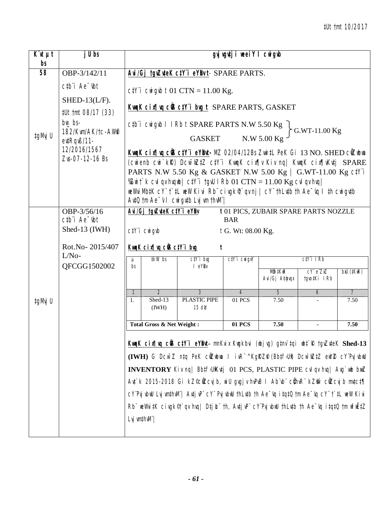| $K\mathcal{U}$ $\mu t$<br>bs | j U bs                                                             |               | gvj vgutj i weeiY I cwigub                                                      |                                                                                                                                                                                                                                                                                                                                                                                                                                                                                                                                                                                               |                                               |                           |                                                 |                          |  |  |  |  |
|------------------------------|--------------------------------------------------------------------|---------------|---------------------------------------------------------------------------------|-----------------------------------------------------------------------------------------------------------------------------------------------------------------------------------------------------------------------------------------------------------------------------------------------------------------------------------------------------------------------------------------------------------------------------------------------------------------------------------------------------------------------------------------------------------------------------------------------|-----------------------------------------------|---------------------------|-------------------------------------------------|--------------------------|--|--|--|--|
| 58                           | OBP-3/142/11                                                       |               | Avi/Gj tgvZuteK ctY"i eYBvt-SPARE PARTS.                                        |                                                                                                                                                                                                                                                                                                                                                                                                                                                                                                                                                                                               |                                               |                           |                                                 |                          |  |  |  |  |
|                              | ctb"i Ae <sup>-</sup> ibt<br>SHED-13 $(L/F)$ .                     |               |                                                                                 | $c/V$ <i>i</i> cwigub t 01 CTN = 11.00 Kg.<br>KwqK cin¶wq ciB ctY"i bug t SPARE PARTS, GASKET                                                                                                                                                                                                                                                                                                                                                                                                                                                                                                 |                                               |                           |                                                 |                          |  |  |  |  |
| ‡gMvj U                      | #Ut tmt 08/17 (33)<br>$bw$ bs-<br>182/Kwm/AK/tc-AWA<br>ev‡Rqvß/11- |               |                                                                                 | $C\#$ civigib 1 1 Rb t SPARE PARTS N.W 5.50 Kg<br><b>GASKET</b>                                                                                                                                                                                                                                                                                                                                                                                                                                                                                                                               |                                               | N.W 5.00 Kg               | G.WT-11.00 Kg                                   |                          |  |  |  |  |
|                              | 12/2016/1567<br>Zvs-07-12-16 Bs                                    |               |                                                                                 | KwqK cix¶wq ciB ctY i eYBut- MZ 02/04/12Bs Zwii‡L PeK Gi 13 NO. SHED cilZubua<br>(cwienb cwi`kk) Dcw <sup>-</sup> wZtZ ctY'i KwqK cix¶v Kiv nq  KwqK cix¶vKvtj SPARE<br>PARTS N.W 5.50 Kg & GASKET N.W 5.00 Kg / G.WT-11.00 Kg c#/i<br>%Zwit k cvl qv hvqub  ctY'i tgvU I Rb $01$ CTN = $11.00$ Kg cvl qv hvq <br>weWviMb‡K cY f`‡L weW Kivi Rb civqkণ qvnj   cY thLv‡b th Ae vq I th cwiqutb<br>$A$ v‡Q $tm$ Ae $\checkmark$ I cwi gv‡b Lvj vm thv $M^{\checkmark}$                                                                                                                          |                                               |                           |                                                 |                          |  |  |  |  |
|                              | OBP-3/56/16<br>$ctb$ <sup>"</sup> $i$ Ae $-$ tht                   |               | Avi/Gj tgvZuteK ctY'i eYBv<br>t01 PICS, ZUBAIR SPARE PARTS NOZZLE<br><b>BAR</b> |                                                                                                                                                                                                                                                                                                                                                                                                                                                                                                                                                                                               |                                               |                           |                                                 |                          |  |  |  |  |
|                              | Shed-13 (IWH)<br>$C/Y$ i $C$ wi $q$ wb<br>t G. Wt: 08.00 Kg.       |               |                                                                                 |                                                                                                                                                                                                                                                                                                                                                                                                                                                                                                                                                                                               |                                               |                           |                                                 |                          |  |  |  |  |
|                              | Rot.No-2015/407                                                    |               | KwaK cix   va cü3 ctY i bug                                                     | t                                                                                                                                                                                                                                                                                                                                                                                                                                                                                                                                                                                             |                                               |                           |                                                 |                          |  |  |  |  |
|                              | $L/No-$<br>QFCGG1502002                                            | $\mu$<br>bs   | <b>‡kW</b> bs                                                                   | $C/Y$ i bvg<br>$I$ eY $\mathbf{\hat{B}}$ v                                                                                                                                                                                                                                                                                                                                                                                                                                                                                                                                                    | $C/Y$ <sup><math>i</math></sup> $C$ wi $g_VY$ |                           | $C/Y$ i IRb                                     |                          |  |  |  |  |
|                              |                                                                    |               |                                                                                 |                                                                                                                                                                                                                                                                                                                                                                                                                                                                                                                                                                                               |                                               | Mẫn ‡KwR<br>Avi/Gj Abbyqx | $CY^{\prime}e^{\prime\prime}ZxZ$<br>tgvo‡Ki IRb | $b$ xU ( $\ddagger$ KwR) |  |  |  |  |
|                              |                                                                    | $\mathcal{I}$ | $\overline{2}$                                                                  | $\overline{3}$                                                                                                                                                                                                                                                                                                                                                                                                                                                                                                                                                                                | $\overline{4}$                                | 5                         | 6                                               | $\overline{7}$           |  |  |  |  |
| ‡gMvj U                      |                                                                    | 1.            | Shed-13<br>(IWH)                                                                | <b>PLASTIC PIPE</b><br>$15$ d $#$                                                                                                                                                                                                                                                                                                                                                                                                                                                                                                                                                             | 01 PCS                                        | 7.50                      |                                                 | 7.50                     |  |  |  |  |
|                              |                                                                    |               | <b>Total Gross &amp; Net Weight:</b>                                            |                                                                                                                                                                                                                                                                                                                                                                                                                                                                                                                                                                                               | 01 PCS                                        | 7.50                      | $\blacksquare$                                  | 7.50                     |  |  |  |  |
|                              |                                                                    |               | Lvj vm‡hvM"                                                                     | KwqK cix¶wq cûß ctYï eYBwt- mnKvix Kwgkbvi (wbjwg) gtnv`tqi wbt`R tgvZvteK Shed-13<br>(IWH) G DCW <sup>-</sup> Z ntq PeK cüZubua I ivR <sup>-^</sup> KgRZP (Bbtf)Ui) DCW <sup>-</sup> WZtZ ewYZ CY'PvjvbwU<br>INVENTORY Kiv nq   BbtfsUiKutj 01 PCS, PLASTIC PIPE cvl qv hvq   Avg`wb bwz<br>Ant k 2015-2018 Gi kZ®ciZcujb, wiU grgjr hrPvB I Ab rb cihrR kZm ciZcujb mntct¶<br>cY'Pvj vbuU Lvj vmthvM'  Avtj vP" cY" Pvj vbuU thLvtb th Ae "vq itqtQ tm Ae "vq cY" t`tL weW Kivi<br>$Rb$ we WvitK civgk <sup>®</sup> t`qv hvq  Dtj L th, Avtj vP cY Pvj vbwU thLutb th Ae vq itqtQ tm wfwEtZ |                                               |                           |                                                 |                          |  |  |  |  |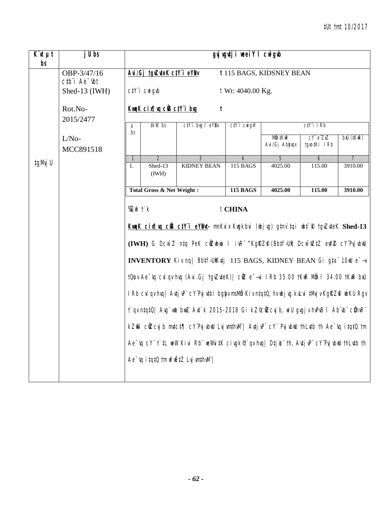| $\overline{K}$ 'it $\mu t$<br>bs | j U bs                                                                                    |                                                                                         | gvj vgutji weeiY I cwigub                                          |                                                                                                                      |                   |                           |                        |                          |  |  |  |  |
|----------------------------------|-------------------------------------------------------------------------------------------|-----------------------------------------------------------------------------------------|--------------------------------------------------------------------|----------------------------------------------------------------------------------------------------------------------|-------------------|---------------------------|------------------------|--------------------------|--|--|--|--|
|                                  | OBP-3/47/16<br>$ctb$ <sup><math>\dot{\ }</math></sup> Ae $\dot{\ }$ $\dot{\ }$ $\dot{\ }$ |                                                                                         | Avi/Gj tgvZuteK ctY'i eYBv                                         |                                                                                                                      |                   | t 115 BAGS, KIDSNEY BEAN  |                        |                          |  |  |  |  |
|                                  | Shed-13 (IWH)                                                                             |                                                                                         | $C/Y$ i $C$ wi $q$ wb                                              |                                                                                                                      | t Wt: 4040.00 Kg. |                           |                        |                          |  |  |  |  |
|                                  | Rot.No-<br>2015/2477                                                                      |                                                                                         | KwaK cix   va ciB ctY i bug                                        | t                                                                                                                    |                   |                           |                        |                          |  |  |  |  |
|                                  |                                                                                           | $\mu$                                                                                   | #kW bs<br>ctY'i brg I eYBr<br>ctY'i cwigvY<br>$C/Y$ i I $Rb$<br>bs |                                                                                                                      |                   |                           |                        |                          |  |  |  |  |
|                                  | $L/No-$<br>MCC891518                                                                      |                                                                                         |                                                                    |                                                                                                                      |                   | Mẫn ‡KwR<br>Avi/Gj Abhyqx | CY eZxZ<br>tgvo‡Ki IRb | $b$ xU ( $\ddagger$ KwR) |  |  |  |  |
|                                  |                                                                                           | $\mathcal{I}$                                                                           | $\overline{2}$                                                     | 3                                                                                                                    | $\overline{4}$    | 5                         | 6                      |                          |  |  |  |  |
| tgMvj U                          |                                                                                           | 1.                                                                                      | Shed-13<br>(IWH)                                                   | <b>KIDNEY BEAN</b>                                                                                                   | 115 BAGS          | 4025.00                   | 115.00                 | 3910.00                  |  |  |  |  |
|                                  |                                                                                           |                                                                                         | <b>Total Gross &amp; Net Weight:</b>                               |                                                                                                                      | <b>115 BAGS</b>   | 4025.00                   | 115.00                 | 3910.00                  |  |  |  |  |
|                                  |                                                                                           | $\%$ Zwi $\ddot{\ }$ k                                                                  |                                                                    |                                                                                                                      | t CHINA           |                           |                        |                          |  |  |  |  |
|                                  |                                                                                           |                                                                                         |                                                                    | KwaK cix¶wq cÜB ctY'i eYBut- mnKvix Kwgkbvi (wbjwg) gtnv`tqi wbt`R tgvZvteK Shed-13                                  |                   |                           |                        |                          |  |  |  |  |
|                                  |                                                                                           |                                                                                         |                                                                    | (IWH) G DCW <sup>-</sup> Z ntq PeK cüZubwa I ivR <sup>-^</sup> KqRZP (Bbtf3Ui) DCW <sup>-</sup> WZtZ eWYZ CY'PvjvbwU |                   |                           |                        |                          |  |  |  |  |
|                                  |                                                                                           |                                                                                         |                                                                    | INVENTORY Kiv nq   Bbtf5UiKutj 115 BAGS, KIDNEY BEAN Gi gta 10W e-+                                                  |                   |                           |                        |                          |  |  |  |  |
|                                  |                                                                                           |                                                                                         |                                                                    | tQow Ae <sup>-</sup> vq cvl qv hvq (Avi.Gj tgvZvteK)  cilZ e <sup>-</sup> -vi IRb 35.00 tKwR Mih I 34.00 tKwR bxU    |                   |                           |                        |                          |  |  |  |  |
|                                  |                                                                                           |                                                                                         |                                                                    | I Rb cvl qv hvq   Avtj vP" cY"Pvj vtbi bgby msMå Kiv ntqt0, hv ubj vg kvLvi tMvj v KgRZfi ubKU Rgv                   |                   |                           |                        |                          |  |  |  |  |
|                                  |                                                                                           |                                                                                         |                                                                    | t`qv ntqt0  Avg`wb bwz Avt`k 2015-2018 Gi kZ©cilZcvj b, wiU gvgjv hvPvB I Ab`vb` cühvR``                             |                   |                           |                        |                          |  |  |  |  |
|                                  |                                                                                           | kZm̃ cüZcvjb mutct¶ cY'PvjubuU LvjumthuM'  AutjuP' cY' PvjubuU thLutb th Ae~vq itqtQ tm |                                                                    |                                                                                                                      |                   |                           |                        |                          |  |  |  |  |
|                                  |                                                                                           |                                                                                         |                                                                    | Ae "vq cY" t`‡L weW Kivi Rb" weWvi‡K civgk®t`qv hvq  D‡j L" th, Avtj vP" cY'Pvj vbwU thLvtb th                       |                   |                           |                        |                          |  |  |  |  |
|                                  |                                                                                           |                                                                                         |                                                                    | $Ae^-$ iq i tqt0 tm wfw $E$ tZ Lvj wnthwM"                                                                           |                   |                           |                        |                          |  |  |  |  |
|                                  |                                                                                           |                                                                                         |                                                                    |                                                                                                                      |                   |                           |                        |                          |  |  |  |  |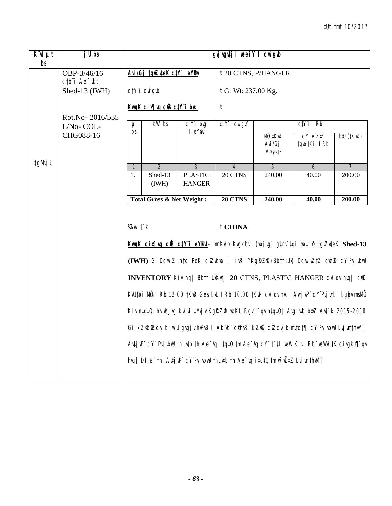| $\overline{K}$ ut $\mu t$<br>bs | j U bs                       |             | gyj vgutji neei Y I cnigub           |                                 |                                                                                               |                              |                                                                                                                                                                                                                                                                                                                                                                                                                                                                                                                                                                                                                                                                                              |                |  |  |
|---------------------------------|------------------------------|-------------|--------------------------------------|---------------------------------|-----------------------------------------------------------------------------------------------|------------------------------|----------------------------------------------------------------------------------------------------------------------------------------------------------------------------------------------------------------------------------------------------------------------------------------------------------------------------------------------------------------------------------------------------------------------------------------------------------------------------------------------------------------------------------------------------------------------------------------------------------------------------------------------------------------------------------------------|----------------|--|--|
|                                 | OBP-3/46/16<br>ctb"i Ae "ibt |             | Avi/Gj tgvZuteK ctY i eYBv           |                                 |                                                                                               | t 20 CTNS, P/HANGER          |                                                                                                                                                                                                                                                                                                                                                                                                                                                                                                                                                                                                                                                                                              |                |  |  |
|                                 | Shed-13 (IWH)                |             | $C/Y$ i $C$ wigwb                    |                                 | t G. Wt: 237.00 Kg.                                                                           |                              |                                                                                                                                                                                                                                                                                                                                                                                                                                                                                                                                                                                                                                                                                              |                |  |  |
|                                 | Rot.No-2016/535              |             | KwaK cix   va cüß ctY i bug          |                                 | t                                                                                             |                              |                                                                                                                                                                                                                                                                                                                                                                                                                                                                                                                                                                                                                                                                                              |                |  |  |
|                                 | L/No-COL-                    | $\mu$<br>bs | <b>‡kW</b> bs                        | $C/Y$ i bvg<br>I eYBv           | $C\ddagger Y$ $\ddagger$ $C$ wi $q_VY$                                                        |                              | $C/Y$ i IRb                                                                                                                                                                                                                                                                                                                                                                                                                                                                                                                                                                                                                                                                                  |                |  |  |
|                                 | CHG088-16                    |             |                                      |                                 |                                                                                               | Mẫn ‡KwR<br>Avi/Gj<br>Abhyqx | CY' e'ZXZ<br>tgvo‡Ki IRb                                                                                                                                                                                                                                                                                                                                                                                                                                                                                                                                                                                                                                                                     | bxU (#KwR)     |  |  |
| ‡gMvj U                         |                              | 1           | 2                                    | $\mathfrak{Z}$                  | 4                                                                                             | $\overline{5}$               | 6                                                                                                                                                                                                                                                                                                                                                                                                                                                                                                                                                                                                                                                                                            | $\overline{7}$ |  |  |
|                                 |                              | 1.          | Shed-13<br>(IWH)                     | <b>PLASTIC</b><br><b>HANGER</b> | 20 CTNS                                                                                       | 240.00                       | 40.00                                                                                                                                                                                                                                                                                                                                                                                                                                                                                                                                                                                                                                                                                        | 200.00         |  |  |
|                                 |                              |             | <b>Total Gross &amp; Net Weight:</b> |                                 | 20 CTNS                                                                                       | 240.00                       | 40.00                                                                                                                                                                                                                                                                                                                                                                                                                                                                                                                                                                                                                                                                                        | 200.00         |  |  |
|                                 |                              | %Zwi †`k    |                                      |                                 | t CHINA<br>hvq  Dṭj Li th, Avṭj vPi cY Pvj vbwU thLvṭb th Ae "vq i ṭqṭQ tm wfwËṭZ Lvj wnṭhvMi |                              | KwqK cix¶wq cÜS c‡Y"i eYBwt- mnKvix Kwgkbvi (wbjwg) g‡nv`tqi wbt`R †gvZvteK Shed-13<br>(IWH) G DCW <sup>-</sup> Z ntq PeK cÜZubua I ivR <sup>-^</sup> KgRZP (Bbtf)Ui) DCW <sup>-</sup> WZtZ eWYZ CY <sup>"</sup> PvjvbuU<br>INVENTORY Kiv nq   BbtfsUiKutj 20 CTNS, PLASTIC HANGER cvl qv hvq   cilZ<br>KvUfbi Mm I Rb 12.00 tKwR Ges bxU I Rb 10.00 tKwR cvI qv hvq   Avtj vP" cY"Pvj vtbi bgby msMm<br>Kiv ntqt0, hv ubj vg kvLvi tMvj v KgRZfi ubKU Rgv t`qv ntqt0  Avg`wb bwz Avt`k 2015-2018<br>Gi kZ©ČIZcvjb, wiU gvgjvhvPvB I Ab vb" cihvR" kZm ciZcvjb mvtct¶ cY'PvjvbwU LvjvmthvM" <br>AntjuP" cY" PrjubuU thLutb th Ae "uq itqtQ tm Ae "uq cY" t`tL weW Kivi Rb" weWnitK cingk¶`qv |                |  |  |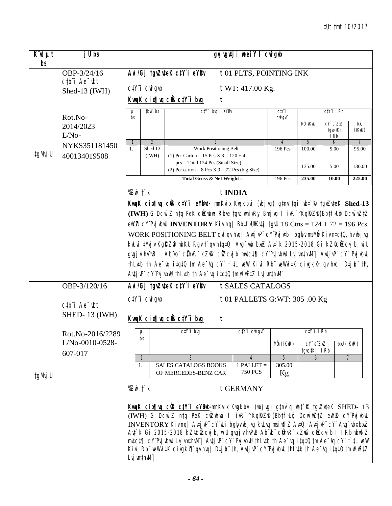| $\overline{K}$ it $\mu t$<br>bs | j U bs                                           |                                                                                                                                                                                                                                                                                                                                                                                                                                                                                                                                                                                                                                                         | gyj vgutji weeiY I cwigub                                                              |                                                                 |                               |                                   |                         |  |  |  |  |  |
|---------------------------------|--------------------------------------------------|---------------------------------------------------------------------------------------------------------------------------------------------------------------------------------------------------------------------------------------------------------------------------------------------------------------------------------------------------------------------------------------------------------------------------------------------------------------------------------------------------------------------------------------------------------------------------------------------------------------------------------------------------------|----------------------------------------------------------------------------------------|-----------------------------------------------------------------|-------------------------------|-----------------------------------|-------------------------|--|--|--|--|--|
|                                 | OBP-3/24/16<br>$ctb$ <sup>"</sup> $i$ Ae $^ ibt$ | Avi/Gj tgvZuteK ctY"i eYBv                                                                                                                                                                                                                                                                                                                                                                                                                                                                                                                                                                                                                              | t01 PLTS, POINTING INK                                                                 |                                                                 |                               |                                   |                         |  |  |  |  |  |
|                                 | Shed-13 (IWH)                                    | $C/Y$ <sup>"</sup> $i$ $C$ <sup><math>N</math></sup> $j$ $g$ <sup><math>\not </math></sup> $\phi$                                                                                                                                                                                                                                                                                                                                                                                                                                                                                                                                                       | t WT: 417.00 Kg.                                                                       |                                                                 |                               |                                   |                         |  |  |  |  |  |
|                                 |                                                  | <u>KwqK cix¶vq ciß ctY i bug</u>                                                                                                                                                                                                                                                                                                                                                                                                                                                                                                                                                                                                                        |                                                                                        |                                                                 |                               |                                   |                         |  |  |  |  |  |
|                                 | Rot.No-                                          | tkW bs<br>μ<br>bs                                                                                                                                                                                                                                                                                                                                                                                                                                                                                                                                                                                                                                       | ctY'i brg I eYBr                                                                       | C <sub>i</sub> Y <sub>i</sub><br>$C$ <i>Ni</i> $G$ <sup>V</sup> |                               | $C/Y$ i I $Rb$                    |                         |  |  |  |  |  |
|                                 | 2014/2023<br>$L/No-$                             |                                                                                                                                                                                                                                                                                                                                                                                                                                                                                                                                                                                                                                                         |                                                                                        |                                                                 | Mẫn ‡KwR                      | $CY e^T Z X Z$<br>tavo‡Ki<br>I Rb | bxU<br>$(†$ Kil $R)$    |  |  |  |  |  |
|                                 | NYKS351181450                                    | $\overline{2}$<br>$\overline{\mathfrak{1}}$<br>Shed 13<br>1.                                                                                                                                                                                                                                                                                                                                                                                                                                                                                                                                                                                            | Work Positioning Belt                                                                  | $\overline{4}$<br>196 Pcs                                       | 5<br>100.00                   | 6<br>5.00                         | $\overline{7}$<br>95.00 |  |  |  |  |  |
| ‡gMvj U                         | 400134019508                                     | (1) Per Carton = $15$ Pcs X $8 = 120 + 4$<br>(IWH)<br>pcs = Total 124 Pcs (Small Size)                                                                                                                                                                                                                                                                                                                                                                                                                                                                                                                                                                  | (2) Per carton = $8$ Pcs $X$ 9 = 72 Pcs (big Size)                                     |                                                                 | 135.00                        | 5.00                              | 130.00                  |  |  |  |  |  |
|                                 |                                                  |                                                                                                                                                                                                                                                                                                                                                                                                                                                                                                                                                                                                                                                         | Total Gross & Net Weight:                                                              | 196 Pcs                                                         | 235.00                        | 10.00                             | 225.00                  |  |  |  |  |  |
|                                 |                                                  | $X$ with $f$ $k$                                                                                                                                                                                                                                                                                                                                                                                                                                                                                                                                                                                                                                        | t INDIA                                                                                |                                                                 |                               |                                   |                         |  |  |  |  |  |
|                                 |                                                  | KwqK cir uq cüs ctY'i eYBut- mnKvix Kwqkbvi (wbj vg) gtnv'tqi wbt' R tgvZvteK Shed-13                                                                                                                                                                                                                                                                                                                                                                                                                                                                                                                                                                   |                                                                                        |                                                                 |                               |                                   |                         |  |  |  |  |  |
|                                 |                                                  | (IWH) G Dcw <sup>-</sup> Z ntq PeK cüzubua Rbve tgvt umivRjy Bmj vg I ivR <sup>-^</sup> KgRZP(BbtfJUi) Dcw <sup>-</sup> wZtZ                                                                                                                                                                                                                                                                                                                                                                                                                                                                                                                            |                                                                                        |                                                                 |                               |                                   |                         |  |  |  |  |  |
|                                 |                                                  | ew/ $Z$ c Y Pvj vbuU INVENTORY Kiv ng   Bb‡f5UiKv‡j tgvU 18 Ctns = 124 + 72 = 196 Pcs,                                                                                                                                                                                                                                                                                                                                                                                                                                                                                                                                                                  |                                                                                        |                                                                 |                               |                                   |                         |  |  |  |  |  |
|                                 |                                                  |                                                                                                                                                                                                                                                                                                                                                                                                                                                                                                                                                                                                                                                         | WORK POSITIONING BELT cvl qv hvq   Avtj vP" cY'Pvj vtbi bgby msMb Kiv ntqt0, hv ubj vg |                                                                 |                               |                                   |                         |  |  |  |  |  |
|                                 |                                                  | kvLvi ‡Mvj v KgRZA wbKU Rgv †`qv ntqtQ  Avg`wb bwZ Avt`k 2015-2018 Gi kZ©ÖZcvj b, wiU                                                                                                                                                                                                                                                                                                                                                                                                                                                                                                                                                                   |                                                                                        |                                                                 |                               |                                   |                         |  |  |  |  |  |
|                                 |                                                  | gvgj v hvPvB 1 Ab vb" c(hvR" kZm `c(UZcvj b mvtct¶ cY"Pvj vbwU Lvj vmthvM"  Avtj vP" cY" Pvj vbwU                                                                                                                                                                                                                                                                                                                                                                                                                                                                                                                                                       |                                                                                        |                                                                 |                               |                                   |                         |  |  |  |  |  |
|                                 |                                                  | thLutb th Ae <sup>-</sup> uq itqt0 tm Ae <sup>-</sup> uq cY" t`tL weW Kivi Rb" weWvitK civgk <sup>®</sup> t`qv huq  DtjL" th,<br>Autj uP" cY"Puj ubuU thLutb th Ae "uq i tqt0 tm wfuEtZ Luj umthuM"                                                                                                                                                                                                                                                                                                                                                                                                                                                     |                                                                                        |                                                                 |                               |                                   |                         |  |  |  |  |  |
|                                 | OBP-3/120/16                                     | Avi/Gj tgvZuteK ctY"i eYBv                                                                                                                                                                                                                                                                                                                                                                                                                                                                                                                                                                                                                              | t SALES CATALOGS                                                                       |                                                                 |                               |                                   |                         |  |  |  |  |  |
|                                 |                                                  | $C/Y$ <i>i</i> $CW$ <i>i</i> $q$ <i>ib</i>                                                                                                                                                                                                                                                                                                                                                                                                                                                                                                                                                                                                              | t 01 PALLETS G:WT: 305 .00 Kg                                                          |                                                                 |                               |                                   |                         |  |  |  |  |  |
|                                 | $ctb$ <sup>"</sup> $i$ Ae $^ ibt$                |                                                                                                                                                                                                                                                                                                                                                                                                                                                                                                                                                                                                                                                         |                                                                                        |                                                                 |                               |                                   |                         |  |  |  |  |  |
|                                 | <b>SHED-13 (IWH)</b>                             | KwaK cix¶wa ciB ctY i bug                                                                                                                                                                                                                                                                                                                                                                                                                                                                                                                                                                                                                               | t                                                                                      |                                                                 |                               |                                   |                         |  |  |  |  |  |
|                                 | Rot.No-2016/2289                                 | $C/Y$ i bvg<br>μ                                                                                                                                                                                                                                                                                                                                                                                                                                                                                                                                                                                                                                        | $C\ddagger Y$ $\ddagger$ $C\ddot{W}$ $g\dot{W}$                                        |                                                                 | $C/Y$ i IRb                   |                                   |                         |  |  |  |  |  |
|                                 | L/No-0010-0528-<br>607-017                       | bs                                                                                                                                                                                                                                                                                                                                                                                                                                                                                                                                                                                                                                                      |                                                                                        | Mån (†KwR)                                                      | $CY e^T Z X Z$<br>tgvo‡Ki IRb |                                   | $b$ xU $(f$ Kw $R)$     |  |  |  |  |  |
|                                 |                                                  | $\overline{\mathfrak{1}}$<br>3<br><b>SALES CATALOGS BOOKS</b><br>1.                                                                                                                                                                                                                                                                                                                                                                                                                                                                                                                                                                                     | 4<br>$1$ PALLET =                                                                      | $\overline{5}$<br>305.00                                        | 6                             |                                   | $\overline{7}$          |  |  |  |  |  |
| ‡gMvj U                         |                                                  | OF MERCEDES-BENZ CAR                                                                                                                                                                                                                                                                                                                                                                                                                                                                                                                                                                                                                                    | <b>750 PCS</b>                                                                         | Kg                                                              |                               |                                   |                         |  |  |  |  |  |
|                                 |                                                  | %Zwi †`k                                                                                                                                                                                                                                                                                                                                                                                                                                                                                                                                                                                                                                                | t GERMANY                                                                              |                                                                 |                               |                                   |                         |  |  |  |  |  |
|                                 |                                                  | KwaK cinfluq cüs ctY'i eYBM-mnKvix Kwgkbvi (wbjvg) gtnv`q wbt`R tgvZvteK SHED- 13<br>(IWH) G DCW <sup>-</sup> Z ntq PeK cilZubua I ivR <sup>-^</sup> KgRZP (Bbtf)Uit) DCW <sup>-</sup> WZtZ ewYZ cY'PvjvbwU<br>INVENTORY Kiv nq  Avtj vP" cY"uUi bgby ubj vg kvLvq msi u¶Z AvtQ  Avtj vP" cY" Avg`vbx bxuZ<br>Ant`k Gi 2015-2018 kZ©cliZcvjb, wiU gvgjv hvPvB Ab¨vb¨ clihvR¨ kZmî` cliZcvjb I I Rb wbwðZ<br>$m$ tct $\P$ cY Pvj vbuU Lvj vmthvM"  Avtj vP" cY" Pvj vbuU thLvtb th Ae "vq i tqtQ tm Ae "vq cY" t`tL weW<br>Kivi Rb" weWvitK civgk $\mathcal{F}$ av hval Dtj L" th, Avtj vP" cY'Pvj vbwU thLvtb th Ae "va it qt0 tm wfwEtZ<br>Lvj vm‡hvM" |                                                                                        |                                                                 |                               |                                   |                         |  |  |  |  |  |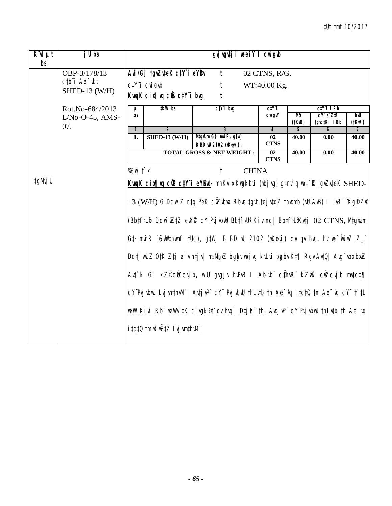| $\overline{K}$ <b><i>ut</i></b> $\mu$ t<br>bs | $jU$ bs                                                                                              |                         |                                                                                                                                                                                                    | gyj vgutji weeiY I cwigub                                                                                                                                                                                                                                                                                                                                                                                                                                                                                                                                                                                                                                                                                                                                                                              |                                     |                    |                                            |                         |  |  |  |
|-----------------------------------------------|------------------------------------------------------------------------------------------------------|-------------------------|----------------------------------------------------------------------------------------------------------------------------------------------------------------------------------------------------|--------------------------------------------------------------------------------------------------------------------------------------------------------------------------------------------------------------------------------------------------------------------------------------------------------------------------------------------------------------------------------------------------------------------------------------------------------------------------------------------------------------------------------------------------------------------------------------------------------------------------------------------------------------------------------------------------------------------------------------------------------------------------------------------------------|-------------------------------------|--------------------|--------------------------------------------|-------------------------|--|--|--|
|                                               | OBP-3/178/13<br>$c$ <sub>t</sub> $b$ <sup><math>\dot{a}</math></sup> Ae $\dot{b}$ t<br>SHED-13 (W/H) |                         | Avi/Gj tgvZuteK ctY i eYBv<br>02 CTNS, R/G.<br>$\mathbf{t}$<br>$C/Y$ <sup>"</sup> $i$ $CW$ <sup><math>g</math></sup> $\not $<br>WT:40.00 Kg.<br>t<br>KwgK cix¶yg c@S ctY i byg<br>$\boldsymbol{t}$ |                                                                                                                                                                                                                                                                                                                                                                                                                                                                                                                                                                                                                                                                                                                                                                                                        |                                     |                    |                                            |                         |  |  |  |
|                                               | Rot.No-684/2013<br>$L/No-O-45$ , AMS-<br>07.                                                         | $\mu$<br>bs             | <b>‡kW</b> bs                                                                                                                                                                                      | $ctY$ i bug                                                                                                                                                                                                                                                                                                                                                                                                                                                                                                                                                                                                                                                                                                                                                                                            | ctYi<br><b>CNI GVY</b>              | Mô<br>$(t$ KwR $)$ | $C/Y$ i IRb<br>$cY$ e $ZxZ$<br>tgvo‡Ki IRb | bxU<br>(HKuR)           |  |  |  |
|                                               |                                                                                                      | $\mathbf{1}$<br>1.      | $\overline{\mathbf{z}}$<br><b>SHED-13 (W/H)</b>                                                                                                                                                    | $\overline{\mathbf{3}}$<br>Mtg $\mathcal U$ m G‡· mwiR, g‡Wj<br><b>B BD id 2102 (iKqvi).</b>                                                                                                                                                                                                                                                                                                                                                                                                                                                                                                                                                                                                                                                                                                           | $\overline{4}$<br>02<br><b>CTNS</b> | 5<br>40.00         | 6<br>0.00                                  | $\overline{7}$<br>40.00 |  |  |  |
|                                               |                                                                                                      |                         |                                                                                                                                                                                                    | <b>TOTAL GROSS &amp; NET WEIGHT:</b>                                                                                                                                                                                                                                                                                                                                                                                                                                                                                                                                                                                                                                                                                                                                                                   | 02<br><b>CTNS</b>                   | 40.00              | 0.00                                       | 40.00                   |  |  |  |
| ‡gMvj U                                       |                                                                                                      | % $Z$ wi $\uparrow$ $k$ | <i>itgtQ tm</i> wfwEtZ Lvj wmthwM"/                                                                                                                                                                | <b>CHINA</b><br>t<br>KunK cinfluq cüs ctY'i eYBut- mnKvix Kugkbvi (ubj vg) gtnv`q ubt`R tgvZvteK SHED-<br>13 (W/H) G Dcw <sup>-</sup> Z ntq PeK cilzubua Rbve tgvt tej vtqZ tnvtmb (wU.AvB) I ivR <sup>-</sup> 'KgRZP<br>(Bbtf>Ui) Dcw <sup>-</sup> wZtZ ewYZ cY'PvjvbwU Bbtf>Ui Kiv nq  Bbtf>UiKvtj 02 CTNS, Mtg&m<br>Gt mwiR (GwWtnumf tUc), gtWj B BD wU 2102 (wKqvi) cvI qv hvq, hv we wiwZ Z_"<br>Dcți wLZ QtK Z‡j aiv nți v  msMpxZ bgby wbj vg kvLvi bgby Kt¶ Rgv AvtQ  Avg`vbx bxwZ<br>Ant`k Gi kZ©c@Zcvjb, wiU gvgjv hvPvB I Ab`vb`` c@hvR`` kZm^` c@Zcvjb mvtct¶<br>$cY$ Pvj vbwl Lvj vmthvM"   Avtj vP" $cY$ " Pvj vbwl thLvtb th Ae $\sim$ vq itqt0 tm Ae $\sim$ vq $cY$ " t`tL<br>weW Kivi Rb" weWvi‡K civgk&'qv hvq  D‡j <i>L</i> i" th, Av‡jvP" cY"PvjvbwU thLv‡b th Ae <sup>-</sup> vq |                                     |                    |                                            |                         |  |  |  |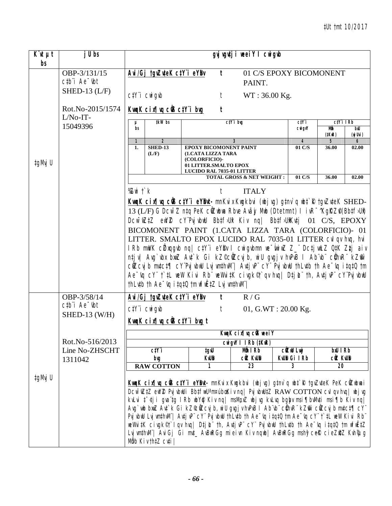| $\overline{K}$ it $\mu t$<br>bs | j U bs                                                     | gyj vgvtji weeiY I cwigub                                                                                                                                                      |                                                                                                                                                                                                                                                                                                                                                                                                                                                                                                                                                                                                                                                            |                                                  |                         |                   |               |  |  |  |  |  |
|---------------------------------|------------------------------------------------------------|--------------------------------------------------------------------------------------------------------------------------------------------------------------------------------|------------------------------------------------------------------------------------------------------------------------------------------------------------------------------------------------------------------------------------------------------------------------------------------------------------------------------------------------------------------------------------------------------------------------------------------------------------------------------------------------------------------------------------------------------------------------------------------------------------------------------------------------------------|--------------------------------------------------|-------------------------|-------------------|---------------|--|--|--|--|--|
|                                 | OBP-3/131/15<br>$ctb$ <sup><math>i</math></sup> Ae $-$ tbt | Avi/Gj tgvZuteK ctY"i eYBv                                                                                                                                                     | $\mathbf{t}$                                                                                                                                                                                                                                                                                                                                                                                                                                                                                                                                                                                                                                               | 01 C/S EPOXY BICOMONENT<br>PAINT.                |                         |                   |               |  |  |  |  |  |
|                                 | SHED-13 $(L/F)$                                            | $C/Y$ <sup>"</sup> $i$ $C$ <sup><math>N</math></sup> $j$ $g$ <sup><math>\not </math></sup> $\phi$                                                                              | t                                                                                                                                                                                                                                                                                                                                                                                                                                                                                                                                                                                                                                                          | WT: 36.00 Kg.                                    |                         |                   |               |  |  |  |  |  |
|                                 | Rot.No-2015/1574<br>$L/No-IT-$                             | KwgK cix¶wg ciB ctY i bug                                                                                                                                                      | t                                                                                                                                                                                                                                                                                                                                                                                                                                                                                                                                                                                                                                                          |                                                  |                         |                   |               |  |  |  |  |  |
|                                 | 15049396                                                   | tkW bs<br>μ<br>bs                                                                                                                                                              |                                                                                                                                                                                                                                                                                                                                                                                                                                                                                                                                                                                                                                                            | $C/Y$ i bvq                                      | ctY i<br><b>CNI GVY</b> | $ctY$ i IRb<br>Mô | bıU           |  |  |  |  |  |
|                                 |                                                            | $\overline{2}$<br>$\mathbf{1}$                                                                                                                                                 |                                                                                                                                                                                                                                                                                                                                                                                                                                                                                                                                                                                                                                                            |                                                  | $\boldsymbol{4}$        | $($ IKıR $)$<br>5 | (nj Uvi)<br>6 |  |  |  |  |  |
| ‡gMvj U                         |                                                            | <b>SHED-13</b><br><b>EPOXY BICOMONENT PAINT</b><br>01 C/S<br>1.<br>36.00<br>(L/F)<br>(1.CATA LIZZA TARA<br>(COLORFICIO)-<br>01 LITTER.SMALTO EPOX<br>LUCIDO RAL 7035-01 LITTER |                                                                                                                                                                                                                                                                                                                                                                                                                                                                                                                                                                                                                                                            |                                                  |                         |                   |               |  |  |  |  |  |
|                                 |                                                            |                                                                                                                                                                                | 01 C/S<br><b>TOTAL GROSS &amp; NET WEIGHT:</b><br>36.00<br>02.00                                                                                                                                                                                                                                                                                                                                                                                                                                                                                                                                                                                           |                                                  |                         |                   |               |  |  |  |  |  |
|                                 |                                                            | % $Z$ wi $\uparrow$ $k$                                                                                                                                                        | <b>ITALY</b>                                                                                                                                                                                                                                                                                                                                                                                                                                                                                                                                                                                                                                               |                                                  |                         |                   |               |  |  |  |  |  |
|                                 |                                                            |                                                                                                                                                                                | KwaK cinfluq cüscty i eybut-mnKvix Kwakbvi (wbjvg) qtnv`q wbt`R tqvZvteK SHED-<br>13 (L/F) G Dcw <sup>-</sup> Z ntq PeK cilzubua Rbve Avay Mub (Dtetmnt) I ivR <sup>-</sup> 'KgRZP(Bbtf <sub>&gt;Un</sub> )                                                                                                                                                                                                                                                                                                                                                                                                                                                |                                                  |                         |                   |               |  |  |  |  |  |
|                                 |                                                            |                                                                                                                                                                                | DCW <sup>-</sup> WZ#Z eWYZ CY'PvjvbwU Bb#f>U# Kiv nq  Bb#f>U#Kv#j 01 C/S, EPOXY                                                                                                                                                                                                                                                                                                                                                                                                                                                                                                                                                                            |                                                  |                         |                   |               |  |  |  |  |  |
|                                 |                                                            |                                                                                                                                                                                | BICOMONENT PAINT (1.CATA LIZZA TARA (COLORFICIO)- 01<br>LITTER. SMALTO EPOX LUCIDO RAL 7035-01 LITTER CVI qv hvg, hvi                                                                                                                                                                                                                                                                                                                                                                                                                                                                                                                                      |                                                  |                         |                   |               |  |  |  |  |  |
|                                 |                                                            |                                                                                                                                                                                | I Rb mwVK cữ xqgvb nq  ctY i eYBv I cwigvbmn we wiwZ Z_ Dctj wLZ QtK Ztj aiv                                                                                                                                                                                                                                                                                                                                                                                                                                                                                                                                                                               |                                                  |                         |                   |               |  |  |  |  |  |
|                                 |                                                            |                                                                                                                                                                                | ntjv  Avg`vbx bxwZ Avt`k Gi kZ©cWZcvjb, wiU gvgjv hvPvB I Ab¨vb¨ cŴhvR¨ kZm͡r                                                                                                                                                                                                                                                                                                                                                                                                                                                                                                                                                                              |                                                  |                         |                   |               |  |  |  |  |  |
|                                 |                                                            |                                                                                                                                                                                | cüZcvjb mvtct¶ cY"PvjvbwU LvjvmthwM"  AvtjvP" cY" PvjvbwU thLvtb th Ae~vq itqtQ tm                                                                                                                                                                                                                                                                                                                                                                                                                                                                                                                                                                         |                                                  |                         |                   |               |  |  |  |  |  |
|                                 |                                                            |                                                                                                                                                                                | Ae "vq cY" t' tL wew Kivi Rb" weWvitK civgk <sup>e</sup> t' qv hvq   Dtj L" th, Avtj vP" cY"Pvj vbwU<br>thLutb th Ae wq itqt0 tm wfwEtZ Lvj wnthwM"                                                                                                                                                                                                                                                                                                                                                                                                                                                                                                        |                                                  |                         |                   |               |  |  |  |  |  |
|                                 | OBP-3/58/14                                                | Avi/Gj tgvZuteK ctY i eYBv                                                                                                                                                     | t                                                                                                                                                                                                                                                                                                                                                                                                                                                                                                                                                                                                                                                          | R/G                                              |                         |                   |               |  |  |  |  |  |
|                                 | $ctb$ <sup><math>i</math></sup> Ae $-$ tbt                 | $C/Y$ <i>i</i> $C$ <i>wi gvb</i>                                                                                                                                               | t                                                                                                                                                                                                                                                                                                                                                                                                                                                                                                                                                                                                                                                          | 01, G.WT: $20.00$ Kg.                            |                         |                   |               |  |  |  |  |  |
|                                 | SHED-13 (W/H)                                              | KwqK cix¶vq ciB ctY i bug t                                                                                                                                                    |                                                                                                                                                                                                                                                                                                                                                                                                                                                                                                                                                                                                                                                            |                                                  |                         |                   |               |  |  |  |  |  |
|                                 |                                                            |                                                                                                                                                                                |                                                                                                                                                                                                                                                                                                                                                                                                                                                                                                                                                                                                                                                            | KwqK cix¶vq ciB weeiY                            |                         |                   |               |  |  |  |  |  |
|                                 | Rot.No-516/2013<br>Line No-ZHSCHT                          | $ctY$ i                                                                                                                                                                        | tgıU                                                                                                                                                                                                                                                                                                                                                                                                                                                                                                                                                                                                                                                       | <b>Cuigil I I Rb (#KuR)</b><br>M <b>ô</b> n I Rb | ciziu Luj               | <b>biU</b> IRb    |               |  |  |  |  |  |
|                                 | 1311042                                                    | bıg                                                                                                                                                                            | <b>KWB</b>                                                                                                                                                                                                                                                                                                                                                                                                                                                                                                                                                                                                                                                 | <b>Civ</b> Kiub                                  | KWR GilRb               | <b>CIZ KIUD</b>   |               |  |  |  |  |  |
|                                 |                                                            | <b>RAW COTTON</b>                                                                                                                                                              | 1                                                                                                                                                                                                                                                                                                                                                                                                                                                                                                                                                                                                                                                          | 23                                               | 3                       | 20                |               |  |  |  |  |  |
| ‡gMvj U                         |                                                            | Mỗ b Kiv thị Z cuți                                                                                                                                                            | KwqK cin¶wq cÜS c‡Y"i eYBwt- mnKvix Kwgkbvi (wbjvg) g‡nv`q wb‡`R †gvZu‡eK PeK cŴZwbwai<br>DCWTWZłZ ewYZ Pvj vbwUi BbtfwU'm¤úbœKiv nq   Pvj vbwUtZ RAW COTTON cvl qv hvq   wbj vg<br>kvLvi ‡~dji gva tg IRb wbY@ Kiv nq  msMpxZ wbjvg kvLvq bgbyv msi¶bwMrti msi¶b Kiv nq <br>"Arg`wb bwZ Art`k Gi kZ©üZcvj b, wiU grgj v hrPvB I Ab`vb``c@hvR``kZm``cüZcvj b mrtct¶ cY<br>"Pvj vbnU Lvj vmthvM"   Avtj vP" cY" Pvj vbnU thLvtb th Ae "vq itqtQ tm Ae "vq cY" t`tL weW Kivi Rb<br>weWvitK civgk©t`lqv hvq  Dtj止¨th, AvtjvP¨cY¨PvjvbwU thLvtb th Ae~vq itqtQ tm wfwËtZ<br>Lvjwnthwll"  AviGj Gi mvt_ AvBuRGg mieivn Kiv nqub  AvBuRGg mshỹcek cieZ#Z Kvh°Lyg |                                                  |                         |                   |               |  |  |  |  |  |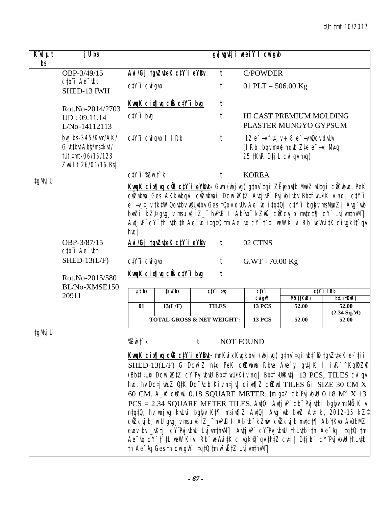| $\overline{K}$ it $\mu t$ | j U bs                                                                                                 |                                                               |                            |                                                                                                                                                                                                                                                                                                                                                                                                                                                                                                                                                                                                                                                                                                                                                                                                                                                                                                                                                                                                                                | gyj wgutji weei Y I cwigub |                                                                                                               |                           |
|---------------------------|--------------------------------------------------------------------------------------------------------|---------------------------------------------------------------|----------------------------|--------------------------------------------------------------------------------------------------------------------------------------------------------------------------------------------------------------------------------------------------------------------------------------------------------------------------------------------------------------------------------------------------------------------------------------------------------------------------------------------------------------------------------------------------------------------------------------------------------------------------------------------------------------------------------------------------------------------------------------------------------------------------------------------------------------------------------------------------------------------------------------------------------------------------------------------------------------------------------------------------------------------------------|----------------------------|---------------------------------------------------------------------------------------------------------------|---------------------------|
| bs                        | OBP-3/49/15                                                                                            |                                                               | Avi/Gj tgvZuteK ctY i eYBv | $\mathbf{t}$                                                                                                                                                                                                                                                                                                                                                                                                                                                                                                                                                                                                                                                                                                                                                                                                                                                                                                                                                                                                                   | <b>C/POWDER</b>            |                                                                                                               |                           |
|                           | $ctb$ <sup>"</sup> $i$ Ae $^ ibt$<br>SHED-13 IWH                                                       | $C/Y$ <sup>"</sup> $i$ $CW$ <sup><math>g</math></sup> $\not $ |                            | t                                                                                                                                                                                                                                                                                                                                                                                                                                                                                                                                                                                                                                                                                                                                                                                                                                                                                                                                                                                                                              | 01 PLT = $506.00$ Kg       |                                                                                                               |                           |
|                           |                                                                                                        |                                                               | KwgK cix¶vg ciB ctY i bug  | $\boldsymbol{t}$                                                                                                                                                                                                                                                                                                                                                                                                                                                                                                                                                                                                                                                                                                                                                                                                                                                                                                                                                                                                               |                            |                                                                                                               |                           |
|                           | Rot.No-2014/2703<br>UD: 09.11.14<br>L/No-14112113                                                      | $c$ t $Y$ 'i bvq                                              |                            | t                                                                                                                                                                                                                                                                                                                                                                                                                                                                                                                                                                                                                                                                                                                                                                                                                                                                                                                                                                                                                              |                            | HI CAST PREMIUM MOLDING<br>PLASTER MUNGYO GYPSUM                                                              |                           |
|                           | $bw$ <sub>bs</sub> -345/Kwm/AK/<br>G" ut t but Abt/mst kut/<br>tUt tmt-06/15/123<br>Zwi Lt 26/01/16 Bs |                                                               | $C/Y$ i Cwigyb I IRb       | $\ddot{\tau}$                                                                                                                                                                                                                                                                                                                                                                                                                                                                                                                                                                                                                                                                                                                                                                                                                                                                                                                                                                                                                  | 25 tKwR Dtj L cvl qv hvq)  | $12 e^-$ -v fi $\sharp j$ v + 8 $e^-$ -v w $\omega$ ov dv $\theta$ v<br>(I Rb tbqv m¤e nqwb Zte e $-$ vi Mvtq |                           |
| ‡gMvj U                   |                                                                                                        | $C_1Y$ <sup>"</sup> $i$ % $Z$ wi $\uparrow$ ` $k$             |                            | t                                                                                                                                                                                                                                                                                                                                                                                                                                                                                                                                                                                                                                                                                                                                                                                                                                                                                                                                                                                                                              | <b>KOREA</b>               |                                                                                                               |                           |
|                           | OBP-3/87/15                                                                                            | $h$ vq $/$                                                    |                            | KwqK cix¶wq cÜB ctY'i eYBut- Gwn (wbj vg) g‡nv`tqi ZËyeav‡b MwVZ wU‡gi cŴZwbwa, PeK<br>cüZubwa Ges AKkwbqvi cüZubwai Dcw~wZ‡Z Av‡jvP" PvjvbLvbv Bb‡fwUªKiv nq  c‡Y"i<br>e--v_tj v tktW Qovtbv wQUvtbv Ges tQov dvUv Ae-vq itqtQ  ctY"i bgby msMynZ  Avg`wb<br>bmZi kZ© gvgjv msµvšíZ_" hvPvB I Ab vb" kZm" cůZcvjb mvtct¶ cY" LvjvmthvM" <br>AutjuP" cY" thLutb th Ae "uq itqt0 tm Ae "uq cY" t`tL weW Kivi Rb" weWvitK civgk iqu<br>$\mathbf{t}$                                                                                                                                                                                                                                                                                                                                                                                                                                                                                                                                                                              | 02 CTNS                    |                                                                                                               |                           |
|                           | $ctb$ <sup>"</sup> $i$ Ae $-$ <sub>ibt</sub>                                                           |                                                               | Avi/Gj tgvZuteK ctY i eYBv |                                                                                                                                                                                                                                                                                                                                                                                                                                                                                                                                                                                                                                                                                                                                                                                                                                                                                                                                                                                                                                |                            |                                                                                                               |                           |
|                           | $SHED-13(L/F)$                                                                                         | $C/Y$ <i>i</i> $CW$ <i>i</i> $q$ <i>ib</i>                    |                            | $\ddot{\tau}$                                                                                                                                                                                                                                                                                                                                                                                                                                                                                                                                                                                                                                                                                                                                                                                                                                                                                                                                                                                                                  | G.WT - 70.00 Kg            |                                                                                                               |                           |
|                           | Rot.No-2015/580                                                                                        |                                                               | KwaK cix¶va ciB ctY i bug  | t                                                                                                                                                                                                                                                                                                                                                                                                                                                                                                                                                                                                                                                                                                                                                                                                                                                                                                                                                                                                                              |                            |                                                                                                               |                           |
|                           | BL/No-XMSE150<br>20911                                                                                 | $\mu t$ bs                                                    | <b>‡kW</b> bs              | $ctY$ i big                                                                                                                                                                                                                                                                                                                                                                                                                                                                                                                                                                                                                                                                                                                                                                                                                                                                                                                                                                                                                    | ctYi<br><b>CNI GVY</b>     | Mỗ (†KwR)                                                                                                     | $C/Y$ i IRb<br>bxU (tKuR) |
|                           |                                                                                                        | 01                                                            | 13(L/F)                    | <b>TILES</b>                                                                                                                                                                                                                                                                                                                                                                                                                                                                                                                                                                                                                                                                                                                                                                                                                                                                                                                                                                                                                   | <b>13 PCS</b>              | 52.00                                                                                                         | 52.00<br>(2.34 Sq.M)      |
|                           |                                                                                                        |                                                               |                            | <b>TOTAL GROSS &amp; NET WEIGHT:</b>                                                                                                                                                                                                                                                                                                                                                                                                                                                                                                                                                                                                                                                                                                                                                                                                                                                                                                                                                                                           | <b>13 PCS</b>              | 52.00                                                                                                         | 52.00                     |
| ‡gMvj U                   |                                                                                                        | %Zwit`k                                                       |                            | t<br><b>NOT FOUND</b><br>KungK cir¶uq cüB ctYï eYBut- mnKvix Kugkbvi (ubjvg) g‡nv`tqi ubt`R †gvZvteK e>`tii<br>SHED-13(L/F) G Dcw <sup>-</sup> Z ntq PeK cûZubwa Rbve Ave`jy gvtj K I ivR <sup>-^</sup> KgRZP<br>(Bbtf>Ui) Dcw <sup>-</sup> iuZtZ cY'Pvjvbill BbtfiwU <sup>a</sup> Kivnq  Bbtf>UiKutj 13 PCS, TILES cvlqv<br>hvq, hv Dcți wLZ QtK Dc vcb Kiv nți v  ci xvq 7 cüzwU TILES Gi SIZE 30 CM X<br>60 CM. A_ $\mathbf{f}$ cOZIN 0.18 SQUARE METER. $t$ m gtZ cb Pvj vbill 0.18 M <sup>2</sup> X 13<br>$PCS = 2.34$ SQUARE METER TILES. Avt0   Avtj vP" cb" Pvj vtbi bgby msllib Kiv<br>ntqt0, hv ubjvg kvLvi bgby Kt¶ msiw¶Z Avt0  Avg`wb bwz Avt`k, 2012-15 kZ <sup>d</sup><br>cůZcvj b, wi U gvgj v msµvšíZ_" hvPvB I Ab"vb" kZmi` cůZcvj b mvtct¶ Ab"tKvb AvBbMZ<br>evav bv _vKtj cY'PvjvbwU LvjwmthwM"  AvtjvP" cY'PvjvbwU thLvtb th Ae <sup>-</sup> vq itqtQ tm<br>Ae "rg cY" t` tL wew Kivi Rb" weWitK civgk® `qv thtZ cuti   Dtj L", cY'Pvj vbwU thLutb<br>th Ae Vq Ges th cwigvY i tqtQ tm wfwEtZ Lvj wnthwM" |                            |                                                                                                               |                           |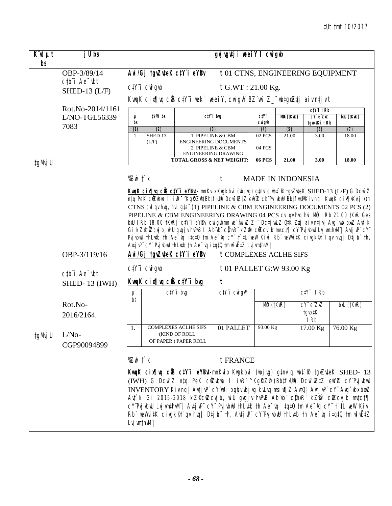| $\overline{K}$ ut $\mu t$<br>bs | j U bs                                                                                     |                                                               | gyj vgytj i weei Y I cwigwb                                                                                                                                                                                              |                             |                                                                                              |                |                           |                                |                                                                                                                                                                                    |  |  |  |
|---------------------------------|--------------------------------------------------------------------------------------------|---------------------------------------------------------------|--------------------------------------------------------------------------------------------------------------------------------------------------------------------------------------------------------------------------|-----------------------------|----------------------------------------------------------------------------------------------|----------------|---------------------------|--------------------------------|------------------------------------------------------------------------------------------------------------------------------------------------------------------------------------|--|--|--|
|                                 | OBP-3/89/14<br>$ctb$ <sup><math>\dot{}</math></sup> Ae $\dot{}$ $\dot{}$ $\dot{}$ $\dot{}$ | Avi/Gj tgvZuteK ctY"i eYBv                                    |                                                                                                                                                                                                                          |                             | t01 CTNS, ENGINEERING EQUIPMENT                                                              |                |                           |                                |                                                                                                                                                                                    |  |  |  |
|                                 | SHED-13 $(L/F)$                                                                            | $C/Y$ <sup>"</sup> $i$ $CW$ <sup><math>g</math></sup> $\not $ |                                                                                                                                                                                                                          |                             | $t$ G.WT: 21.00 Kg.<br>KnugK cir¶vq cÜB ctY'i wek`weeiY, cwigvY BZ'wr`Z_"wbtgozzhj aiv ntjvt |                |                           |                                |                                                                                                                                                                                    |  |  |  |
|                                 | Rot.No-2014/1161                                                                           |                                                               |                                                                                                                                                                                                                          |                             |                                                                                              |                |                           | $ciY$ i IRb                    |                                                                                                                                                                                    |  |  |  |
|                                 | L/NO-TGL56339<br>7083                                                                      | $\mu$<br>bs                                                   | tkW bs                                                                                                                                                                                                                   |                             | ctY'i big                                                                                    | ctY i<br>cwigw | Mỗ (†KưR)                 | cY eZxZ<br>tgvo‡Ki IRb         | bxU (†KuR)                                                                                                                                                                         |  |  |  |
|                                 |                                                                                            | (1)<br>$SHED-13$<br>1.                                        | (2)                                                                                                                                                                                                                      |                             | (3)<br>1. PIPELINE & CBM                                                                     | (4)<br>02 PCS  | $\overline{(5)}$<br>21.00 | (6)<br>3.00                    | (7)<br>18.00                                                                                                                                                                       |  |  |  |
|                                 |                                                                                            | (L/F)                                                         |                                                                                                                                                                                                                          |                             | ENGINEERING DOCUMENTS                                                                        |                |                           |                                |                                                                                                                                                                                    |  |  |  |
|                                 |                                                                                            |                                                               |                                                                                                                                                                                                                          |                             | 2. PIPELINE & CBM<br>ENGINEERING DRAWING                                                     | 04 PCS         |                           |                                |                                                                                                                                                                                    |  |  |  |
| ‡gMvj U                         |                                                                                            |                                                               |                                                                                                                                                                                                                          |                             | <b>TOTAL GROSS &amp; NET WEIGHT:</b>                                                         | $06$ PCS       | 21.00                     | 3.00                           | 18.00                                                                                                                                                                              |  |  |  |
|                                 |                                                                                            | % $Z$ wi $\ddot{\ }$ $k$                                      |                                                                                                                                                                                                                          |                             | $\ddot{\tau}$                                                                                |                | <b>MADE IN INDONESIA</b>  |                                |                                                                                                                                                                                    |  |  |  |
|                                 |                                                                                            |                                                               |                                                                                                                                                                                                                          |                             |                                                                                              |                |                           |                                | Kunk cinfluq cüs ctY'i eYBut-mnKvix Kugkbvi (ubj vg) gtnv`q ubt`R tgvZvteK SHED-13 (L/F) G Dcw~Z                                                                                   |  |  |  |
|                                 |                                                                                            |                                                               | ntq PeK cüzubua I ivR <sup>-</sup> ^KgRZP(Bbtf>Ui) Dcw <sup>-</sup> wZtZ ewY2 cb <sup>''p</sup> vjvbuU BbtfwU''Kivnq  KwqK cix¶vKvtj 01<br>CTNS cvl qv hvq, hvi gta" (1) PIPELINE & CBM ENGINEERING DOCUMENTS 02 PCS (2) |                             |                                                                                              |                |                           |                                |                                                                                                                                                                                    |  |  |  |
|                                 |                                                                                            |                                                               | PIPELINE & CBM ENGINEERING DRAWING 04 PCS cvl qv hvq hvi Mth I Rb 21.00 tKwR Ges                                                                                                                                         |                             |                                                                                              |                |                           |                                |                                                                                                                                                                                    |  |  |  |
|                                 |                                                                                            |                                                               | bxU I Rb 18.00 †KwR  ctY'i eYBv, cwigvbmn we wiwz Z_" Dctj wLZ QtK Ztj aiv ntjv  Avg`wb bxwZ Avt`k                                                                                                                       |                             |                                                                                              |                |                           |                                |                                                                                                                                                                                    |  |  |  |
|                                 |                                                                                            |                                                               | Gi kZ°cůZcvj b, wi U gvgj v hvPvB I Ab vb" cůhvR" kZm cůZcvj b mutct¶ cY Pvj vbuU Lvj vmthvM"   Autj vP" cY"<br>Prj wbwl th Lutb th Ae To it qt 0 tm Ae To cy t't LueW Kivi Rb we Writk cingk®t I qu huq   Dtj L th,     |                             |                                                                                              |                |                           |                                |                                                                                                                                                                                    |  |  |  |
|                                 |                                                                                            |                                                               |                                                                                                                                                                                                                          |                             | Autj vP" cY" Puj vbwU thLutb th Ae "vq i tqtQ tm wfwEtZ Luj wmthwM"                          |                |                           |                                |                                                                                                                                                                                    |  |  |  |
|                                 | OBP-3/119/16                                                                               | Avi/Gj tgvZuteK ctY"i eYBv                                    |                                                                                                                                                                                                                          |                             | <b>t COMPLEXES ACLHE SIFS</b>                                                                |                |                           |                                |                                                                                                                                                                                    |  |  |  |
|                                 |                                                                                            | $C/Y$ <i>i</i> $CW$ <i>i</i> $q$ <i>ib</i>                    |                                                                                                                                                                                                                          |                             | $t01$ PALLET G:W 93.00 Kg                                                                    |                |                           |                                |                                                                                                                                                                                    |  |  |  |
|                                 | $ctb$ <sup><math>i</math></sup> Ae $-$ tbt<br><b>SHED-13 (IWH)</b>                         | KwgK cix¶yg ciB ctY i byg                                     |                                                                                                                                                                                                                          |                             | t                                                                                            |                |                           |                                |                                                                                                                                                                                    |  |  |  |
|                                 |                                                                                            | μ                                                             | $C/Y$ i bvg                                                                                                                                                                                                              |                             | $C/Y$ i $C$ wi gvY                                                                           |                |                           | $C/Y$ i IRb                    |                                                                                                                                                                                    |  |  |  |
|                                 | Rot.No-                                                                                    | bs                                                            |                                                                                                                                                                                                                          |                             |                                                                                              | Mån (†KwR)     |                           | $CY^{\prime} e^{\prime} Z X Z$ | bxU (tKwR)                                                                                                                                                                         |  |  |  |
|                                 | 2016/2164.                                                                                 |                                                               |                                                                                                                                                                                                                          |                             |                                                                                              |                |                           | tgro‡Ki<br>I Rb                |                                                                                                                                                                                    |  |  |  |
|                                 |                                                                                            | 1.                                                            |                                                                                                                                                                                                                          | <b>COMPLEXES ACLHE SIFS</b> | 01 PALLET                                                                                    | 93.00 Kg       |                           | 17.00 Kg                       | 76.00 Kg                                                                                                                                                                           |  |  |  |
| ‡gMvj U                         | $L/No-$                                                                                    |                                                               | (KIND OF ROLL                                                                                                                                                                                                            | OF PAPER ) PAPER ROLL       |                                                                                              |                |                           |                                |                                                                                                                                                                                    |  |  |  |
|                                 | CGP90094899                                                                                |                                                               |                                                                                                                                                                                                                          |                             |                                                                                              |                |                           |                                |                                                                                                                                                                                    |  |  |  |
|                                 |                                                                                            | %Zwi †`k                                                      |                                                                                                                                                                                                                          |                             | t FRANCE                                                                                     |                |                           |                                |                                                                                                                                                                                    |  |  |  |
|                                 |                                                                                            |                                                               |                                                                                                                                                                                                                          |                             |                                                                                              |                |                           |                                | Kunk cir¶uq cûs ctY'i eYbu-mnKvix Kugkbvi (ubjvg) gtnv`q ubt`R tgvZvteK SHED- 13                                                                                                   |  |  |  |
|                                 |                                                                                            |                                                               |                                                                                                                                                                                                                          |                             |                                                                                              |                |                           |                                | (IWH) G DCW <sup>-</sup> Z ntq PeK cilZubua I ivR <sup>-^</sup> KgRZP (Bbtf>Ut) DCW <sup>-</sup> WZtZ ewY2 cY'PvjvbwU                                                              |  |  |  |
|                                 |                                                                                            |                                                               |                                                                                                                                                                                                                          |                             |                                                                                              |                |                           |                                | INVENTORY Kiv nq  Avtj vP" cY"wUi bgby wbj vg kvLvq msi w¶Z AvtQ  Avtj vP" cY" Avg`vbx bwuZ                                                                                        |  |  |  |
|                                 |                                                                                            |                                                               |                                                                                                                                                                                                                          |                             |                                                                                              |                |                           |                                | Ant`k Gi 2015-2018 kZ©cŴZcvjb, wiU gvgjv hvPvB Abïvbï cŴhvRï kZmî` cŴZcvjb mvtct¶<br>cY'PujubuU LujumthuM'  AutjuP" cY" PujubuU thLutb th Ae "vq itqtQ tm Ae "vq cY" t`tL weW Kivi |  |  |  |
|                                 |                                                                                            |                                                               |                                                                                                                                                                                                                          |                             |                                                                                              |                |                           |                                | $Rb$ weWvitK civgk©t`qv hvq  DtjL th, AvtjvP cY'PvjvbwU thLvtb th Ae $\sim$ vq itqtQ tm wfwEtZ                                                                                     |  |  |  |
|                                 |                                                                                            | Lvj vm‡hvM"                                                   |                                                                                                                                                                                                                          |                             |                                                                                              |                |                           |                                |                                                                                                                                                                                    |  |  |  |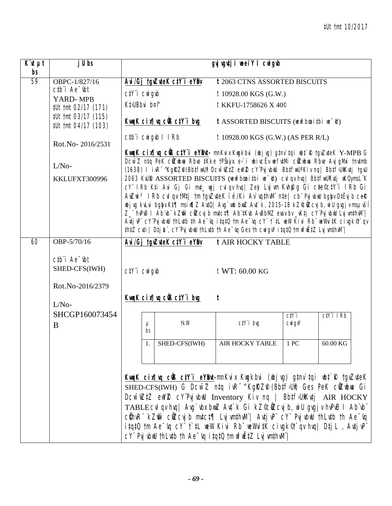| $K^{\cdot}$ ut $\mu$ t<br>bs | j U bs                                                                                                           |                                                               |                                                                                                                                                                                                                                                                                                                                                                                                                                                                                                                                     | gyj vgvtji weeiY I cwigub                                                                                                                                                                            |                               |             |  |  |  |  |  |
|------------------------------|------------------------------------------------------------------------------------------------------------------|---------------------------------------------------------------|-------------------------------------------------------------------------------------------------------------------------------------------------------------------------------------------------------------------------------------------------------------------------------------------------------------------------------------------------------------------------------------------------------------------------------------------------------------------------------------------------------------------------------------|------------------------------------------------------------------------------------------------------------------------------------------------------------------------------------------------------|-------------------------------|-------------|--|--|--|--|--|
| 59                           | OBPC-1/827/16                                                                                                    |                                                               | Avi/Gj tgvZuteK ctY'i eYBv                                                                                                                                                                                                                                                                                                                                                                                                                                                                                                          | <b>t</b> 2063 CTNS ASSORTED BISCUITS                                                                                                                                                                 |                               |             |  |  |  |  |  |
|                              | $ctb$ <sup>"</sup> $i$ Ae $-$ <sub>ibt</sub>                                                                     | $C/Y$ <sup>"</sup> $i$ $CW$ <sup><math>g</math></sup> $\not $ |                                                                                                                                                                                                                                                                                                                                                                                                                                                                                                                                     | t 10928.00 KGS (G.W.)                                                                                                                                                                                |                               |             |  |  |  |  |  |
|                              | YARD-MPB<br>#Ut tmt 02/17 (171)                                                                                  | Kt>UBbvi b¤f                                                  |                                                                                                                                                                                                                                                                                                                                                                                                                                                                                                                                     | t KKFU-1758626 X 40 <sup>°</sup>                                                                                                                                                                     |                               |             |  |  |  |  |  |
|                              | #Ut tmt 03/17 (115)<br>#Ut tmt 04/17 (103)                                                                       |                                                               | <u>KwqK cix¶vq ciß ctY i bug</u>                                                                                                                                                                                                                                                                                                                                                                                                                                                                                                    | $t$ ASSORTED BISCUITS (newfbanitbi ne $\bar{d}$ )                                                                                                                                                    |                               |             |  |  |  |  |  |
|                              | Rot.No-2016/2531                                                                                                 | ctbii cwigwb I IRb                                            |                                                                                                                                                                                                                                                                                                                                                                                                                                                                                                                                     | $t$ 10928.00 KGS (G.W.) (AS PER R/L)                                                                                                                                                                 |                               |             |  |  |  |  |  |
|                              |                                                                                                                  |                                                               |                                                                                                                                                                                                                                                                                                                                                                                                                                                                                                                                     | KwqK cix¶wq cÜS ctY"i eYBwt- mnKvix Kwgkbvi (wbjwg) gtnv`tqi wbt`R tgvZvteK Y-MPB G                                                                                                                  |                               |             |  |  |  |  |  |
|                              | $L/No-$<br>KKLUFXT300996                                                                                         |                                                               | Dcw~Z ntq PeK cüZubua Rbve ‡Kke †PŠajx. e>`i ubivcËv wefv‡Mi cüZubua Rbve Avj gMxi †nv‡mb<br>(1638) I ivR <sup>-^</sup> KgRZP(BbtfwU) Dcw <sup>-</sup> wZtZ ewYZ cY'PvjvbwU BbtfwU'Kiv nq  BbtfJUiKvtj tgvU<br>2063 KvU® ASSORTED BISCUITS (wewfbaaitbi we~d) cvl qv hvq   BbtfwUKvtj wKQynsL"K<br>cY" IRb Kṭi Avi Gj Gi muṭ_ ưgj culqu huq  Zey Lujwm Kuhfug Gi cṭe©cṭY"i IRb Gi                                                                                                                                                   |                                                                                                                                                                                                      |                               |             |  |  |  |  |  |
|                              |                                                                                                                  |                                                               | AwZwi <sup>3</sup> I Rb cvl qv tMtj tm tgvZvteK i é/Ki Av`vqthvM" nte  cb" Pvj vbwU bgbyv DtËvjb ceR<br>wbjvq kvLvi bqbyv Kt¶msiw¶Z AvtQ  Avg`wb bwz Avt`k, 2015-18 kZ©wzcvjb, wiU qvqjv msµvšl<br>Z_"hvPvB I Ab"vb" kZm" cilZcvj b mvtct¶ Ab"tKvb AvBbMZ evav bv _vKtj cY"Pvj vbwU Lvj wnthvM" <br>AntjuP" cY'PujubuU thLutb th Ae <sup>-</sup> uq itqtQ tm Ae <sup>-</sup> uq cY" t`tL weW Kivi Rb" weWvitK civgk <sup>®</sup> t`qv<br>thtZ cuti   Dtj L", cY'Pvj ubuU thLutb th Ae "uq Ges th cwigvY itqtQ tm wfwEtZ Lvj wnthuM" |                                                                                                                                                                                                      |                               |             |  |  |  |  |  |
| 60                           | OBP-5/70/16                                                                                                      |                                                               | Avi/Gj tgvZuteK ctY i eYDv                                                                                                                                                                                                                                                                                                                                                                                                                                                                                                          | <b>t AIR HOCKY TABLE</b>                                                                                                                                                                             |                               |             |  |  |  |  |  |
|                              | $ctb$ <sup><math>\dot{}</math></sup> Ae $\dot{}$ $\dot{}$ $\dot{}$ $\dot{}$<br>SHED-CFS(IWH)<br>Rot.No-2016/2379 | $C/Y$ <sup>"</sup> $i$ $CW$ <sup><math>g</math></sup> $\not $ |                                                                                                                                                                                                                                                                                                                                                                                                                                                                                                                                     | $t$ WT: 60.00 KG                                                                                                                                                                                     |                               |             |  |  |  |  |  |
|                              | $L/No-$                                                                                                          |                                                               | KwaK cix¶ya ciB ctY i byg                                                                                                                                                                                                                                                                                                                                                                                                                                                                                                           | t                                                                                                                                                                                                    |                               |             |  |  |  |  |  |
|                              | SHCGP160073454                                                                                                   |                                                               |                                                                                                                                                                                                                                                                                                                                                                                                                                                                                                                                     |                                                                                                                                                                                                      | C <sub>i</sub> Y <sub>i</sub> | $C/Y$ i IRb |  |  |  |  |  |
|                              | B                                                                                                                | $\mu$<br>bs                                                   | tkW                                                                                                                                                                                                                                                                                                                                                                                                                                                                                                                                 | $c$ t $Y$ 'i bvg                                                                                                                                                                                     | $CW$ <i>i</i> $gV$            |             |  |  |  |  |  |
|                              |                                                                                                                  |                                                               | SHED-CFS(IWH)                                                                                                                                                                                                                                                                                                                                                                                                                                                                                                                       | AIR HOCKY TABLE 1 PC                                                                                                                                                                                 |                               | 60.00 KG    |  |  |  |  |  |
|                              |                                                                                                                  |                                                               |                                                                                                                                                                                                                                                                                                                                                                                                                                                                                                                                     | KwqK cix¶wq cÜB ctYï eYBwt-mnKvix Kwgkbvi (wbjvg) g‡nv`tqi wbt`R †gvZvteK<br>SHED-CFS(IWH) G DCW <sup>-</sup> Z ntq ivR <sup>-^</sup> KgRZP (Bbtf)Ut) Ges PeK cûZubwa Gi                             |                               |             |  |  |  |  |  |
|                              |                                                                                                                  |                                                               | Dcw <sup>-</sup> wZ#Z ewYZ cY'PvjvbwU Inventory Kiv ng   Bb#f}U)Kv#j AIR HOCKY                                                                                                                                                                                                                                                                                                                                                                                                                                                      |                                                                                                                                                                                                      |                               |             |  |  |  |  |  |
|                              |                                                                                                                  |                                                               | TABLE CVI qv hvq   Avg`vbx bxwZ Avt`k Gi kZ©cWZ cvj b, wiU gvgj v hvPvB I Ab vb                                                                                                                                                                                                                                                                                                                                                                                                                                                     |                                                                                                                                                                                                      |                               |             |  |  |  |  |  |
|                              |                                                                                                                  |                                                               |                                                                                                                                                                                                                                                                                                                                                                                                                                                                                                                                     | cühvR" kZm" cüZcvjb mvtct¶ LvjvmthvM"  AvtjvP" cY" PvjvbwU thLvtb th Ae~vq                                                                                                                           |                               |             |  |  |  |  |  |
|                              |                                                                                                                  |                                                               |                                                                                                                                                                                                                                                                                                                                                                                                                                                                                                                                     | $i$ tqt0 $t$ m Ae $\bar{y}$ q cY" $\bar{t}$ $\bar{t}$ L weW Kivi Rb" weWvitK civgk $\mathcal{C}$ t $\bar{y}$ hvq  Dtj L, Avtj vP"<br>$CY$ Pvj vbwU thLvtb th Ae $\neg$ vq itqtQ tm wfwEtZ Lvj vmthvM |                               |             |  |  |  |  |  |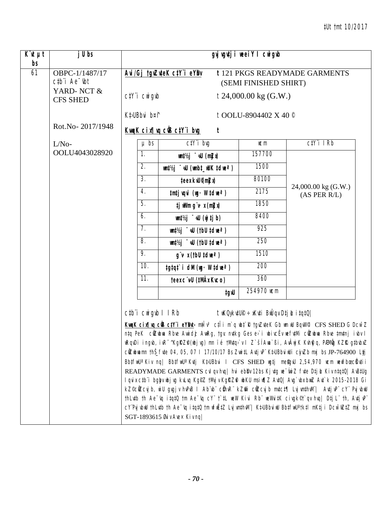## #Ut tmt 10/2017

| $\overline{K}$ ut $\overline{\mu}$ t<br>bs | j U bs                                                                                        |                                                               |                                                                                                                                    | gyj vgvtji weeiY I cwigub            |                                                                                                                                                                                                                                                                                                                                                                                                                                                                                                                                                                                                                                                                                                                                                                                                                                                                                                                                                                                      |
|--------------------------------------------|-----------------------------------------------------------------------------------------------|---------------------------------------------------------------|------------------------------------------------------------------------------------------------------------------------------------|--------------------------------------|--------------------------------------------------------------------------------------------------------------------------------------------------------------------------------------------------------------------------------------------------------------------------------------------------------------------------------------------------------------------------------------------------------------------------------------------------------------------------------------------------------------------------------------------------------------------------------------------------------------------------------------------------------------------------------------------------------------------------------------------------------------------------------------------------------------------------------------------------------------------------------------------------------------------------------------------------------------------------------------|
| $\overline{61}$                            | OBPC-1/1487/17<br>$ctb$ <sup><math>\dot{}</math></sup> Ae $\dot{}$ $\dot{}$ $\dot{}$ $\dot{}$ |                                                               | Avi/Gj tgvZuteK ctY'i eYBv                                                                                                         | (SEMI FINISHED SHIRT)                | t 121 PKGS READYMADE GARMENTS                                                                                                                                                                                                                                                                                                                                                                                                                                                                                                                                                                                                                                                                                                                                                                                                                                                                                                                                                        |
|                                            | YARD-NCT &<br><b>CFS SHED</b>                                                                 | $C/Y$ <sup>"</sup> $i$ $CW$ <sup><math>g</math></sup> $\not $ |                                                                                                                                    | $t$ 24,000.00 kg (G.W.)              |                                                                                                                                                                                                                                                                                                                                                                                                                                                                                                                                                                                                                                                                                                                                                                                                                                                                                                                                                                                      |
|                                            |                                                                                               | Kt <sub>&gt;UBbvi</sub> b¤î                                   |                                                                                                                                    | t OOLU-8904402 X 40 $\degree$        |                                                                                                                                                                                                                                                                                                                                                                                                                                                                                                                                                                                                                                                                                                                                                                                                                                                                                                                                                                                      |
|                                            | Rot.No-2017/1948                                                                              |                                                               | KwaK cix   va cüs ctY i bug<br>t                                                                                                   |                                      |                                                                                                                                                                                                                                                                                                                                                                                                                                                                                                                                                                                                                                                                                                                                                                                                                                                                                                                                                                                      |
|                                            | $L/No-$                                                                                       | $\mu$ bs                                                      | $C/Y$ i bvg                                                                                                                        | $\mathbb{R}^m$                       | $C/Y$ i IRb                                                                                                                                                                                                                                                                                                                                                                                                                                                                                                                                                                                                                                                                                                                                                                                                                                                                                                                                                                          |
|                                            | OOLU4043028920                                                                                | $\overline{1}$ .                                              | $um\ddagger\frac{1}{2}j$ $du$ (mzw)                                                                                                | 157700                               |                                                                                                                                                                                                                                                                                                                                                                                                                                                                                                                                                                                                                                                                                                                                                                                                                                                                                                                                                                                      |
|                                            |                                                                                               | 2.                                                            | um‡½j - dU (umb‡_uUK ‡clueª)                                                                                                       | 1500                                 |                                                                                                                                                                                                                                                                                                                                                                                                                                                                                                                                                                                                                                                                                                                                                                                                                                                                                                                                                                                      |
|                                            |                                                                                               | $\overline{3}$ .                                              | teex kw@mmy                                                                                                                        | 80100                                |                                                                                                                                                                                                                                                                                                                                                                                                                                                                                                                                                                                                                                                                                                                                                                                                                                                                                                                                                                                      |
|                                            |                                                                                               | 4.                                                            | tmtj vqvi (vg· W tdveª)                                                                                                            | 2175                                 | 24,000.00 kg (G.W.)<br>(AS PER R/L)                                                                                                                                                                                                                                                                                                                                                                                                                                                                                                                                                                                                                                                                                                                                                                                                                                                                                                                                                  |
|                                            |                                                                                               | $\overline{5}$ .                                              | tj willm g <sup>'</sup> v x (m <b>3</b> zx)                                                                                        | 1850                                 |                                                                                                                                                                                                                                                                                                                                                                                                                                                                                                                                                                                                                                                                                                                                                                                                                                                                                                                                                                                      |
|                                            |                                                                                               | 6.                                                            | $m\nmid \frac{1}{2}j \quad \text{all} \quad (yj \text{ if } b)$                                                                    | 8400                                 |                                                                                                                                                                                                                                                                                                                                                                                                                                                                                                                                                                                                                                                                                                                                                                                                                                                                                                                                                                                      |
|                                            |                                                                                               | 7.                                                            | $\mathsf{m1}/\mathsf{N}$ $\mathsf{m2}$ $\mathsf{m3}$ $\mathsf{m4}$ (tbU $\mathsf{tdm2}$ )                                          | 925                                  |                                                                                                                                                                                                                                                                                                                                                                                                                                                                                                                                                                                                                                                                                                                                                                                                                                                                                                                                                                                      |
|                                            |                                                                                               | 8.                                                            | $um\ddagger\%j$ $\overline{\phantom{a}}$ aU (tbU $\ddagger$ clue? )                                                                | $\overline{250}$                     |                                                                                                                                                                                                                                                                                                                                                                                                                                                                                                                                                                                                                                                                                                                                                                                                                                                                                                                                                                                      |
|                                            |                                                                                               | 9.                                                            | $q^{\mu}$ x (tbU tdue?)                                                                                                            | 1510                                 |                                                                                                                                                                                                                                                                                                                                                                                                                                                                                                                                                                                                                                                                                                                                                                                                                                                                                                                                                                                      |
|                                            |                                                                                               | 10.                                                           | tgtqt`i dM (mg· W tdmeª)                                                                                                           | 200                                  |                                                                                                                                                                                                                                                                                                                                                                                                                                                                                                                                                                                                                                                                                                                                                                                                                                                                                                                                                                                      |
|                                            |                                                                                               | 11.                                                           | teex c"wU (#MÄx Kvco)                                                                                                              | $\overline{360}$                     |                                                                                                                                                                                                                                                                                                                                                                                                                                                                                                                                                                                                                                                                                                                                                                                                                                                                                                                                                                                      |
|                                            |                                                                                               |                                                               | <b>tgw</b>                                                                                                                         | 254970 IICm                          |                                                                                                                                                                                                                                                                                                                                                                                                                                                                                                                                                                                                                                                                                                                                                                                                                                                                                                                                                                                      |
|                                            |                                                                                               | ctb"i cwigwb I IRb                                            |                                                                                                                                    | t wKQykv‡UP ÷xKv‡i BwÛqv D‡j & i‡q‡Q |                                                                                                                                                                                                                                                                                                                                                                                                                                                                                                                                                                                                                                                                                                                                                                                                                                                                                                                                                                                      |
|                                            |                                                                                               |                                                               | cůZubuamn thš_fute 04, 05, 07 l 17/10/17 Bs ZwitL Autj vP" KtJUBbviuUi ciyzb muj bs JP-764900 Lij<br>SGT-1893615 Øviv Avex Kiv ng/ |                                      | KwqK cinfluq cüB c‡Y"i eYBM- m‡Îv <sup>3</sup> c‡Îi m`q wb‡`R tgvZv‡eK Gb wn wU BqvW©I CFS SHED G Dcw <sup>-</sup> Z<br>ntq PeK cilZubua Rbve Awridj: AwRg, tgv: nutkg Ges e>`i ubivcËv wefutMi cilZubwa Rbve tmutnj ivbv l<br>wRqvDi ingvb, ivR~^KgRZP(wbjvg) mn ïé tMvtq>`v I Z`šĺAwa`ßi, AvÂwjK Kvhijq, PÆMig KZR.gtbvbxZ<br>BbtfwU <sup>a</sup> Kiv ng  BbtfwU <sup>a</sup> Kutj K $\sharp$ UBbvi I CFS SHED wgtj megyvU 2,54,970 wcm wewfbœcKutii<br>READYMADE GARMENTS cvl qv hvq   hvi ebb 12bs Kj vtg ve - wi Z fite Dtj L Kiv ntqtQ   AvBtUg<br>lqvix ctb"i bgbyubjug kuLuq KgiPZ tMyjv KgiRZii ubKU msiw¶z AutQ  Aug`vbxbxwZ Aut`k 2015-2018 Gi<br>kZ®ciZcvjb, wiU gvgjv hvPvB I Ab vb cihvR kZm ciZcvjb mvtct¶ LvjvmthvM   AvtjvP cY PvjvbwU<br>th lutb th Ae $\neg$ it qt 0 tm Ae $\neg$ c Y t i mew Kivi Rb we Whit K cingk $\neg$ or huq   Dtj L th, AutjuP<br>cY'Pvj vbuU thLutb th Ae "vq itqtQ tm wfuEtZ Lvj wnthwN"   KtUBbviuU BbtfwU'tktl mKtj i Dcw WZtZ mxj bs |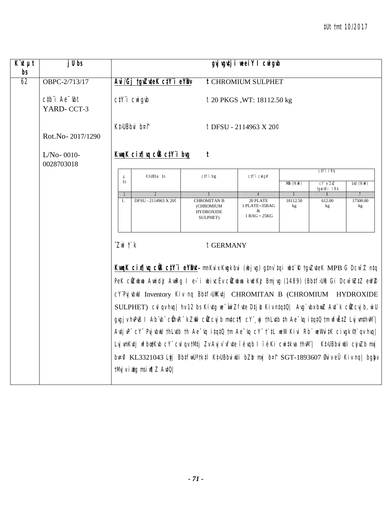| $\overline{K}$ it $\mu t$<br>bs | $jU$ bs                                                     |                       |                                                                                                |                                                                                                                    | gvj vgutj i weei Y I cwigub                      |                |              |                |  |  |
|---------------------------------|-------------------------------------------------------------|-----------------------|------------------------------------------------------------------------------------------------|--------------------------------------------------------------------------------------------------------------------|--------------------------------------------------|----------------|--------------|----------------|--|--|
| 62                              | OBPC-2/713/17                                               |                       | Avi/Gj tgvZuteK ctY i eYBv                                                                     |                                                                                                                    | <b>t CHROMIUM SULPHET</b>                        |                |              |                |  |  |
|                                 | $ctb$ <sup>"</sup> $i$ Ae $^-$ <sub>ibt</sub><br>YARD-CCT-3 |                       | $C/Y$ <sup>"<math>i</math></sup> $C$ <sup><math>ni</math></sup> $q$ <sup><math>ib</math></sup> |                                                                                                                    | <i>t</i> 20 PKGS, WT: 18112.50 kg                |                |              |                |  |  |
|                                 | Rot.No-2017/1290                                            |                       | Kt>UBbvi b¤f                                                                                   |                                                                                                                    | t DFSU - 2114963 X 20 <sup>°</sup>               |                |              |                |  |  |
|                                 | $L/No-0010-$<br>0028703018                                  |                       | KwgK cix[ vg ciB ctY i bvg<br>$\boldsymbol{t}$<br>$C/Y$ i I $Rb$                               |                                                                                                                    |                                                  |                |              |                |  |  |
|                                 |                                                             | $\mu$                 | Kt>UBbvi bs<br>ctY'i brg<br>$C\ddagger Y$ i $C$ wigv $Y$                                       |                                                                                                                    |                                                  |                |              |                |  |  |
|                                 |                                                             | bs                    |                                                                                                | cY eZxZ<br>tgvo‡Ki IRb                                                                                             | bxU (tKwR)                                       |                |              |                |  |  |
|                                 |                                                             |                       | $\overline{2}$                                                                                 | 3                                                                                                                  | $\overline{4}$                                   | $\overline{5}$ | 6            | 7              |  |  |
|                                 |                                                             | 1.                    | DFSU - 2114963 X 20 <sup>®</sup>                                                               | <b>CHROMITAN B</b><br>(CHROMIUM<br><b>HYDROXIDE</b><br>SULPHET)                                                    | 20 PLATE<br>1 PLATE=35BAG<br>&<br>$1 BAG = 25KG$ | 18112.50<br>kg | 612.00<br>kg | 17500.00<br>kg |  |  |
|                                 |                                                             | $Z$ wi $\uparrow$ $k$ |                                                                                                | t GERMANY                                                                                                          |                                                  |                |              |                |  |  |
|                                 |                                                             |                       |                                                                                                | Kung K cin Juq cüs ctY i eYBut- mnKvix Kugkbvi (ubjvg) gtnv`tqi ubt`R tgvZvteK MPB G Dcw <sup>-</sup> Z ntq        |                                                  |                |              |                |  |  |
|                                 |                                                             |                       |                                                                                                | PeK cůZubna Annidż AnnRg I e>`i nbivcËv cůZubna kndKż Bmjvg (1489) (Bb‡fJUi) Gi Dcw~nZ‡Z enYZ                      |                                                  |                |              |                |  |  |
|                                 |                                                             |                       |                                                                                                | CY'PIj vbuU Inventory Kiv ng BbtfJUKutj CHROMITAN B (CHROMIUM HYDROXIDE                                            |                                                  |                |              |                |  |  |
|                                 |                                                             |                       |                                                                                                | SULPHET) cul qu huq   hu 12 bs Kiutg we wii Zfute Dtj L Kiu ntqtQ   Aug`ubu buuZ Aut`k cüZcuj b, wi U              |                                                  |                |              |                |  |  |
|                                 |                                                             |                       |                                                                                                | gvgjv hvPvB I Ab vb" cühvR" kZm" cüZcvjb mvtct¶ cY" wj thLvtb th Ae~vq itqtQ tm wfiiËtZ LvjvmthvM"                 |                                                  |                |              |                |  |  |
|                                 |                                                             |                       |                                                                                                | Antiup" cY" Pujubul th Lutb th Ae "uq it qt 0 tm Ae "uq cY" t t L well Kivi Rb" wellwit K cing $k^{\circ}$ and huq |                                                  |                |              |                |  |  |
|                                 |                                                             |                       |                                                                                                |                                                                                                                    |                                                  |                |              |                |  |  |
|                                 |                                                             |                       |                                                                                                | Lvj wnKvtj wfbœtKvb cY" cvl qv tMtj Zv Avj v`vfvte ïévqb l ïéKi cwitkva thvM"  KtJUBbviwUi cjuZb mxj               |                                                  |                |              |                |  |  |
|                                 |                                                             |                       |                                                                                                | brafi KL3321043 Ltj BbtfiwU <sup>a</sup> tktl KtuBbriilli bZb mxj bat SGT-1893607 Øriv eÜ Kiv nq  bgby             |                                                  |                |              |                |  |  |
|                                 |                                                             |                       | tMvj v i atg msi w¶Z AvtQ/                                                                     |                                                                                                                    |                                                  |                |              |                |  |  |
|                                 |                                                             |                       |                                                                                                |                                                                                                                    |                                                  |                |              |                |  |  |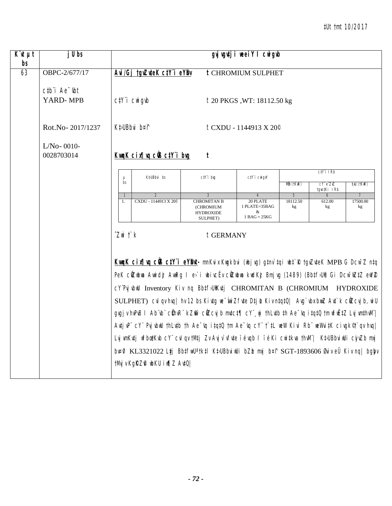## *‡Ut †mt 10/2017*

| $K\ddot{u}$ $\mu t$ | j U bs                                                 |                                                           |                                                  |                                                                                                                          | gvjugutji weeiY I cwigub                              |                |                  |                |  |  |  |
|---------------------|--------------------------------------------------------|-----------------------------------------------------------|--------------------------------------------------|--------------------------------------------------------------------------------------------------------------------------|-------------------------------------------------------|----------------|------------------|----------------|--|--|--|
| bs<br>63            | OBPC-2/677/17                                          | Avi/Gj tgvZuteK ctY i eYBv                                |                                                  |                                                                                                                          | <b>t CHROMIUM SULPHET</b>                             |                |                  |                |  |  |  |
|                     | $ctb$ <sup><math>i</math></sup> Ae $-$ tbt<br>YARD-MPB | $C/Y$ <sup>"</sup> $i$ $CW$ <sup><math>g</math></sup> $d$ |                                                  |                                                                                                                          | <i>t</i> 20 PKGS, WT: 18112.50 kg                     |                |                  |                |  |  |  |
|                     | Rot.No-2017/1237                                       | Kt>UBbvi b¤f                                              |                                                  |                                                                                                                          | $t$ CXDU - 1144913 X 20 <sup><math>\circ</math></sup> |                |                  |                |  |  |  |
|                     | $L/No-0010-$<br>0028703014                             |                                                           | KwaK cix   va ciB ctY i bug<br>t<br>$CiYi$ IRb   |                                                                                                                          |                                                       |                |                  |                |  |  |  |
|                     |                                                        |                                                           | Kt>UBbvi bs<br>ctY'i brg<br>$C/Y$ i $C$ wigv $Y$ |                                                                                                                          |                                                       |                |                  |                |  |  |  |
|                     |                                                        | $\mu$<br>bs                                               | Mm (tKwR)<br>cY eZxZ<br>bxU (tKwR)               |                                                                                                                          |                                                       |                |                  |                |  |  |  |
|                     |                                                        | $\mathcal{I}$                                             | 2                                                | 3                                                                                                                        |                                                       | $\sqrt{5}$     | tgro‡Ki IRb<br>6 | $\overline{7}$ |  |  |  |
|                     |                                                        | 1.                                                        | CXDU - 1144913 X 20 <sup>®</sup>                 | <b>CHROMITAN B</b><br>(CHROMIUM<br><b>HYDROXIDE</b><br>SULPHET)                                                          | 20 PLATE<br>1 PLATE=35BAG<br>&<br>$1$ BAG = $25$ KG   | 18112.50<br>kg | 612.00<br>kg     | 17500.00<br>kg |  |  |  |
|                     |                                                        | $Z$ wi $\uparrow$ $k$                                     |                                                  | t GERMANY<br>Kung K cirying cüs cty i eybut- mnKvix Kugkbvi (ubjvg) gtnv tqi ubt R tgvZvteK MPB G Dcw <sup>-</sup> Z ntq |                                                       |                |                  |                |  |  |  |
|                     |                                                        |                                                           |                                                  | PeK cůZubna Annidż AnnRg I e>`i ubivcËv cůZubna kudKż Bmjvg (1489) (BbtfJUi) Gi Dcw~wZtZ enYZ                            |                                                       |                |                  |                |  |  |  |
|                     |                                                        |                                                           |                                                  | CY'PIj vbill Inventory Kiv ng BbtfJUK#j CHROMITAN B (CHROMIUM HYDROXIDE                                                  |                                                       |                |                  |                |  |  |  |
|                     |                                                        |                                                           |                                                  | SULPHET) cul qu huq   hu 12 bs Kivtg we wii Zfite Dtj L Kiv ntqtQ   Aug`ubx bwuZ Aut`k cüZcuj b, wi U                    |                                                       |                |                  |                |  |  |  |
|                     |                                                        |                                                           |                                                  | gvgjv hvPvB I Ab vb" cühvR" kZmi` cüZcvjb mutct¶ cY" wj thLutb th Ae "vq itqt0 tm wfwEtZ LvjvmthvM"                      |                                                       |                |                  |                |  |  |  |
|                     |                                                        |                                                           |                                                  | AntjuP" cY" Pujubul thLutb th Ae "uq itqt0 tm Ae "uq cY" t'tL weW Kivi Rb" weWvitK civgk <sup>®</sup> t qu huq           |                                                       |                |                  |                |  |  |  |
|                     |                                                        |                                                           |                                                  | Lvj wnKvtj wfbœtKvb cY" cvl qv tMtj Zv Avj v`vfite ïévqb I ïéKi cwitkva thvM"  KtJUBbviwUi cjuZb mxj                     |                                                       |                |                  |                |  |  |  |
|                     |                                                        |                                                           |                                                  | brafi KL3321022 Ltj BbtfwU <sup>a</sup> tktl KtuBbviwUi bZb mxj bat SGT-1893606 Øviv eÜ Kiv nq  bgby                     |                                                       |                |                  |                |  |  |  |
|                     |                                                        | tMvj v KgRZA wbKU iw¶Z Av‡Q                               |                                                  |                                                                                                                          |                                                       |                |                  |                |  |  |  |
|                     |                                                        |                                                           |                                                  |                                                                                                                          |                                                       |                |                  |                |  |  |  |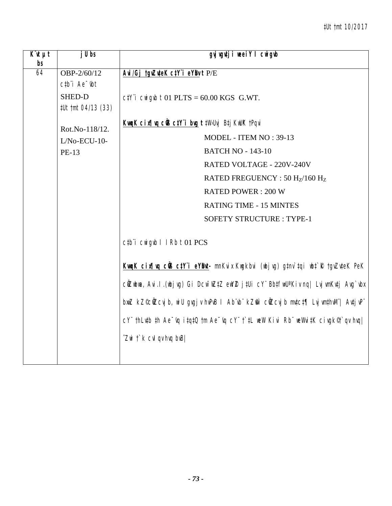| $\overline{K}$ 'it $\mu t$<br>bs | $j$ Ubs                                    | gyj vgutji weei Y I cwigub                                                                     |
|----------------------------------|--------------------------------------------|------------------------------------------------------------------------------------------------|
| $\overline{64}$                  | OBP-2/60/12                                | Avi/Gj tgvZuteK ctY"i eYBv t P/E                                                               |
|                                  | $ctb$ <sup><math>i</math></sup> Ae $-$ tht |                                                                                                |
|                                  | SHED-D                                     | $C\ddagger$ i Cwigwb t 01 PLTS = 60.00 KGS G.WT.                                               |
|                                  | #Ut tmt 04/13 (33)                         |                                                                                                |
|                                  | Rot.No-118/12.                             | KwaK cix¶wa cüß ctY i bug t ‡W>Uvj Btj KwUK †Pqvi                                              |
|                                  | $L/No$ -ECU-10-                            | MODEL - ITEM NO: 39-13                                                                         |
|                                  | PE-13                                      | <b>BATCH NO - 143-10</b>                                                                       |
|                                  |                                            | RATED VOLTAGE - 220V-240V                                                                      |
|                                  |                                            | RATED FREGUENCY: 50 Hz/160 Hz                                                                  |
|                                  |                                            | <b>RATED POWER: 200 W</b>                                                                      |
|                                  |                                            | <b>RATING TIME - 15 MINTES</b>                                                                 |
|                                  |                                            | <b>SOFETY STRUCTURE: TYPE-1</b>                                                                |
|                                  |                                            | ctb"i cwigwb I IRb t01 PCS                                                                     |
|                                  |                                            | KwqK cinflwq cüB ctY'i eYBwt- mnKvix Kwgkbvi (wbjvg) gtnv`tqi wbt`R tgvZvteK PeK               |
|                                  |                                            | cüZubwa, Avi.l.(wbjvg) Gi Dcw <sup>-</sup> wZtZ ewYZ jtUi cY" BbtfwU'Kiv nq  LvjvmKvtj Avg`vbx |
|                                  |                                            | bnuZ kZ©cilZcvjb, wiU gvgjv hvPvB I Ab vb kZm cilZcvjb mvtct¶ LvjvmthvM   AvtjvP               |
|                                  |                                            | cY" thLutb th Ae "vq itqt0 tm Ae "vq cY" t'tL weW Kivi Rb" weWvitK civgk <sup>®</sup> t'qv hvq |
|                                  |                                            | $\hat{Z}$ wi $\hat{I}$ $\hat{K}$ $\hat{C}$ vi qv hvq bvB                                       |
|                                  |                                            |                                                                                                |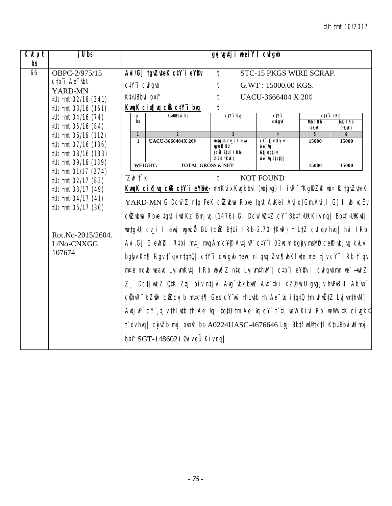| j U bs                                                                                                                            | gvj vgvtj i weeiY I cwigwb                                                                                                                                                                                                                                                                                                                                                                                                                                                                                                                                                                                                                                                                                                                                                                                                                                                                                                                                                                                                                                                                                                                      |                |                                                                                                                                                                                                  |                                                                                      |                               |                                                                                                          |  |
|-----------------------------------------------------------------------------------------------------------------------------------|-------------------------------------------------------------------------------------------------------------------------------------------------------------------------------------------------------------------------------------------------------------------------------------------------------------------------------------------------------------------------------------------------------------------------------------------------------------------------------------------------------------------------------------------------------------------------------------------------------------------------------------------------------------------------------------------------------------------------------------------------------------------------------------------------------------------------------------------------------------------------------------------------------------------------------------------------------------------------------------------------------------------------------------------------------------------------------------------------------------------------------------------------|----------------|--------------------------------------------------------------------------------------------------------------------------------------------------------------------------------------------------|--------------------------------------------------------------------------------------|-------------------------------|----------------------------------------------------------------------------------------------------------|--|
| OBPC-2/975/15                                                                                                                     |                                                                                                                                                                                                                                                                                                                                                                                                                                                                                                                                                                                                                                                                                                                                                                                                                                                                                                                                                                                                                                                                                                                                                 |                |                                                                                                                                                                                                  |                                                                                      |                               |                                                                                                          |  |
| $ctb$ <sup><math>i</math></sup> Ae $-$ tbt                                                                                        |                                                                                                                                                                                                                                                                                                                                                                                                                                                                                                                                                                                                                                                                                                                                                                                                                                                                                                                                                                                                                                                                                                                                                 |                | t                                                                                                                                                                                                |                                                                                      |                               |                                                                                                          |  |
| #Ut tmt 02/16 (341)                                                                                                               |                                                                                                                                                                                                                                                                                                                                                                                                                                                                                                                                                                                                                                                                                                                                                                                                                                                                                                                                                                                                                                                                                                                                                 |                | t                                                                                                                                                                                                |                                                                                      |                               |                                                                                                          |  |
| #Ut tmt 03/16 (151)                                                                                                               |                                                                                                                                                                                                                                                                                                                                                                                                                                                                                                                                                                                                                                                                                                                                                                                                                                                                                                                                                                                                                                                                                                                                                 |                |                                                                                                                                                                                                  |                                                                                      |                               |                                                                                                          |  |
| #Ut tmt 05/16 (84)                                                                                                                | bs                                                                                                                                                                                                                                                                                                                                                                                                                                                                                                                                                                                                                                                                                                                                                                                                                                                                                                                                                                                                                                                                                                                                              |                |                                                                                                                                                                                                  | cwi gvY                                                                              | Mỗ IRb<br>(‡KwR)              | <b>bxU IRb</b><br>(tKıR)                                                                                 |  |
| #Ut tmt 06/16 (112)                                                                                                               | $\mathbf{1}$                                                                                                                                                                                                                                                                                                                                                                                                                                                                                                                                                                                                                                                                                                                                                                                                                                                                                                                                                                                                                                                                                                                                    | $\overline{2}$ | 3                                                                                                                                                                                                |                                                                                      | 5                             | 6                                                                                                        |  |
| #Ut tmt 07/16 (136)<br>#Ut tmt 08/16 (133)                                                                                        |                                                                                                                                                                                                                                                                                                                                                                                                                                                                                                                                                                                                                                                                                                                                                                                                                                                                                                                                                                                                                                                                                                                                                 |                | vgvikiŽ BU<br>(ciZ B‡Ui IRb-<br>2.70 tKwR)                                                                                                                                                       | Ae "Iq<br>Gtj utgtj v<br>$Ae^-$ ig i $tqt0$                                          |                               | 15000                                                                                                    |  |
|                                                                                                                                   |                                                                                                                                                                                                                                                                                                                                                                                                                                                                                                                                                                                                                                                                                                                                                                                                                                                                                                                                                                                                                                                                                                                                                 |                |                                                                                                                                                                                                  |                                                                                      | 15000                         | 15000                                                                                                    |  |
| #Ut tmt 02/17 (83)<br>#Ut tmt 03/17 (49)<br>#Ut tmt 04/17 (41)<br>#Ut tmt 05/17 (30)<br>Rot.No-2015/2604.<br>L/No-CNXGG<br>107674 | WEIGHT:<br><b>TOTAL GROSS &amp; NET</b><br>$Z$ wi $\uparrow$ $k$<br><b>NOT FOUND</b><br>Ť<br>KwqK cix¶wq cÜB ctY"i eYBut- mnKvix Kwgkbvi (wbjvg) l ivR <sup>-^</sup> KgRZfi wbt`R tgvZvteK<br>YARD-MN G Dcw <sup>-</sup> Z n‡q PeK cilZubwa Rbve tgvt AvKei Avjx (Gm,Avi, I, G) I wbivcEv<br>cüzubwa Rbve tqvt iwdKiz Bmjvg (1476) Gi Dcw~wZtZ cY" Bbtf5Uil Kiv ng  Bbtf5UilKvtj<br>wmtg›U, cv_i I ewyi wgwkiZ BU (cilz B‡Ui IRb-2.70 †KwR) †`L‡Z cvlqv hvq  hvi IRb<br>Avi.Gj G ewYZ I Rtbi mut_mvgAm cY® Avtj vP ctY i O2wcm bgby msMh ceR wbj vg kvLvi<br>bgby Kt¶ Rgy t`qy ntqtQ  ctYï cwigyb tewk nlqvq Zvr¶wbKfvte me tjv cYïlRb t`qv<br>m¤ė ngub weavg Lvj wnKvtj IRb wbwðZ ntg Lvj wnthwM"  ctb"i eYBv I cwigvbmn we~wwiZ<br>Z_"DcțiwuLZ QtK Ztzj aiv nțiv  Avg`vbx bxwZ Avt`tki kZ©wiU gvgjv hvPvB I Ab"vb"<br>cühvR" kZm" cüZcvjb mvtct¶ Ges cY"w` thLvtb th Ae~vq itqtQ tm wfwËtZ LvjvmthvM" <br>AutivP" $cY^{\dagger}$ , tiv th Luth th Ae $\ddot{}$ uq it qt 0 tm Ae $\ddot{}$ uq $cY^{\dagger}$ t' the well Kivi Rb" well wit K civgk $^{\circ}$<br>t`qv hvq   ciyzb mxj bv¤ri bs-A0224UASC-4676646 Ltj BbtfwU'tktl KtJBbviwU mxj |                |                                                                                                                                                                                                  |                                                                                      |                               |                                                                                                          |  |
|                                                                                                                                   | YARD-MN<br>#Ut tmt 04/16 (74)<br>#Ut tmt 09/16 (139)<br>#Ut tmt 01/17 (274)                                                                                                                                                                                                                                                                                                                                                                                                                                                                                                                                                                                                                                                                                                                                                                                                                                                                                                                                                                                                                                                                     | $\mathbf{1}$   | Avi/Gj tgvZuteK ctY"i eYBv<br>$C/Y$ <sup>"</sup> $i$ $CW$ <sup><math>g</math></sup> $\not $<br>Kt>UBbvi b¤î<br>KwgK cix¶yg ciß ctY i byg<br><b>Kt</b> <sub>ll</sub> Bbvi bs<br>UACU-3666404X 20® | $\mathbf{t}$<br>$ctY$ i bıg<br>umtg»U, cv_i I ewj<br>$b$ ¤î SGT-1486021 ØviveÜ Kivng | ctY i<br>$CY$ , $tj$ v tLvj v | STC-15 PKGS WIRE SCRAP.<br>G.WT: 15000.00 KGS.<br>UACU-3666404 X 20 <sup>°</sup><br>$ctY$ i IRb<br>15000 |  |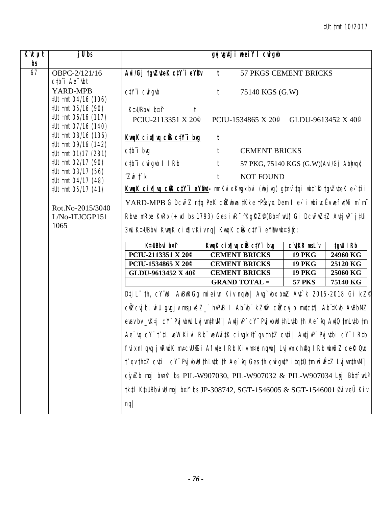| $\overline{K}$ 'it $\mu t$<br>bs | j U bs                                                                                       |                                                                                                                             |              | gyj vgutj i weeiY I cwigub                   |                                                 |                      |
|----------------------------------|----------------------------------------------------------------------------------------------|-----------------------------------------------------------------------------------------------------------------------------|--------------|----------------------------------------------|-------------------------------------------------|----------------------|
| 67                               | OBPC-2/121/16<br>$ctb$ <sup><math>\dot{}</math></sup> Ae $\dot{}$ $\dot{}$ $\dot{}$ $\dot{}$ | Avi/Gj tgvZuteK ctY i eYBv                                                                                                  | $\mathbf{t}$ | 57 PKGS CEMENT BRICKS                        |                                                 |                      |
|                                  | YARD-MPB<br>#Ut tmt 04/16 (106)                                                              | $C/Y$ <i>i</i> $C$ <i>wi gvb</i>                                                                                            | t            | 75140 KGS (G.W)                              |                                                 |                      |
|                                  | #Ut tmt 05/16 (90)<br>#Ut tmt 06/16 (117)<br>#Ut tmt 07/16 (140)<br>#Ut tmt 08/16 (136)      | Kt>UBbvi b¤f<br>PCIU-2113351 X 20 <sup>°</sup>                                                                              |              | PCIU-1534865 X $20^{\circ}$                  | GLDU-9613452 X 40 <sup><math>\circ</math></sup> |                      |
|                                  |                                                                                              | KwqK cix¶vq ciB ctY i bug                                                                                                   | t            |                                              |                                                 |                      |
|                                  | #Ut tmt 09/16 (142)<br>#Ut tmt 01/17 (281)                                                   | ctb"i bvg                                                                                                                   | t            | <b>CEMENT BRICKS</b>                         |                                                 |                      |
|                                  | #Ut tmt 02/17 (90)                                                                           | $ctb$ <sup>"</sup> $i$ $c$ <sup><math>y</math><math>i</math></sup> $g$ <sup><math>y</math><math>b</math></sup> $l$ $l$ $Rb$ | t            | 57 PKG, 75140 KGS (G.W) (Avi/Gj Abhyqy)      |                                                 |                      |
|                                  | #Ut tmt 03/17 (56)<br>#Ut tmt 04/17 (48)                                                     | $Z$ wi $\ddot{\mathcal{L}}$ $k$                                                                                             | t            | <b>NOT FOUND</b>                             |                                                 |                      |
|                                  | #Ut tmt 05/17 (41)                                                                           | KungK cin¶uq cüs ctYïi eY®ut- mnKvix Kugkbvi (ubjvg) gtnv`tqi ubt`R tgvZvteK e>`tii                                         |              |                                              |                                                 |                      |
|                                  | Rot.No-2015/3040<br>L/No-ITJCGP151<br>1065                                                   | YARD-MPB G Dcw <sup>-</sup> Z n‡q PeK cŴZwbwa ‡Kke †PŠajn, Dem I e>`i wbivcËv wefv‡Mi m`m"                                  |              |                                              |                                                 |                      |
|                                  |                                                                                              | Rbve mRxe KvRx (÷vd bs 1793) Ges ivR <sup>-^</sup> Kg $RZ^{\rho}$ (Bb‡fwU) Gi Dcw <sup>-</sup> wZ‡Z Av‡jvP" j‡Ui            |              |                                              |                                                 |                      |
|                                  |                                                                                              | 3mU KtJUBbvi KwngK cix¶v Kiv ng  KwngK cŴ3 ctY i eYBv wb¤§ifc:                                                              |              |                                              |                                                 |                      |
|                                  |                                                                                              | Kt <sub>&gt;UBbvi</sub> b¤f                                                                                                 |              | KwgK cix[ vg cOB ctY i bvg                   | C <b>utKR</b> msL v                             | tgw IRb              |
|                                  |                                                                                              | PCIU-2113351 X 20 <sup>°</sup>                                                                                              |              | <b>CEMENT BRICKS</b>                         | <b>19 PKG</b>                                   | 24960 KG             |
|                                  |                                                                                              | PCIU-1534865 X 20 <sup>°</sup><br>GLDU-9613452 X 40 <sup>°</sup>                                                            |              | <b>CEMENT BRICKS</b><br><b>CEMENT BRICKS</b> | <b>19 PKG</b><br><b>19 PKG</b>                  | 25120 KG<br>25060 KG |
|                                  |                                                                                              |                                                                                                                             |              | <b>GRAND TOTAL =</b>                         | <b>57 PKS</b>                                   | 75140 KG             |
|                                  |                                                                                              | Dtj L" th, cY"iUi AvBwRGg mieivn Kiv nqwb  Avg`vbx bwuZ Avt`k 2015-2018 Gi kZ <sup>@</sup>                                  |              |                                              |                                                 |                      |
|                                  |                                                                                              | cůZcvj b, wi U gvgj v msµvšZ_" hvPvB l Ab"vb" kZmi` cůZcvj b mvtct¶ Ab"tKvb AvBbMZ                                          |              |                                              |                                                 |                      |
|                                  |                                                                                              | evav bv_vK‡j cY" Pvj vbwU Lvj vm‡hvM"  Av‡j vP" cY" Pvj vbwU ‡hLv‡b †h Ae "vq Av‡Q †mLv‡b †m                                |              |                                              |                                                 |                      |
|                                  |                                                                                              | Ae "rg cY" t`‡L weW Kivi Rb" weWvi‡K civgk® qv th‡Z cv‡i   Av‡j vP" Pvj v‡bi cY" IR‡b                                       |              |                                              |                                                 |                      |
|                                  |                                                                                              | fvix nl qvq jwRwóK mytcvU°Gi Afyte I Rb Kiv m¤e nqwb  Lvj wn ch@q I Rb wbwðZ cef( Qvo                                       |              |                                              |                                                 |                      |
|                                  |                                                                                              | t`qv th‡Z cv‡i   cY¨ Pvj vbwU thLv‡b th Ae~vq Ges th cwigv‡Y i‡q‡Q tm wfwˇZ Lvj vm‡hwM¨                                     |              |                                              |                                                 |                      |
|                                  |                                                                                              | $\emph{c}$ iyıZb mxj bv¤ii bs PIL-W907030, PIL-W907032 & PIL-W907034 Ltj Bb‡fiwU <sup>a</sup>                               |              |                                              |                                                 |                      |
|                                  |                                                                                              | †k‡l K‡UBbviwU mxj b¤î bs JP-308742, SGT-1546005 & SGT-1546001 Øviv eÜ Kiv                                                  |              |                                              |                                                 |                      |
|                                  |                                                                                              | nq/                                                                                                                         |              |                                              |                                                 |                      |
|                                  |                                                                                              |                                                                                                                             |              |                                              |                                                 |                      |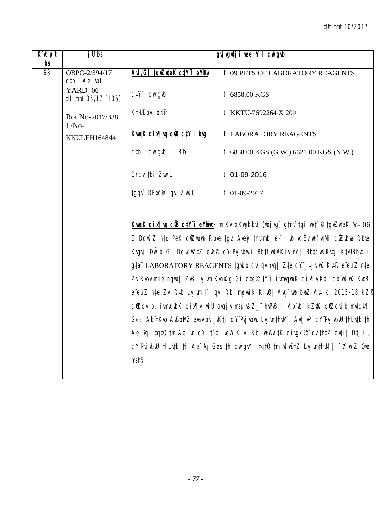| $\overline{K}$ it $\mu t$<br>bs | $j$ Ubs                                                     |                                                               | gvj vgutj i weeiY I cwigub                                                                                                                                                                                                                                                                                                                                                                                                                                                                                                                                                                                                                                                                                                                                                                                                                                                                                                            |
|---------------------------------|-------------------------------------------------------------|---------------------------------------------------------------|---------------------------------------------------------------------------------------------------------------------------------------------------------------------------------------------------------------------------------------------------------------------------------------------------------------------------------------------------------------------------------------------------------------------------------------------------------------------------------------------------------------------------------------------------------------------------------------------------------------------------------------------------------------------------------------------------------------------------------------------------------------------------------------------------------------------------------------------------------------------------------------------------------------------------------------|
| 68                              | OBPC-2/394/17<br>$ctb$ <sup><math>i</math></sup> Ae $-$ ibt | Avi/Gj tgvZuteK ctY'i eYBv                                    | <b>t 09 PLTS OF LABORATORY REAGENTS</b>                                                                                                                                                                                                                                                                                                                                                                                                                                                                                                                                                                                                                                                                                                                                                                                                                                                                                               |
|                                 | YARD-06<br>#Ut tmt 05/17 (106)                              | $C/Y$ <sup>"</sup> $i$ $CW$ <sup><math>g</math></sup> $\not $ | t 6858.00 KGS                                                                                                                                                                                                                                                                                                                                                                                                                                                                                                                                                                                                                                                                                                                                                                                                                                                                                                                         |
|                                 | Rot.No-2017/338<br>$L/No-$                                  | Kt <sub>&gt;UBbvi</sub> b¤f                                   | t KKTU-7692264 X 20.º                                                                                                                                                                                                                                                                                                                                                                                                                                                                                                                                                                                                                                                                                                                                                                                                                                                                                                                 |
|                                 | KKULEH164844                                                | KwgK cix[ vg c@ ctY i bvg                                     | <b>t LABORATORY REAGENTS</b>                                                                                                                                                                                                                                                                                                                                                                                                                                                                                                                                                                                                                                                                                                                                                                                                                                                                                                          |
|                                 |                                                             | ctbi cwigwb I IRb                                             | $t$ 6858.00 KGS (G.W.) 6621.00 KGS (N.W.)                                                                                                                                                                                                                                                                                                                                                                                                                                                                                                                                                                                                                                                                                                                                                                                                                                                                                             |
|                                 |                                                             | Drcv tbi ZwiL                                                 | $t$ 01-09-2016                                                                                                                                                                                                                                                                                                                                                                                                                                                                                                                                                                                                                                                                                                                                                                                                                                                                                                                        |
|                                 |                                                             | tgqv` DËxY®I qvi ZwiL                                         | $t$ 01-09-2017                                                                                                                                                                                                                                                                                                                                                                                                                                                                                                                                                                                                                                                                                                                                                                                                                                                                                                                        |
|                                 |                                                             | $msh\mathcal{F}$                                              | KwqK cinfluq cüsctY'i eYBut-mnKvix Kwqkbvi (wbjvg) gtnv`tqi wbt`R tgvZvteK Y-06<br>G Dcw <sup>-</sup> Z ntq PeK cüzubua Rbve tgv: Avey tnvtmb, e>`i ubivcËv wefutMi cüzubua Rbve<br>Kvqvj Dwib Gi Dcw~wZtZ ewYZ cY`PvjvbwUi BbtfwUªKiv ng  BbtfwUKvtj KtJUBbvtii<br>gta" LABORATORY REAGENTS tgikb cvl qv hvq   Zte cY" tj v wK KutR e"eüZ nte<br>Zv Rvbv m¤ė ngwb  ZvB Lvj wn Kvhę̃ug Gi cte©ctY i iwmvgwbK cix¶v Kti cb wU wK KvtR<br>e eüZ n‡e Zv †R‡b Lvj vm † I qvi Rb mçwik KiwQ  Avg wb bwz Av‡ k, 2015-18 kZ <sup>d</sup><br>cůZcvj b, ivmvqubK cix¶v, wiU gvgjv msµvšZ_" hvPvB I Ab vb" kZm cůZcvj b mvtct¶<br>Ges Ab two AvBbMZ evav by _vKtj cY'Pvj vbuU Lvj wnthvM'   Avtj vP' cY'Pvj vbuU thLvtb th<br>$Ae^-$ iq itqt $0$ tm $Ae^-$ iq cY" t`tL weW Kivi Rb" weWvitK civgk $\mathcal$ qv thtZ cvti   Dtj L",<br>cY'PvjvbwU thLvtb th Ae <sup>-</sup> vq Ges th cwigvY itqtQ tm wfwEtZ LvjvmthvM'  <sup>-</sup> r¶wiZ Qwe |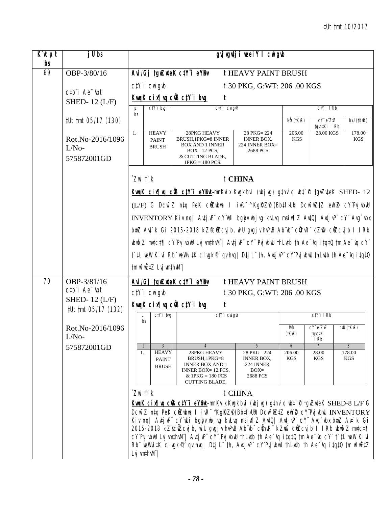| $K^{\cdot}$ ut $\mu$ t<br>bs | j U bs                                                          |                                                                                                                                                                                                                                                                                                                                                                                                                                                                                                                                                                                                                                                                               |                                                                                          |                                                                                                                                | gyj vgvtji weeiY I cwigvb                                      |                      |                                 |                          |  |  |
|------------------------------|-----------------------------------------------------------------|-------------------------------------------------------------------------------------------------------------------------------------------------------------------------------------------------------------------------------------------------------------------------------------------------------------------------------------------------------------------------------------------------------------------------------------------------------------------------------------------------------------------------------------------------------------------------------------------------------------------------------------------------------------------------------|------------------------------------------------------------------------------------------|--------------------------------------------------------------------------------------------------------------------------------|----------------------------------------------------------------|----------------------|---------------------------------|--------------------------|--|--|
| 69                           | OBP-3/80/16                                                     |                                                                                                                                                                                                                                                                                                                                                                                                                                                                                                                                                                                                                                                                               |                                                                                          | Avi/Gj tgvZuteK ctY i eYBv                                                                                                     | <b>tHEAVY PAINT BRUSH</b>                                      |                      |                                 |                          |  |  |
|                              |                                                                 |                                                                                                                                                                                                                                                                                                                                                                                                                                                                                                                                                                                                                                                                               | $C/Y$ <sup>"</sup> $i$ $CW$ <sup><math>g</math></sup> $d$<br>t 30 PKG, G:WT: 206 .00 KGS |                                                                                                                                |                                                                |                      |                                 |                          |  |  |
|                              | $ctb$ <sup>"</sup> $i$ Ae $-$ <sub>ibt</sub><br>SHED-12 $(L/F)$ |                                                                                                                                                                                                                                                                                                                                                                                                                                                                                                                                                                                                                                                                               |                                                                                          | KwaK cix¶va ciB ctY i bug<br>t                                                                                                 |                                                                |                      |                                 |                          |  |  |
|                              |                                                                 | μ<br>bs                                                                                                                                                                                                                                                                                                                                                                                                                                                                                                                                                                                                                                                                       | $C/Y$ i bvq                                                                              | $C\ddagger Y$ i $C\ddot{\mathbf{u}}$ gvY                                                                                       |                                                                |                      | $C/Y$ i IRb                     |                          |  |  |
|                              | #Ut tmt 05/17 (130)                                             |                                                                                                                                                                                                                                                                                                                                                                                                                                                                                                                                                                                                                                                                               |                                                                                          |                                                                                                                                |                                                                | Mm (tKwR)            | $cY$ $eZxZ$<br>tgvo‡Ki IRb      | $b$ xU $(t$ Ku $R)$      |  |  |
|                              | Rot.No-2016/1096<br>$L/No-$<br>575872001GD                      | 1.                                                                                                                                                                                                                                                                                                                                                                                                                                                                                                                                                                                                                                                                            | <b>HEAVY</b><br><b>PAINT</b><br><b>BRUSH</b>                                             | 28PKG HEAVY<br><b>BRUSH.1PKG=8 INNER</b><br><b>BOX AND 1 INNER</b><br>$BOX = 12$ PCS,<br>& CUTTING BLADE,<br>$1PKG = 180$ PCS. | 28 PKG= 224<br><b>INNER BOX,</b><br>224 INNER BOX=<br>2688 PCS | 206.00<br><b>KGS</b> | 28.00 KGS                       | 178.00<br>KGS            |  |  |
|                              |                                                                 | $Z$ wi $\ddot{\Gamma}$ $\dot{\kappa}$                                                                                                                                                                                                                                                                                                                                                                                                                                                                                                                                                                                                                                         |                                                                                          |                                                                                                                                | t CHINA                                                        |                      |                                 |                          |  |  |
|                              |                                                                 |                                                                                                                                                                                                                                                                                                                                                                                                                                                                                                                                                                                                                                                                               |                                                                                          | KwaK cix¶wa cÜB c‡Y'i eYBwt-mnKvix Kwgkbvi (wbjwg) g‡nv`q wb‡`R †gvZwteK SHED- 12                                              |                                                                |                      |                                 |                          |  |  |
|                              |                                                                 |                                                                                                                                                                                                                                                                                                                                                                                                                                                                                                                                                                                                                                                                               |                                                                                          | (L/F) G Dcw <sup>-</sup> Z ntq PeK cûZwbwa I ivR <sup>-^</sup> KgRZP (Bbtf5Ul) Dcw <sup>-</sup> wZtZ ewYZ cY'PvjvbwU           |                                                                |                      |                                 |                          |  |  |
|                              |                                                                 |                                                                                                                                                                                                                                                                                                                                                                                                                                                                                                                                                                                                                                                                               |                                                                                          | INVENTORY Kiv nq  Avtj vP" cY"uUi bgby ubj vg kvLvq msi w¶Z AvtQ  Avtj vP" cY" Avg`vbx                                         |                                                                |                      |                                 |                          |  |  |
|                              |                                                                 |                                                                                                                                                                                                                                                                                                                                                                                                                                                                                                                                                                                                                                                                               |                                                                                          | bnuZ Avt`k Gi 2015-2018 kZ©cllZcvjb, wiU gvgjv hvPvB Ab¨vb¨ cÜhvR¨ kZm̃` cllZcvjb l IRb                                        |                                                                |                      |                                 |                          |  |  |
|                              |                                                                 |                                                                                                                                                                                                                                                                                                                                                                                                                                                                                                                                                                                                                                                                               |                                                                                          | "whuðZ mutct¶ cY'Puj vbuU Luj vmthvM"  Autj vP" cY" Puj vbuU thLutb th Ae~vq i tqtQ tm Ae~vq cY                                |                                                                |                      |                                 |                          |  |  |
|                              |                                                                 |                                                                                                                                                                                                                                                                                                                                                                                                                                                                                                                                                                                                                                                                               |                                                                                          | t`#L weW Kivi Rb¨weWvi#K civgkণ`qv hvq  D‡j L¨th, Av‡j vP¨cY¨Pvj vbwU thLv‡b th Ae¯vq i‡q‡Q                                    |                                                                |                      |                                 |                          |  |  |
|                              |                                                                 |                                                                                                                                                                                                                                                                                                                                                                                                                                                                                                                                                                                                                                                                               | tm wfwˇZ Lvj vm‡hvM"                                                                     |                                                                                                                                |                                                                |                      |                                 |                          |  |  |
| 70                           | OBP-3/81/16                                                     |                                                                                                                                                                                                                                                                                                                                                                                                                                                                                                                                                                                                                                                                               |                                                                                          | Avi/Gj tgvZuteK ctY i eYBv                                                                                                     | t HEAVY PAINT BRUSH                                            |                      |                                 |                          |  |  |
|                              | $ctb$ <sup>"</sup> $i$ Ae $-$ tht<br>SHED-12 $(L/F)$            |                                                                                                                                                                                                                                                                                                                                                                                                                                                                                                                                                                                                                                                                               | $C/Y$ <sup>"</sup> $i$ $CW$ <sup><math>g</math></sup> $\n $                              |                                                                                                                                | t 30 PKG, G:WT: 206 .00 KGS                                    |                      |                                 |                          |  |  |
|                              | #Ut tmt 05/17 (132)                                             |                                                                                                                                                                                                                                                                                                                                                                                                                                                                                                                                                                                                                                                                               |                                                                                          | KwgK cix¶yg ciß ctY i byg                                                                                                      |                                                                |                      |                                 |                          |  |  |
|                              |                                                                 | μ                                                                                                                                                                                                                                                                                                                                                                                                                                                                                                                                                                                                                                                                             | $C/Y$ i bvg<br>bs                                                                        | $C/Y$ <sup><math>i</math></sup> $C$ <sup><math>N</math></sup> $g$ <sup><math>V</math></sup>                                    |                                                                |                      | $CiYi$ IRb                      |                          |  |  |
|                              | Rot.No-2016/1096<br>$L/No-$                                     |                                                                                                                                                                                                                                                                                                                                                                                                                                                                                                                                                                                                                                                                               |                                                                                          |                                                                                                                                |                                                                | МØп<br>$(t$ Kıl $R)$ | $cY$ e $ZnZ$<br>tgvo‡Ki<br>I Rb | $b$ x $U$ ( $t$ Kw $R$ ) |  |  |
|                              | 575872001GD                                                     | $\mathbf{1}$<br>1.                                                                                                                                                                                                                                                                                                                                                                                                                                                                                                                                                                                                                                                            | 3<br><b>HEAVY</b>                                                                        | $\overline{4}$<br>28PKG HEAVY                                                                                                  | 5<br>28 PKG=224                                                | 6<br>206.00          | $\overline{7}$<br>28.00         | 8<br>178.00              |  |  |
|                              |                                                                 |                                                                                                                                                                                                                                                                                                                                                                                                                                                                                                                                                                                                                                                                               | <b>PAINT</b><br><b>BRUSH</b>                                                             | BRUSH, 1PKG=8<br><b>INNER BOX AND 1</b><br>INNER BOX= 12 PCS,<br>$&$ 1PKG = 180 PCS<br><b>CUTTING BLADE,</b>                   | <b>INNER BOX,</b><br>224 INNER<br>$BOX=$<br>2688 PCS           | <b>KGS</b>           | KGS                             | KGS                      |  |  |
|                              |                                                                 | $Z$ wi $\ddot{\mathcal{L}}$ $k$                                                                                                                                                                                                                                                                                                                                                                                                                                                                                                                                                                                                                                               |                                                                                          |                                                                                                                                | t CHINA                                                        |                      |                                 |                          |  |  |
|                              |                                                                 | KwaK cin Jwa cüB ctY'i eYBut-mnKvix Kwgkbvi (wbjwg) gtnv`q wbt`R tgvZuteK SHED-8 L/F G<br>Dcw <sup>-</sup> Z ntq PeK cüZubua I ivR <sup>-^</sup> KgRZP(Bbtf>Uit) Dcw <sup>-</sup> wZtZ ewYZ cY'PvjvbwU INVENTORY<br>Kiv nq  Avtj vP" cY'illi bgby ubj vg kvLvq msi w¶ Z AvtQ  Avtj vP" cY" Avg`vbx bxuZ Avt`k Gi<br>2015-2018 kZ©cilZcuj b, wi U gvgj v hvPvB Ab vb" cihvR" kZm cilZcuj b I I Rb wbwo Z mvtct¶<br>cY'PvjvbwU LvjvmthwN"  AvtjvP" cY" PvjvbwU thLvtb th Ae "vq itqtQ tm Ae "vq cY" t`tL weW Kivi<br>Rb" weWvitK civgk <sup>®</sup> t`qv hvq  Dtj L" th, Avtj vP" cY'Pvj vbwU thLvtb th Ae <sup>-</sup> vq itqtQ tm wfwEtZ<br>$L$ vj vm $\sharp$ hv $M^{\cdot}$ |                                                                                          |                                                                                                                                |                                                                |                      |                                 |                          |  |  |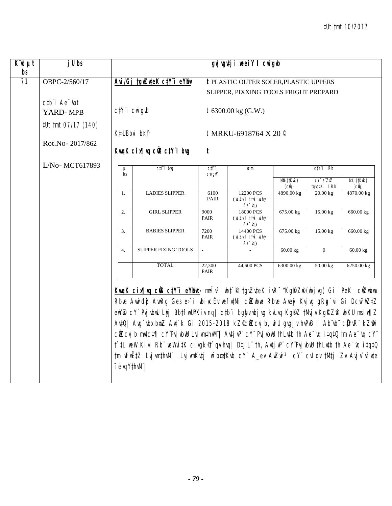| $\overline{K}$ it $\mu t$ | $j$ Ubs                                           |                                                                                                                                                                                                                                                                                                                                                                                                  | gvjugutji neeiYl cnigub                                                                                      |                                           |                                              |                             |                                 |                                        |
|---------------------------|---------------------------------------------------|--------------------------------------------------------------------------------------------------------------------------------------------------------------------------------------------------------------------------------------------------------------------------------------------------------------------------------------------------------------------------------------------------|--------------------------------------------------------------------------------------------------------------|-------------------------------------------|----------------------------------------------|-----------------------------|---------------------------------|----------------------------------------|
| $b$ s                     |                                                   |                                                                                                                                                                                                                                                                                                                                                                                                  |                                                                                                              |                                           |                                              |                             |                                 |                                        |
| 71                        | OBPC-2/560/17                                     |                                                                                                                                                                                                                                                                                                                                                                                                  | Avi/Gj tgvZuteK ctY"i eYBv                                                                                   |                                           | <b>t PLASTIC OUTER SOLER, PLASTIC UPPERS</b> |                             |                                 |                                        |
|                           |                                                   |                                                                                                                                                                                                                                                                                                                                                                                                  |                                                                                                              |                                           | SLIPPER, PIXXING TOOLS FRIGHT PREPARD        |                             |                                 |                                        |
|                           | $ctb$ <sup><math>i</math></sup> Ae $-$ <i>ibt</i> |                                                                                                                                                                                                                                                                                                                                                                                                  |                                                                                                              |                                           |                                              |                             |                                 |                                        |
|                           | YARD-MPB                                          | $C/Y$ <sup>"</sup> $i$ $CW$ <sup><math>g</math></sup> $\n $                                                                                                                                                                                                                                                                                                                                      |                                                                                                              |                                           | $t$ 6300.00 kg (G.W.)                        |                             |                                 |                                        |
|                           | #Ut tmt 07/17 (140)                               |                                                                                                                                                                                                                                                                                                                                                                                                  |                                                                                                              |                                           |                                              |                             |                                 |                                        |
|                           |                                                   | Kt>UBbvi b¤f                                                                                                                                                                                                                                                                                                                                                                                     |                                                                                                              |                                           | t MRKU-6918764 X 20 <sup>°</sup>             |                             |                                 |                                        |
|                           | Rot.No-2017/862                                   |                                                                                                                                                                                                                                                                                                                                                                                                  |                                                                                                              |                                           |                                              |                             |                                 |                                        |
|                           |                                                   |                                                                                                                                                                                                                                                                                                                                                                                                  | KwaK cix   va ciB ctY i bug                                                                                  | t                                         |                                              |                             |                                 |                                        |
|                           | L/No-MCT617893                                    |                                                                                                                                                                                                                                                                                                                                                                                                  |                                                                                                              |                                           |                                              |                             |                                 |                                        |
|                           |                                                   | $\mu$<br>bs                                                                                                                                                                                                                                                                                                                                                                                      | $C/Y$ i bvg                                                                                                  | $C/Y$ i<br>$C$ <i>Mi</i> $G$ <i>V</i> $Y$ | ICm                                          |                             | $C/Y$ i I $Rb$                  |                                        |
|                           |                                                   |                                                                                                                                                                                                                                                                                                                                                                                                  |                                                                                                              |                                           |                                              | Mån (tKwR)<br>$(c\hat{u}q)$ | $CY$ $e^T Z X Z$<br>tgvo‡Ki IRb | $b$ xU (t $K$ u $R$ )<br>$(c\ddot{q})$ |
|                           |                                                   | 1.                                                                                                                                                                                                                                                                                                                                                                                               | <b>LADIES SLIPPER</b>                                                                                        | 6100                                      | 12200 PCS                                    | 4890.00 kg                  | $20.00$ kg                      | 4870.00 kg                             |
|                           |                                                   |                                                                                                                                                                                                                                                                                                                                                                                                  |                                                                                                              | <b>PAIR</b>                               | (wdZvItmvìwehŷ<br>$Ae^{-tq}$                 |                             |                                 |                                        |
|                           |                                                   | 2.                                                                                                                                                                                                                                                                                                                                                                                               | <b>GIRL SLIPPER</b>                                                                                          | 9000                                      | 18000 PCS                                    | 675.00 kg                   | 15.00 kg                        | 660.00 kg                              |
|                           |                                                   |                                                                                                                                                                                                                                                                                                                                                                                                  |                                                                                                              | <b>PAIR</b>                               | (wdZvItmvìwehŷ<br>$Ae^{-tq}$                 |                             |                                 |                                        |
|                           |                                                   | 3.                                                                                                                                                                                                                                                                                                                                                                                               | <b>BABIES SLIPPER</b>                                                                                        | 7200                                      | 14400 PCS                                    | 675.00 kg                   | 15.00 kg                        | 660.00 kg                              |
|                           |                                                   |                                                                                                                                                                                                                                                                                                                                                                                                  |                                                                                                              | <b>PAIR</b>                               | (wdZvItmvìwehy?<br>$Ae^{-y}q$                |                             |                                 |                                        |
|                           |                                                   | $\overline{4}$ .                                                                                                                                                                                                                                                                                                                                                                                 | <b>SLIPPER FIXING TOOLS</b>                                                                                  | $\mathcal{L}$                             |                                              | 60.00 kg                    | $\Omega$                        | 60.00 kg                               |
|                           |                                                   |                                                                                                                                                                                                                                                                                                                                                                                                  |                                                                                                              |                                           |                                              |                             |                                 |                                        |
|                           |                                                   |                                                                                                                                                                                                                                                                                                                                                                                                  | <b>TOTAL</b>                                                                                                 | 22,300<br><b>PAIR</b>                     | 44,600 PCS                                   | 6300.00 kg                  | 50.00 kg                        | 6250.00 kg                             |
|                           |                                                   |                                                                                                                                                                                                                                                                                                                                                                                                  |                                                                                                              |                                           |                                              |                             |                                 |                                        |
|                           |                                                   |                                                                                                                                                                                                                                                                                                                                                                                                  | KwqK cir[ vq cÜB ctY'i eYBnt- mtłv <sup>3</sup> wbt`R tgvZvteK ivR <sup>-^</sup> KgRZP(wbjvg) Gi PeK cÜZwbwa |                                           |                                              |                             |                                 |                                        |
|                           |                                                   |                                                                                                                                                                                                                                                                                                                                                                                                  | Rbve Awidż AwRg Ges e>`i wbivcEv wefvtMi cůZwbwa Rbve Avejy Kvjvg gRg`vi Gi Dcw~wZtZ                         |                                           |                                              |                             |                                 |                                        |
|                           |                                                   | ewYZ cY" PvjvbwU Ltj Bb‡fwU°Kiv nq  c‡b"i bgbyvbjvg kvLvq KgPZ tMvjv KgRZfi wbKU msiw¶Z<br>AvtQ  Avg`vbx bxwZ Avt`k Gi 2015-2018 kZ©cilZcvjb, wiU qvgjv hvPvB I Ab vb" cühvR" kZmr`<br>$c$ ŴZcvj b mvtct¶ cY Pvj vbwU Lvj vmthvM"   Avtj vP" cY" Pvj vbwU thLvtb th Ae "vq itqtQ tm Ae "vq cY"<br>t`tL weW Kivi Rb" weWvitK civgkণ`qv hvq  Dtj L" th, Avtj vP" cY"Pvj vbwU thLvtb th Ae~vq itqtQ |                                                                                                              |                                           |                                              |                             |                                 |                                        |
|                           |                                                   |                                                                                                                                                                                                                                                                                                                                                                                                  |                                                                                                              |                                           |                                              |                             |                                 |                                        |
|                           |                                                   |                                                                                                                                                                                                                                                                                                                                                                                                  |                                                                                                              |                                           |                                              |                             |                                 |                                        |
|                           |                                                   |                                                                                                                                                                                                                                                                                                                                                                                                  |                                                                                                              |                                           |                                              |                             |                                 |                                        |
|                           |                                                   |                                                                                                                                                                                                                                                                                                                                                                                                  |                                                                                                              |                                           |                                              |                             |                                 |                                        |
|                           |                                                   |                                                                                                                                                                                                                                                                                                                                                                                                  | tm wfwËtZ LvjwnthwNi  LvjwnKvtj wfbætKvb cY" A_ev AwZwi <sup>3</sup> cY" cvlqv tMtj Zv Avjv`vfvte            |                                           |                                              |                             |                                 |                                        |
|                           |                                                   | i évqYthwli'                                                                                                                                                                                                                                                                                                                                                                                     |                                                                                                              |                                           |                                              |                             |                                 |                                        |
|                           |                                                   |                                                                                                                                                                                                                                                                                                                                                                                                  |                                                                                                              |                                           |                                              |                             |                                 |                                        |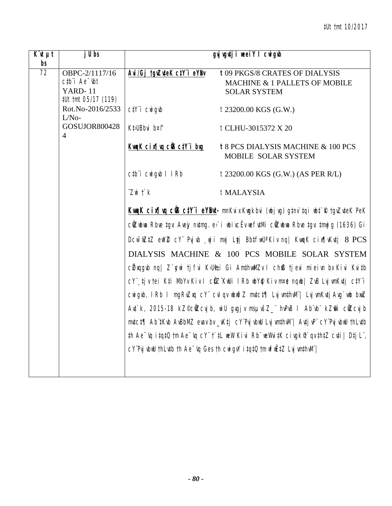| $\overline{K}$ <sub><i>ut</i></sub> $\mu$ <i>t</i><br>bs | $j$ Ubs                                                                                                                 |                                                               | gyj vgytji weei Y I cwigwb                                                                                                                                                                                      |
|----------------------------------------------------------|-------------------------------------------------------------------------------------------------------------------------|---------------------------------------------------------------|-----------------------------------------------------------------------------------------------------------------------------------------------------------------------------------------------------------------|
| 72                                                       | OBPC-2/1117/16<br>$c$ <sub>t</sub> $b$ <sup><math>\dot{a}</math></sup> Ae $\dot{b}$ t<br>YARD-11<br>#Ut tmt 05/17 (119) | Avi/Gj tgvZuteK ctY i eYBv                                    | t 09 PKGS/8 CRATES OF DIALYSIS<br>MACHINE & 1 PALLETS OF MOBILE<br><b>SOLAR SYSTEM</b>                                                                                                                          |
|                                                          | Rot.No-2016/2533<br>$L/No-$                                                                                             | $C/Y$ <sup>"</sup> $i$ $CW$ <sup><math>g</math></sup> $\not $ | t 23200.00 KGS (G.W.)                                                                                                                                                                                           |
|                                                          | GOSUJOR800428<br>4                                                                                                      | Kt>UBbvi b¤f                                                  | t CLHU-3015372 X 20                                                                                                                                                                                             |
|                                                          |                                                                                                                         | KwaK cix   va cüs ctY i bug                                   | t 8 PCS DIALYSIS MACHINE & 100 PCS<br>MOBILE SOLAR SYSTEM                                                                                                                                                       |
|                                                          |                                                                                                                         | ctb i cwigyb I IRb                                            | t 23200.00 KGS (G.W.) (AS PER R/L)                                                                                                                                                                              |
|                                                          |                                                                                                                         | $Z$ wi $\ddot{\Gamma}$ $\dot{\kappa}$                         | t MALAYSIA                                                                                                                                                                                                      |
|                                                          |                                                                                                                         |                                                               | Kung K cin¶vq cüß ctY i eYBut- mnKvix Kwgkbvi (wbjvg) g‡nv`tqi wbt`R tgvZvteK PeK                                                                                                                               |
|                                                          |                                                                                                                         |                                                               | cûZwbwa Rbve tgv: Avejy nvtmg. e>`i wbivcËv wefvtMi cûZwbwa Rbve tgv: tmwj g (1636) Gi                                                                                                                          |
|                                                          |                                                                                                                         |                                                               | Dcw <sup>-</sup> wZtZ ewYZ cY Pvjvb wji mxj Ltj BbtfwU'Kiv nq  KwqK cix¶vKutj 8 PCS                                                                                                                             |
|                                                          |                                                                                                                         |                                                               | DIALYSIS MACHINE & 100 PCS MOBILE SOLAR SYSTEM                                                                                                                                                                  |
|                                                          |                                                                                                                         |                                                               | c $\ell$ xqqvb nq  Z`qwi tjfvi K>Ui±i Gi AmthwMZv I chß tjevi mieivn by Kivi Kvitb                                                                                                                              |
|                                                          |                                                                                                                         |                                                               | cY¨ tjv tei Kti MbYv Kiv I cŴZ¨KwUi IRb wbY@ Kiv m¤ė nqwb  ZvB LvjvmKvtj ctY¨i                                                                                                                                  |
|                                                          |                                                                                                                         |                                                               | cwigvb, IRb I mgRvZxq cY" cvI qv wbwðZ mvtct¶ Lvj wnthvM"  Lvj wnKvtj Avg`wb bxwZ                                                                                                                               |
|                                                          |                                                                                                                         |                                                               | Art`k, 2015-18 kZ©cllZcvjb, wiU grgjv msµršZ_" hrPrB I Ab`rb" kZmi` cllZcvjb                                                                                                                                    |
|                                                          |                                                                                                                         |                                                               | mutct¶ Ab tKub AuBbMZ evav bv _vKtj cY Pvj vbuU Lvj vmthvM   Avtj vP cY Pvj vbuU thLvtb                                                                                                                         |
|                                                          |                                                                                                                         |                                                               | $\sharp$ h Ae $\check{g}$ i $\sharp$ q $\sharp$ 0 $\sharp$ m Ae $\check{g}$ cY" $\sharp$ ) $\sharp$ L wew Kivi Rb" wewni $\sharp$ K civgk $\check{g}$ qv $\sharp$ h $\sharp$ Z cv $\sharp$ i   D $\sharp$ j L", |
|                                                          |                                                                                                                         |                                                               | cY Pvj vbwU thLvtb th Ae -vq Ges th cwigvY i tqtQ tm wfwEtZ Lvj vmthwN                                                                                                                                          |
|                                                          |                                                                                                                         |                                                               |                                                                                                                                                                                                                 |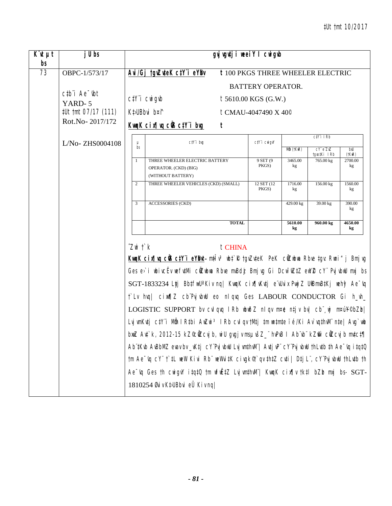| $K$ 'it $\mu t$<br>bs | j U bs                                                                                |               |                                                                                                                                                                                                                                                                                                                                                                                                                                                                                                                                                                                                                                                                                                                                                                                                                                                                                                                                                                                                    | gvjugutji weeiY I cwigub |                                          |                                         |                             |               |
|-----------------------|---------------------------------------------------------------------------------------|---------------|----------------------------------------------------------------------------------------------------------------------------------------------------------------------------------------------------------------------------------------------------------------------------------------------------------------------------------------------------------------------------------------------------------------------------------------------------------------------------------------------------------------------------------------------------------------------------------------------------------------------------------------------------------------------------------------------------------------------------------------------------------------------------------------------------------------------------------------------------------------------------------------------------------------------------------------------------------------------------------------------------|--------------------------|------------------------------------------|-----------------------------------------|-----------------------------|---------------|
| 73                    | OBPC-1/573/17                                                                         |               | Avi/Gj tgvZuteK ctY"i eYBv                                                                                                                                                                                                                                                                                                                                                                                                                                                                                                                                                                                                                                                                                                                                                                                                                                                                                                                                                                         |                          | <b>t 100 PKGS THREE WHEELER ELECTRIC</b> |                                         |                             |               |
|                       |                                                                                       |               |                                                                                                                                                                                                                                                                                                                                                                                                                                                                                                                                                                                                                                                                                                                                                                                                                                                                                                                                                                                                    |                          | <b>BATTERY OPERATOR.</b>                 |                                         |                             |               |
|                       | $ctb$ <sup><math>\dot{}</math></sup> Ae $\dot{}$ $\dot{}$ $\dot{}$ $\dot{}$<br>YARD-5 |               | $C/Y$ <i>i</i> $CW$ <i>i</i> $q$ <i>ib</i>                                                                                                                                                                                                                                                                                                                                                                                                                                                                                                                                                                                                                                                                                                                                                                                                                                                                                                                                                         |                          | $t$ 5610.00 KGS (G.W.)                   |                                         |                             |               |
|                       | #Ut tmt 07/17 (111)                                                                   |               | Kt>UBbvi b¤î                                                                                                                                                                                                                                                                                                                                                                                                                                                                                                                                                                                                                                                                                                                                                                                                                                                                                                                                                                                       |                          | t CMAU-4047490 X 40 <sup>°</sup>         |                                         |                             |               |
|                       | Rot.No-2017/172                                                                       |               | KwaK cix¶va ciB ctY i bug                                                                                                                                                                                                                                                                                                                                                                                                                                                                                                                                                                                                                                                                                                                                                                                                                                                                                                                                                                          | t                        |                                          |                                         |                             |               |
|                       | $L/No$ -ZHS0004108                                                                    | μ             | ctY'i brg                                                                                                                                                                                                                                                                                                                                                                                                                                                                                                                                                                                                                                                                                                                                                                                                                                                                                                                                                                                          |                          | $C\ddagger Y$ i Cwigv $Y$                |                                         | $C/Y$ i I $Rb$              |               |
|                       |                                                                                       | bs            |                                                                                                                                                                                                                                                                                                                                                                                                                                                                                                                                                                                                                                                                                                                                                                                                                                                                                                                                                                                                    |                          |                                          | $\overline{M\hat{n}}$ ( $\uparrow$ KwR) | $cY$ e $ZxZ$<br>tqvo‡Ki IRb | bxU<br>(†KwR) |
|                       |                                                                                       | 1             | THREE WHEELER ELECTRIC BATTERY<br>OPERATOR. (CKD) (BIG)<br>(WITHOUT BATTERY)                                                                                                                                                                                                                                                                                                                                                                                                                                                                                                                                                                                                                                                                                                                                                                                                                                                                                                                       |                          | 9 SET (9<br>PKGS)                        | 3465.00<br>kg                           | 765.00 kg                   | 2700.00<br>kg |
|                       |                                                                                       | 2             | THREE WHEELER VEHICLES (CKD) (SMALL)                                                                                                                                                                                                                                                                                                                                                                                                                                                                                                                                                                                                                                                                                                                                                                                                                                                                                                                                                               |                          | 12 SET (12)<br>PKGS)                     | 1716.00<br>kg                           | 156.00 kg                   | 1560.00<br>kg |
|                       |                                                                                       | 3             | <b>ACCESSORIES (CKD)</b>                                                                                                                                                                                                                                                                                                                                                                                                                                                                                                                                                                                                                                                                                                                                                                                                                                                                                                                                                                           |                          |                                          | 429.00 kg                               | 39.00 kg                    | 390.00<br>kg  |
|                       |                                                                                       |               |                                                                                                                                                                                                                                                                                                                                                                                                                                                                                                                                                                                                                                                                                                                                                                                                                                                                                                                                                                                                    | <b>TOTAL</b>             |                                          | 5610.00<br>kg                           | 960.00 kg                   | 4650.00<br>kg |
|                       |                                                                                       | $Z$ wi t` $k$ | KwaK cin¶wa cÜB ctYïi eYBMt m‡Îv <sup>3</sup> wbt`R tgvZuteK PeK cÜZwbwa Rbve tgv: Rwni"j Bmjvg<br>Ges e>`i ubivcËv wefutMi cüZubwa Rbve mvBdį Bmjvg Gi Dcw~wZtZ ewYZ cY~ PvjvbwU mxj bs<br>SGT-1833234 Ltj BbtfiwU'Kiv nq  KwqK cix¶vKutj e duix PwjZ UiBmvBtKj weh9 Ae dq<br>t'Lv hvq cimm <sup>7</sup> cb'PvjvbuU eo nlqvq Ges LABOUR CONDUCTOR Gi h_vh_<br>LOGISTIC SUPPORT by cylquq IRb wbwo Z nlqv m¤e ntjv by  cb wj m¤ú¥©bZb <br>Lvj wnKvtj ctY"i Mån I Rtbi AwZwi <sup>3</sup> I Rb cvl qv tMtj tm wntmte ïé/Ki Av`vqthvM" nte  Avg`wb<br>bnuZ Avt`k, 2012-15 kZ©cilZcvjb, ni U gvgjv msµvšZ_" hvPvB I Ab"vb" kZmr` cilZcvjb mvtct¶<br>Ab tkub AuBbMZ evav bv_vKtj cY'Pvj vbuU Lvj vmthvM'   Avtj vP' cY'Pvj vbuU thLvtb th Ae 'vq i tqtQ<br>tm Ae <sup>-</sup> vq cY" t`tL weW Kivi Rb" weWvitK civgk <sup>®</sup> t`qv thtZ cvti   Dtj L", cY'PvjvbwU thLvtb th<br>Ae wq Ges th cwigvY itqt0 tm wfwEtZ LujwnthwM"  KwqK cix¶v tktl bZb mxj bs- SGT-<br>1810254 Øviv K‡JUBbvi eÜ Kiv ng | t CHINA                  |                                          |                                         |                             |               |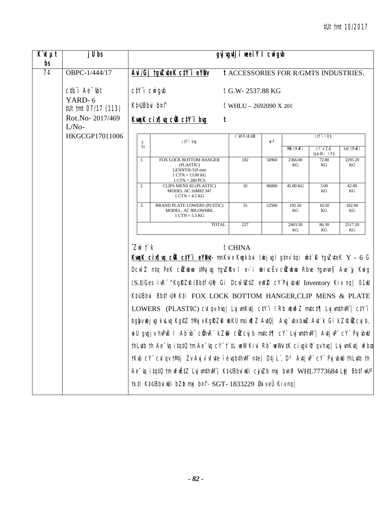| $\overline{K}$ 'it $\mu$ t<br>bs | j U bs                                                                      |                                            |                                                                                                                                                                                                                                                                                                                                                                                                                                                                                                                                                                                                                                                                                                                                                                                                                                                                                                                                                                                               | gyj vgutji weeiY I cwigub                           |       |               |                        |                       |
|----------------------------------|-----------------------------------------------------------------------------|--------------------------------------------|-----------------------------------------------------------------------------------------------------------------------------------------------------------------------------------------------------------------------------------------------------------------------------------------------------------------------------------------------------------------------------------------------------------------------------------------------------------------------------------------------------------------------------------------------------------------------------------------------------------------------------------------------------------------------------------------------------------------------------------------------------------------------------------------------------------------------------------------------------------------------------------------------------------------------------------------------------------------------------------------------|-----------------------------------------------------|-------|---------------|------------------------|-----------------------|
| $\overline{74}$                  | OBPC-1/444/17                                                               |                                            | Avi/Gj tgvZuteK ctY"i eYBv                                                                                                                                                                                                                                                                                                                                                                                                                                                                                                                                                                                                                                                                                                                                                                                                                                                                                                                                                                    | <b>t ACCESSORIES FOR R/GMTS INDUSTRIES.</b>         |       |               |                        |                       |
|                                  | $ctb$ <sup><math>\dot{}</math></sup> Ae $\dot{}$ $\dot{}$ $\dot{}$ $\dot{}$ | $C/Y$ <i>i</i> $CW$ <i>i</i> $q$ <i>ib</i> |                                                                                                                                                                                                                                                                                                                                                                                                                                                                                                                                                                                                                                                                                                                                                                                                                                                                                                                                                                                               | t G.W-2537.88 KG                                    |       |               |                        |                       |
|                                  | YARD-6<br>#Ut tmt 07/17 (113)                                               | Kt>UBbvi b¤î                               |                                                                                                                                                                                                                                                                                                                                                                                                                                                                                                                                                                                                                                                                                                                                                                                                                                                                                                                                                                                               | t WHLU - 2692090 X 20 <sup><math>\circ</math></sup> |       |               |                        |                       |
|                                  | Rot.No-2017/469<br>$L/No-$                                                  |                                            | KwgK cix   vg cũ ctY i bug                                                                                                                                                                                                                                                                                                                                                                                                                                                                                                                                                                                                                                                                                                                                                                                                                                                                                                                                                                    | t                                                   |       |               |                        |                       |
|                                  | HKGCGP17011006                                                              | $\mu$                                      | ctY'i brg                                                                                                                                                                                                                                                                                                                                                                                                                                                                                                                                                                                                                                                                                                                                                                                                                                                                                                                                                                                     | C V‡KR/vKvUD                                        | ICP   |               | $C\ddagger Y$ i IRb    |                       |
|                                  |                                                                             | bs                                         |                                                                                                                                                                                                                                                                                                                                                                                                                                                                                                                                                                                                                                                                                                                                                                                                                                                                                                                                                                                               |                                                     |       | Mẫn (†KwR)    | cY eZxZ<br>tgro‡Ki IRb | $b$ xU ( $t$ Kw $R$ ) |
|                                  |                                                                             | 1.                                         | FOX LOCK BOTTOM HANGER<br>(PLASTIC)<br>LENNTH-310 mm<br>$1 \text{ CTN} = 13.00 \text{ KG}$<br>$1$ CTN = 280 PCS                                                                                                                                                                                                                                                                                                                                                                                                                                                                                                                                                                                                                                                                                                                                                                                                                                                                               | 182                                                 | 50960 | 2366.00<br>KG | 72.80<br>KG            | 2293.20<br>KG         |
|                                  |                                                                             | 2.                                         | CLIPS MENS 82-(PLASTIC)<br>MODEL AC 16M82 347<br>$1$ CTN = 4.5 KG                                                                                                                                                                                                                                                                                                                                                                                                                                                                                                                                                                                                                                                                                                                                                                                                                                                                                                                             | 10                                                  | 96000 | 45.00 KG      | 3.00<br>KG             | 42.00<br>KG           |
|                                  |                                                                             | 3.                                         | <b>BRAND PLATE LOWERS (PLSTIC)</b><br>MODEL- AC 80LOWHBL<br>$1$ CTN = 5.5 KG                                                                                                                                                                                                                                                                                                                                                                                                                                                                                                                                                                                                                                                                                                                                                                                                                                                                                                                  | 35                                                  | 52500 | 192.50<br>KG  | 10.50<br>KG            | 182.00<br>KG          |
|                                  |                                                                             |                                            | <b>TOTAL</b>                                                                                                                                                                                                                                                                                                                                                                                                                                                                                                                                                                                                                                                                                                                                                                                                                                                                                                                                                                                  | 227                                                 |       | 2603.50<br>KG | 86.30<br>KG            | 2517.20<br>KG         |
|                                  |                                                                             | $Z$ wi $\ddot{\Gamma}$ $k$                 | KwqK cin¶wq cÜS c‡Yï eYBM- mnKvix Kwgkbvi (wbjwg) g‡nv`‡qi wb‡`R †gvZv‡eK Y - 6 G<br>Dcw <sup>-</sup> Z ntq PeK cilZubua tMvjvg tgvZRv I e>`i ubivcËv cilZubua Rbve tgvnv¤§ Ave`jy Kwig<br>(S.I)Ges ivR <sup>-^</sup> KgRZP (BbtfJUl) Gi Dcw <sup>-</sup> WZtZ eW2 CY'PvjvbW Inventory Kiv nq  01W<br>KtJUBbvi BbtfJUI Kti FOX LOCK BOTTOM HANGER, CLIP MENS & PLATE<br>LOWERS (PLASTIC) cvl qv hvq   Lvj wnKvtj ctY'i IRb wbwðZ mvtct¶ Lvj wnthvM'   ctY'i<br>bqby ubj vq kvLvq KqºZ tMyj v KqRZli ubKU msi w¶Z AvtQ  Avq`vbx bxwZ Avt`k Gi kZ©ÖZcvj b,<br>wiU gvgjv hvPvB I Ab vb cühvR kZm cüZcvjb mutct¶ cY LvjvmthvM   AutjvP cY PvjvbwU<br>thLutb th Ae~uq itqtQ tm Ae~uq cY"t`tL weW Kivi Rb"weWvitK civgkণ`qu huq  LujwnKutj wfbœ<br>tKvb cY" cvl qv tMtj Zv Avjv`vfvte i évqbthvM" nte  Dtj L", D3 Avtj vP" cY" PvjvbwU thLvtb th<br>Ae vq itqt0 tm wfwEtZ Lvj wnthwN"  KtuBbviwUi cjuZb mxj bv¤ni WHL7773684 Ltj BbtfwU' <br>†k‡l K‡JUBbviwUi bZba mxj b¤î–SGT–1833229 ØviveÜ Kivnq | $t$ CHINA                                           |       |               |                        |                       |